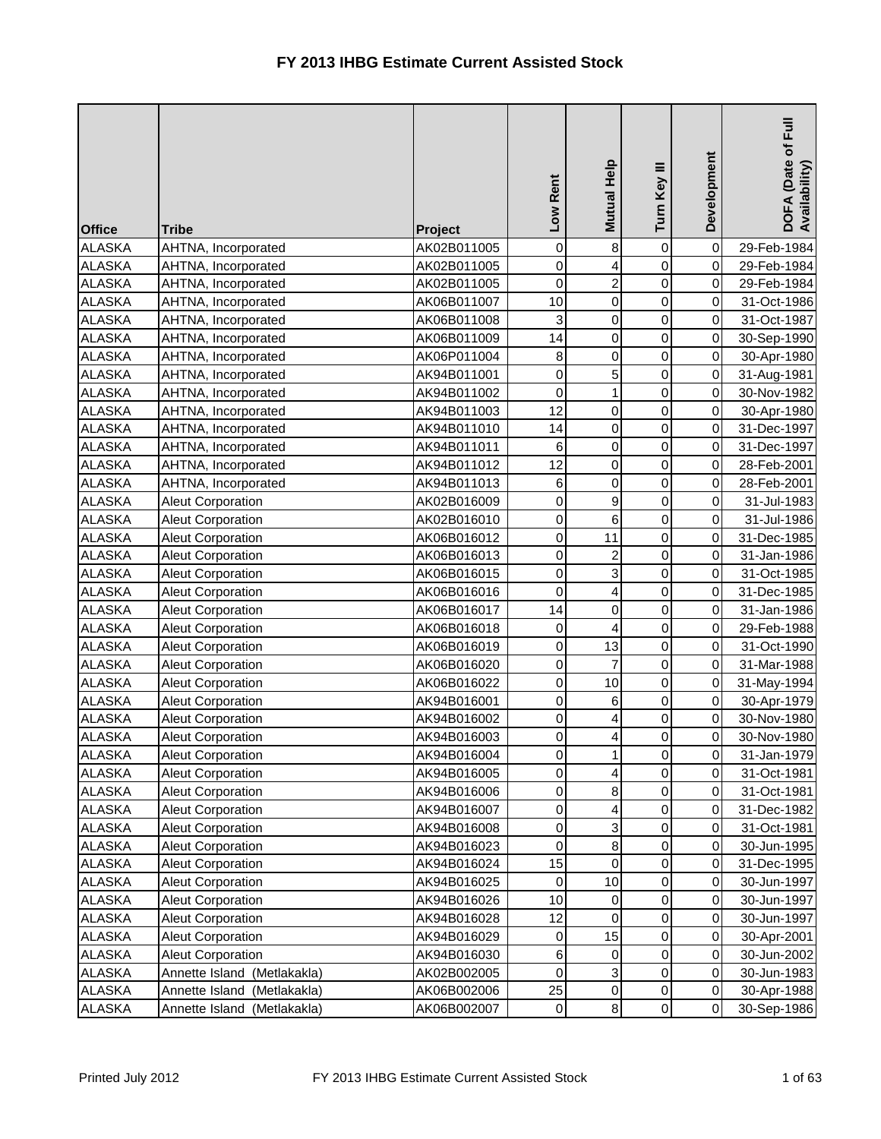| <b>Office</b> | <b>Tribe</b>                   | Project     | Low Rent         | Mutual Help             | Turn Key III   | Development      | DOFA (Date of Full<br>Availability) |
|---------------|--------------------------------|-------------|------------------|-------------------------|----------------|------------------|-------------------------------------|
| <b>ALASKA</b> | AHTNA, Incorporated            | AK02B011005 | 0                | 8                       | $\pmb{0}$      | $\mathbf 0$      | 29-Feb-1984                         |
| <b>ALASKA</b> | AHTNA, Incorporated            | AK02B011005 | 0                | 4                       | $\pmb{0}$      | $\pmb{0}$        | 29-Feb-1984                         |
| <b>ALASKA</b> | AHTNA, Incorporated            | AK02B011005 | $\mathbf 0$      | $\overline{c}$          | $\pmb{0}$      | $\mathbf 0$      | 29-Feb-1984                         |
| <b>ALASKA</b> | AHTNA, Incorporated            | AK06B011007 | 10               | $\overline{0}$          | $\mathbf 0$    | 0                | 31-Oct-1986                         |
| <b>ALASKA</b> | AHTNA, Incorporated            | AK06B011008 | 3                | $\mathbf 0$             | 0              | 0                | 31-Oct-1987                         |
| <b>ALASKA</b> | AHTNA, Incorporated            | AK06B011009 | 14               | $\mathbf 0$             | $\mathbf 0$    | 0                | 30-Sep-1990                         |
| <b>ALASKA</b> | AHTNA, Incorporated            | AK06P011004 | 8                | $\mathbf 0$             | $\mathbf 0$    | $\mathbf 0$      | 30-Apr-1980                         |
| <b>ALASKA</b> | AHTNA, Incorporated            | AK94B011001 | 0                | 5                       | $\mathbf 0$    | $\mathbf 0$      | 31-Aug-1981                         |
| <b>ALASKA</b> | AHTNA, Incorporated            | AK94B011002 | $\mathbf 0$      | $\mathbf{1}$            | $\mathbf 0$    | $\pmb{0}$        | 30-Nov-1982                         |
| <b>ALASKA</b> | AHTNA, Incorporated            | AK94B011003 | 12               | $\pmb{0}$               | 0              | 0                | 30-Apr-1980                         |
| <b>ALASKA</b> | AHTNA, Incorporated            | AK94B011010 | 14               | $\mathbf 0$             | $\mathbf 0$    | $\pmb{0}$        | 31-Dec-1997                         |
| <b>ALASKA</b> | AHTNA, Incorporated            | AK94B011011 | 6                | $\mathbf 0$             | $\pmb{0}$      | $\pmb{0}$        | 31-Dec-1997                         |
| <b>ALASKA</b> | AHTNA, Incorporated            | AK94B011012 | 12               | $\mathbf 0$             | $\mathbf 0$    | $\mathbf 0$      | 28-Feb-2001                         |
| <b>ALASKA</b> | AHTNA, Incorporated            | AK94B011013 | 6                | $\mathbf 0$             | 0              | 0                | 28-Feb-2001                         |
| <b>ALASKA</b> | <b>Aleut Corporation</b>       | AK02B016009 | $\mathbf 0$      | $\boldsymbol{9}$        | 0              | 0                | 31-Jul-1983                         |
| <b>ALASKA</b> | <b>Aleut Corporation</b>       | AK02B016010 | $\mathbf 0$      | $\,$ 6 $\,$             | $\mathbf 0$    | 0                | 31-Jul-1986                         |
| <b>ALASKA</b> | Aleut Corporation              | AK06B016012 | 0                | 11                      | 0              | $\pmb{0}$        | 31-Dec-1985                         |
| <b>ALASKA</b> | Aleut Corporation              | AK06B016013 | 0                | $\overline{\mathbf{c}}$ | 0              | $\mathbf 0$      | 31-Jan-1986                         |
| <b>ALASKA</b> | Aleut Corporation              | AK06B016015 | $\mathbf 0$      | 3                       | $\mathbf 0$    | $\pmb{0}$        | 31-Oct-1985                         |
| <b>ALASKA</b> | Aleut Corporation              | AK06B016016 | $\mathbf 0$      | $\overline{4}$          | 0              | $\pmb{0}$        | 31-Dec-1985                         |
| <b>ALASKA</b> | Aleut Corporation              | AK06B016017 | 14               | $\mathbf 0$             | $\pmb{0}$      | $\pmb{0}$        | 31-Jan-1986                         |
| <b>ALASKA</b> | Aleut Corporation              | AK06B016018 | 0                | 4                       | $\pmb{0}$      | $\pmb{0}$        | 29-Feb-1988                         |
| <b>ALASKA</b> | Aleut Corporation              | AK06B016019 | 0                | 13                      | $\mathbf 0$    | $\mathbf 0$      | 31-Oct-1990                         |
| <b>ALASKA</b> | Aleut Corporation              | AK06B016020 | 0                | $\overline{7}$          | $\mathbf 0$    | $\mathbf 0$      | 31-Mar-1988                         |
| <b>ALASKA</b> | Aleut Corporation              | AK06B016022 | 0                | 10                      | 0              | $\mathbf 0$      | 31-May-1994                         |
| <b>ALASKA</b> | <b>Aleut Corporation</b>       | AK94B016001 | $\mathbf 0$      | $\,6$                   | $\mathbf 0$    | $\mathbf 0$      | 30-Apr-1979                         |
| <b>ALASKA</b> | <b>Aleut Corporation</b>       | AK94B016002 | 0                | $\overline{\mathbf{r}}$ | 0              | $\boldsymbol{0}$ | 30-Nov-1980                         |
| <b>ALASKA</b> | Aleut Corporation              | AK94B016003 | 0                | $\overline{\mathbf{r}}$ | 0              | 0                | 30-Nov-1980                         |
| <b>ALASKA</b> | Aleut Corporation              | AK94B016004 | 0                | $\mathbf{1}$            | $\overline{0}$ | $\mathbf 0$      | 31-Jan-1979                         |
| <b>ALASKA</b> | <b>Aleut Corporation</b>       | AK94B016005 | 0                | $\overline{\mathbf{4}}$ | 0              | $\pmb{0}$        | 31-Oct-1981                         |
| <b>ALASKA</b> | Aleut Corporation              | AK94B016006 | 0                | $\bf 8$                 | $\pmb{0}$      | $\pmb{0}$        | 31-Oct-1981                         |
| <b>ALASKA</b> | Aleut Corporation              | AK94B016007 | 0                | 4                       | 0              | $\pmb{0}$        | 31-Dec-1982                         |
| <b>ALASKA</b> | Aleut Corporation              | AK94B016008 | 0                | 3                       | 0              | 0                | 31-Oct-1981                         |
| <b>ALASKA</b> | Aleut Corporation              | AK94B016023 | 0                | $\bf8$                  | 0              | 0                | 30-Jun-1995                         |
| <b>ALASKA</b> | <b>Aleut Corporation</b>       | AK94B016024 | 15               | $\pmb{0}$               | 0              | 0                | 31-Dec-1995                         |
| <b>ALASKA</b> | <b>Aleut Corporation</b>       | AK94B016025 | 0                | 10                      | $\pmb{0}$      | 0                | 30-Jun-1997                         |
| ALASKA        | Aleut Corporation              | AK94B016026 | 10               | $\pmb{0}$               | 0              | 0                | 30-Jun-1997                         |
| ALASKA        | Aleut Corporation              | AK94B016028 | 12               | 0                       | 0              | 0                | 30-Jun-1997                         |
| <b>ALASKA</b> | Aleut Corporation              | AK94B016029 | 0                | 15                      | 0              | 0                | 30-Apr-2001                         |
| <b>ALASKA</b> | Aleut Corporation              | AK94B016030 | 6                | $\pmb{0}$               | 0              | 0                | 30-Jun-2002                         |
| <b>ALASKA</b> | Annette Island (Metlakakla)    | AK02B002005 | 0                | $\mathbf{3}$            | $\pmb{0}$      | $\,0\,$          | 30-Jun-1983                         |
| <b>ALASKA</b> | Annette Island<br>(Metlakakla) | AK06B002006 | 25               | 0                       | $\pmb{0}$      | 0                | 30-Apr-1988                         |
| ALASKA        | Annette Island (Metlakakla)    | AK06B002007 | $\boldsymbol{0}$ | $\bf8$                  | $\pmb{0}$      | $\mathbf 0$      | 30-Sep-1986                         |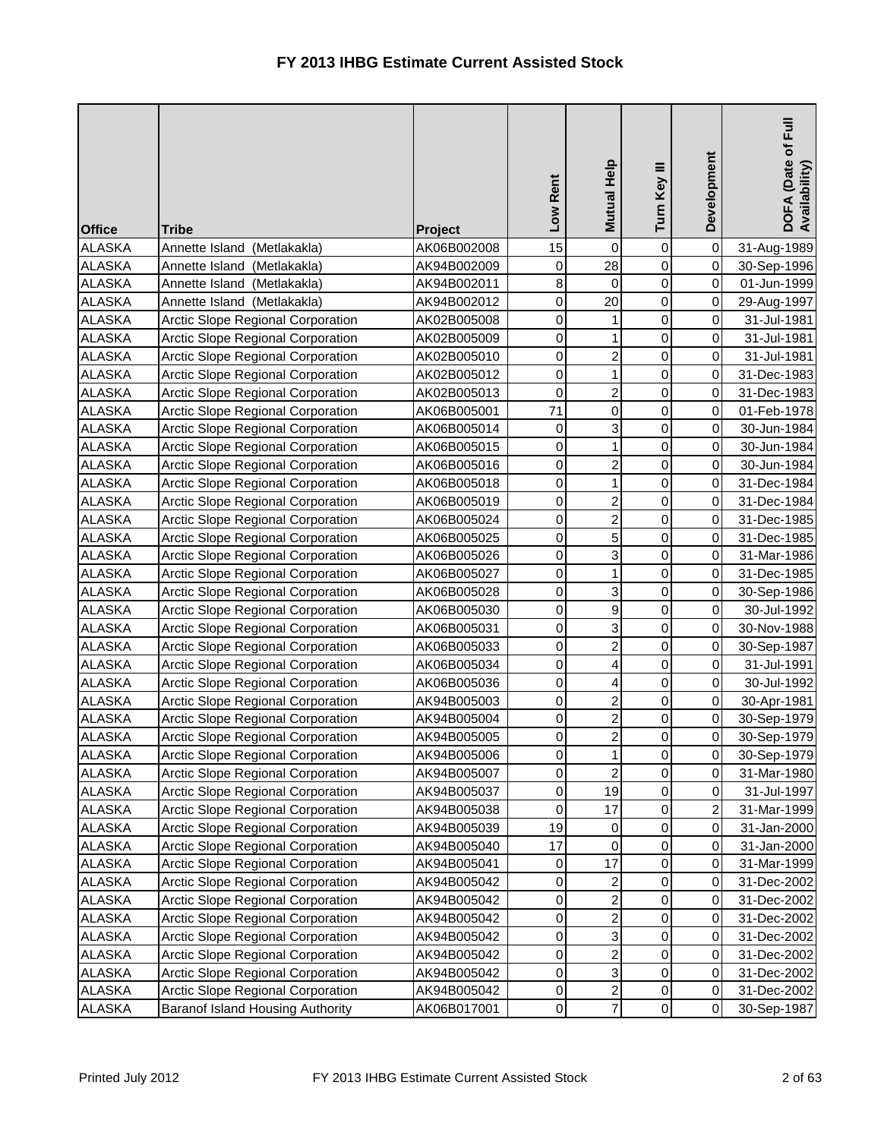| <b>Office</b> | <b>Tribe</b>                             | Project     | Low Rent    | Mutual Help             | Turn Key III   | Development | DOFA (Date of Full<br>Availability) |
|---------------|------------------------------------------|-------------|-------------|-------------------------|----------------|-------------|-------------------------------------|
| <b>ALASKA</b> | Annette Island (Metlakakla)              | AK06B002008 | 15          | $\mathsf 0$             | $\pmb{0}$      | $\pmb{0}$   | 31-Aug-1989                         |
| <b>ALASKA</b> | Annette Island<br>(Metlakakla)           | AK94B002009 | 0           | 28                      | $\mathbf 0$    | $\mathbf 0$ | 30-Sep-1996                         |
| <b>ALASKA</b> | Annette Island (Metlakakla)              | AK94B002011 | 8           | 0                       | $\mathbf 0$    | 0           | 01-Jun-1999                         |
| <b>ALASKA</b> | Annette Island (Metlakakla)              | AK94B002012 | 0           | 20                      | $\mathbf 0$    | 0           | 29-Aug-1997                         |
| <b>ALASKA</b> | <b>Arctic Slope Regional Corporation</b> | AK02B005008 | 0           | 1                       | 0              | 0           | 31-Jul-1981                         |
| <b>ALASKA</b> | Arctic Slope Regional Corporation        | AK02B005009 | 0           | 1                       | $\mathbf 0$    | 0           | 31-Jul-1981                         |
| <b>ALASKA</b> | Arctic Slope Regional Corporation        | AK02B005010 | 0           | $\overline{c}$          | 0              | 0           | 31-Jul-1981                         |
| <b>ALASKA</b> | Arctic Slope Regional Corporation        | AK02B005012 | 0           | $\mathbf{1}$            | $\mathbf 0$    | $\mathbf 0$ | 31-Dec-1983                         |
| <b>ALASKA</b> | Arctic Slope Regional Corporation        | AK02B005013 | $\mathbf 0$ | $\overline{c}$          | 0              | 0           | 31-Dec-1983                         |
| <b>ALASKA</b> | <b>Arctic Slope Regional Corporation</b> | AK06B005001 | 71          | $\pmb{0}$               | 0              | 0           | 01-Feb-1978                         |
| <b>ALASKA</b> | <b>Arctic Slope Regional Corporation</b> | AK06B005014 | 0           | 3                       | $\mathbf 0$    | 0           | 30-Jun-1984                         |
| <b>ALASKA</b> | <b>Arctic Slope Regional Corporation</b> | AK06B005015 | 0           | $\mathbf{1}$            | $\mathbf 0$    | 0           | 30-Jun-1984                         |
| <b>ALASKA</b> | <b>Arctic Slope Regional Corporation</b> | AK06B005016 | 0           | $\overline{c}$          | $\mathbf 0$    | 0           | 30-Jun-1984                         |
| <b>ALASKA</b> | Arctic Slope Regional Corporation        | AK06B005018 | 0           | $\mathbf 1$             | 0              | 0           | 31-Dec-1984                         |
| <b>ALASKA</b> | Arctic Slope Regional Corporation        | AK06B005019 | 0           | $\overline{a}$          | 0              | 0           | 31-Dec-1984                         |
| <b>ALASKA</b> | <b>Arctic Slope Regional Corporation</b> | AK06B005024 | $\mathbf 0$ | $\overline{c}$          | $\mathbf 0$    | 0           | 31-Dec-1985                         |
| <b>ALASKA</b> | Arctic Slope Regional Corporation        | AK06B005025 | 0           | 5                       | 0              | 0           | 31-Dec-1985                         |
| <b>ALASKA</b> | Arctic Slope Regional Corporation        | AK06B005026 | 0           | 3                       | $\mathbf 0$    | 0           | 31-Mar-1986                         |
| <b>ALASKA</b> | Arctic Slope Regional Corporation        | AK06B005027 | 0           | $\mathbf{1}$            | $\mathbf 0$    | 0           | 31-Dec-1985                         |
| <b>ALASKA</b> | <b>Arctic Slope Regional Corporation</b> | AK06B005028 | 0           | 3                       | 0              | 0           | 30-Sep-1986                         |
| <b>ALASKA</b> | <b>Arctic Slope Regional Corporation</b> | AK06B005030 | $\mathbf 0$ | $\boldsymbol{9}$        | $\mathbf 0$    | 0           | 30-Jul-1992                         |
| <b>ALASKA</b> | <b>Arctic Slope Regional Corporation</b> | AK06B005031 | 0           | 3                       | $\mathbf 0$    | 0           | 30-Nov-1988                         |
| <b>ALASKA</b> | <b>Arctic Slope Regional Corporation</b> | AK06B005033 | 0           | $\overline{c}$          | $\mathbf 0$    | 0           | 30-Sep-1987                         |
| <b>ALASKA</b> | Arctic Slope Regional Corporation        | AK06B005034 | 0           | 4                       | $\mathsf 0$    | 0           | 31-Jul-1991                         |
| <b>ALASKA</b> | Arctic Slope Regional Corporation        | AK06B005036 | 0           | 4                       | 0              | 0           | 30-Jul-1992                         |
| <b>ALASKA</b> | Arctic Slope Regional Corporation        | AK94B005003 | 0           | $\overline{c}$          | $\mathbf 0$    | 0           | 30-Apr-1981                         |
| <b>ALASKA</b> | Arctic Slope Regional Corporation        | AK94B005004 | 0           | $\overline{c}$          | 0              | $\mathbf 0$ | 30-Sep-1979                         |
| <b>ALASKA</b> | Arctic Slope Regional Corporation        | AK94B005005 | 0           | $\overline{a}$          | 0              | 0           | 30-Sep-1979                         |
| <b>ALASKA</b> | Arctic Slope Regional Corporation        | AK94B005006 | 0           | $\mathbf{1}$            | $\overline{0}$ | $\mathbf 0$ | 30-Sep-1979                         |
| <b>ALASKA</b> | <b>Arctic Slope Regional Corporation</b> | AK94B005007 | 0           | $\overline{c}$          | 0              | 0           | 31-Mar-1980                         |
| <b>ALASKA</b> | <b>Arctic Slope Regional Corporation</b> | AK94B005037 | 0           | 19                      | $\mathsf 0$    | $\pmb{0}$   | 31-Jul-1997                         |
| <b>ALASKA</b> | <b>Arctic Slope Regional Corporation</b> | AK94B005038 | 0           | 17                      | 0              | 2           | 31-Mar-1999                         |
| <b>ALASKA</b> | Arctic Slope Regional Corporation        | AK94B005039 | 19          | 0                       | $\pmb{0}$      | 0           | 31-Jan-2000                         |
| <b>ALASKA</b> | Arctic Slope Regional Corporation        | AK94B005040 | 17          | $\pmb{0}$               | $\pmb{0}$      | 0           | 31-Jan-2000                         |
| <b>ALASKA</b> | Arctic Slope Regional Corporation        | AK94B005041 | 0           | 17                      | $\pmb{0}$      | 0           | 31-Mar-1999                         |
| <b>ALASKA</b> | <b>Arctic Slope Regional Corporation</b> | AK94B005042 | 0           | $\overline{c}$          | $\pmb{0}$      | 0           | 31-Dec-2002                         |
| ALASKA        | Arctic Slope Regional Corporation        | AK94B005042 | 0           | $\overline{c}$          | $\pmb{0}$      | 0           | 31-Dec-2002                         |
| <b>ALASKA</b> | Arctic Slope Regional Corporation        | AK94B005042 | 0           | $\overline{a}$          | 0              | 0           | 31-Dec-2002                         |
| <b>ALASKA</b> | Arctic Slope Regional Corporation        | AK94B005042 | 0           | 3                       | 0              | 0           | 31-Dec-2002                         |
| <b>ALASKA</b> | <b>Arctic Slope Regional Corporation</b> | AK94B005042 | 0           | $\overline{\mathbf{c}}$ | 0              | 0           | 31-Dec-2002                         |
| <b>ALASKA</b> | Arctic Slope Regional Corporation        | AK94B005042 | 0           | $\mathbf{3}$            | $\pmb{0}$      | 0           | 31-Dec-2002                         |
| <b>ALASKA</b> | Arctic Slope Regional Corporation        | AK94B005042 | 0           | $\overline{c}$          | $\,0\,$        | 0           | 31-Dec-2002                         |
| ALASKA        | Baranof Island Housing Authority         | AK06B017001 | 0           | $\overline{7}$          | $\mathsf 0$    | 0           | 30-Sep-1987                         |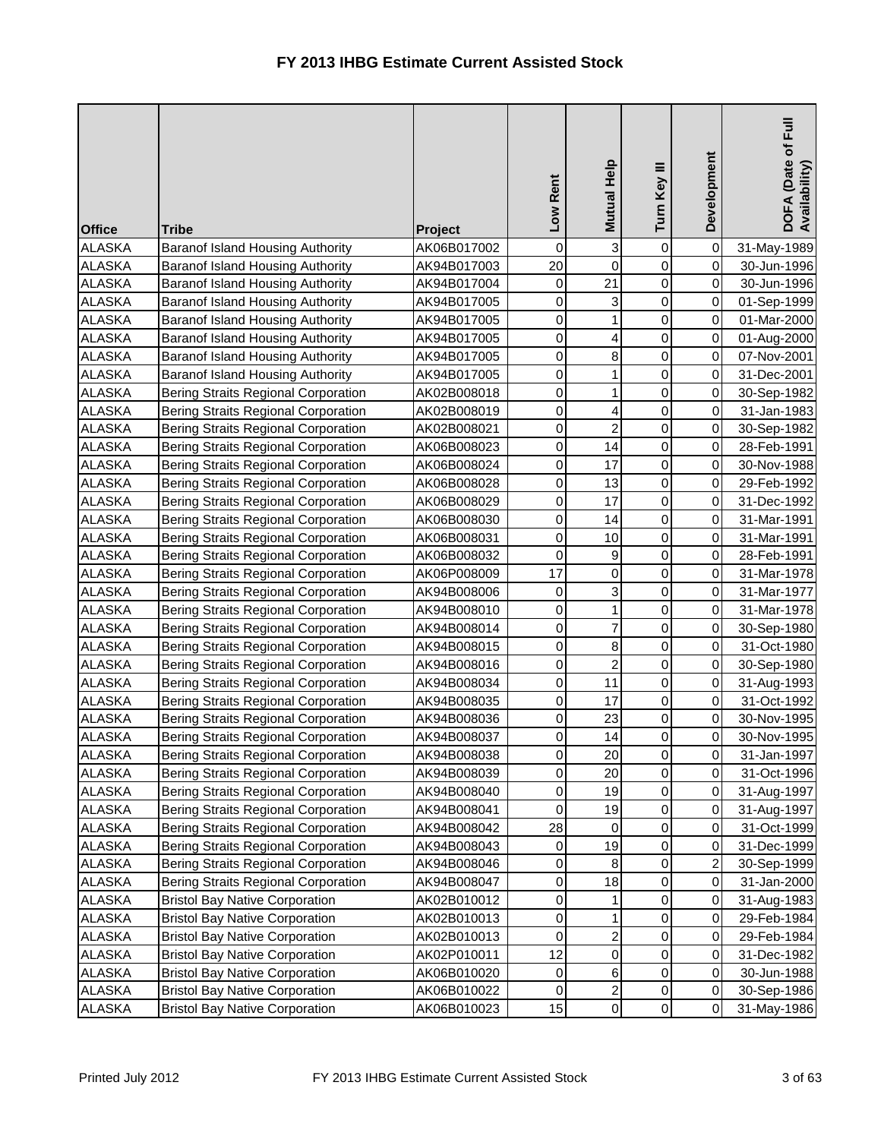| <b>Office</b> | <b>Tribe</b>                               | Project                    | Low Rent | Mutual Help      | Turn Key III   | Development | Eull<br>DOFA (Date of F<br>Availability) |
|---------------|--------------------------------------------|----------------------------|----------|------------------|----------------|-------------|------------------------------------------|
| <b>ALASKA</b> | <b>Baranof Island Housing Authority</b>    | AK06B017002                | 0        | $\mathbf{3}$     | $\pmb{0}$      | $\mathbf 0$ | 31-May-1989                              |
| <b>ALASKA</b> | Baranof Island Housing Authority           | AK94B017003                | 20       | $\pmb{0}$        | $\mathbf 0$    | $\pmb{0}$   | 30-Jun-1996                              |
| <b>ALASKA</b> | Baranof Island Housing Authority           | AK94B017004                | 0        | 21               | 0              | 0           | 30-Jun-1996                              |
| <b>ALASKA</b> | <b>Baranof Island Housing Authority</b>    | AK94B017005                | 0        | 3                | $\mathbf 0$    | 0           | 01-Sep-1999                              |
| <b>ALASKA</b> | <b>Baranof Island Housing Authority</b>    | AK94B017005                | 0        | 1                | 0              | 0           | 01-Mar-2000                              |
| <b>ALASKA</b> | Baranof Island Housing Authority           | AK94B017005                | 0        | 4                | 0              | 0           | 01-Aug-2000                              |
| <b>ALASKA</b> | Baranof Island Housing Authority           | AK94B017005                | 0        | $\bf 8$          | 0              | 0           | 07-Nov-2001                              |
| <b>ALASKA</b> | Baranof Island Housing Authority           | AK94B017005                | 0        | 1                | $\mathbf 0$    | 0           | 31-Dec-2001                              |
| <b>ALASKA</b> | <b>Bering Straits Regional Corporation</b> | AK02B008018                | 0        | 1                | 0              | 0           | 30-Sep-1982                              |
| <b>ALASKA</b> | <b>Bering Straits Regional Corporation</b> | AK02B008019                | 0        | 4                | 0              | 0           | 31-Jan-1983                              |
| <b>ALASKA</b> | <b>Bering Straits Regional Corporation</b> | AK02B008021                | 0        | $\overline{2}$   | $\mathbf 0$    | 0           | 30-Sep-1982                              |
| <b>ALASKA</b> | <b>Bering Straits Regional Corporation</b> | AK06B008023                | 0        | 14               | $\mathbf 0$    | 0           | 28-Feb-1991                              |
| <b>ALASKA</b> | <b>Bering Straits Regional Corporation</b> | AK06B008024                | 0        | 17               | $\mathbf 0$    | 0           | 30-Nov-1988                              |
| <b>ALASKA</b> | <b>Bering Straits Regional Corporation</b> | AK06B008028                | 0        | 13               | 0              | 0           | 29-Feb-1992                              |
| <b>ALASKA</b> | <b>Bering Straits Regional Corporation</b> | AK06B008029                | 0        | 17               | $\mathsf 0$    | 0           | 31-Dec-1992                              |
| <b>ALASKA</b> | <b>Bering Straits Regional Corporation</b> | AK06B008030                | 0        | 14               | $\mathbf 0$    | 0           | 31-Mar-1991                              |
| <b>ALASKA</b> | <b>Bering Straits Regional Corporation</b> | AK06B008031                | 0        | 10               | 0              | 0           | 31-Mar-1991                              |
| <b>ALASKA</b> | <b>Bering Straits Regional Corporation</b> | AK06B008032                | 0        | $\boldsymbol{9}$ | 0              | 0           | 28-Feb-1991                              |
| <b>ALASKA</b> | <b>Bering Straits Regional Corporation</b> | AK06P008009                | 17       | $\pmb{0}$        | $\mathbf 0$    | 0           | 31-Mar-1978                              |
| <b>ALASKA</b> | <b>Bering Straits Regional Corporation</b> | AK94B008006                | 0        | 3                | 0              | 0           | 31-Mar-1977                              |
| <b>ALASKA</b> | <b>Bering Straits Regional Corporation</b> | AK94B008010                | 0        | $\mathbf{1}$     | $\mathbf 0$    | 0           | 31-Mar-1978                              |
| <b>ALASKA</b> | <b>Bering Straits Regional Corporation</b> | AK94B008014                | 0        | $\overline{7}$   | $\mathbf 0$    | 0           | 30-Sep-1980                              |
| <b>ALASKA</b> | <b>Bering Straits Regional Corporation</b> | AK94B008015                | 0        | $\bf8$           | $\mathbf 0$    | 0           | 31-Oct-1980                              |
| <b>ALASKA</b> | <b>Bering Straits Regional Corporation</b> | AK94B008016                | 0        | $\boldsymbol{2}$ | $\mathsf 0$    | 0           | 30-Sep-1980                              |
| <b>ALASKA</b> | <b>Bering Straits Regional Corporation</b> | AK94B008034                | 0        | 11               | 0              | 0           | 31-Aug-1993                              |
| <b>ALASKA</b> | <b>Bering Straits Regional Corporation</b> | AK94B008035                | 0        | 17               | $\mathbf 0$    | 0           | 31-Oct-1992                              |
| <b>ALASKA</b> | <b>Bering Straits Regional Corporation</b> | AK94B008036                | 0        | 23               | $\pmb{0}$      | 0           | 30-Nov-1995                              |
| <b>ALASKA</b> | <b>Bering Straits Regional Corporation</b> | AK94B008037                | 0        | 14               | 0              | 0           | 30-Nov-1995                              |
| <b>ALASKA</b> | Bering Straits Regional Corporation        | AK94B008038                | 0        | 20               | $\overline{0}$ | $\mathbf 0$ | 31-Jan-1997                              |
| <b>ALASKA</b> | Bering Straits Regional Corporation        | AK94B008039                | 0        | 20               | 0              | 0           | 31-Oct-1996                              |
| <b>ALASKA</b> | Bering Straits Regional Corporation        | AK94B008040                | 0        | 19               | $\pmb{0}$      | $\mbox{O}$  | 31-Aug-1997                              |
| <b>ALASKA</b> | Bering Straits Regional Corporation        | AK94B008041                | 0        | 19               | 0              | 0           | 31-Aug-1997                              |
| <b>ALASKA</b> | Bering Straits Regional Corporation        | AK94B008042                | 28       | 0                | 0              | 0           | 31-Oct-1999                              |
| <b>ALASKA</b> | Bering Straits Regional Corporation        | AK94B008043                | 0        | 19               | $\mathbf 0$    | 0           | 31-Dec-1999                              |
| <b>ALASKA</b> | <b>Bering Straits Regional Corporation</b> | AK94B008046                | 0        | $\bf 8$          | 0              | 2           | 30-Sep-1999                              |
| <b>ALASKA</b> | <b>Bering Straits Regional Corporation</b> | AK94B008047                | 0        | 18               | $\pmb{0}$      | 0           | 31-Jan-2000                              |
| ALASKA        | <b>Bristol Bay Native Corporation</b>      | AK02B010012                | 0        | 1                | $\pmb{0}$      | 0           |                                          |
| <b>ALASKA</b> | <b>Bristol Bay Native Corporation</b>      | AK02B010013                | 0        | 1                | 0              | 0           | 31-Aug-1983<br>29-Feb-1984               |
| <b>ALASKA</b> | <b>Bristol Bay Native Corporation</b>      | AK02B010013                | 0        | $\overline{a}$   | 0              | 0           | 29-Feb-1984                              |
| <b>ALASKA</b> | <b>Bristol Bay Native Corporation</b>      |                            | 12       | $\mathbf 0$      | 0              | 0           |                                          |
| <b>ALASKA</b> | <b>Bristol Bay Native Corporation</b>      | AK02P010011<br>AK06B010020 | 0        | $\,6$            | 0              | 0           | 31-Dec-1982                              |
| <b>ALASKA</b> | <b>Bristol Bay Native Corporation</b>      |                            |          | $\boldsymbol{2}$ | $\,0\,$        | $\pmb{0}$   | 30-Jun-1988                              |
| ALASKA        | <b>Bristol Bay Native Corporation</b>      | AK06B010022<br>AK06B010023 | 0<br>15  | $\mathbf 0$      | $\mathsf 0$    | $\pmb{0}$   | 30-Sep-1986                              |
|               |                                            |                            |          |                  |                |             | 31-May-1986                              |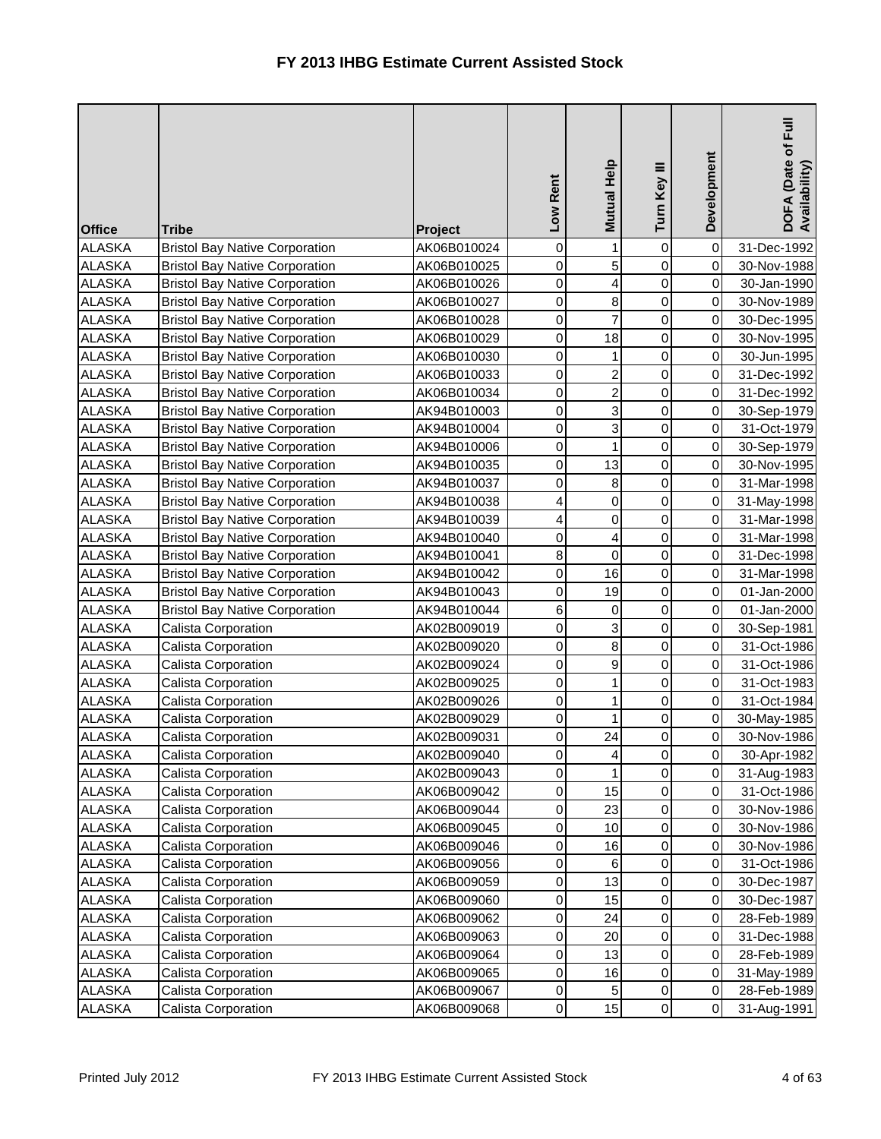| <b>Office</b> | <b>Tribe</b>                          | Project     | Low Rent         | Mutual Help             | Turn Key III   | Development | DOFA (Date of Full<br>Availability) |
|---------------|---------------------------------------|-------------|------------------|-------------------------|----------------|-------------|-------------------------------------|
| <b>ALASKA</b> | <b>Bristol Bay Native Corporation</b> | AK06B010024 | $\boldsymbol{0}$ | $\mathbf{1}$            | 0              | $\pmb{0}$   | 31-Dec-1992                         |
| <b>ALASKA</b> | <b>Bristol Bay Native Corporation</b> | AK06B010025 | 0                | 5                       | 0              | $\pmb{0}$   | 30-Nov-1988                         |
| <b>ALASKA</b> | <b>Bristol Bay Native Corporation</b> | AK06B010026 | $\boldsymbol{0}$ | $\overline{\mathbf{r}}$ | $\mathbf 0$    | $\pmb{0}$   | 30-Jan-1990                         |
| <b>ALASKA</b> | <b>Bristol Bay Native Corporation</b> | AK06B010027 | 0                | 8                       | $\mathsf 0$    | 0           | 30-Nov-1989                         |
| <b>ALASKA</b> | <b>Bristol Bay Native Corporation</b> | AK06B010028 | 0                | $\overline{7}$          | 0              | 0           | 30-Dec-1995                         |
| <b>ALASKA</b> | <b>Bristol Bay Native Corporation</b> | AK06B010029 | 0                | 18                      | 0              | 0           | 30-Nov-1995                         |
| <b>ALASKA</b> | <b>Bristol Bay Native Corporation</b> | AK06B010030 | 0                | $\mathbf{1}$            | $\mathsf 0$    | $\pmb{0}$   | 30-Jun-1995                         |
| <b>ALASKA</b> | <b>Bristol Bay Native Corporation</b> | AK06B010033 | $\mathbf 0$      | $\mathbf{2}$            | $\mathsf 0$    | $\pmb{0}$   | 31-Dec-1992                         |
| <b>ALASKA</b> | <b>Bristol Bay Native Corporation</b> | AK06B010034 | 0                | $\overline{2}$          | $\mathsf 0$    | $\pmb{0}$   | 31-Dec-1992                         |
| <b>ALASKA</b> | <b>Bristol Bay Native Corporation</b> | AK94B010003 | 0                | 3                       | $\mathsf 0$    | 0           | 30-Sep-1979                         |
| <b>ALASKA</b> | <b>Bristol Bay Native Corporation</b> | AK94B010004 | 0                | 3                       | 0              | $\mathbf 0$ | 31-Oct-1979                         |
| <b>ALASKA</b> | <b>Bristol Bay Native Corporation</b> | AK94B010006 | 0                | $\mathbf{1}$            | $\mathsf 0$    | $\pmb{0}$   | 30-Sep-1979                         |
| <b>ALASKA</b> | <b>Bristol Bay Native Corporation</b> | AK94B010035 | 0                | 13                      | $\mathsf 0$    | $\pmb{0}$   | 30-Nov-1995                         |
| <b>ALASKA</b> | <b>Bristol Bay Native Corporation</b> | AK94B010037 | 0                | 8                       | $\mathsf 0$    | 0           | 31-Mar-1998                         |
| <b>ALASKA</b> | <b>Bristol Bay Native Corporation</b> | AK94B010038 | 4                | $\overline{0}$          | $\mathbf 0$    | 0           | 31-May-1998                         |
| <b>ALASKA</b> | <b>Bristol Bay Native Corporation</b> | AK94B010039 | 4                | $\mathbf 0$             | $\mathsf 0$    | $\mathbf 0$ | 31-Mar-1998                         |
| <b>ALASKA</b> | <b>Bristol Bay Native Corporation</b> | AK94B010040 | 0                | $\vert$                 | 0              | $\pmb{0}$   | 31-Mar-1998                         |
| <b>ALASKA</b> | <b>Bristol Bay Native Corporation</b> | AK94B010041 | 8                | $\overline{0}$          | $\mathsf 0$    | $\pmb{0}$   | 31-Dec-1998                         |
| <b>ALASKA</b> | <b>Bristol Bay Native Corporation</b> | AK94B010042 | 0                | 16                      | $\mathsf 0$    | 0           | 31-Mar-1998                         |
| <b>ALASKA</b> | <b>Bristol Bay Native Corporation</b> | AK94B010043 | 0                | 19                      | $\mathsf 0$    | 0           | 01-Jan-2000                         |
| <b>ALASKA</b> | <b>Bristol Bay Native Corporation</b> | AK94B010044 | 6                | $\mathsf{O}\xspace$     | $\mathsf 0$    | $\mathbf 0$ | 01-Jan-2000                         |
| <b>ALASKA</b> | Calista Corporation                   | AK02B009019 | 0                | $\overline{3}$          | 0              | $\mathbf 0$ | 30-Sep-1981                         |
| <b>ALASKA</b> | Calista Corporation                   | AK02B009020 | 0                | $\bf{8}$                | $\mathsf 0$    | 0           | 31-Oct-1986                         |
| <b>ALASKA</b> | Calista Corporation                   | AK02B009024 | 0                | $\mathsf{g}$            | $\mathsf 0$    | 0           | 31-Oct-1986                         |
| <b>ALASKA</b> | Calista Corporation                   | AK02B009025 | 0                | 1                       | 0              | 0           | 31-Oct-1983                         |
| <b>ALASKA</b> | Calista Corporation                   | AK02B009026 | 0                | $\mathbf{1}$            | 0              | $\mathbf 0$ | 31-Oct-1984                         |
| <b>ALASKA</b> | Calista Corporation                   | AK02B009029 | 0                | $\mathbf{1}$            | 0              | 0           | 30-May-1985                         |
| <b>ALASKA</b> | Calista Corporation                   | AK02B009031 | $\mathbf 0$      | 24                      | 0              | 0           | 30-Nov-1986                         |
| <b>ALASKA</b> | Calista Corporation                   | AK02B009040 | 0                | $\vert$                 | $\overline{0}$ | $\mathbf 0$ | 30-Apr-1982                         |
| <b>ALASKA</b> | Calista Corporation                   | AK02B009043 | 0                | $\mathbf{1}$            | 0              | 0           | 31-Aug-1983                         |
| <b>ALASKA</b> | Calista Corporation                   | AK06B009042 | 0                | 15                      | 0              | $\mbox{O}$  | 31-Oct-1986                         |
| <b>ALASKA</b> | Calista Corporation                   | AK06B009044 | 0                | 23                      | 0              | $\mbox{O}$  | 30-Nov-1986                         |
| <b>ALASKA</b> | Calista Corporation                   | AK06B009045 | 0                | 10                      | 0              | 0           | 30-Nov-1986                         |
| <b>ALASKA</b> | Calista Corporation                   | AK06B009046 | 0                | 16                      | 0              | 0           | 30-Nov-1986                         |
| <b>ALASKA</b> | Calista Corporation                   | AK06B009056 | 0                | 6                       | 0              | 0           | 31-Oct-1986                         |
| <b>ALASKA</b> | Calista Corporation                   | AK06B009059 | 0                | 13                      | 0              | 0           | 30-Dec-1987                         |
| <b>ALASKA</b> | Calista Corporation                   | AK06B009060 | 0                | 15                      | 0              | 0           | 30-Dec-1987                         |
| <b>ALASKA</b> | Calista Corporation                   | AK06B009062 | $\boldsymbol{0}$ | 24                      | 0              | $\pmb{0}$   | 28-Feb-1989                         |
| <b>ALASKA</b> | Calista Corporation                   | AK06B009063 | $\boldsymbol{0}$ | 20                      | 0              | 0           | 31-Dec-1988                         |
| <b>ALASKA</b> | Calista Corporation                   | AK06B009064 | 0                | 13                      | 0              | 0           | 28-Feb-1989                         |
| <b>ALASKA</b> | Calista Corporation                   | AK06B009065 | 0                | 16                      | 0              | $\mbox{O}$  | 31-May-1989                         |
| <b>ALASKA</b> | Calista Corporation                   | AK06B009067 | 0                | 5 <sub>l</sub>          | 0              | 0           | 28-Feb-1989                         |
| ALASKA        | Calista Corporation                   | AK06B009068 | $\mathbf 0$      | 15                      | 0              | $\mathbf 0$ | 31-Aug-1991                         |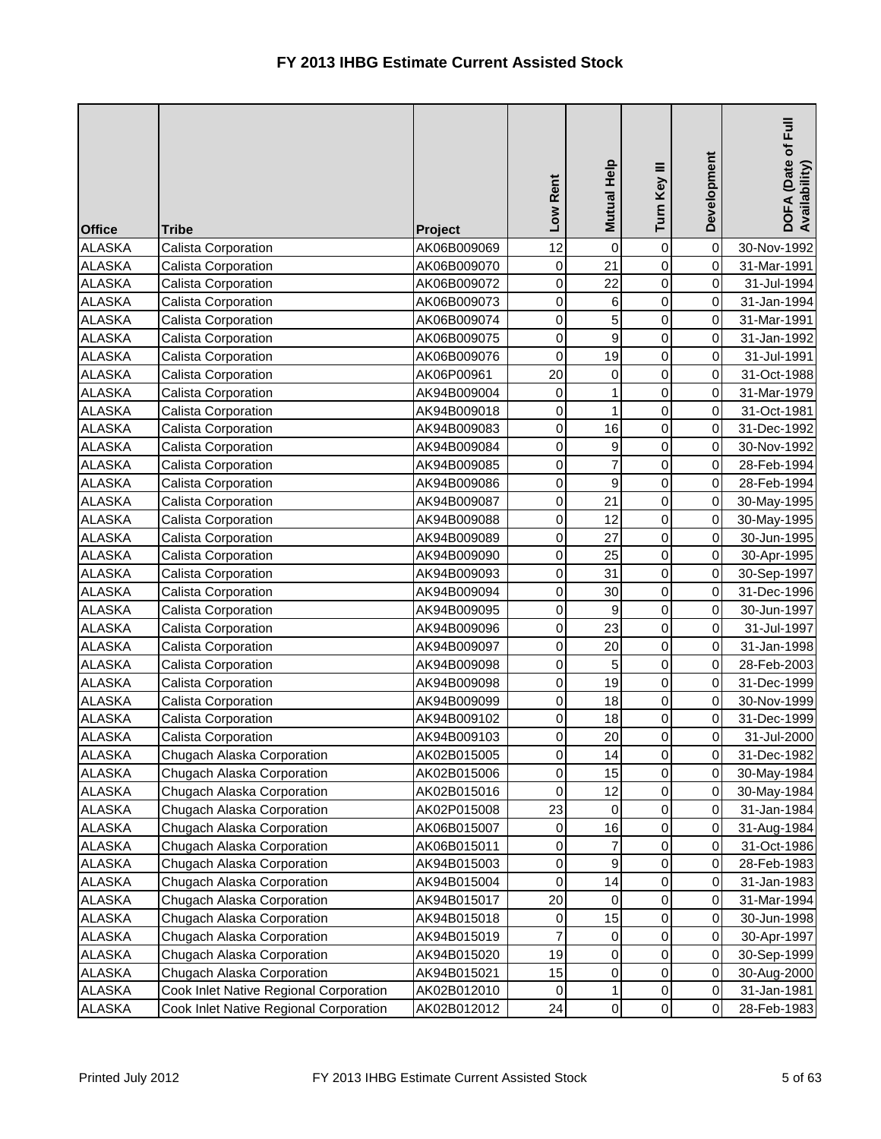| <b>Office</b> | <b>Tribe</b>                           | Project     | Low Rent         | Mutual Help         | Turn Key III        | Development | DOFA (Date of Full<br>Availability) |
|---------------|----------------------------------------|-------------|------------------|---------------------|---------------------|-------------|-------------------------------------|
| <b>ALASKA</b> | Calista Corporation                    | AK06B009069 | 12               | $\mathsf{O}\xspace$ | 0                   | $\mathbf 0$ | 30-Nov-1992                         |
| <b>ALASKA</b> | Calista Corporation                    | AK06B009070 | $\pmb{0}$        | 21                  | 0                   | $\mbox{O}$  | 31-Mar-1991                         |
| <b>ALASKA</b> | Calista Corporation                    | AK06B009072 | $\boldsymbol{0}$ | 22                  | 0                   | $\mathbf 0$ | 31-Jul-1994                         |
| <b>ALASKA</b> | Calista Corporation                    | AK06B009073 | 0                | 6                   | $\mathbf 0$         | $\mathbf 0$ | 31-Jan-1994                         |
| <b>ALASKA</b> | Calista Corporation                    | AK06B009074 | 0                | 5                   | $\mathsf 0$         | 0           | 31-Mar-1991                         |
| <b>ALASKA</b> | Calista Corporation                    | AK06B009075 | 0                | 9                   | 0                   | $\mathbf 0$ | 31-Jan-1992                         |
| <b>ALASKA</b> | Calista Corporation                    | AK06B009076 | $\pmb{0}$        | 19                  | 0                   | $\mathsf 0$ | 31-Jul-1991                         |
| <b>ALASKA</b> | Calista Corporation                    | AK06P00961  | 20               | $\overline{0}$      | $\mathsf 0$         | $\mathbf 0$ | 31-Oct-1988                         |
| <b>ALASKA</b> | Calista Corporation                    | AK94B009004 | $\mathbf 0$      | $\mathbf{1}$        | $\mathsf 0$         | 0           | 31-Mar-1979                         |
| <b>ALASKA</b> | Calista Corporation                    | AK94B009018 | 0                | $\mathbf{1}$        | $\mathsf 0$         | 0           | 31-Oct-1981                         |
| <b>ALASKA</b> | Calista Corporation                    | AK94B009083 | 0                | 16                  | 0                   | $\mathbf 0$ | 31-Dec-1992                         |
| <b>ALASKA</b> | Calista Corporation                    | AK94B009084 | 0                | 9                   | 0                   | $\mathbf 0$ | 30-Nov-1992                         |
| <b>ALASKA</b> | Calista Corporation                    | AK94B009085 | $\mathbf 0$      | $\overline{7}$      | $\mathsf 0$         | $\mathbf 0$ | 28-Feb-1994                         |
| <b>ALASKA</b> | Calista Corporation                    | AK94B009086 | 0                | $\mathbf{g}$        | $\mathsf 0$         | 0           | 28-Feb-1994                         |
| <b>ALASKA</b> | Calista Corporation                    | AK94B009087 | 0                | 21                  | $\mathsf 0$         | 0           | 30-May-1995                         |
| <b>ALASKA</b> | Calista Corporation                    | AK94B009088 | $\mathbf 0$      | 12                  | 0                   | $\mathbf 0$ | 30-May-1995                         |
| <b>ALASKA</b> | Calista Corporation                    | AK94B009089 | 0                | 27                  | 0                   | $\mathbf 0$ | 30-Jun-1995                         |
| <b>ALASKA</b> | Calista Corporation                    | AK94B009090 | $\mathbf 0$      | 25                  | $\mathsf 0$         | $\mathbf 0$ | 30-Apr-1995                         |
| <b>ALASKA</b> | Calista Corporation                    | AK94B009093 | $\mathbf 0$      | 31                  | 0                   | 0           | 30-Sep-1997                         |
| <b>ALASKA</b> | Calista Corporation                    | AK94B009094 | 0                | 30                  | $\mathsf 0$         | 0           | 31-Dec-1996                         |
| <b>ALASKA</b> | Calista Corporation                    | AK94B009095 | 0                | 9                   | 0                   | $\mathbf 0$ | 30-Jun-1997                         |
| <b>ALASKA</b> | Calista Corporation                    | AK94B009096 | $\mathbf 0$      | 23                  | 0                   | $\mathbf 0$ | 31-Jul-1997                         |
| <b>ALASKA</b> | Calista Corporation                    | AK94B009097 | $\mathbf 0$      | 20                  | 0                   | $\pmb{0}$   | 31-Jan-1998                         |
| <b>ALASKA</b> | Calista Corporation                    | AK94B009098 | 0                | 5                   | 0                   | 0           | 28-Feb-2003                         |
| <b>ALASKA</b> | Calista Corporation                    | AK94B009098 | 0                | 19                  | 0                   | $\mathbf 0$ | 31-Dec-1999                         |
| <b>ALASKA</b> | Calista Corporation                    | AK94B009099 | 0                | 18                  | 0                   | $\mathbf 0$ | 30-Nov-1999                         |
| <b>ALASKA</b> | Calista Corporation                    | AK94B009102 | 0                | 18                  | 0                   | 0           | 31-Dec-1999                         |
| <b>ALASKA</b> | Calista Corporation                    | AK94B009103 | $\mathbf 0$      | 20                  | 0                   | 0           | 31-Jul-2000                         |
| <b>ALASKA</b> | Chugach Alaska Corporation             | AK02B015005 | $\mathbf 0$      | 14                  | $\overline{0}$      | $\mathbf 0$ | 31-Dec-1982                         |
| <b>ALASKA</b> | Chugach Alaska Corporation             | AK02B015006 | 0                | 15                  | 0                   | 0           | 30-May-1984                         |
| <b>ALASKA</b> | Chugach Alaska Corporation             | AK02B015016 | 0                | 12                  | $\mathsf{O}\xspace$ | $\mbox{O}$  | 30-May-1984                         |
| ALASKA        | Chugach Alaska Corporation             | AK02P015008 | 23               | 0                   | 0                   | $\pmb{0}$   | 31-Jan-1984                         |
| <b>ALASKA</b> | Chugach Alaska Corporation             | AK06B015007 | 0                | 16                  | 0                   | 0           | 31-Aug-1984                         |
| <b>ALASKA</b> | Chugach Alaska Corporation             | AK06B015011 | 0                | $\overline{7}$      | 0                   | 0           | 31-Oct-1986                         |
| <b>ALASKA</b> | Chugach Alaska Corporation             | AK94B015003 | 0                | 9                   | 0                   | 0           | 28-Feb-1983                         |
| <b>ALASKA</b> | Chugach Alaska Corporation             | AK94B015004 | 0                | 14                  | $\mathsf{O}\xspace$ | 0           | 31-Jan-1983                         |
| <b>ALASKA</b> | Chugach Alaska Corporation             | AK94B015017 | 20               | $\overline{0}$      | 0                   | 0           | 31-Mar-1994                         |
| <b>ALASKA</b> | Chugach Alaska Corporation             | AK94B015018 | 0                | 15                  | 0                   | $\pmb{0}$   | 30-Jun-1998                         |
| <b>ALASKA</b> | Chugach Alaska Corporation             | AK94B015019 | $\overline{7}$   | $\overline{0}$      | 0                   | 0           | 30-Apr-1997                         |
| <b>ALASKA</b> | Chugach Alaska Corporation             | AK94B015020 | 19               | $\overline{0}$      | 0                   | 0           | 30-Sep-1999                         |
| <b>ALASKA</b> | Chugach Alaska Corporation             | AK94B015021 | 15               | $\overline{0}$      | 0                   | $\mbox{O}$  | 30-Aug-2000                         |
| ALASKA        | Cook Inlet Native Regional Corporation | AK02B012010 | 0                | 1                   | 0                   | $\pmb{0}$   | 31-Jan-1981                         |
| ALASKA        | Cook Inlet Native Regional Corporation | AK02B012012 | 24               | $\overline{0}$      | 0                   | $\mathbf 0$ | 28-Feb-1983                         |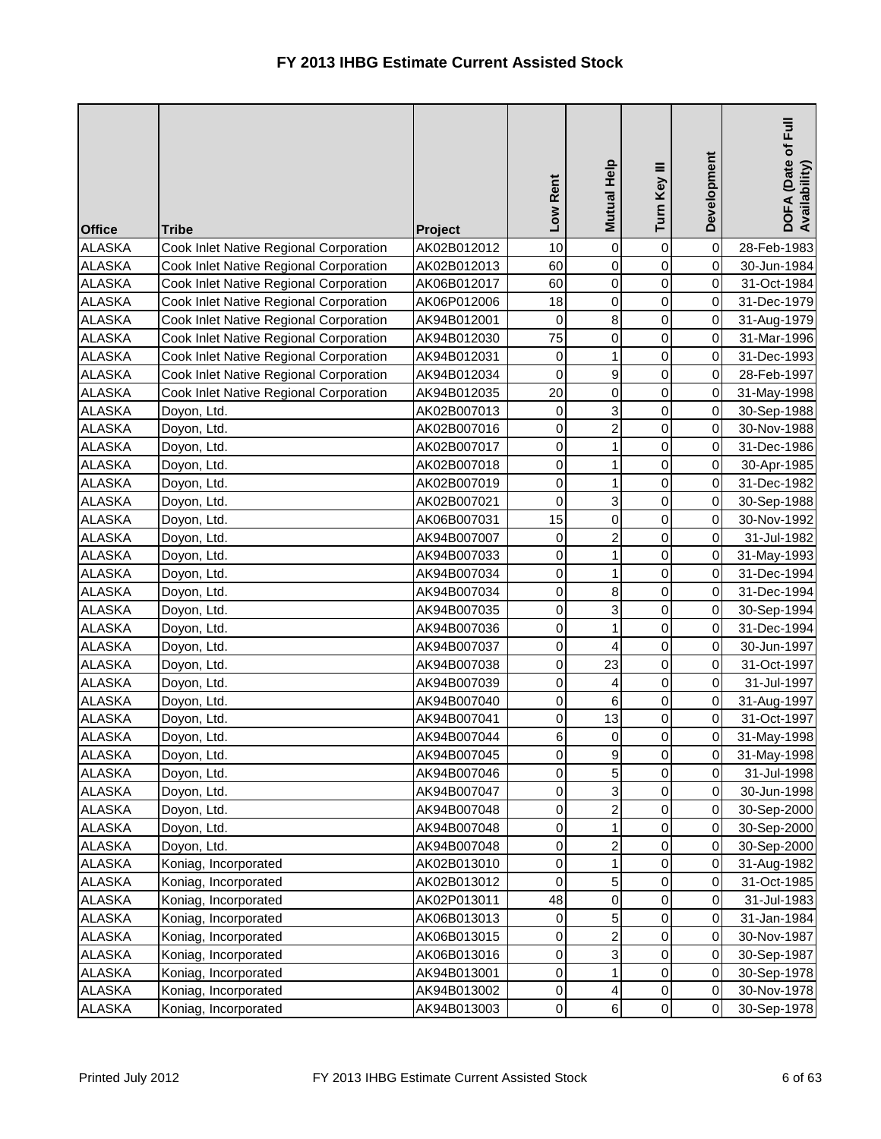| <b>Office</b> | <b>Tribe</b>                           | <b>Project</b> | Low Rent         | Mutual Help    | Turn Key III        | Development | <b>Full</b><br>DOFA (Date of F<br>Availability) |
|---------------|----------------------------------------|----------------|------------------|----------------|---------------------|-------------|-------------------------------------------------|
| <b>ALASKA</b> | Cook Inlet Native Regional Corporation | AK02B012012    | 10               | $\overline{0}$ | 0                   | $\pmb{0}$   | 28-Feb-1983                                     |
| <b>ALASKA</b> | Cook Inlet Native Regional Corporation | AK02B012013    | 60               | $\overline{0}$ | $\mathsf 0$         | $\pmb{0}$   | 30-Jun-1984                                     |
| <b>ALASKA</b> | Cook Inlet Native Regional Corporation | AK06B012017    | 60               | $\overline{0}$ | $\mathbf 0$         | $\pmb{0}$   | 31-Oct-1984                                     |
| <b>ALASKA</b> | Cook Inlet Native Regional Corporation | AK06P012006    | 18               | $\overline{0}$ | $\mathsf 0$         | 0           | 31-Dec-1979                                     |
| <b>ALASKA</b> | Cook Inlet Native Regional Corporation | AK94B012001    | $\mathbf 0$      | $\bf{8}$       | $\mathsf 0$         | $\mathbf 0$ | 31-Aug-1979                                     |
| <b>ALASKA</b> | Cook Inlet Native Regional Corporation | AK94B012030    | 75               | $\overline{0}$ | 0                   | 0           | 31-Mar-1996                                     |
| <b>ALASKA</b> | Cook Inlet Native Regional Corporation | AK94B012031    | $\boldsymbol{0}$ | $\mathbf{1}$   | 0                   | 0           | 31-Dec-1993                                     |
| <b>ALASKA</b> | Cook Inlet Native Regional Corporation | AK94B012034    | $\mathbf 0$      | $\mathbf{g}$   | 0                   | $\pmb{0}$   | 28-Feb-1997                                     |
| <b>ALASKA</b> | Cook Inlet Native Regional Corporation | AK94B012035    | 20               | $\overline{0}$ | 0                   | $\pmb{0}$   | 31-May-1998                                     |
| <b>ALASKA</b> | Doyon, Ltd.                            | AK02B007013    | $\boldsymbol{0}$ | $\overline{3}$ | $\mathsf 0$         | $\pmb{0}$   | 30-Sep-1988                                     |
| <b>ALASKA</b> | Doyon, Ltd.                            | AK02B007016    | 0                | $\overline{2}$ | 0                   | 0           | 30-Nov-1988                                     |
| <b>ALASKA</b> | Doyon, Ltd.                            | AK02B007017    | $\boldsymbol{0}$ | $\mathbf{1}$   | $\mathsf 0$         | $\pmb{0}$   | 31-Dec-1986                                     |
| <b>ALASKA</b> | Doyon, Ltd.                            | AK02B007018    | $\pmb{0}$        | $\mathbf{1}$   | $\mathbf 0$         | $\mathsf 0$ | 30-Apr-1985                                     |
| <b>ALASKA</b> | Doyon, Ltd.                            | AK02B007019    | $\mathbf 0$      | $\mathbf{1}$   | $\mathsf 0$         | $\pmb{0}$   | 31-Dec-1982                                     |
| <b>ALASKA</b> | Doyon, Ltd.                            | AK02B007021    | $\mathbf 0$      | $\overline{3}$ | $\mathsf 0$         | $\mathsf 0$ | 30-Sep-1988                                     |
| <b>ALASKA</b> | Doyon, Ltd.                            | AK06B007031    | 15               | $\overline{0}$ | $\mathsf 0$         | 0           | 30-Nov-1992                                     |
| <b>ALASKA</b> | Doyon, Ltd.                            | AK94B007007    | $\pmb{0}$        | $\overline{a}$ | $\mathsf 0$         | $\mathsf 0$ | 31-Jul-1982                                     |
| <b>ALASKA</b> | Doyon, Ltd.                            | AK94B007033    | $\pmb{0}$        | $\mathbf{1}$   | 0                   | $\pmb{0}$   | 31-May-1993                                     |
| <b>ALASKA</b> | Doyon, Ltd.                            | AK94B007034    | $\mathbf 0$      | $\mathbf{1}$   | $\mathsf 0$         | $\pmb{0}$   | 31-Dec-1994                                     |
| <b>ALASKA</b> | Doyon, Ltd.                            | AK94B007034    | 0                | $\bf{8}$       | $\mathsf 0$         | $\pmb{0}$   | 31-Dec-1994                                     |
| <b>ALASKA</b> | Doyon, Ltd.                            | AK94B007035    | 0                | $\overline{3}$ | $\mathsf 0$         | $\pmb{0}$   | 30-Sep-1994                                     |
| <b>ALASKA</b> | Doyon, Ltd.                            | AK94B007036    | $\mathbf 0$      | $\mathbf{1}$   | 0                   | $\pmb{0}$   | 31-Dec-1994                                     |
| <b>ALASKA</b> | Doyon, Ltd.                            | AK94B007037    | $\mathbf 0$      | $\vert$        | 0                   | $\pmb{0}$   | 30-Jun-1997                                     |
| <b>ALASKA</b> | Doyon, Ltd.                            | AK94B007038    | 0                | 23             | 0                   | $\mathbf 0$ | 31-Oct-1997                                     |
| <b>ALASKA</b> | Doyon, Ltd.                            | AK94B007039    | 0                | $\overline{4}$ | $\mathsf 0$         | 0           | 31-Jul-1997                                     |
| <b>ALASKA</b> | Doyon, Ltd.                            | AK94B007040    | 0                | $6 \mid$       | 0                   | $\pmb{0}$   | 31-Aug-1997                                     |
| <b>ALASKA</b> | Doyon, Ltd.                            | AK94B007041    | 0                | 13             | 0                   | $\mathbf 0$ | 31-Oct-1997                                     |
| <b>ALASKA</b> | Doyon, Ltd.                            | AK94B007044    | 6                | $\overline{0}$ | $\mathsf{O}\xspace$ | $\mathsf 0$ | 31-May-1998                                     |
| <b>ALASKA</b> | Doyon, Ltd.                            | AK94B007045    | $\pmb{0}$        | 9              | $\overline{0}$      | $\mathbf 0$ | 31-May-1998                                     |
| <b>ALASKA</b> | Doyon, Ltd.                            | AK94B007046    | $\mathbf 0$      | 5              | 0                   | $\pmb{0}$   | 31-Jul-1998                                     |
| <b>ALASKA</b> | Doyon, Ltd.                            | AK94B007047    | 0                | $\overline{3}$ | 0                   | $\mathbf 0$ | 30-Jun-1998                                     |
| <b>ALASKA</b> | Doyon, Ltd.                            | AK94B007048    | 0                | $\overline{2}$ | 0                   | $\pmb{0}$   | 30-Sep-2000                                     |
| <b>ALASKA</b> | Doyon, Ltd.                            | AK94B007048    | 0                | $\mathbf{1}$   | 0                   | $\pmb{0}$   | 30-Sep-2000                                     |
| <b>ALASKA</b> | Doyon, Ltd.                            | AK94B007048    | 0                | $\mathbf{2}$   | 0                   | $\mathbf 0$ | 30-Sep-2000                                     |
| <b>ALASKA</b> | Koniag, Incorporated                   | AK02B013010    | 0                | $\mathbf{1}$   | 0                   | 0           | 31-Aug-1982                                     |
| <b>ALASKA</b> | Koniag, Incorporated                   | AK02B013012    | 0                | 5 <sub>l</sub> | 0                   | 0           | 31-Oct-1985                                     |
| <b>ALASKA</b> | Koniag, Incorporated                   | AK02P013011    | 48               | $\overline{0}$ | $\mathsf{O}\xspace$ | 0           | 31-Jul-1983                                     |
| <b>ALASKA</b> | Koniag, Incorporated                   | AK06B013013    | $\boldsymbol{0}$ | 5 <sup>1</sup> | 0                   | $\pmb{0}$   | 31-Jan-1984                                     |
| <b>ALASKA</b> | Koniag, Incorporated                   | AK06B013015    | 0                | $\mathbf{2}$   | 0                   | $\mathbf 0$ | 30-Nov-1987                                     |
| <b>ALASKA</b> | Koniag, Incorporated                   | AK06B013016    | $\mathbf 0$      | $\overline{3}$ | 0                   | 0           | 30-Sep-1987                                     |
| <b>ALASKA</b> | Koniag, Incorporated                   | AK94B013001    | 0                | $\mathbf{1}$   | 0                   | 0           | 30-Sep-1978                                     |
| <b>ALASKA</b> | Koniag, Incorporated                   | AK94B013002    | 0                | $\vert$        | 0                   | $\pmb{0}$   | 30-Nov-1978                                     |
| <b>ALASKA</b> | Koniag, Incorporated                   | AK94B013003    | $\mathbf 0$      | $\overline{6}$ | $\mathsf{O}\xspace$ | $\pmb{0}$   | 30-Sep-1978                                     |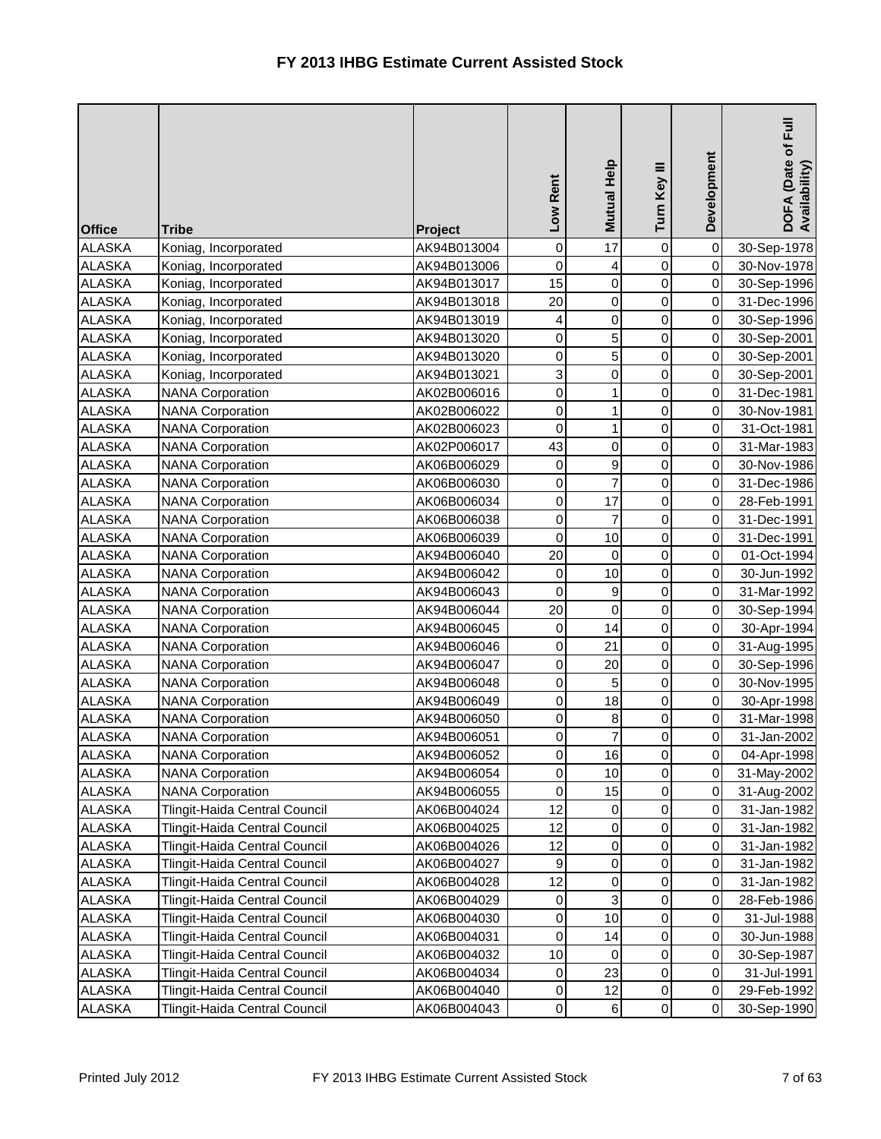| <b>Office</b> | <b>Tribe</b>                         | Project     | Low Rent         | Mutual Help             | Turn Key III   | Development | DOFA (Date of Full<br>Availability) |
|---------------|--------------------------------------|-------------|------------------|-------------------------|----------------|-------------|-------------------------------------|
| <b>ALASKA</b> | Koniag, Incorporated                 | AK94B013004 | 0                | 17                      | 0              | $\mathbf 0$ | 30-Sep-1978                         |
| <b>ALASKA</b> | Koniag, Incorporated                 | AK94B013006 | $\mathbf 0$      | $\overline{\mathbf{r}}$ | 0              | $\mathbf 0$ | 30-Nov-1978                         |
| <b>ALASKA</b> | Koniag, Incorporated                 | AK94B013017 | 15               | $\overline{0}$          | 0              | 0           | 30-Sep-1996                         |
| <b>ALASKA</b> | Koniag, Incorporated                 | AK94B013018 | 20               | $\overline{0}$          | $\mathbf 0$    | 0           | 31-Dec-1996                         |
| <b>ALASKA</b> | Koniag, Incorporated                 | AK94B013019 | 4                | $\mathsf{O}\xspace$     | $\mathsf 0$    | 0           | 30-Sep-1996                         |
| <b>ALASKA</b> | Koniag, Incorporated                 | AK94B013020 | 0                | $\overline{5}$          | 0              | $\mathbf 0$ | 30-Sep-2001                         |
| <b>ALASKA</b> | Koniag, Incorporated                 | AK94B013020 | $\boldsymbol{0}$ | $\overline{5}$          | 0              | $\mathbf 0$ | 30-Sep-2001                         |
| <b>ALASKA</b> | Koniag, Incorporated                 | AK94B013021 | 3                | $\overline{0}$          | $\mathsf 0$    | 0           | 30-Sep-2001                         |
| <b>ALASKA</b> | <b>NANA Corporation</b>              | AK02B006016 | 0                | $\mathbf{1}$            | $\mathbf 0$    | $\pmb{0}$   | 31-Dec-1981                         |
| <b>ALASKA</b> | <b>NANA Corporation</b>              | AK02B006022 | 0                | $\mathbf{1}$            | $\mathsf 0$    | 0           | 30-Nov-1981                         |
| <b>ALASKA</b> | <b>NANA Corporation</b>              | AK02B006023 | $\mathbf 0$      | $\mathbf{1}$            | 0              | $\pmb{0}$   | 31-Oct-1981                         |
| <b>ALASKA</b> | <b>NANA Corporation</b>              | AK02P006017 | 43               | $\overline{0}$          | $\mathsf 0$    | $\mathbf 0$ | 31-Mar-1983                         |
| <b>ALASKA</b> | <b>NANA Corporation</b>              | AK06B006029 | $\mathbf 0$      | $\mathsf{g}$            | $\mathsf 0$    | $\pmb{0}$   | 30-Nov-1986                         |
| <b>ALASKA</b> | <b>NANA Corporation</b>              | AK06B006030 | 0                | $\overline{7}$          | $\mathbf 0$    | 0           | 31-Dec-1986                         |
| <b>ALASKA</b> | <b>NANA Corporation</b>              | AK06B006034 | 0                | 17                      | $\mathsf 0$    | 0           | 28-Feb-1991                         |
| <b>ALASKA</b> | <b>NANA Corporation</b>              | AK06B006038 | $\mathbf 0$      | $\overline{7}$          | $\mathsf 0$    | $\mathbf 0$ | 31-Dec-1991                         |
| <b>ALASKA</b> | <b>NANA Corporation</b>              | AK06B006039 | 0                | 10                      | $\mathsf 0$    | $\pmb{0}$   | 31-Dec-1991                         |
| <b>ALASKA</b> | <b>NANA Corporation</b>              | AK94B006040 | 20               | $\overline{0}$          | $\mathbf 0$    | $\pmb{0}$   | 01-Oct-1994                         |
| <b>ALASKA</b> | <b>NANA Corporation</b>              | AK94B006042 | $\boldsymbol{0}$ | 10                      | $\mathsf 0$    | 0           | 30-Jun-1992                         |
| <b>ALASKA</b> | <b>NANA Corporation</b>              | AK94B006043 | $\mathbf 0$      | $\overline{9}$          | $\mathsf 0$    | $\pmb{0}$   | 31-Mar-1992                         |
| <b>ALASKA</b> | <b>NANA Corporation</b>              | AK94B006044 | 20               | $\overline{0}$          | $\mathsf 0$    | $\pmb{0}$   | 30-Sep-1994                         |
| <b>ALASKA</b> | <b>NANA Corporation</b>              | AK94B006045 | $\mathbf 0$      | 14                      | 0              | $\mathbf 0$ | 30-Apr-1994                         |
| <b>ALASKA</b> | <b>NANA Corporation</b>              | AK94B006046 | 0                | 21                      | $\mathsf 0$    | $\pmb{0}$   | 31-Aug-1995                         |
| <b>ALASKA</b> | <b>NANA Corporation</b>              | AK94B006047 | 0                | 20                      | $\mathsf 0$    | $\pmb{0}$   | 30-Sep-1996                         |
| <b>ALASKA</b> | <b>NANA Corporation</b>              | AK94B006048 | 0                | 5                       | 0              | 0           | 30-Nov-1995                         |
| <b>ALASKA</b> | <b>NANA Corporation</b>              | AK94B006049 | 0                | 18                      | 0              | $\mathsf 0$ | 30-Apr-1998                         |
| <b>ALASKA</b> | <b>NANA Corporation</b>              | AK94B006050 | 0                | $\bf{8}$                | 0              | $\pmb{0}$   | 31-Mar-1998                         |
| <b>ALASKA</b> | <b>NANA Corporation</b>              | AK94B006051 | $\mathbf 0$      | $\overline{7}$          | $\mathsf 0$    | 0           | 31-Jan-2002                         |
| <b>ALASKA</b> | <b>NANA Corporation</b>              | AK94B006052 | $\mathbf 0$      | 16                      | $\overline{0}$ | $\pmb{0}$   | 04-Apr-1998                         |
| <b>ALASKA</b> | <b>NANA Corporation</b>              | AK94B006054 | 0                | 10                      | $\mathsf 0$    | $\pmb{0}$   | 31-May-2002                         |
| <b>ALASKA</b> | <b>NANA Corporation</b>              | AK94B006055 | 0                | 15                      | $\pmb{0}$      | $\pmb{0}$   | 31-Aug-2002                         |
| <b>ALASKA</b> | <b>Tlingit-Haida Central Council</b> | AK06B004024 | 12               | $\overline{0}$          | 0              | $\pmb{0}$   | 31-Jan-1982                         |
| <b>ALASKA</b> | Tlingit-Haida Central Council        | AK06B004025 | 12               | $\overline{0}$          | 0              | $\pmb{0}$   | 31-Jan-1982                         |
| <b>ALASKA</b> | Tlingit-Haida Central Council        | AK06B004026 | 12               | $\overline{0}$          | 0              | $\pmb{0}$   | 31-Jan-1982                         |
| <b>ALASKA</b> | Tlingit-Haida Central Council        | AK06B004027 | 9                | $\overline{0}$          | 0              | 0           | 31-Jan-1982                         |
| <b>ALASKA</b> | Tlingit-Haida Central Council        | AK06B004028 | 12               | $\overline{0}$          | $\pmb{0}$      | $\mathbf 0$ | 31-Jan-1982                         |
| <b>ALASKA</b> | Tlingit-Haida Central Council        | AK06B004029 | 0                | $\overline{3}$          | 0              | 0           | 28-Feb-1986                         |
| <b>ALASKA</b> | Tlingit-Haida Central Council        | AK06B004030 | 0                | 10                      | 0              | $\pmb{0}$   | 31-Jul-1988                         |
| <b>ALASKA</b> | Tlingit-Haida Central Council        | AK06B004031 | 0                | 14                      | 0              | $\pmb{0}$   | 30-Jun-1988                         |
| <b>ALASKA</b> | Tlingit-Haida Central Council        | AK06B004032 | 10               | 0                       | 0              | 0           | 30-Sep-1987                         |
| <b>ALASKA</b> | Tlingit-Haida Central Council        | AK06B004034 | 0                | 23                      | 0              | $\pmb{0}$   | 31-Jul-1991                         |
| ALASKA        | Tlingit-Haida Central Council        | AK06B004040 | 0                | 12                      | 0              | 0           | 29-Feb-1992                         |
| ALASKA        | Tlingit-Haida Central Council        | AK06B004043 | 0                | $6 \mid$                | 0              | $\,0\,$     | 30-Sep-1990                         |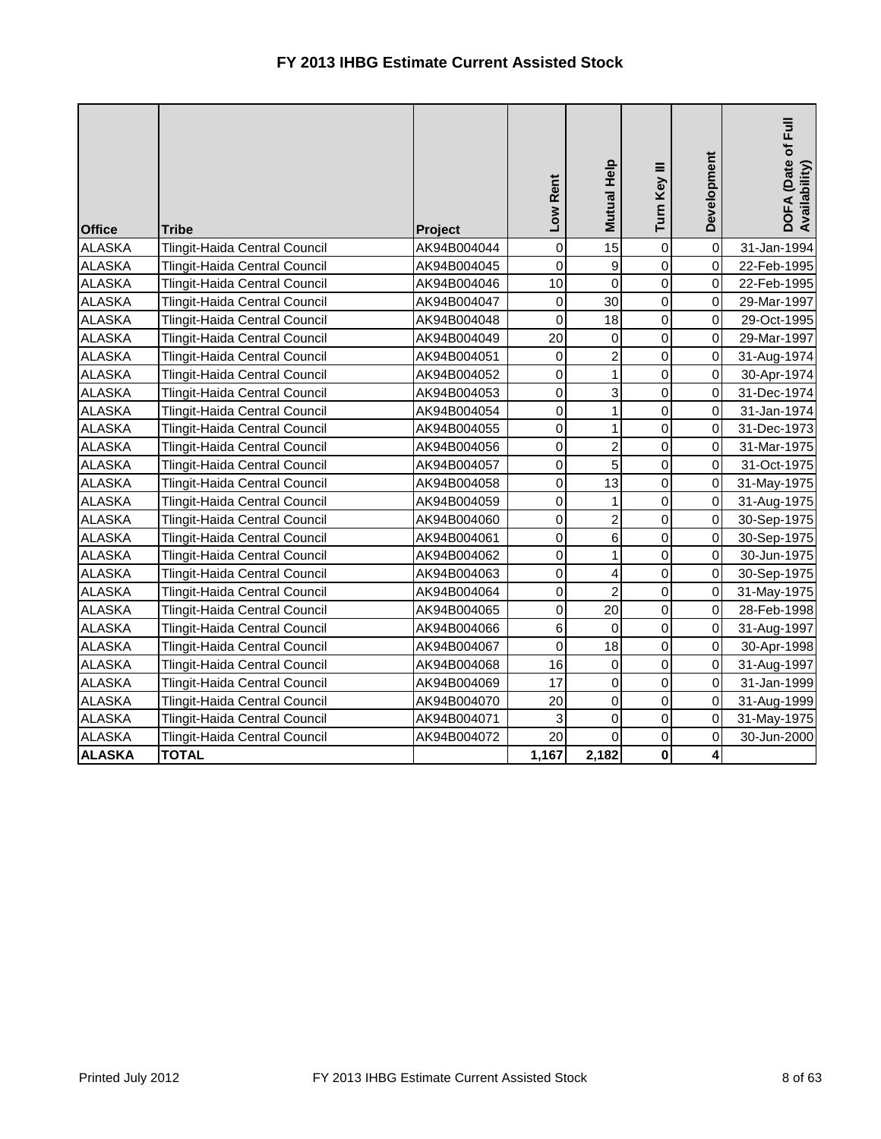| <b>Office</b> | <b>Tribe</b>                         | Project     | Low Rent    | Mutual Help             | Turn Key III   | Development | DOFA (Date of Full<br>Availability) |
|---------------|--------------------------------------|-------------|-------------|-------------------------|----------------|-------------|-------------------------------------|
| <b>ALASKA</b> | Tlingit-Haida Central Council        | AK94B004044 | $\mathbf 0$ | 15                      | 0              | $\mathsf 0$ | 31-Jan-1994                         |
| <b>ALASKA</b> | Tlingit-Haida Central Council        | AK94B004045 | 0           | 9                       | 0              | 0           | 22-Feb-1995                         |
| <b>ALASKA</b> | Tlingit-Haida Central Council        | AK94B004046 | 10          | $\mathbf 0$             | 0              | 0           | 22-Feb-1995                         |
| <b>ALASKA</b> | Tlingit-Haida Central Council        | AK94B004047 | $\mathbf 0$ | 30                      | 0              | 0           | 29-Mar-1997                         |
| <b>ALASKA</b> | Tlingit-Haida Central Council        | AK94B004048 | $\mathbf 0$ | 18                      | 0              | 0           | 29-Oct-1995                         |
| <b>ALASKA</b> | Tlingit-Haida Central Council        | AK94B004049 | 20          | 0                       | 0              | 0           | 29-Mar-1997                         |
| <b>ALASKA</b> | Tlingit-Haida Central Council        | AK94B004051 | $\mathsf 0$ | $\overline{\mathbf{c}}$ | 0              | 0           | 31-Aug-1974                         |
| <b>ALASKA</b> | Tlingit-Haida Central Council        | AK94B004052 | $\mathbf 0$ | $\mathbf{1}$            | 0              | 0           | 30-Apr-1974                         |
| <b>ALASKA</b> | Tlingit-Haida Central Council        | AK94B004053 | $\mathbf 0$ | $\mathbf{3}$            | 0              | $\mathbf 0$ | 31-Dec-1974                         |
| <b>ALASKA</b> | Tlingit-Haida Central Council        | AK94B004054 | $\mathbf 0$ | $\mathbf{1}$            | 0              | $\mathbf 0$ | 31-Jan-1974                         |
| <b>ALASKA</b> | Tlingit-Haida Central Council        | AK94B004055 | $\mathbf 0$ | $\mathbf{1}$            | 0              | 0           | 31-Dec-1973                         |
| <b>ALASKA</b> | Tlingit-Haida Central Council        | AK94B004056 | $\mathbf 0$ | $\overline{c}$          | 0              | 0           | 31-Mar-1975                         |
| <b>ALASKA</b> | Tlingit-Haida Central Council        | AK94B004057 | 0           | 5                       | 0              | 0           | 31-Oct-1975                         |
| <b>ALASKA</b> | Tlingit-Haida Central Council        | AK94B004058 | 0           | 13                      | 0              | 0           | 31-May-1975                         |
| <b>ALASKA</b> | Tlingit-Haida Central Council        | AK94B004059 | $\mathsf 0$ | $\mathbf{1}$            | $\overline{0}$ | $\pmb{0}$   | 31-Aug-1975                         |
| <b>ALASKA</b> | Tlingit-Haida Central Council        | AK94B004060 | $\mathbf 0$ | $\overline{c}$          | $\overline{0}$ | $\pmb{0}$   | 30-Sep-1975                         |
| <b>ALASKA</b> | Tlingit-Haida Central Council        | AK94B004061 | $\mathsf 0$ | 6                       | 0              | $\mathbf 0$ | 30-Sep-1975                         |
| <b>ALASKA</b> | Tlingit-Haida Central Council        | AK94B004062 | $\mathbf 0$ | $\mathbf{1}$            | 0              | 0           | 30-Jun-1975                         |
| <b>ALASKA</b> | <b>Tlingit-Haida Central Council</b> | AK94B004063 | $\mathbf 0$ | $\overline{\mathbf{r}}$ | 0              | 0           | 30-Sep-1975                         |
| <b>ALASKA</b> | Tlingit-Haida Central Council        | AK94B004064 | $\mathbf 0$ | $\overline{c}$          | 0              | 0           | 31-May-1975                         |
| <b>ALASKA</b> | Tlingit-Haida Central Council        | AK94B004065 | $\mathsf 0$ | 20                      | 0              | 0           | 28-Feb-1998                         |
| <b>ALASKA</b> | Tlingit-Haida Central Council        | AK94B004066 | 6           | 0                       | 0              | $\mathbf 0$ | 31-Aug-1997                         |
| <b>ALASKA</b> | Tlingit-Haida Central Council        | AK94B004067 | $\mathbf 0$ | 18                      | 0              | 0           | 30-Apr-1998                         |
| <b>ALASKA</b> | Tlingit-Haida Central Council        | AK94B004068 | 16          | 0                       | 0              | 0           | 31-Aug-1997                         |
| <b>ALASKA</b> | Tlingit-Haida Central Council        | AK94B004069 | 17          | 0                       | 0              | 0           | 31-Jan-1999                         |
| <b>ALASKA</b> | Tlingit-Haida Central Council        | AK94B004070 | 20          | 0                       | 0              | 0           | 31-Aug-1999                         |
| <b>ALASKA</b> | Tlingit-Haida Central Council        | AK94B004071 | 3           | 0                       | 0              | 0           | 31-May-1975                         |
| <b>ALASKA</b> | Tlingit-Haida Central Council        | AK94B004072 | 20          | $\overline{0}$          | 0              | 0           | 30-Jun-2000                         |
| <b>ALASKA</b> | <b>TOTAL</b>                         |             | 1,167       | 2,182                   | $\mathbf 0$    | 4           |                                     |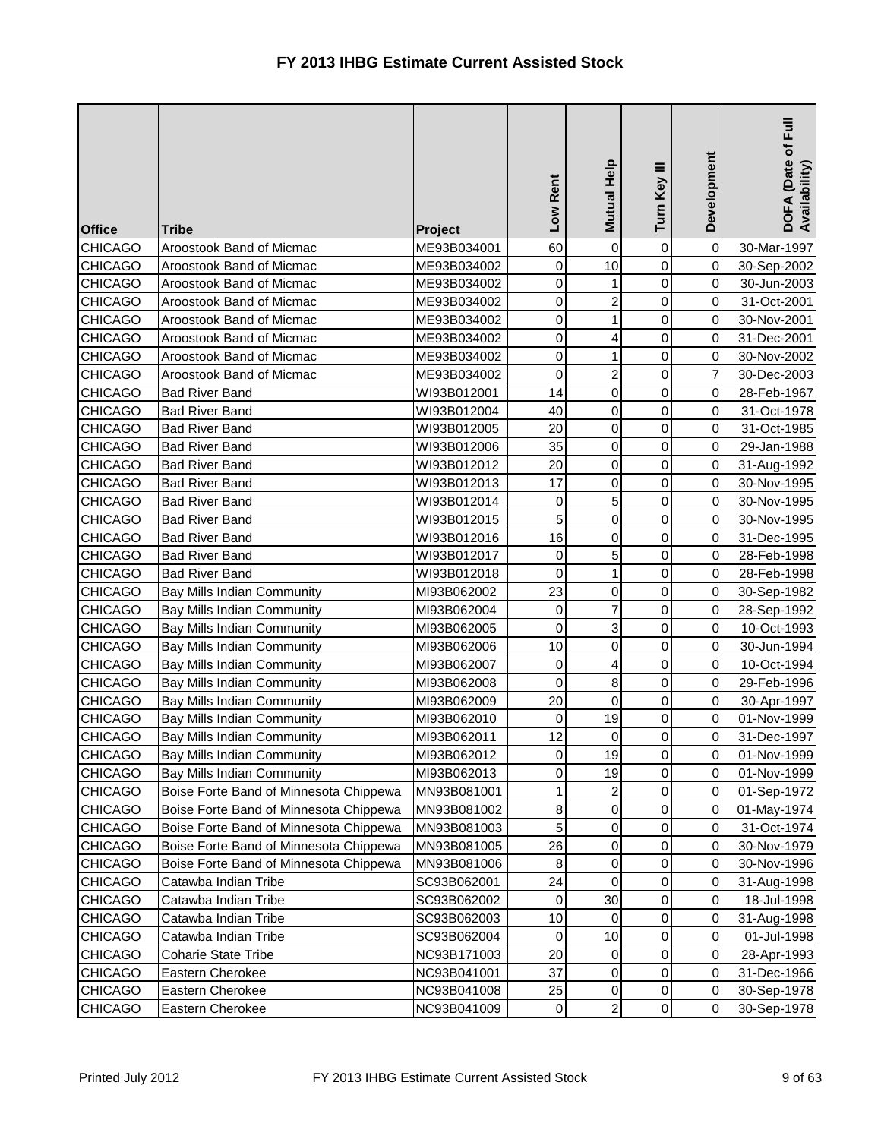| <b>Office</b>  | <b>Tribe</b>                           | Project     | Low Rent    | Mutual Help    | Ξ<br>Turn Key | Development         | DOFA (Date of Full<br>Availability) |
|----------------|----------------------------------------|-------------|-------------|----------------|---------------|---------------------|-------------------------------------|
| <b>CHICAGO</b> | Aroostook Band of Micmac               | ME93B034001 | 60          | $\mathbf 0$    | 0             | $\mathsf{O}\xspace$ | 30-Mar-1997                         |
| <b>CHICAGO</b> | Aroostook Band of Micmac               | ME93B034002 | 0           | 10             | 0             | 0                   | 30-Sep-2002                         |
| <b>CHICAGO</b> | Aroostook Band of Micmac               | ME93B034002 | 0           | $\mathbf{1}$   | $\mathsf 0$   | 0                   | 30-Jun-2003                         |
| <b>CHICAGO</b> | Aroostook Band of Micmac               | ME93B034002 | 0           | $\overline{a}$ | 0             | 0                   | 31-Oct-2001                         |
| <b>CHICAGO</b> | Aroostook Band of Micmac               | ME93B034002 | 0           | 1              | 0             | 0                   | 30-Nov-2001                         |
| <b>CHICAGO</b> | Aroostook Band of Micmac               | ME93B034002 | $\mathbf 0$ | $\overline{4}$ | $\mathsf 0$   | 0                   | 31-Dec-2001                         |
| <b>CHICAGO</b> | Aroostook Band of Micmac               | ME93B034002 | 0           | 1              | $\mathbf 0$   | 0                   | 30-Nov-2002                         |
| <b>CHICAGO</b> | Aroostook Band of Micmac               | ME93B034002 | 0           | $\mathbf{2}$   | 0             | $\overline{7}$      | 30-Dec-2003                         |
| <b>CHICAGO</b> | <b>Bad River Band</b>                  | WI93B012001 | 14          | $\overline{0}$ | $\mathsf 0$   | 0                   | 28-Feb-1967                         |
| <b>CHICAGO</b> | <b>Bad River Band</b>                  | WI93B012004 | 40          | $\overline{0}$ | 0             | 0                   | 31-Oct-1978                         |
| <b>CHICAGO</b> | <b>Bad River Band</b>                  | WI93B012005 | 20          | $\overline{0}$ | $\mathsf 0$   | $\mathbf 0$         | 31-Oct-1985                         |
| <b>CHICAGO</b> | <b>Bad River Band</b>                  | WI93B012006 | 35          | $\overline{0}$ | $\mathbf 0$   | 0                   | 29-Jan-1988                         |
| <b>CHICAGO</b> | <b>Bad River Band</b>                  | WI93B012012 | 20          | $\overline{0}$ | $\mathbf 0$   | 0                   | 31-Aug-1992                         |
| <b>CHICAGO</b> | <b>Bad River Band</b>                  | WI93B012013 | 17          | $\overline{0}$ | 0             | 0                   | 30-Nov-1995                         |
| <b>CHICAGO</b> | <b>Bad River Band</b>                  | WI93B012014 | $\mathbf 0$ | 5              | 0             | 0                   | 30-Nov-1995                         |
| <b>CHICAGO</b> | <b>Bad River Band</b>                  | WI93B012015 | 5           | $\overline{0}$ | $\mathsf 0$   | $\pmb{0}$           | 30-Nov-1995                         |
| <b>CHICAGO</b> | <b>Bad River Band</b>                  | WI93B012016 | 16          | 0              | 0             | 0                   | 31-Dec-1995                         |
| <b>CHICAGO</b> | <b>Bad River Band</b>                  | WI93B012017 | 0           | 5              | $\mathbf 0$   | 0                   | 28-Feb-1998                         |
| <b>CHICAGO</b> | <b>Bad River Band</b>                  | WI93B012018 | 0           | $\mathbf{1}$   | 0             | $\pmb{0}$           | 28-Feb-1998                         |
| <b>CHICAGO</b> | Bay Mills Indian Community             | MI93B062002 | 23          | $\overline{0}$ | 0             | 0                   | 30-Sep-1982                         |
| <b>CHICAGO</b> | Bay Mills Indian Community             | MI93B062004 | 0           | $\overline{7}$ | 0             | $\mathbf 0$         | 28-Sep-1992                         |
| <b>CHICAGO</b> | Bay Mills Indian Community             | MI93B062005 | 0           | 3              | 0             | 0                   | 10-Oct-1993                         |
| <b>CHICAGO</b> | Bay Mills Indian Community             | MI93B062006 | 10          | $\mathbf 0$    | $\mathsf 0$   | 0                   | 30-Jun-1994                         |
| <b>CHICAGO</b> | Bay Mills Indian Community             | MI93B062007 | 0           | $\overline{4}$ | 0             | 0                   | 10-Oct-1994                         |
| <b>CHICAGO</b> | <b>Bay Mills Indian Community</b>      | MI93B062008 | 0           | $\bf 8$        | 0             | 0                   | 29-Feb-1996                         |
| <b>CHICAGO</b> | <b>Bay Mills Indian Community</b>      | MI93B062009 | 20          | $\overline{0}$ | 0             | $\mathbf 0$         | 30-Apr-1997                         |
| <b>CHICAGO</b> | <b>Bay Mills Indian Community</b>      | MI93B062010 | 0           | 19             | 0             | 0                   | 01-Nov-1999                         |
| <b>CHICAGO</b> | Bay Mills Indian Community             | MI93B062011 | 12          | $\overline{0}$ | 0             | 0                   | 31-Dec-1997                         |
| <b>CHICAGO</b> | Bay Mills Indian Community             | MI93B062012 | 0           | 19             | 0             | 0                   | 01-Nov-1999                         |
| <b>CHICAGO</b> | Bay Mills Indian Community             | MI93B062013 | 0           | 19             | 0             | $\mbox{O}$          | 01-Nov-1999                         |
| <b>CHICAGO</b> | Boise Forte Band of Minnesota Chippewa | MN93B081001 | 1           | $\overline{a}$ | 0             | $\mathbf 0$         | 01-Sep-1972                         |
| <b>CHICAGO</b> | Boise Forte Band of Minnesota Chippewa | MN93B081002 | 8           | $\overline{0}$ | 0             | 0                   | 01-May-1974                         |
| <b>CHICAGO</b> | Boise Forte Band of Minnesota Chippewa | MN93B081003 | 5           | $\overline{0}$ | 0             | 0                   | 31-Oct-1974                         |
| <b>CHICAGO</b> | Boise Forte Band of Minnesota Chippewa | MN93B081005 | 26          | 0              | 0             | 0                   | 30-Nov-1979                         |
| <b>CHICAGO</b> | Boise Forte Band of Minnesota Chippewa | MN93B081006 | 8           | $\overline{0}$ | 0             | 0                   | 30-Nov-1996                         |
| <b>CHICAGO</b> | Catawba Indian Tribe                   | SC93B062001 | 24          | $\overline{0}$ | 0             | 0                   | 31-Aug-1998                         |
| <b>CHICAGO</b> | Catawba Indian Tribe                   | SC93B062002 | 0           | 30             | 0             | 0                   | 18-Jul-1998                         |
| <b>CHICAGO</b> | Catawba Indian Tribe                   | SC93B062003 | 10          | 0              | 0             | 0                   | 31-Aug-1998                         |
| <b>CHICAGO</b> | Catawba Indian Tribe                   | SC93B062004 | 0           | 10             | 0             | 0                   | 01-Jul-1998                         |
| <b>CHICAGO</b> | <b>Coharie State Tribe</b>             | NC93B171003 | 20          | 0              | 0             | $\pmb{0}$           | 28-Apr-1993                         |
| <b>CHICAGO</b> | Eastern Cherokee                       | NC93B041001 | 37          | $\overline{0}$ | 0             | $\mbox{O}$          | 31-Dec-1966                         |
| <b>CHICAGO</b> | Eastern Cherokee                       | NC93B041008 | 25          | $\overline{0}$ | 0             | 0                   | 30-Sep-1978                         |
| <b>CHICAGO</b> | Eastern Cherokee                       | NC93B041009 | 0           | $\mathbf{2}$   | 0             | $\pmb{0}$           | 30-Sep-1978                         |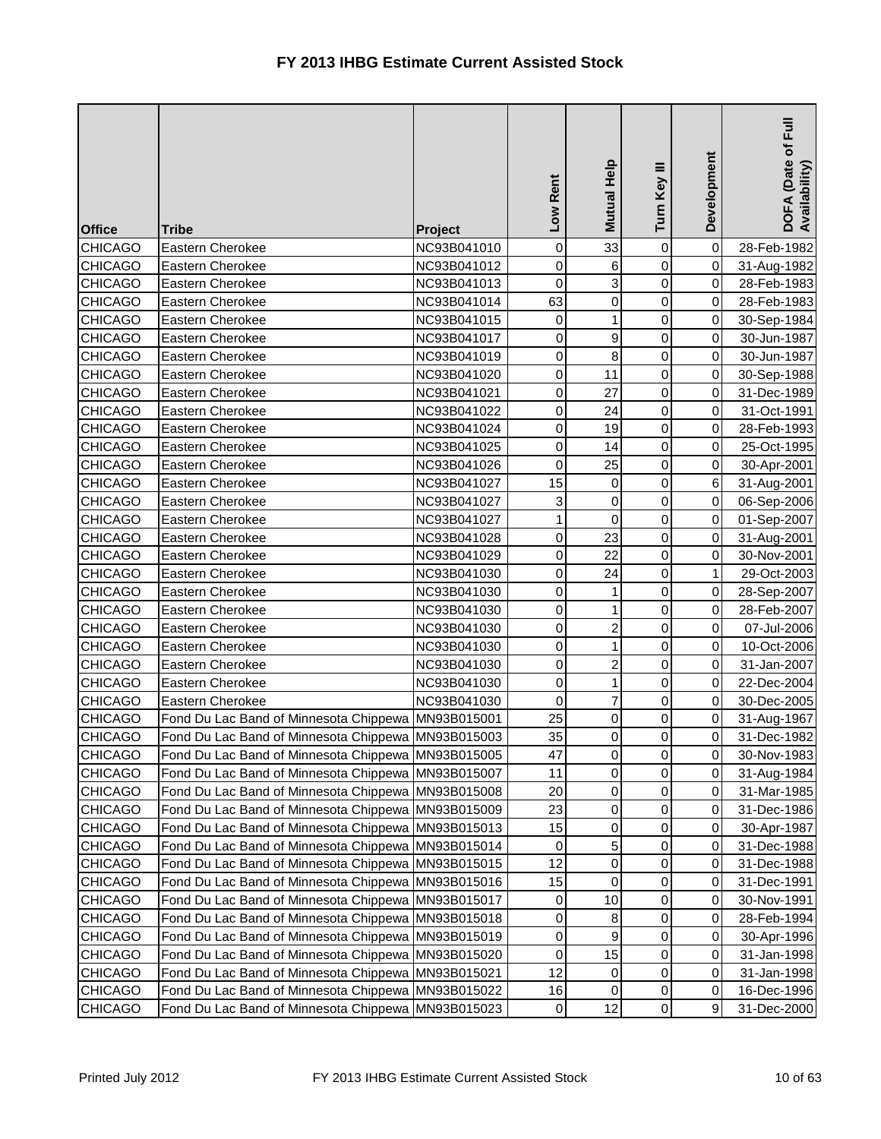| <b>Office</b>  | <b>Tribe</b>                                       | Project     | Low Rent         | Mutual Help    | Turn Key III | Development  | Full<br>DOFA (Date of I<br>Availability) |
|----------------|----------------------------------------------------|-------------|------------------|----------------|--------------|--------------|------------------------------------------|
| <b>CHICAGO</b> | Eastern Cherokee                                   | NC93B041010 | $\pmb{0}$        | 33             | 0            | $\pmb{0}$    | 28-Feb-1982                              |
| <b>CHICAGO</b> | Eastern Cherokee                                   | NC93B041012 | $\mathbf 0$      | 6              | $\mathbf 0$  | $\mathbf 0$  | 31-Aug-1982                              |
| <b>CHICAGO</b> | <b>Eastern Cherokee</b>                            | NC93B041013 | 0                | 3              | 0            | $\mathbf 0$  | 28-Feb-1983                              |
| <b>CHICAGO</b> | Eastern Cherokee                                   | NC93B041014 | 63               | $\overline{0}$ | $\mathbf 0$  | $\mathbf 0$  | 28-Feb-1983                              |
| CHICAGO        | Eastern Cherokee                                   | NC93B041015 | 0                | $\mathbf{1}$   | $\mathsf 0$  | 0            | 30-Sep-1984                              |
| <b>CHICAGO</b> | Eastern Cherokee                                   | NC93B041017 | 0                | $\overline{9}$ | 0            | $\pmb{0}$    | 30-Jun-1987                              |
| <b>CHICAGO</b> | Eastern Cherokee                                   | NC93B041019 | 0                | $\infty$       | 0            | $\mathbf 0$  | 30-Jun-1987                              |
| <b>CHICAGO</b> | Eastern Cherokee                                   | NC93B041020 | 0                | 11             | $\mathsf 0$  | 0            | 30-Sep-1988                              |
| <b>CHICAGO</b> | Eastern Cherokee                                   | NC93B041021 | $\boldsymbol{0}$ | 27             | 0            | $\,0\,$      | 31-Dec-1989                              |
| <b>CHICAGO</b> | Eastern Cherokee                                   | NC93B041022 | $\mathbf 0$      | 24             | 0            | 0            | 31-Oct-1991                              |
| <b>CHICAGO</b> | Eastern Cherokee                                   | NC93B041024 | 0                | 19             | 0            | 0            | 28-Feb-1993                              |
| <b>CHICAGO</b> | Eastern Cherokee                                   | NC93B041025 | $\pmb{0}$        | 14             | 0            | $\mathbf 0$  | 25-Oct-1995                              |
| <b>CHICAGO</b> | Eastern Cherokee                                   | NC93B041026 | 0                | 25             | $\mathsf 0$  | 0            | 30-Apr-2001                              |
| <b>CHICAGO</b> | Eastern Cherokee                                   | NC93B041027 | 15               | 0              | $\mathbf 0$  | $\,6\,$      | 31-Aug-2001                              |
| <b>CHICAGO</b> | Eastern Cherokee                                   | NC93B041027 | 3                | $\mathbf 0$    | $\mathsf 0$  | $\mathbf 0$  | 06-Sep-2006                              |
| <b>CHICAGO</b> | Eastern Cherokee                                   | NC93B041027 | 1                | $\mathbf 0$    | 0            | 0            | 01-Sep-2007                              |
| <b>CHICAGO</b> | Eastern Cherokee                                   | NC93B041028 | $\mathbf 0$      | 23             | 0            | $\mathbf 0$  | 31-Aug-2001                              |
| <b>CHICAGO</b> | Eastern Cherokee                                   | NC93B041029 | $\mathbf 0$      | 22             | $\mathsf 0$  | 0            | 30-Nov-2001                              |
| <b>CHICAGO</b> | Eastern Cherokee                                   | NC93B041030 | $\mathbf 0$      | 24             | $\mathbf 0$  | $\mathbf{1}$ | 29-Oct-2003                              |
| <b>CHICAGO</b> | Eastern Cherokee                                   | NC93B041030 | $\boldsymbol{0}$ | $\mathbf{1}$   | 0            | $\mathbf 0$  | 28-Sep-2007                              |
| <b>CHICAGO</b> | Eastern Cherokee                                   | NC93B041030 | $\mathbf 0$      | $\mathbf{1}$   | 0            | $\mathbf 0$  | 28-Feb-2007                              |
| <b>CHICAGO</b> | Eastern Cherokee                                   | NC93B041030 | $\pmb{0}$        | $\overline{a}$ | 0            | $\mathbf 0$  | 07-Jul-2006                              |
| <b>CHICAGO</b> | Eastern Cherokee                                   | NC93B041030 | 0                | $\mathbf{1}$   | 0            | 0            | 10-Oct-2006                              |
| <b>CHICAGO</b> | <b>Eastern Cherokee</b>                            | NC93B041030 | 0                | $\overline{2}$ | $\mathsf 0$  | $\mathbf 0$  | 31-Jan-2007                              |
| <b>CHICAGO</b> | Eastern Cherokee                                   | NC93B041030 | 0                | $\mathbf{1}$   | 0            | 0            | 22-Dec-2004                              |
| <b>CHICAGO</b> | Eastern Cherokee                                   | NC93B041030 | $\mathbf 0$      | $\overline{7}$ | 0            | 0            | 30-Dec-2005                              |
| <b>CHICAGO</b> | Fond Du Lac Band of Minnesota Chippewa MN93B015001 |             | 25               | $\overline{0}$ | 0            | $\mathbf 0$  | 31-Aug-1967                              |
| <b>CHICAGO</b> | Fond Du Lac Band of Minnesota Chippewa MN93B015003 |             | 35               | $\overline{0}$ | 0            | 0            | 31-Dec-1982                              |
| <b>CHICAGO</b> | Fond Du Lac Band of Minnesota Chippewa MN93B015005 |             | 47               | $\overline{0}$ | 0            | 0            | 30-Nov-1983                              |
| <b>CHICAGO</b> | Fond Du Lac Band of Minnesota Chippewa MN93B015007 |             | 11               | $\overline{0}$ | 0            | 0            | 31-Aug-1984                              |
| <b>CHICAGO</b> | Fond Du Lac Band of Minnesota Chippewa MN93B015008 |             | 20               | $\overline{0}$ | 0            | 0            | 31-Mar-1985                              |
| <b>CHICAGO</b> | Fond Du Lac Band of Minnesota Chippewa             | MN93B015009 | 23               | 0              | 0            | 0            | 31-Dec-1986                              |
| <b>CHICAGO</b> | Fond Du Lac Band of Minnesota Chippewa MN93B015013 |             | 15               | 0              | 0            | 0            | 30-Apr-1987                              |
| <b>CHICAGO</b> | Fond Du Lac Band of Minnesota Chippewa             | MN93B015014 | 0                | 5              | 0            | 0            | 31-Dec-1988                              |
| <b>CHICAGO</b> | Fond Du Lac Band of Minnesota Chippewa MN93B015015 |             | 12               | $\overline{0}$ | 0            | 0            | 31-Dec-1988                              |
| <b>CHICAGO</b> | Fond Du Lac Band of Minnesota Chippewa MN93B015016 |             | 15               | 0              | 0            | 0            | 31-Dec-1991                              |
| <b>CHICAGO</b> | Fond Du Lac Band of Minnesota Chippewa             | MN93B015017 | 0                | 10             | 0            | 0            | 30-Nov-1991                              |
| <b>CHICAGO</b> | Fond Du Lac Band of Minnesota Chippewa             | MN93B015018 | 0                | 8              | 0            | 0            | 28-Feb-1994                              |
| <b>CHICAGO</b> | Fond Du Lac Band of Minnesota Chippewa             | MN93B015019 | 0                | 9              | 0            | 0            | 30-Apr-1996                              |
| <b>CHICAGO</b> | Fond Du Lac Band of Minnesota Chippewa MN93B015020 |             | 0                | 15             | 0            | 0            | 31-Jan-1998                              |
| <b>CHICAGO</b> | Fond Du Lac Band of Minnesota Chippewa MN93B015021 |             | 12               | $\overline{0}$ | 0            | 0            | 31-Jan-1998                              |
| <b>CHICAGO</b> | Fond Du Lac Band of Minnesota Chippewa             | MN93B015022 | 16               | 0              | 0            | 0            | 16-Dec-1996                              |
| <b>CHICAGO</b> | Fond Du Lac Band of Minnesota Chippewa             | MN93B015023 | $\mathbf 0$      | 12             | 0            | 9            | 31-Dec-2000                              |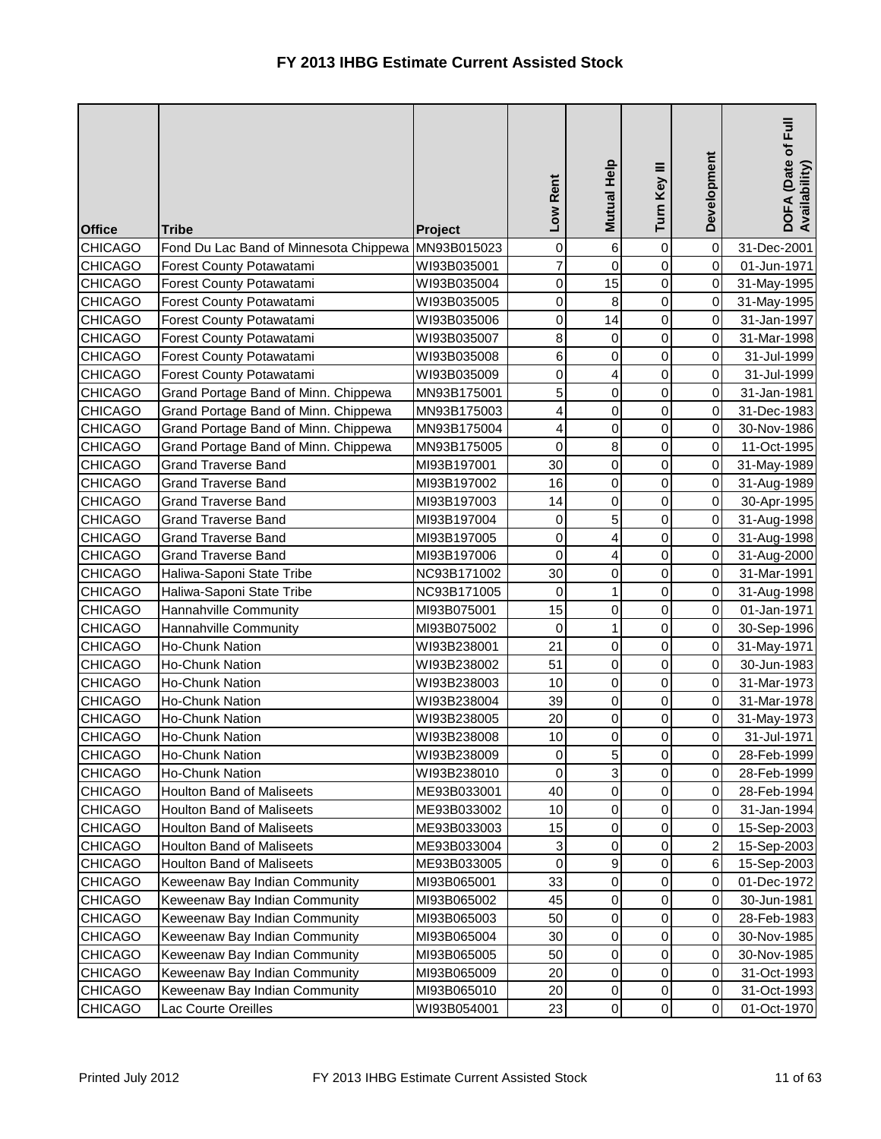| <b>Office</b>  | <b>Tribe</b>                           | Project     | Low Rent         | Mutual Help             | Turn Key III   | Development             | DOFA (Date of Full<br>Availability) |
|----------------|----------------------------------------|-------------|------------------|-------------------------|----------------|-------------------------|-------------------------------------|
| <b>CHICAGO</b> | Fond Du Lac Band of Minnesota Chippewa | MN93B015023 | 0                | 6                       | 0              | $\mathbf 0$             | 31-Dec-2001                         |
| <b>CHICAGO</b> | Forest County Potawatami               | WI93B035001 | $\overline{7}$   | $\overline{0}$          | $\mathsf 0$    | $\pmb{0}$               | 01-Jun-1971                         |
| <b>CHICAGO</b> | Forest County Potawatami               | WI93B035004 | $\pmb{0}$        | 15                      | $\mathbf 0$    | $\pmb{0}$               | 31-May-1995                         |
| <b>CHICAGO</b> | Forest County Potawatami               | WI93B035005 | 0                | $\bf8$                  | $\mathbf 0$    | $\mathbf 0$             | 31-May-1995                         |
| <b>CHICAGO</b> | Forest County Potawatami               | WI93B035006 | 0                | 14                      | 0              | 0                       | 31-Jan-1997                         |
| <b>CHICAGO</b> | Forest County Potawatami               | WI93B035007 | 8                | $\mathsf{O}\xspace$     | $\mathsf 0$    | 0                       | 31-Mar-1998                         |
| <b>CHICAGO</b> | Forest County Potawatami               | WI93B035008 | 6                | $\overline{0}$          | $\mathsf 0$    | $\mathbf 0$             | 31-Jul-1999                         |
| <b>CHICAGO</b> | Forest County Potawatami               | WI93B035009 | 0                | $\overline{\mathbf{r}}$ | 0              | 0                       | 31-Jul-1999                         |
| <b>CHICAGO</b> | Grand Portage Band of Minn. Chippewa   | MN93B175001 | 5                | $\overline{0}$          | 0              | $\pmb{0}$               | 31-Jan-1981                         |
| <b>CHICAGO</b> | Grand Portage Band of Minn. Chippewa   | MN93B175003 | 4                | $\mathsf{O}\xspace$     | 0              | 0                       | 31-Dec-1983                         |
| <b>CHICAGO</b> | Grand Portage Band of Minn. Chippewa   | MN93B175004 | 4                | $\overline{0}$          | $\mathsf 0$    | $\pmb{0}$               | 30-Nov-1986                         |
| <b>CHICAGO</b> | Grand Portage Band of Minn. Chippewa   | MN93B175005 | $\mathbf 0$      | $\bf 8$                 | $\mathsf 0$    | $\mathbf 0$             | 11-Oct-1995                         |
| <b>CHICAGO</b> | <b>Grand Traverse Band</b>             | MI93B197001 | 30               | $\overline{0}$          | $\mathsf 0$    | $\mathbf 0$             | 31-May-1989                         |
| <b>CHICAGO</b> | <b>Grand Traverse Band</b>             | MI93B197002 | 16               | $\overline{0}$          | 0              | 0                       | 31-Aug-1989                         |
| <b>CHICAGO</b> | <b>Grand Traverse Band</b>             | MI93B197003 | 14               | $\mathbf 0$             | $\mathbf 0$    | 0                       | 30-Apr-1995                         |
| <b>CHICAGO</b> | <b>Grand Traverse Band</b>             | MI93B197004 | $\boldsymbol{0}$ | 5                       | $\mathsf 0$    | $\mathbf 0$             | 31-Aug-1998                         |
| <b>CHICAGO</b> | <b>Grand Traverse Band</b>             | MI93B197005 | $\boldsymbol{0}$ | $\overline{4}$          | 0              | 0                       | 31-Aug-1998                         |
| <b>CHICAGO</b> | <b>Grand Traverse Band</b>             | MI93B197006 | $\mathbf 0$      | $\overline{\mathbf{r}}$ | 0              | 0                       | 31-Aug-2000                         |
| <b>CHICAGO</b> | Haliwa-Saponi State Tribe              | NC93B171002 | 30               | $\overline{0}$          | 0              | 0                       | 31-Mar-1991                         |
| <b>CHICAGO</b> | Haliwa-Saponi State Tribe              | NC93B171005 | $\mathbf 0$      | $\mathbf{1}$            | $\mathsf 0$    | 0                       | 31-Aug-1998                         |
| <b>CHICAGO</b> | Hannahville Community                  | MI93B075001 | 15               | $\mathsf{O}\xspace$     | $\mathsf 0$    | $\mathbf 0$             | 01-Jan-1971                         |
| <b>CHICAGO</b> | Hannahville Community                  | MI93B075002 | 0                | $\mathbf{1}$            | 0              | $\mathbf 0$             | 30-Sep-1996                         |
| <b>CHICAGO</b> | Ho-Chunk Nation                        | WI93B238001 | 21               | $\overline{0}$          | $\mathsf 0$    | 0                       | 31-May-1971                         |
| <b>CHICAGO</b> | Ho-Chunk Nation                        | WI93B238002 | 51               | $\mathbf 0$             | 0              | 0                       | 30-Jun-1983                         |
| <b>CHICAGO</b> | <b>Ho-Chunk Nation</b>                 | WI93B238003 | 10               | $\mathbf 0$             | 0              | $\mathbf 0$             | 31-Mar-1973                         |
| <b>CHICAGO</b> | Ho-Chunk Nation                        | WI93B238004 | 39               | $\overline{0}$          | $\mathsf 0$    | $\mathbf 0$             | 31-Mar-1978                         |
| <b>CHICAGO</b> | Ho-Chunk Nation                        | WI93B238005 | 20               | $\overline{0}$          | 0              | 0                       | 31-May-1973                         |
| <b>CHICAGO</b> | <b>Ho-Chunk Nation</b>                 | WI93B238008 | 10               | $\overline{0}$          | 0              | 0                       | 31-Jul-1971                         |
| <b>CHICAGO</b> | <b>Ho-Chunk Nation</b>                 | WI93B238009 | 0                | 5 <sub>l</sub>          | $\overline{0}$ | $\mathbf 0$             | 28-Feb-1999                         |
| <b>CHICAGO</b> | <b>Ho-Chunk Nation</b>                 | WI93B238010 | 0                | $\overline{3}$          | 0              | 0                       | 28-Feb-1999                         |
| <b>CHICAGO</b> | <b>Houlton Band of Maliseets</b>       | ME93B033001 | 40               | $\overline{0}$          | 0              | $\,0\,$                 | 28-Feb-1994                         |
| <b>CHICAGO</b> | <b>Houlton Band of Maliseets</b>       | ME93B033002 | 10               | $\overline{0}$          | 0              | 0                       | 31-Jan-1994                         |
| <b>CHICAGO</b> | <b>Houlton Band of Maliseets</b>       | ME93B033003 | 15               | $\overline{0}$          | 0              | $\pmb{0}$               | 15-Sep-2003                         |
| <b>CHICAGO</b> | <b>Houlton Band of Maliseets</b>       | ME93B033004 | 3                | $\overline{0}$          | 0              | $\overline{\mathbf{c}}$ | 15-Sep-2003                         |
| <b>CHICAGO</b> | <b>Houlton Band of Maliseets</b>       | ME93B033005 | 0                | 9                       | 0              | 6                       | 15-Sep-2003                         |
| <b>CHICAGO</b> | Keweenaw Bay Indian Community          | MI93B065001 | 33               | $\overline{0}$          | 0              | 0                       | 01-Dec-1972                         |
| <b>CHICAGO</b> | Keweenaw Bay Indian Community          | MI93B065002 | 45               | $\overline{0}$          | 0              | 0                       | 30-Jun-1981                         |
| <b>CHICAGO</b> | Keweenaw Bay Indian Community          | MI93B065003 | 50               | $\overline{0}$          | 0              | 0                       | 28-Feb-1983                         |
| <b>CHICAGO</b> | Keweenaw Bay Indian Community          | MI93B065004 | 30               | $\overline{0}$          | 0              | 0                       | 30-Nov-1985                         |
| <b>CHICAGO</b> | Keweenaw Bay Indian Community          | MI93B065005 | 50               | 0                       | 0              | 0                       | 30-Nov-1985                         |
| <b>CHICAGO</b> | Keweenaw Bay Indian Community          | MI93B065009 | 20               | $\overline{0}$          | 0              | $\,0\,$                 | 31-Oct-1993                         |
| <b>CHICAGO</b> | Keweenaw Bay Indian Community          | MI93B065010 | 20               | $\overline{0}$          | 0              | $\,0\,$                 | 31-Oct-1993                         |
| <b>CHICAGO</b> | Lac Courte Oreilles                    | WI93B054001 | 23               | $\overline{0}$          | 0              | $\mathbf 0$             | 01-Oct-1970                         |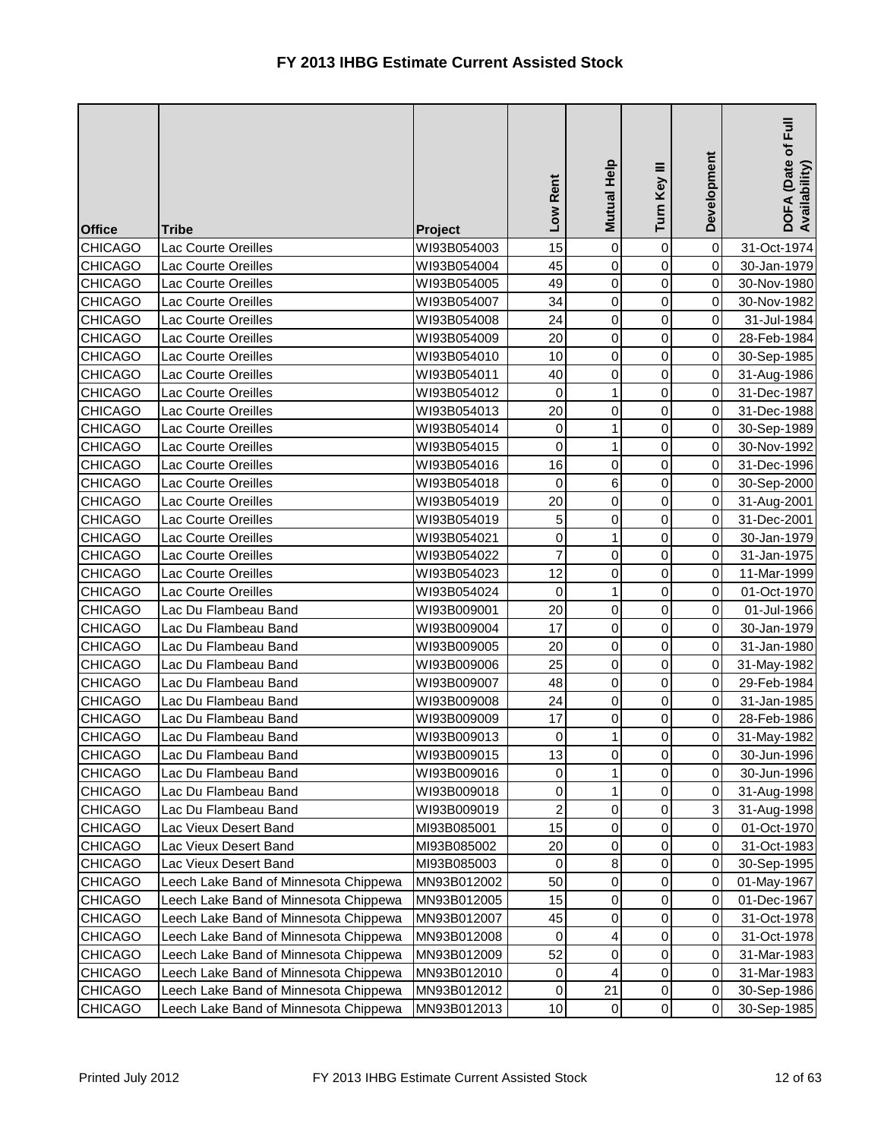| <b>Office</b>  | <b>Tribe</b>                          | Project     | Low Rent       | Mutual Help         | Turn Key III   | Development | 下<br><br>DOFA (Date of I<br>Availability) |
|----------------|---------------------------------------|-------------|----------------|---------------------|----------------|-------------|-------------------------------------------|
| <b>CHICAGO</b> | Lac Courte Oreilles                   | WI93B054003 | 15             | $\mathbf 0$         | 0              | $\mathbf 0$ | 31-Oct-1974                               |
| <b>CHICAGO</b> | Lac Courte Oreilles                   | WI93B054004 | 45             | $\overline{0}$      | 0              | $\mathbf 0$ | 30-Jan-1979                               |
| <b>CHICAGO</b> | Lac Courte Oreilles                   | WI93B054005 | 49             | $\overline{0}$      | 0              | $\,0\,$     | 30-Nov-1980                               |
| <b>CHICAGO</b> | Lac Courte Oreilles                   | WI93B054007 | 34             | $\overline{0}$      | $\mathsf 0$    | 0           | 30-Nov-1982                               |
| <b>CHICAGO</b> | Lac Courte Oreilles                   | WI93B054008 | 24             | $\mathsf{O}\xspace$ | 0              | 0           | 31-Jul-1984                               |
| <b>CHICAGO</b> | Lac Courte Oreilles                   | WI93B054009 | 20             | $\overline{0}$      | 0              | $\mathbf 0$ | 28-Feb-1984                               |
| <b>CHICAGO</b> | Lac Courte Oreilles                   | WI93B054010 | 10             | $\overline{0}$      | 0              | $\mathbf 0$ | 30-Sep-1985                               |
| <b>CHICAGO</b> | Lac Courte Oreilles                   | WI93B054011 | 40             | $\overline{0}$      | 0              | 0           | 31-Aug-1986                               |
| <b>CHICAGO</b> | Lac Courte Oreilles                   | WI93B054012 | 0              | $\mathbf{1}$        | 0              | 0           | 31-Dec-1987                               |
| <b>CHICAGO</b> | Lac Courte Oreilles                   | WI93B054013 | 20             | $\mathbf 0$         | 0              | 0           | 31-Dec-1988                               |
| <b>CHICAGO</b> | Lac Courte Oreilles                   | WI93B054014 | 0              | $\mathbf{1}$        | $\mathsf 0$    | $\mathbf 0$ | 30-Sep-1989                               |
| <b>CHICAGO</b> | Lac Courte Oreilles                   | WI93B054015 | $\mathbf 0$    | $\mathbf{1}$        | 0              | $\mathbf 0$ | 30-Nov-1992                               |
| <b>CHICAGO</b> | Lac Courte Oreilles                   | WI93B054016 | 16             | $\overline{0}$      | 0              | $\mathbf 0$ | 31-Dec-1996                               |
| <b>CHICAGO</b> | Lac Courte Oreilles                   | WI93B054018 | 0              | 6                   | 0              | 0           | 30-Sep-2000                               |
| <b>CHICAGO</b> | Lac Courte Oreilles                   | WI93B054019 | 20             | $\mathsf{O}\xspace$ | $\mathsf 0$    | 0           | 31-Aug-2001                               |
| <b>CHICAGO</b> | Lac Courte Oreilles                   | WI93B054019 | 5              | $\mathsf{O}\xspace$ | 0              | $\mathbf 0$ | 31-Dec-2001                               |
| <b>CHICAGO</b> | Lac Courte Oreilles                   | WI93B054021 | $\mathbf 0$    | $\mathbf{1}$        | 0              | $\,0\,$     | 30-Jan-1979                               |
| <b>CHICAGO</b> | <b>Lac Courte Oreilles</b>            | WI93B054022 | $\overline{7}$ | $\overline{0}$      | 0              | $\mathbf 0$ | 31-Jan-1975                               |
| <b>CHICAGO</b> | Lac Courte Oreilles                   | WI93B054023 | 12             | $\mathsf{O}\xspace$ | $\mathsf 0$    | $\,0\,$     | 11-Mar-1999                               |
| <b>CHICAGO</b> | Lac Courte Oreilles                   | WI93B054024 | 0              | $\mathbf{1}$        | $\mathsf 0$    | $\,0\,$     | 01-Oct-1970                               |
| <b>CHICAGO</b> | Lac Du Flambeau Band                  | WI93B009001 | 20             | $\overline{0}$      | 0              | $\mathbf 0$ | 01-Jul-1966                               |
| <b>CHICAGO</b> | Lac Du Flambeau Band                  | WI93B009004 | 17             | $\overline{0}$      | 0              | $\mathbf 0$ | 30-Jan-1979                               |
| <b>CHICAGO</b> | Lac Du Flambeau Band                  | WI93B009005 | 20             | $\overline{0}$      | $\mathbf 0$    | $\mathbf 0$ | 31-Jan-1980                               |
| <b>CHICAGO</b> | Lac Du Flambeau Band                  | WI93B009006 | 25             | $\mathsf{O}\xspace$ | 0              | 0           | 31-May-1982                               |
| <b>CHICAGO</b> | Lac Du Flambeau Band                  | WI93B009007 | 48             | $\mathsf{O}\xspace$ | 0              | 0           | 29-Feb-1984                               |
| <b>CHICAGO</b> | Lac Du Flambeau Band                  | WI93B009008 | 24             | $\overline{0}$      | 0              | $\mathbf 0$ | 31-Jan-1985                               |
| <b>CHICAGO</b> | Lac Du Flambeau Band                  | WI93B009009 | 17             | $\overline{0}$      | 0              | 0           | 28-Feb-1986                               |
| <b>CHICAGO</b> | Lac Du Flambeau Band                  | WI93B009013 | 0              | 1                   | 0              | 0           | 31-May-1982                               |
| <b>CHICAGO</b> | Lac Du Flambeau Band                  | WI93B009015 | 13             | $\overline{0}$      | $\overline{0}$ | $\pmb{0}$   | 30-Jun-1996                               |
| <b>CHICAGO</b> | Lac Du Flambeau Band                  | WI93B009016 | 0              | $\mathbf{1}$        | 0              | 0           | 30-Jun-1996                               |
| <b>CHICAGO</b> | Lac Du Flambeau Band                  | WI93B009018 | 0              | $\mathbf{1}$        | 0              | $\,0\,$     | 31-Aug-1998                               |
| <b>CHICAGO</b> | Lac Du Flambeau Band                  | WI93B009019 | 2              | 0                   | 0              | 3           | 31-Aug-1998                               |
| <b>CHICAGO</b> | Lac Vieux Desert Band                 | MI93B085001 | 15             | 0                   | 0              | $\pmb{0}$   | 01-Oct-1970                               |
| <b>CHICAGO</b> | Lac Vieux Desert Band                 | MI93B085002 | 20             | 0                   | 0              | 0           | 31-Oct-1983                               |
| <b>CHICAGO</b> | Lac Vieux Desert Band                 | MI93B085003 | 0              | 8                   | 0              | 0           | 30-Sep-1995                               |
| <b>CHICAGO</b> | Leech Lake Band of Minnesota Chippewa | MN93B012002 | 50             | $\overline{0}$      | 0              | 0           | 01-May-1967                               |
| <b>CHICAGO</b> | Leech Lake Band of Minnesota Chippewa | MN93B012005 | 15             | $\overline{0}$      | 0              | 0           | 01-Dec-1967                               |
| <b>CHICAGO</b> | Leech Lake Band of Minnesota Chippewa | MN93B012007 | 45             | 0                   | 0              | 0           | 31-Oct-1978                               |
| <b>CHICAGO</b> | Leech Lake Band of Minnesota Chippewa | MN93B012008 | 0              | 4                   | 0              | 0           | 31-Oct-1978                               |
| <b>CHICAGO</b> | Leech Lake Band of Minnesota Chippewa | MN93B012009 | 52             | 0                   | 0              | 0           | 31-Mar-1983                               |
| <b>CHICAGO</b> | Leech Lake Band of Minnesota Chippewa | MN93B012010 | 0              | 4                   | 0              | $\,0\,$     | 31-Mar-1983                               |
| <b>CHICAGO</b> | Leech Lake Band of Minnesota Chippewa | MN93B012012 | 0              | 21                  | 0              | 0           | 30-Sep-1986                               |
| <b>CHICAGO</b> | Leech Lake Band of Minnesota Chippewa | MN93B012013 | 10             | $\overline{0}$      | 0              | $\,0\,$     | 30-Sep-1985                               |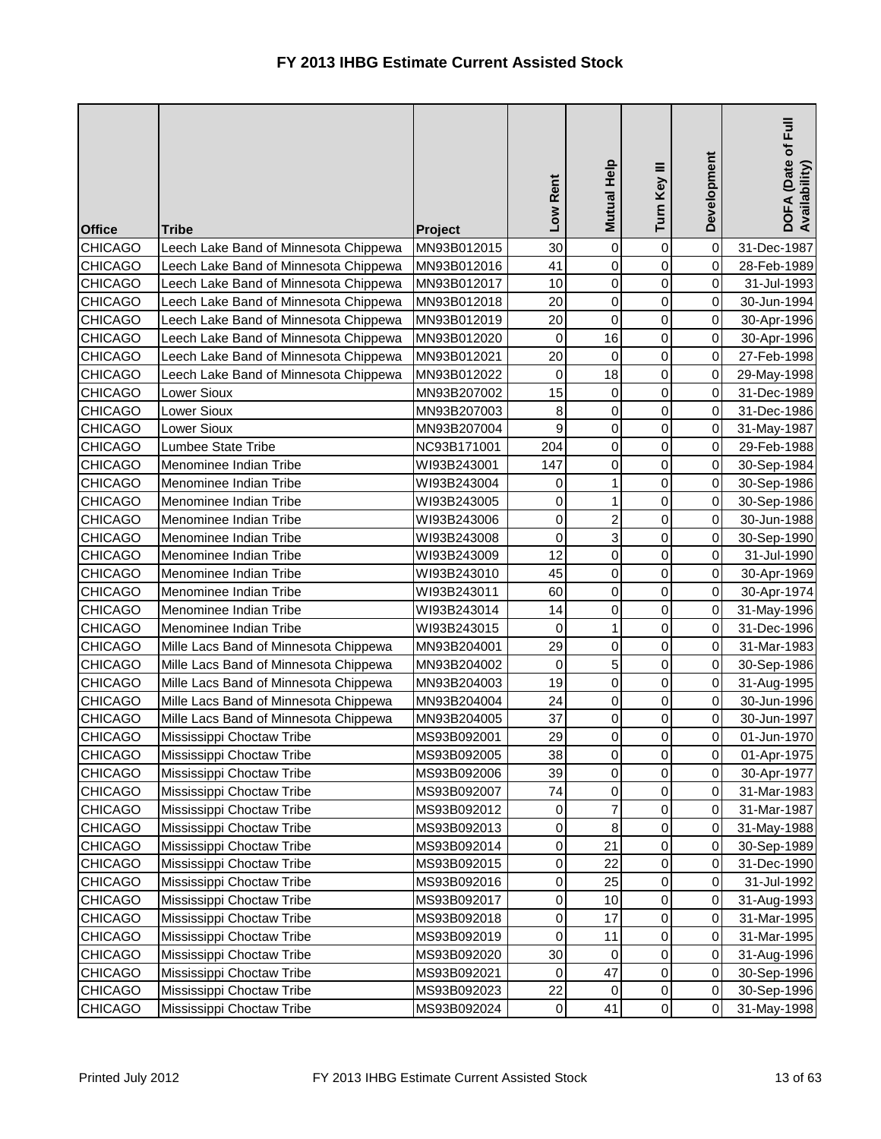| <b>Office</b>  | <b>Tribe</b>                          | Project     | Low Rent  | Mutual Help         | Turn Key III   | Development      | DOFA (Date of Full<br>Availability) |
|----------------|---------------------------------------|-------------|-----------|---------------------|----------------|------------------|-------------------------------------|
| <b>CHICAGO</b> | Leech Lake Band of Minnesota Chippewa | MN93B012015 | 30        | $\mathbf 0$         | $\pmb{0}$      | $\pmb{0}$        | 31-Dec-1987                         |
| <b>CHICAGO</b> | Leech Lake Band of Minnesota Chippewa | MN93B012016 | 41        | $\mathsf 0$         | $\mathbf 0$    | $\mathbf 0$      | 28-Feb-1989                         |
| <b>CHICAGO</b> | Leech Lake Band of Minnesota Chippewa | MN93B012017 | 10        | $\mathbf 0$         | 0              | 0                | 31-Jul-1993                         |
| <b>CHICAGO</b> | Leech Lake Band of Minnesota Chippewa | MN93B012018 | 20        | $\mathsf 0$         | $\mathbf 0$    | 0                | 30-Jun-1994                         |
| <b>CHICAGO</b> | Leech Lake Band of Minnesota Chippewa | MN93B012019 | 20        | 0                   | 0              | 0                | 30-Apr-1996                         |
| <b>CHICAGO</b> | Leech Lake Band of Minnesota Chippewa | MN93B012020 | 0         | 16                  | 0              | $\mathbf 0$      | 30-Apr-1996                         |
| <b>CHICAGO</b> | Leech Lake Band of Minnesota Chippewa | MN93B012021 | 20        | 0                   | 0              | 0                | 27-Feb-1998                         |
| <b>CHICAGO</b> | Leech Lake Band of Minnesota Chippewa | MN93B012022 | 0         | 18                  | 0              | $\mathbf 0$      | 29-May-1998                         |
| <b>CHICAGO</b> | Lower Sioux                           | MN93B207002 | 15        | $\pmb{0}$           | 0              | 0                | 31-Dec-1989                         |
| <b>CHICAGO</b> | Lower Sioux                           | MN93B207003 | 8         | $\pmb{0}$           | 0              | 0                | 31-Dec-1986                         |
| <b>CHICAGO</b> | Lower Sioux                           | MN93B207004 | 9         | $\mathbf 0$         | $\mathbf 0$    | 0                | 31-May-1987                         |
| <b>CHICAGO</b> | Lumbee State Tribe                    | NC93B171001 | 204       | $\mathsf{O}\xspace$ | $\mathbf 0$    | 0                | 29-Feb-1988                         |
| <b>CHICAGO</b> | Menominee Indian Tribe                | WI93B243001 | 147       | $\mathsf 0$         | $\mathbf 0$    | $\mathbf 0$      | 30-Sep-1984                         |
| <b>CHICAGO</b> | Menominee Indian Tribe                | WI93B243004 | 0         | 1                   | 0              | 0                | 30-Sep-1986                         |
| <b>CHICAGO</b> | Menominee Indian Tribe                | WI93B243005 | 0         | 1                   | 0              | 0                | 30-Sep-1986                         |
| <b>CHICAGO</b> | Menominee Indian Tribe                | WI93B243006 | 0         | $\overline{c}$      | 0              | 0                | 30-Jun-1988                         |
| <b>CHICAGO</b> | Menominee Indian Tribe                | WI93B243008 | 0         | $\mathbf 3$         | 0              | 0                | 30-Sep-1990                         |
| <b>CHICAGO</b> | Menominee Indian Tribe                | WI93B243009 | 12        | $\mathsf 0$         | $\mathbf 0$    | 0                | 31-Jul-1990                         |
| <b>CHICAGO</b> | Menominee Indian Tribe                | WI93B243010 | 45        | $\mathsf 0$         | $\mathbf 0$    | $\mathbf 0$      | 30-Apr-1969                         |
| <b>CHICAGO</b> | Menominee Indian Tribe                | WI93B243011 | 60        | $\mathsf 0$         | $\mathbf 0$    | $\pmb{0}$        | 30-Apr-1974                         |
| <b>CHICAGO</b> | Menominee Indian Tribe                | WI93B243014 | 14        | $\mathsf 0$         | $\mathbf 0$    | $\mathbf 0$      | 31-May-1996                         |
| <b>CHICAGO</b> | Menominee Indian Tribe                | WI93B243015 | 0         | $\mathbf{1}$        | $\mathbf 0$    | 0                | 31-Dec-1996                         |
| <b>CHICAGO</b> | Mille Lacs Band of Minnesota Chippewa | MN93B204001 | 29        | 0                   | 0              | $\mathbf 0$      | 31-Mar-1983                         |
| <b>CHICAGO</b> | Mille Lacs Band of Minnesota Chippewa | MN93B204002 | 0         | 5                   | 0              | $\mathbf 0$      | 30-Sep-1986                         |
| <b>CHICAGO</b> | Mille Lacs Band of Minnesota Chippewa | MN93B204003 | 19        | 0                   | 0              | 0                | 31-Aug-1995                         |
| <b>CHICAGO</b> | Mille Lacs Band of Minnesota Chippewa | MN93B204004 | 24        | $\mathsf{O}\xspace$ | 0              | $\mathbf 0$      | 30-Jun-1996                         |
| <b>CHICAGO</b> | Mille Lacs Band of Minnesota Chippewa | MN93B204005 | 37        | 0                   | 0              | 0                | 30-Jun-1997                         |
| <b>CHICAGO</b> | Mississippi Choctaw Tribe             | MS93B092001 | 29        | $\pmb{0}$           | 0              | 0                | 01-Jun-1970                         |
| <b>CHICAGO</b> | Mississippi Choctaw Tribe             | MS93B092005 | 38        | $\overline{0}$      | $\overline{0}$ | $\mathbf 0$      | 01-Apr-1975                         |
| <b>CHICAGO</b> | Mississippi Choctaw Tribe             | MS93B092006 | 39        | 0                   | 0              | 0                | 30-Apr-1977                         |
| <b>CHICAGO</b> | Mississippi Choctaw Tribe             | MS93B092007 | 74        | $\pmb{0}$           | $\pmb{0}$      | $\pmb{0}$        | 31-Mar-1983                         |
| <b>CHICAGO</b> | Mississippi Choctaw Tribe             | MS93B092012 | 0         | $\overline{7}$      | 0              | $\pmb{0}$        | 31-Mar-1987                         |
| <b>CHICAGO</b> | Mississippi Choctaw Tribe             | MS93B092013 | 0         | $\bf8$              | 0              | 0                | 31-May-1988                         |
| <b>CHICAGO</b> | Mississippi Choctaw Tribe             | MS93B092014 | 0         | 21                  | 0              | 0                | 30-Sep-1989                         |
| <b>CHICAGO</b> | Mississippi Choctaw Tribe             | MS93B092015 | 0         | 22                  | $\mathbf 0$    | 0                | 31-Dec-1990                         |
| <b>CHICAGO</b> | Mississippi Choctaw Tribe             | MS93B092016 | 0         | 25                  | $\pmb{0}$      | 0                | 31-Jul-1992                         |
| <b>CHICAGO</b> | Mississippi Choctaw Tribe             | MS93B092017 | 0         | 10                  | $\pmb{0}$      | $\pmb{0}$        | 31-Aug-1993                         |
| <b>CHICAGO</b> | Mississippi Choctaw Tribe             | MS93B092018 | 0         | 17                  | 0              | $\pmb{0}$        | 31-Mar-1995                         |
| <b>CHICAGO</b> | Mississippi Choctaw Tribe             | MS93B092019 | 0         | 11                  | 0              | $\pmb{0}$        | 31-Mar-1995                         |
| <b>CHICAGO</b> | Mississippi Choctaw Tribe             | MS93B092020 | 30        | 0                   | 0              | 0                | 31-Aug-1996                         |
| <b>CHICAGO</b> | Mississippi Choctaw Tribe             | MS93B092021 | 0         | 47                  | $\pmb{0}$      | $\pmb{0}$        | 30-Sep-1996                         |
| <b>CHICAGO</b> | Mississippi Choctaw Tribe             | MS93B092023 | 22        | 0                   | $\pmb{0}$      | $\pmb{0}$        | 30-Sep-1996                         |
| <b>CHICAGO</b> | Mississippi Choctaw Tribe             | MS93B092024 | $\pmb{0}$ | 41                  | $\mathsf 0$    | $\boldsymbol{0}$ | 31-May-1998                         |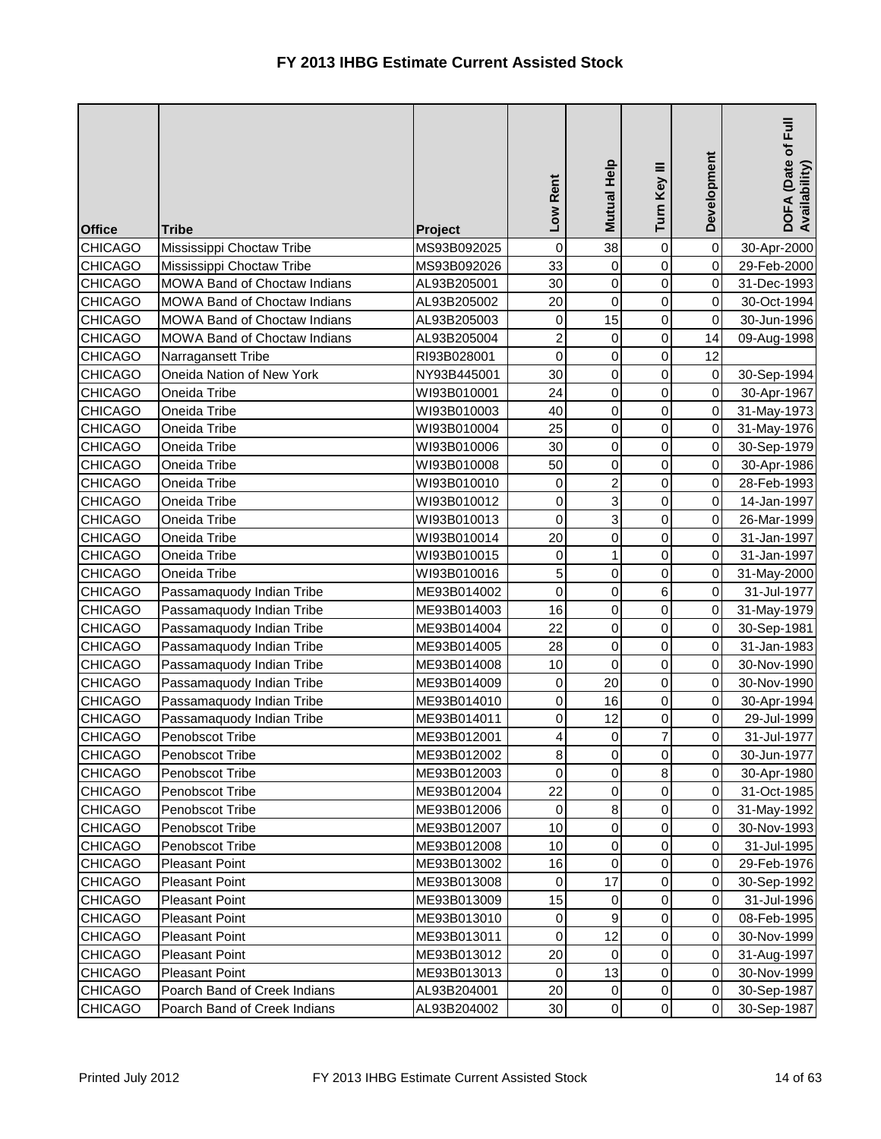| <b>Office</b>  | <b>Tribe</b>                        | Project     | Low Rent       | Mutual Help    | Turn Key III        | Development | DOFA (Date of Full<br>Availability) |
|----------------|-------------------------------------|-------------|----------------|----------------|---------------------|-------------|-------------------------------------|
| <b>CHICAGO</b> | Mississippi Choctaw Tribe           | MS93B092025 | $\mathbf 0$    | 38             | $\pmb{0}$           | $\mathbf 0$ | 30-Apr-2000                         |
| <b>CHICAGO</b> | Mississippi Choctaw Tribe           | MS93B092026 | 33             | 0              | 0                   | 0           | 29-Feb-2000                         |
| <b>CHICAGO</b> | MOWA Band of Choctaw Indians        | AL93B205001 | 30             | $\overline{0}$ | $\mathsf 0$         | $\mathbf 0$ | 31-Dec-1993                         |
| <b>CHICAGO</b> | MOWA Band of Choctaw Indians        | AL93B205002 | 20             | $\mathbf 0$    | $\mathsf 0$         | 0           | 30-Oct-1994                         |
| <b>CHICAGO</b> | <b>MOWA Band of Choctaw Indians</b> | AL93B205003 | 0              | 15             | 0                   | 0           | 30-Jun-1996                         |
| <b>CHICAGO</b> | MOWA Band of Choctaw Indians        | AL93B205004 | $\overline{c}$ | $\overline{0}$ | 0                   | 14          | 09-Aug-1998                         |
| <b>CHICAGO</b> | Narragansett Tribe                  | RI93B028001 | 0              | $\overline{0}$ | 0                   | 12          |                                     |
| <b>CHICAGO</b> | Oneida Nation of New York           | NY93B445001 | 30             | $\overline{0}$ | $\mathsf 0$         | $\,0\,$     | 30-Sep-1994                         |
| <b>CHICAGO</b> | Oneida Tribe                        | WI93B010001 | 24             | $\overline{0}$ | $\mathsf 0$         | 0           | 30-Apr-1967                         |
| <b>CHICAGO</b> | Oneida Tribe                        | WI93B010003 | 40             | $\overline{0}$ | 0                   | 0           | 31-May-1973                         |
| <b>CHICAGO</b> | Oneida Tribe                        | WI93B010004 | 25             | $\overline{0}$ | 0                   | $\mathbf 0$ | 31-May-1976                         |
| <b>CHICAGO</b> | Oneida Tribe                        | WI93B010006 | 30             | $\mathbf 0$    | $\mathsf 0$         | 0           | 30-Sep-1979                         |
| <b>CHICAGO</b> | Oneida Tribe                        | WI93B010008 | 50             | $\overline{0}$ | $\mathsf 0$         | $\mathbf 0$ | 30-Apr-1986                         |
| <b>CHICAGO</b> | Oneida Tribe                        | WI93B010010 | $\mathbf 0$    | $\overline{2}$ | $\mathsf 0$         | 0           | 28-Feb-1993                         |
| <b>CHICAGO</b> | Oneida Tribe                        | WI93B010012 | 0              | $\overline{3}$ | 0                   | 0           | 14-Jan-1997                         |
| <b>CHICAGO</b> | Oneida Tribe                        | WI93B010013 | $\mathbf 0$    | $\overline{3}$ | $\mathsf 0$         | $\mathbf 0$ | 26-Mar-1999                         |
| <b>CHICAGO</b> | Oneida Tribe                        | WI93B010014 | 20             | $\overline{0}$ | 0                   | 0           | 31-Jan-1997                         |
| <b>CHICAGO</b> | Oneida Tribe                        | WI93B010015 | 0              | $\mathbf{1}$   | $\mathsf 0$         | $\mathbf 0$ | 31-Jan-1997                         |
| <b>CHICAGO</b> | Oneida Tribe                        | WI93B010016 | 5              | $\overline{0}$ | 0                   | 0           | 31-May-2000                         |
| <b>CHICAGO</b> | Passamaquody Indian Tribe           | ME93B014002 | $\mathbf 0$    | $\overline{0}$ | 6                   | $\pmb{0}$   | 31-Jul-1977                         |
| <b>CHICAGO</b> | Passamaquody Indian Tribe           | ME93B014003 | 16             | $\overline{0}$ | 0                   | $\mathsf 0$ | 31-May-1979                         |
| <b>CHICAGO</b> | Passamaquody Indian Tribe           | ME93B014004 | 22             | $\overline{0}$ | 0                   | 0           | 30-Sep-1981                         |
| <b>CHICAGO</b> | Passamaquody Indian Tribe           | ME93B014005 | 28             | $\overline{0}$ | 0                   | $\mathbf 0$ | 31-Jan-1983                         |
| <b>CHICAGO</b> | Passamaquody Indian Tribe           | ME93B014008 | 10             | 0              | 0                   | 0           | 30-Nov-1990                         |
| <b>CHICAGO</b> | Passamaquody Indian Tribe           | ME93B014009 | $\pmb{0}$      | 20             | 0                   | $\mathbf 0$ | 30-Nov-1990                         |
| <b>CHICAGO</b> | Passamaquody Indian Tribe           | ME93B014010 | $\mathbf 0$    | 16             | 0                   | $\mathsf 0$ | 30-Apr-1994                         |
| <b>CHICAGO</b> | Passamaquody Indian Tribe           | ME93B014011 | 0              | 12             | 0                   | 0           | 29-Jul-1999                         |
| <b>CHICAGO</b> | Penobscot Tribe                     | ME93B012001 | 4              | $\overline{0}$ | $\overline{7}$      | 0           | 31-Jul-1977                         |
| <b>CHICAGO</b> | Penobscot Tribe                     | ME93B012002 | 8              | $\overline{0}$ | $\overline{0}$      | 0           | 30-Jun-1977                         |
| <b>CHICAGO</b> | Penobscot Tribe                     | ME93B012003 | 0              | $\overline{0}$ | 8                   | $\mathbf 0$ | 30-Apr-1980                         |
| <b>CHICAGO</b> | Penobscot Tribe                     | ME93B012004 | 22             | $\overline{0}$ | 0                   | $\mathbf 0$ | 31-Oct-1985                         |
| <b>CHICAGO</b> | Penobscot Tribe                     | ME93B012006 | 0              | 8 <sup>1</sup> | 0                   | 0           | 31-May-1992                         |
| <b>CHICAGO</b> | Penobscot Tribe                     | ME93B012007 | 10             | $\overline{0}$ | 0                   | 0           | 30-Nov-1993                         |
| <b>CHICAGO</b> | Penobscot Tribe                     | ME93B012008 | 10             | $\overline{0}$ | 0                   | 0           | 31-Jul-1995                         |
| <b>CHICAGO</b> | <b>Pleasant Point</b>               | ME93B013002 | 16             | $\overline{0}$ | 0                   | $\pmb{0}$   | 29-Feb-1976                         |
| <b>CHICAGO</b> | <b>Pleasant Point</b>               | ME93B013008 | $\mathbf 0$    | 17             | 0                   | $\pmb{0}$   | 30-Sep-1992                         |
| <b>CHICAGO</b> | <b>Pleasant Point</b>               | ME93B013009 | 15             | $\overline{0}$ | 0                   | 0           | 31-Jul-1996                         |
| <b>CHICAGO</b> | <b>Pleasant Point</b>               | ME93B013010 | 0              | $\overline{9}$ | 0                   | $\mathbf 0$ | 08-Feb-1995                         |
| <b>CHICAGO</b> | <b>Pleasant Point</b>               | ME93B013011 | 0              | 12             | 0                   | 0           | 30-Nov-1999                         |
| <b>CHICAGO</b> | <b>Pleasant Point</b>               | ME93B013012 | 20             | $\mathbf 0$    | 0                   | $\pmb{0}$   | 31-Aug-1997                         |
| <b>CHICAGO</b> | <b>Pleasant Point</b>               | ME93B013013 | 0              | 13             | 0                   | $\pmb{0}$   | 30-Nov-1999                         |
| <b>CHICAGO</b> | Poarch Band of Creek Indians        | AL93B204001 | 20             | $\overline{0}$ | 0                   | $\pmb{0}$   | 30-Sep-1987                         |
| <b>CHICAGO</b> | Poarch Band of Creek Indians        | AL93B204002 | 30             | $\overline{0}$ | $\mathsf{O}\xspace$ | $\pmb{0}$   | 30-Sep-1987                         |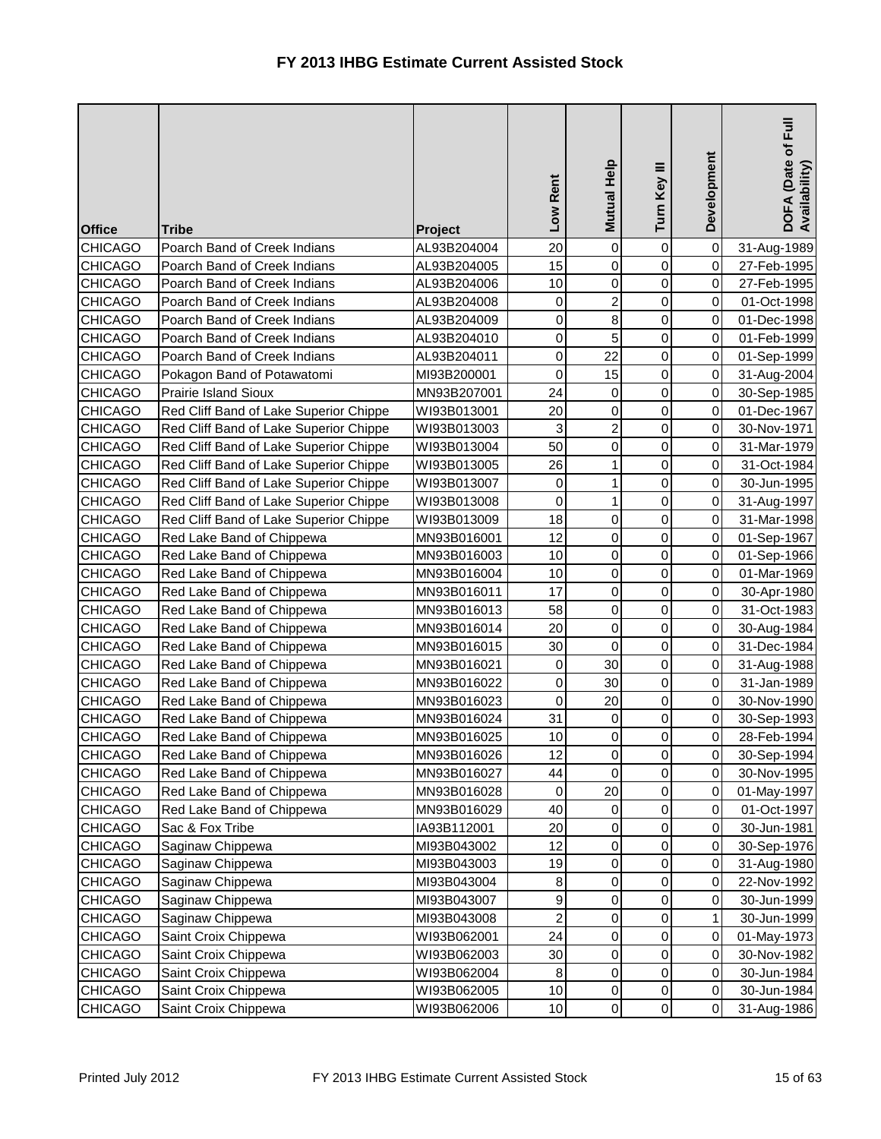| <b>Office</b>  | <b>Tribe</b>                           | Project     | Low Rent                | Mutual Help         | Turn Key III   | Development | Full<br>DOFA (Date of F<br>Availability) |
|----------------|----------------------------------------|-------------|-------------------------|---------------------|----------------|-------------|------------------------------------------|
| <b>CHICAGO</b> | Poarch Band of Creek Indians           | AL93B204004 | 20                      | $\mathsf{O}\xspace$ | 0              | $\mathbf 0$ | 31-Aug-1989                              |
| <b>CHICAGO</b> | Poarch Band of Creek Indians           | AL93B204005 | 15                      | $\overline{0}$      | $\mathsf 0$    | $\mathbf 0$ | 27-Feb-1995                              |
| <b>CHICAGO</b> | Poarch Band of Creek Indians           | AL93B204006 | 10                      | $\overline{0}$      | $\mathsf 0$    | 0           | 27-Feb-1995                              |
| <b>CHICAGO</b> | Poarch Band of Creek Indians           | AL93B204008 | $\mathbf 0$             | $\overline{a}$      | $\mathsf 0$    | 0           | 01-Oct-1998                              |
| <b>CHICAGO</b> | Poarch Band of Creek Indians           | AL93B204009 | 0                       | 8                   | 0              | 0           | 01-Dec-1998                              |
| <b>CHICAGO</b> | Poarch Band of Creek Indians           | AL93B204010 | 0                       | 5                   | $\mathsf 0$    | 0           | 01-Feb-1999                              |
| <b>CHICAGO</b> | Poarch Band of Creek Indians           | AL93B204011 | 0                       | 22                  | 0              | 0           | 01-Sep-1999                              |
| <b>CHICAGO</b> | Pokagon Band of Potawatomi             | MI93B200001 | 0                       | 15                  | 0              | 0           | 31-Aug-2004                              |
| <b>CHICAGO</b> | <b>Prairie Island Sioux</b>            | MN93B207001 | 24                      | $\overline{0}$      | $\mathsf 0$    | 0           | 30-Sep-1985                              |
| <b>CHICAGO</b> | Red Cliff Band of Lake Superior Chippe | WI93B013001 | 20                      | $\mathsf{O}\xspace$ | $\mathsf 0$    | $\mathbf 0$ | 01-Dec-1967                              |
| <b>CHICAGO</b> | Red Cliff Band of Lake Superior Chippe | WI93B013003 | 3                       | $\overline{a}$      | $\mathsf 0$    | $\mathbf 0$ | 30-Nov-1971                              |
| <b>CHICAGO</b> | Red Cliff Band of Lake Superior Chippe | WI93B013004 | 50                      | $\overline{0}$      | $\mathsf 0$    | $\mathbf 0$ | 31-Mar-1979                              |
| <b>CHICAGO</b> | Red Cliff Band of Lake Superior Chippe | WI93B013005 | 26                      | $\mathbf{1}$        | $\mathsf 0$    | $\mathbf 0$ | 31-Oct-1984                              |
| <b>CHICAGO</b> | Red Cliff Band of Lake Superior Chippe | WI93B013007 | $\mathbf 0$             | 1                   | 0              | 0           | 30-Jun-1995                              |
| <b>CHICAGO</b> | Red Cliff Band of Lake Superior Chippe | WI93B013008 | 0                       | $\mathbf{1}$        | 0              | 0           | 31-Aug-1997                              |
| <b>CHICAGO</b> | Red Cliff Band of Lake Superior Chippe | WI93B013009 | 18                      | $\mathbf 0$         | $\mathsf 0$    | $\mathsf 0$ | 31-Mar-1998                              |
| <b>CHICAGO</b> | Red Lake Band of Chippewa              | MN93B016001 | 12                      | $\overline{0}$      | 0              | 0           | 01-Sep-1967                              |
| <b>CHICAGO</b> | Red Lake Band of Chippewa              | MN93B016003 | 10                      | $\overline{0}$      | 0              | 0           | 01-Sep-1966                              |
| <b>CHICAGO</b> | Red Lake Band of Chippewa              | MN93B016004 | 10                      | $\overline{0}$      | 0              | 0           | 01-Mar-1969                              |
| <b>CHICAGO</b> | Red Lake Band of Chippewa              | MN93B016011 | 17                      | $\overline{0}$      | $\mathsf 0$    | 0           | 30-Apr-1980                              |
| <b>CHICAGO</b> | Red Lake Band of Chippewa              | MN93B016013 | 58                      | $\overline{0}$      | 0              | $\mathsf 0$ | 31-Oct-1983                              |
| <b>CHICAGO</b> | Red Lake Band of Chippewa              | MN93B016014 | 20                      | $\overline{0}$      | 0              | $\mathbf 0$ | 30-Aug-1984                              |
| <b>CHICAGO</b> | Red Lake Band of Chippewa              | MN93B016015 | 30                      | $\mathbf 0$         | $\mathsf 0$    | 0           | 31-Dec-1984                              |
| <b>CHICAGO</b> | Red Lake Band of Chippewa              | MN93B016021 | 0                       | 30                  | 0              | 0           | 31-Aug-1988                              |
| CHICAGO        | Red Lake Band of Chippewa              | MN93B016022 | 0                       | 30                  | 0              | 0           | 31-Jan-1989                              |
| <b>CHICAGO</b> | Red Lake Band of Chippewa              | MN93B016023 | 0                       | 20                  | 0              | $\mathsf 0$ | 30-Nov-1990                              |
| <b>CHICAGO</b> | Red Lake Band of Chippewa              | MN93B016024 | 31                      | $\overline{0}$      | 0              | 0           | 30-Sep-1993                              |
| <b>CHICAGO</b> | Red Lake Band of Chippewa              | MN93B016025 | 10                      | $\overline{0}$      | 0              | 0           | 28-Feb-1994                              |
| <b>CHICAGO</b> | Red Lake Band of Chippewa              | MN93B016026 | 12                      | $\overline{0}$      | $\overline{0}$ | $\mathbf 0$ | 30-Sep-1994                              |
| <b>CHICAGO</b> | Red Lake Band of Chippewa              | MN93B016027 | 44                      | 0                   | 0              | 0           | 30-Nov-1995                              |
| <b>CHICAGO</b> | Red Lake Band of Chippewa              | MN93B016028 | 0                       | 20                  | 0              | $\mbox{O}$  | 01-May-1997                              |
| <b>CHICAGO</b> | Red Lake Band of Chippewa              | MN93B016029 | 40                      | 0                   | 0              | $\mbox{O}$  | 01-Oct-1997                              |
| <b>CHICAGO</b> | Sac & Fox Tribe                        | IA93B112001 | 20                      | $\overline{0}$      | 0              | $\pmb{0}$   | 30-Jun-1981                              |
| <b>CHICAGO</b> | Saginaw Chippewa                       | MI93B043002 | 12                      | $\overline{0}$      | 0              | 0           | 30-Sep-1976                              |
| <b>CHICAGO</b> | Saginaw Chippewa                       | MI93B043003 | 19                      | $\overline{0}$      | 0              | 0           | 31-Aug-1980                              |
| <b>CHICAGO</b> | Saginaw Chippewa                       | MI93B043004 | 8                       | $\overline{0}$      | 0              | 0           | 22-Nov-1992                              |
| <b>CHICAGO</b> | Saginaw Chippewa                       | MI93B043007 | 9                       | $\overline{0}$      | 0              | 0           | 30-Jun-1999                              |
| <b>CHICAGO</b> | Saginaw Chippewa                       | MI93B043008 | $\overline{\mathbf{c}}$ | $\overline{0}$      | 0              | 1           | 30-Jun-1999                              |
| <b>CHICAGO</b> | Saint Croix Chippewa                   | WI93B062001 | 24                      | $\overline{0}$      | 0              | 0           | 01-May-1973                              |
| <b>CHICAGO</b> | Saint Croix Chippewa                   | WI93B062003 | 30                      | 0                   | 0              | 0           | 30-Nov-1982                              |
| <b>CHICAGO</b> | Saint Croix Chippewa                   | WI93B062004 | 8                       | $\overline{0}$      | 0              | $\,0\,$     | 30-Jun-1984                              |
| <b>CHICAGO</b> | Saint Croix Chippewa                   | WI93B062005 | 10                      | $\overline{0}$      | 0              | $\,0\,$     | 30-Jun-1984                              |
| <b>CHICAGO</b> | Saint Croix Chippewa                   | WI93B062006 | 10                      | $\overline{0}$      | 0              | $\mathbf 0$ | 31-Aug-1986                              |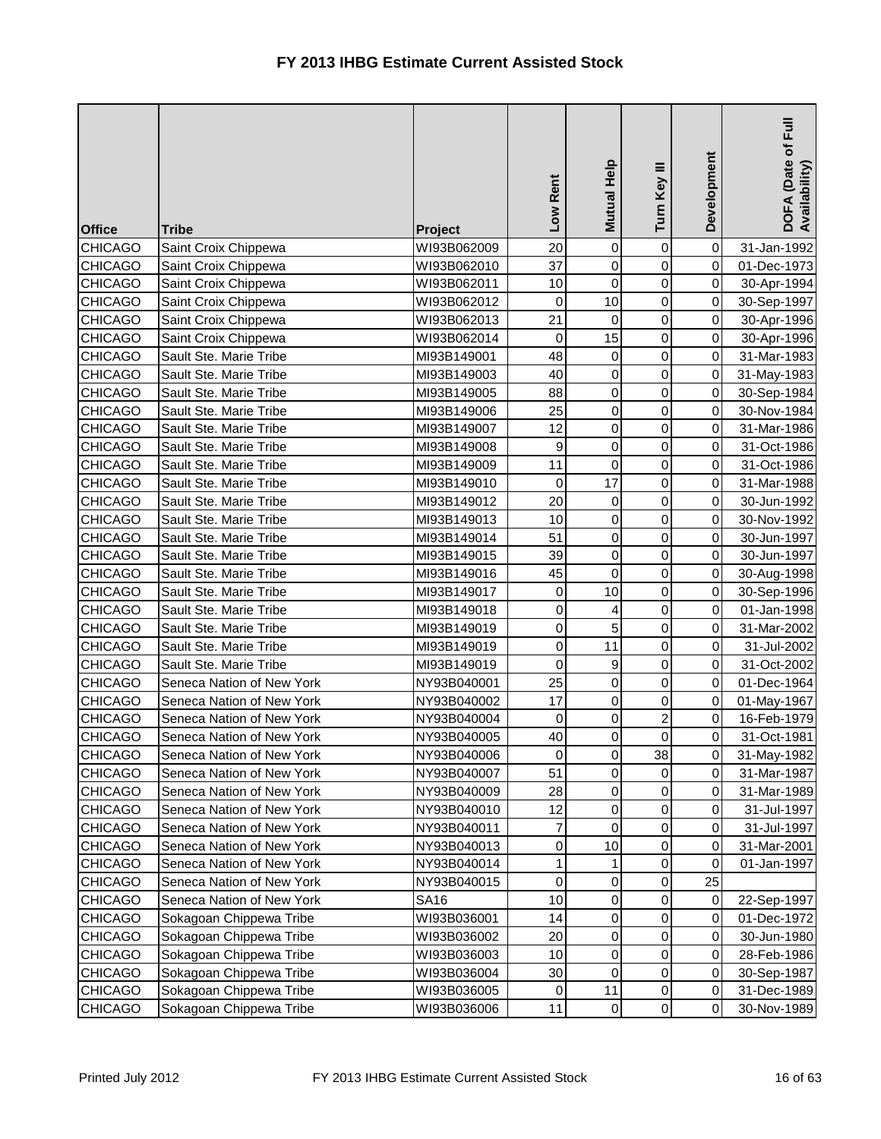| <b>Office</b>  | <b>Tribe</b>              | Project     | Low Rent         | Mutual Help         | Turn Key III   | Development | ĒJ<br>DOFA (Date of I<br>Availability) |
|----------------|---------------------------|-------------|------------------|---------------------|----------------|-------------|----------------------------------------|
| <b>CHICAGO</b> | Saint Croix Chippewa      | WI93B062009 | 20               | $\overline{0}$      | 0              | $\mathbf 0$ | 31-Jan-1992                            |
| <b>CHICAGO</b> | Saint Croix Chippewa      | WI93B062010 | 37               | $\mathsf{O}\xspace$ | $\mathsf 0$    | $\mathbf 0$ | 01-Dec-1973                            |
| <b>CHICAGO</b> | Saint Croix Chippewa      | WI93B062011 | 10               | $\mathbf 0$         | $\mathsf 0$    | 0           | 30-Apr-1994                            |
| <b>CHICAGO</b> | Saint Croix Chippewa      | WI93B062012 | 0                | 10                  | $\mathbf 0$    | $\mathsf 0$ | 30-Sep-1997                            |
| <b>CHICAGO</b> | Saint Croix Chippewa      | WI93B062013 | 21               | 0                   | $\mathsf 0$    | 0           | 30-Apr-1996                            |
| <b>CHICAGO</b> | Saint Croix Chippewa      | WI93B062014 | 0                | 15                  | 0              | $\pmb{0}$   | 30-Apr-1996                            |
| <b>CHICAGO</b> | Sault Ste. Marie Tribe    | MI93B149001 | 48               | $\overline{0}$      | $\mathsf 0$    | $\mathbf 0$ | 31-Mar-1983                            |
| <b>CHICAGO</b> | Sault Ste. Marie Tribe    | MI93B149003 | 40               | $\overline{0}$      | $\mathsf 0$    | $\pmb{0}$   | 31-May-1983                            |
| <b>CHICAGO</b> | Sault Ste. Marie Tribe    | MI93B149005 | 88               | $\overline{0}$      | $\mathsf 0$    | 0           | 30-Sep-1984                            |
| <b>CHICAGO</b> | Sault Ste. Marie Tribe    | MI93B149006 | 25               | $\overline{0}$      | $\mathsf 0$    | $\pmb{0}$   | 30-Nov-1984                            |
| <b>CHICAGO</b> | Sault Ste. Marie Tribe    | MI93B149007 | 12               | $\overline{0}$      | 0              | 0           | 31-Mar-1986                            |
| <b>CHICAGO</b> | Sault Ste. Marie Tribe    | MI93B149008 | 9                | $\overline{0}$      | $\mathsf 0$    | $\mathbf 0$ | 31-Oct-1986                            |
| <b>CHICAGO</b> | Sault Ste. Marie Tribe    | MI93B149009 | 11               | $\mathsf 0$         | $\mathsf 0$    | 0           | 31-Oct-1986                            |
| <b>CHICAGO</b> | Sault Ste. Marie Tribe    | MI93B149010 | $\mathbf 0$      | 17                  | $\mathsf 0$    | $\mathsf 0$ | 31-Mar-1988                            |
| <b>CHICAGO</b> | Sault Ste. Marie Tribe    | MI93B149012 | 20               | $\overline{0}$      | 0              | 0           | 30-Jun-1992                            |
| <b>CHICAGO</b> | Sault Ste. Marie Tribe    | MI93B149013 | 10               | $\overline{0}$      | 0              | 0           | 30-Nov-1992                            |
| <b>CHICAGO</b> | Sault Ste. Marie Tribe    | MI93B149014 | 51               | $\overline{0}$      | $\mathsf 0$    | $\mathsf 0$ | 30-Jun-1997                            |
| <b>CHICAGO</b> | Sault Ste. Marie Tribe    | MI93B149015 | 39               | $\overline{0}$      | 0              | 0           | 30-Jun-1997                            |
| <b>CHICAGO</b> | Sault Ste. Marie Tribe    | MI93B149016 | 45               | $\overline{0}$      | $\mathsf 0$    | $\mathbf 0$ | 30-Aug-1998                            |
| <b>CHICAGO</b> | Sault Ste. Marie Tribe    | MI93B149017 | $\boldsymbol{0}$ | 10                  | $\mathsf 0$    | $\,0\,$     | 30-Sep-1996                            |
| <b>CHICAGO</b> | Sault Ste. Marie Tribe    | MI93B149018 | 0                | 4                   | 0              | $\pmb{0}$   | 01-Jan-1998                            |
| <b>CHICAGO</b> | Sault Ste. Marie Tribe    | MI93B149019 | $\mathbf 0$      | 5                   | $\mathsf 0$    | $\mathbf 0$ | 31-Mar-2002                            |
| <b>CHICAGO</b> | Sault Ste. Marie Tribe    | MI93B149019 | 0                | 11                  | $\mathsf 0$    | 0           | 31-Jul-2002                            |
| <b>CHICAGO</b> | Sault Ste. Marie Tribe    | MI93B149019 | $\mathbf 0$      | $\overline{9}$      | $\mathsf 0$    | $\mathsf 0$ | 31-Oct-2002                            |
| <b>CHICAGO</b> | Seneca Nation of New York | NY93B040001 | 25               | $\overline{0}$      | 0              | 0           | 01-Dec-1964                            |
| <b>CHICAGO</b> | Seneca Nation of New York | NY93B040002 | 17               | $\overline{0}$      | 0              | 0           | 01-May-1967                            |
| <b>CHICAGO</b> | Seneca Nation of New York | NY93B040004 | 0                | $\overline{0}$      | $\overline{c}$ | $\mathbf 0$ | 16-Feb-1979                            |
| <b>CHICAGO</b> | Seneca Nation of New York | NY93B040005 | 40               | $\overline{0}$      | 0              | 0           | 31-Oct-1981                            |
| <b>CHICAGO</b> | Seneca Nation of New York | NY93B040006 | $\pmb{0}$        | $\overline{0}$      | 38             | 0           | 31-May-1982                            |
| <b>CHICAGO</b> | Seneca Nation of New York | NY93B040007 | 51               | $\overline{0}$      | 0              | 0           | 31-Mar-1987                            |
| <b>CHICAGO</b> | Seneca Nation of New York | NY93B040009 | 28               | $\overline{0}$      | 0              | $\pmb{0}$   | 31-Mar-1989                            |
| <b>CHICAGO</b> | Seneca Nation of New York | NY93B040010 | 12               | $\overline{0}$      | 0              | $\mathbf 0$ | 31-Jul-1997                            |
| <b>CHICAGO</b> | Seneca Nation of New York | NY93B040011 | 7                | 0                   | 0              | $\mathbf 0$ | 31-Jul-1997                            |
| <b>CHICAGO</b> | Seneca Nation of New York | NY93B040013 | 0                | 10                  | 0              | 0           | 31-Mar-2001                            |
| <b>CHICAGO</b> | Seneca Nation of New York | NY93B040014 | 1                | $\mathbf{1}$        | 0              | 0           | 01-Jan-1997                            |
| <b>CHICAGO</b> | Seneca Nation of New York | NY93B040015 | 0                | $\overline{0}$      | 0              | 25          |                                        |
| <b>CHICAGO</b> | Seneca Nation of New York | <b>SA16</b> | 10               | $\overline{0}$      | 0              | $\pmb{0}$   | 22-Sep-1997                            |
| <b>CHICAGO</b> | Sokagoan Chippewa Tribe   | WI93B036001 | 14               | $\overline{0}$      | 0              | 0           | 01-Dec-1972                            |
| <b>CHICAGO</b> | Sokagoan Chippewa Tribe   | WI93B036002 | 20               | $\overline{0}$      | 0              | 0           | 30-Jun-1980                            |
| <b>CHICAGO</b> | Sokagoan Chippewa Tribe   | WI93B036003 | 10               | $\overline{0}$      | 0              | 0           | 28-Feb-1986                            |
| <b>CHICAGO</b> | Sokagoan Chippewa Tribe   | WI93B036004 | 30               | 0                   | 0              | 0           | 30-Sep-1987                            |
| <b>CHICAGO</b> | Sokagoan Chippewa Tribe   | WI93B036005 | 0                | 11                  | 0              | $\pmb{0}$   | 31-Dec-1989                            |
| <b>CHICAGO</b> | Sokagoan Chippewa Tribe   | WI93B036006 | 11               | $\overline{0}$      | 0              | 0           | 30-Nov-1989                            |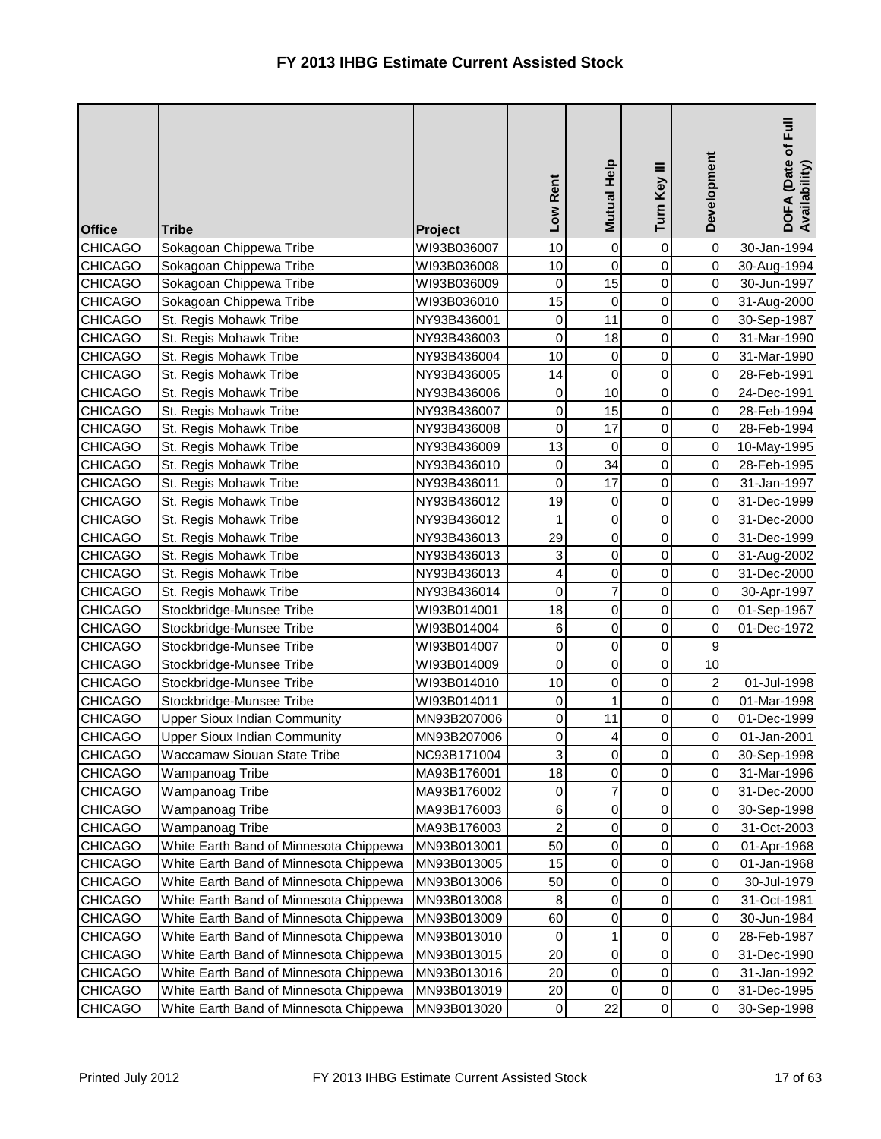| Development<br>Mutual Help<br>Turn Key III<br>Low Rent<br><b>Office</b><br><b>Tribe</b><br>Project                            | DOFA (Date of Full<br>Availability) |
|-------------------------------------------------------------------------------------------------------------------------------|-------------------------------------|
| $\mathsf{O}\xspace$<br>10<br>0<br>$\mathbf 0$<br>Sokagoan Chippewa Tribe<br><b>CHICAGO</b><br>WI93B036007                     | 30-Jan-1994                         |
| $\mathbf 0$<br>0<br>$\mathbf 0$<br>10<br><b>CHICAGO</b><br>Sokagoan Chippewa Tribe<br>WI93B036008                             | 30-Aug-1994                         |
| 15<br>$\mathsf 0$<br>Sokagoan Chippewa Tribe<br>$\pmb{0}$<br><b>CHICAGO</b><br>WI93B036009<br>0                               | 30-Jun-1997                         |
| 15<br>$\mathsf 0$<br>Sokagoan Chippewa Tribe<br>0<br>0<br><b>CHICAGO</b><br>WI93B036010                                       | 31-Aug-2000                         |
| 11<br>0<br><b>CHICAGO</b><br>St. Regis Mohawk Tribe<br>NY93B436001<br>0<br>0                                                  | 30-Sep-1987                         |
| 18<br>0<br><b>CHICAGO</b><br>$\mathbf 0$<br>0<br>St. Regis Mohawk Tribe<br>NY93B436003                                        | 31-Mar-1990                         |
| 0<br>10<br>$\overline{0}$<br>0<br><b>CHICAGO</b><br>St. Regis Mohawk Tribe<br>NY93B436004                                     | 31-Mar-1990                         |
| $\mathbf 0$<br><b>CHICAGO</b><br>0<br>0<br>St. Regis Mohawk Tribe<br>NY93B436005<br>14                                        | 28-Feb-1991                         |
| 10<br>0<br><b>CHICAGO</b><br>St. Regis Mohawk Tribe<br>NY93B436006<br>0<br>0                                                  | 24-Dec-1991                         |
| 15<br>$\mathsf 0$<br>0<br>0<br><b>CHICAGO</b><br>St. Regis Mohawk Tribe<br>NY93B436007                                        | 28-Feb-1994                         |
| 17<br>$\mathbf 0$<br>0<br>$\mathbf 0$<br><b>CHICAGO</b><br>St. Regis Mohawk Tribe<br>NY93B436008                              | 28-Feb-1994                         |
| 13<br>0<br>$\pmb{0}$<br>$\mbox{O}$<br><b>CHICAGO</b><br>St. Regis Mohawk Tribe<br>NY93B436009                                 | 10-May-1995                         |
| 34<br>$\mathsf 0$<br>0<br><b>CHICAGO</b><br>0<br>St. Regis Mohawk Tribe<br>NY93B436010                                        | 28-Feb-1995                         |
| $\mathbf 0$<br>17<br>$\mathsf 0$<br><b>CHICAGO</b><br>St. Regis Mohawk Tribe<br>NY93B436011<br>0                              | 31-Jan-1997                         |
| $\mathsf 0$<br>19<br>0<br>0<br><b>CHICAGO</b><br>St. Regis Mohawk Tribe<br>NY93B436012                                        | 31-Dec-1999                         |
| $\overline{0}$<br>$\mathsf 0$<br>$\mathbf 0$<br><b>CHICAGO</b><br>1<br>St. Regis Mohawk Tribe<br>NY93B436012                  | 31-Dec-2000                         |
| $\overline{0}$<br>29<br>0<br>0<br><b>CHICAGO</b><br>St. Regis Mohawk Tribe<br>NY93B436013                                     | 31-Dec-1999                         |
| $\overline{0}$<br><b>CHICAGO</b><br>3<br>0<br>0<br>St. Regis Mohawk Tribe<br>NY93B436013                                      | 31-Aug-2002                         |
| $\overline{\mathbf{4}}$<br>$\overline{0}$<br>$\mathsf 0$<br>0<br><b>CHICAGO</b><br>St. Regis Mohawk Tribe<br>NY93B436013      | 31-Dec-2000                         |
| $\overline{7}$<br>$\mathbf 0$<br>$\mathsf 0$<br>0<br><b>CHICAGO</b><br>St. Regis Mohawk Tribe<br>NY93B436014                  | 30-Apr-1997                         |
| $\overline{0}$<br>0<br>18<br>$\mathbf 0$<br><b>CHICAGO</b><br>Stockbridge-Munsee Tribe<br>WI93B014001                         | 01-Sep-1967                         |
| $\overline{0}$<br>0<br>6<br>0<br><b>CHICAGO</b><br>Stockbridge-Munsee Tribe<br>WI93B014004                                    | 01-Dec-1972                         |
| $\mathbf 0$<br>$\overline{0}$<br>$\mathsf 0$<br>$\boldsymbol{9}$<br><b>CHICAGO</b><br>Stockbridge-Munsee Tribe<br>WI93B014007 |                                     |
| $\mathbf 0$<br>$\overline{0}$<br>0<br>10<br><b>CHICAGO</b><br>Stockbridge-Munsee Tribe<br>WI93B014009                         |                                     |
| $\overline{c}$<br><b>CHICAGO</b><br>Stockbridge-Munsee Tribe<br>10<br>0<br>0<br>WI93B014010                                   | 01-Jul-1998                         |
| $\mathbf{1}$<br>0<br>$\mathbf 0$<br><b>CHICAGO</b><br>Stockbridge-Munsee Tribe<br>$\pmb{0}$<br>WI93B014011                    | 01-Mar-1998                         |
| <b>Upper Sioux Indian Community</b><br>11<br>0<br>0<br><b>CHICAGO</b><br>MN93B207006<br>0                                     | 01-Dec-1999                         |
| <b>CHICAGO</b><br>0<br>$\vert$<br>0<br>0<br>MN93B207006<br><b>Upper Sioux Indian Community</b>                                | 01-Jan-2001                         |
| 3<br><b>CHICAGO</b><br>Waccamaw Siouan State Tribe<br>NC93B171004<br>$\overline{0}$<br>$\overline{0}$<br>$\pmb{0}$            | 30-Sep-1998                         |
| 18<br>0<br>0<br><b>CHICAGO</b><br>Wampanoag Tribe<br>MA93B176001<br>0                                                         | 31-Mar-1996                         |
| $\overline{7}$<br>0<br>$\mbox{O}$<br><b>CHICAGO</b><br>Wampanoag Tribe<br>MA93B176002<br>0                                    | 31-Dec-2000                         |
| $\overline{0}$<br><b>CHICAGO</b><br>Wampanoag Tribe<br>0<br>0<br>MA93B176003<br>6                                             | 30-Sep-1998                         |
| 2<br>$\overline{0}$<br>Wampanoag Tribe<br>0<br>0<br><b>CHICAGO</b><br>MA93B176003                                             | 31-Oct-2003                         |
| <b>CHICAGO</b><br>White Earth Band of Minnesota Chippewa<br>50<br>$\overline{0}$<br>0<br>0<br>MN93B013001                     | 01-Apr-1968                         |
| <b>CHICAGO</b><br>White Earth Band of Minnesota Chippewa<br>MN93B013005<br>15<br>$\overline{0}$<br>0<br>0                     | 01-Jan-1968                         |
| $\overline{0}$<br>0<br><b>CHICAGO</b><br>White Earth Band of Minnesota Chippewa<br>MN93B013006<br>50<br>0                     | 30-Jul-1979                         |
| $\overline{0}$<br>0<br><b>CHICAGO</b><br>White Earth Band of Minnesota Chippewa<br>MN93B013008<br>0<br>8                      | 31-Oct-1981                         |
| 0<br>White Earth Band of Minnesota Chippewa<br>MN93B013009<br>$\overline{0}$<br><b>CHICAGO</b><br>60<br>0                     | 30-Jun-1984                         |
| $\mathbf{1}$<br>0<br><b>CHICAGO</b><br>White Earth Band of Minnesota Chippewa<br>0<br>MN93B013010<br>0                        | 28-Feb-1987                         |
| <b>CHICAGO</b><br>White Earth Band of Minnesota Chippewa<br>0<br>0<br>0<br>MN93B013015<br>20                                  | 31-Dec-1990                         |
| $\overline{0}$<br>0<br>$\mbox{O}$<br>White Earth Band of Minnesota Chippewa<br>20<br><b>CHICAGO</b><br>MN93B013016            | 31-Jan-1992                         |
| White Earth Band of Minnesota Chippewa<br>MN93B013019<br>0<br>0<br>0<br><b>CHICAGO</b><br>20                                  | 31-Dec-1995                         |
| 22<br>0<br>0<br>White Earth Band of Minnesota Chippewa<br>$\mathbf 0$<br><b>CHICAGO</b><br>MN93B013020                        | 30-Sep-1998                         |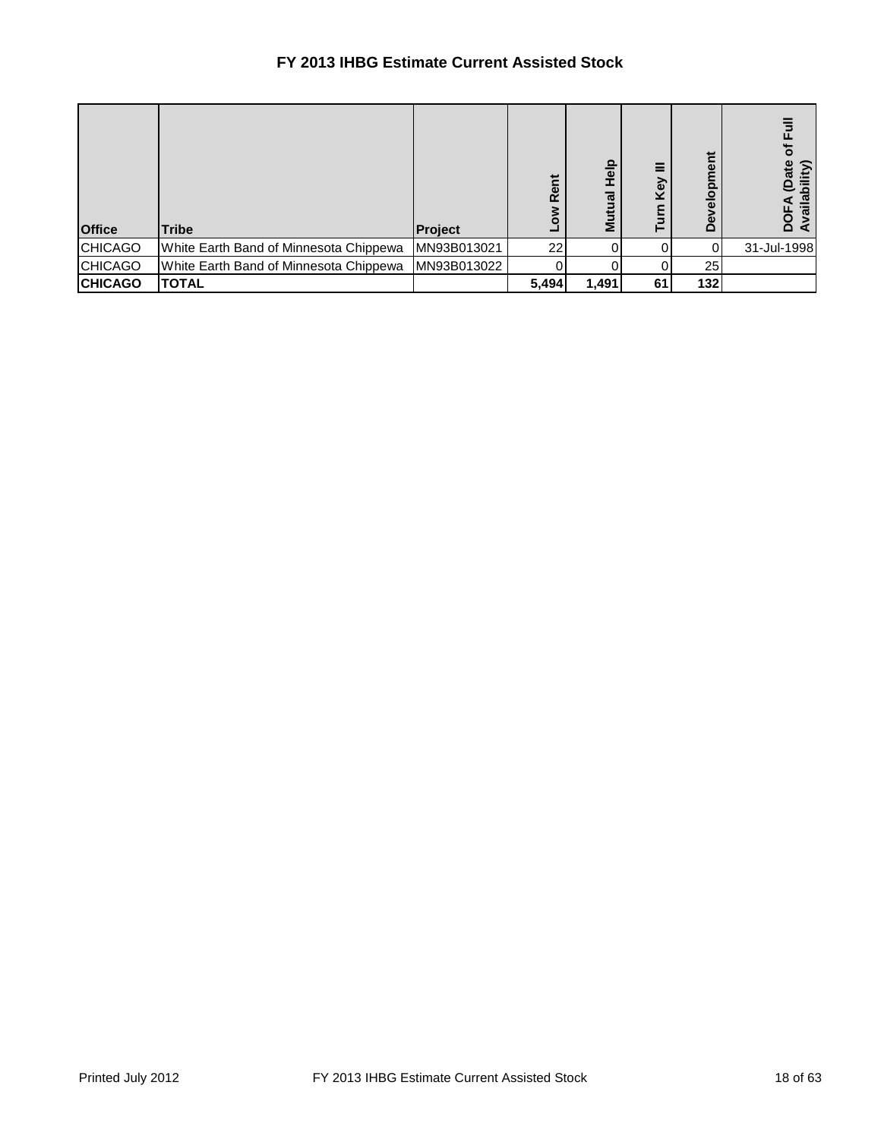## **FY 2013 IHBG Estimate Current Assisted Stock**

| <b>Office</b>  | Tribe                                  | Project     | ent<br>œ<br>š | 음<br>$\overline{\mathbf{c}}$<br>Σ | Key<br>⊢ | だ<br>pmei<br>$\frac{\overline{Q}}{\overline{Q}}$<br>Ö | ৳<br><b>DFA</b> (Date<br>railability)<br>Ă |
|----------------|----------------------------------------|-------------|---------------|-----------------------------------|----------|-------------------------------------------------------|--------------------------------------------|
| <b>CHICAGO</b> | White Earth Band of Minnesota Chippewa | MN93B013021 | 22            |                                   |          |                                                       | 31-Jul-1998                                |
| <b>CHICAGO</b> | White Earth Band of Minnesota Chippewa | MN93B013022 |               |                                   |          | 25 <sub>l</sub>                                       |                                            |
| <b>CHICAGO</b> | <b>TOTAL</b>                           |             | 5,494         | 1,491                             | 61       | 132                                                   |                                            |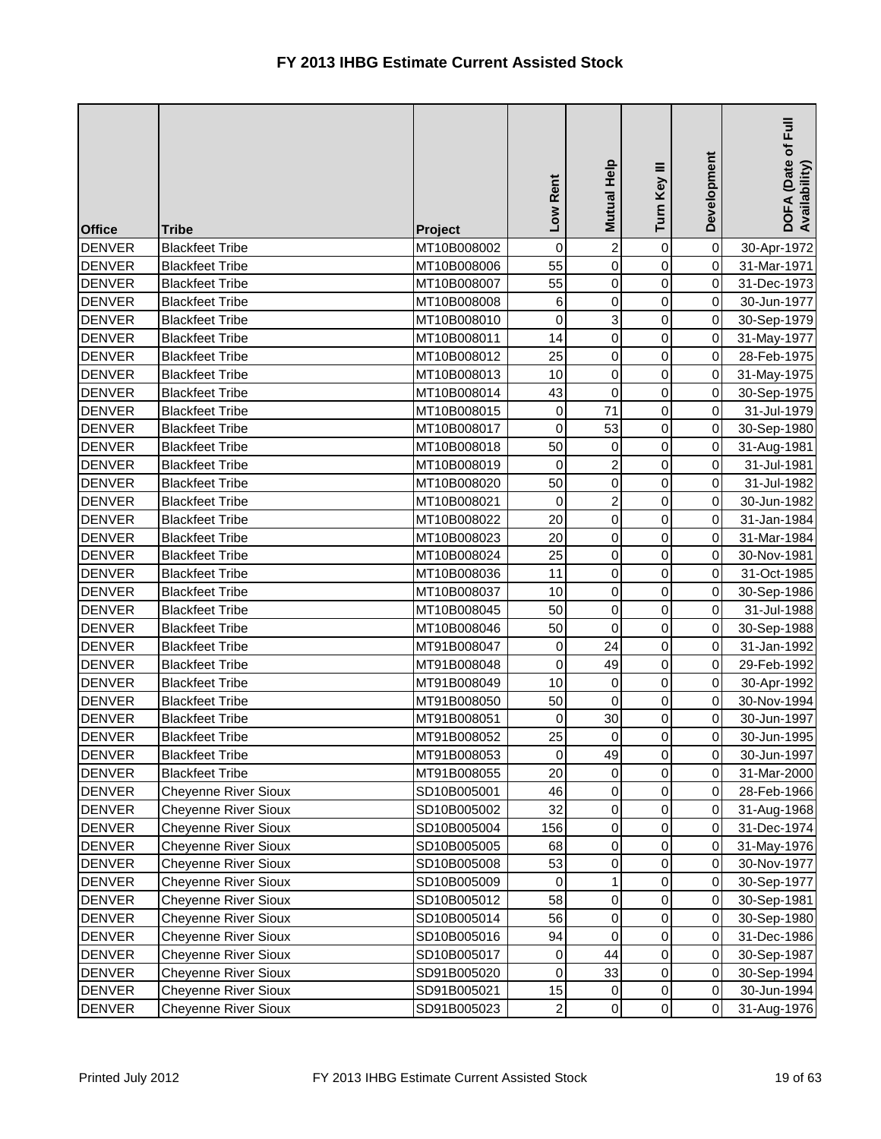| <b>Office</b> | <b>Tribe</b>                | Project     | Low Rent       | Mutual Help    | Turn Key III        | Development | $\bar{E}$<br>DOFA (Date of I<br>Availability) |
|---------------|-----------------------------|-------------|----------------|----------------|---------------------|-------------|-----------------------------------------------|
| <b>DENVER</b> | <b>Blackfeet Tribe</b>      | MT10B008002 | $\pmb{0}$      | $\mathbf{2}$   | 0                   | $\mathbf 0$ | 30-Apr-1972                                   |
| <b>DENVER</b> | <b>Blackfeet Tribe</b>      | MT10B008006 | 55             | $\overline{0}$ | $\mathbf 0$         | $\mathbf 0$ | 31-Mar-1971                                   |
| <b>DENVER</b> | <b>Blackfeet Tribe</b>      | MT10B008007 | 55             | $\overline{0}$ | 0                   | 0           | 31-Dec-1973                                   |
| <b>DENVER</b> | <b>Blackfeet Tribe</b>      | MT10B008008 | $\,6$          | $\overline{0}$ | 0                   | $\mathbf 0$ | 30-Jun-1977                                   |
| <b>DENVER</b> | <b>Blackfeet Tribe</b>      | MT10B008010 | $\overline{0}$ | 3              | 0                   | 0           | 30-Sep-1979                                   |
| <b>DENVER</b> | <b>Blackfeet Tribe</b>      | MT10B008011 | 14             | $\overline{0}$ | 0                   | $\pmb{0}$   | 31-May-1977                                   |
| <b>DENVER</b> | <b>Blackfeet Tribe</b>      | MT10B008012 | 25             | $\overline{0}$ | 0                   | $\mathbf 0$ | 28-Feb-1975                                   |
| <b>DENVER</b> | <b>Blackfeet Tribe</b>      | MT10B008013 | 10             | $\overline{0}$ | $\mathsf 0$         | 0           | 31-May-1975                                   |
| <b>DENVER</b> | <b>Blackfeet Tribe</b>      | MT10B008014 | 43             | $\overline{0}$ | 0                   | $\mbox{O}$  | 30-Sep-1975                                   |
| <b>DENVER</b> | <b>Blackfeet Tribe</b>      | MT10B008015 | $\mathbf 0$    | 71             | 0                   | 0           | 31-Jul-1979                                   |
| <b>DENVER</b> | <b>Blackfeet Tribe</b>      | MT10B008017 | 0              | 53             | 0                   | 0           | 30-Sep-1980                                   |
| <b>DENVER</b> | <b>Blackfeet Tribe</b>      | MT10B008018 | 50             | $\mathbf 0$    | 0                   | $\mathbf 0$ | 31-Aug-1981                                   |
| <b>DENVER</b> | <b>Blackfeet Tribe</b>      | MT10B008019 | 0              | $\overline{a}$ | $\mathsf 0$         | 0           | 31-Jul-1981                                   |
| <b>DENVER</b> | <b>Blackfeet Tribe</b>      | MT10B008020 | 50             | $\overline{0}$ | $\mathbf 0$         | $\mathbf 0$ | 31-Jul-1982                                   |
| <b>DENVER</b> | <b>Blackfeet Tribe</b>      | MT10B008021 | 0              | $\overline{2}$ | $\mathsf 0$         | 0           | 30-Jun-1982                                   |
| <b>DENVER</b> | <b>Blackfeet Tribe</b>      | MT10B008022 | 20             | $\overline{0}$ | 0                   | $\pmb{0}$   | 31-Jan-1984                                   |
| <b>DENVER</b> | <b>Blackfeet Tribe</b>      | MT10B008023 | 20             | $\overline{0}$ | 0                   | $\mathbf 0$ | 31-Mar-1984                                   |
| <b>DENVER</b> | <b>Blackfeet Tribe</b>      | MT10B008024 | 25             | $\overline{0}$ | $\mathsf 0$         | 0           | 30-Nov-1981                                   |
| <b>DENVER</b> | <b>Blackfeet Tribe</b>      | MT10B008036 | 11             | $\overline{0}$ | $\mathsf 0$         | $\mathbf 0$ | 31-Oct-1985                                   |
| <b>DENVER</b> | <b>Blackfeet Tribe</b>      | MT10B008037 | 10             | $\overline{0}$ | 0                   | $\,0\,$     | 30-Sep-1986                                   |
| <b>DENVER</b> | <b>Blackfeet Tribe</b>      | MT10B008045 | 50             | $\overline{0}$ | 0                   | $\pmb{0}$   | 31-Jul-1988                                   |
| <b>DENVER</b> | <b>Blackfeet Tribe</b>      | MT10B008046 | 50             | $\mathbf 0$    | 0                   | $\mbox{O}$  | 30-Sep-1988                                   |
| <b>DENVER</b> | <b>Blackfeet Tribe</b>      | MT91B008047 | 0              | 24             | 0                   | 0           | 31-Jan-1992                                   |
| <b>DENVER</b> | <b>Blackfeet Tribe</b>      | MT91B008048 | 0              | 49             | 0                   | $\mathbf 0$ | 29-Feb-1992                                   |
| <b>DENVER</b> | <b>Blackfeet Tribe</b>      | MT91B008049 | 10             | 0              | 0                   | 0           | 30-Apr-1992                                   |
| <b>DENVER</b> | <b>Blackfeet Tribe</b>      | MT91B008050 | 50             | $\overline{0}$ | 0                   | 0           | 30-Nov-1994                                   |
| <b>DENVER</b> | <b>Blackfeet Tribe</b>      | MT91B008051 | $\mathbf 0$    | 30             | 0                   | $\mathbf 0$ | 30-Jun-1997                                   |
| <b>DENVER</b> | <b>Blackfeet Tribe</b>      | MT91B008052 | 25             | $\overline{0}$ | 0                   | 0           | 30-Jun-1995                                   |
| <b>DENVER</b> | <b>Blackfeet Tribe</b>      | MT91B008053 | $\pmb{0}$      | 49             | $\overline{0}$      | $\pmb{0}$   | 30-Jun-1997                                   |
| <b>DENVER</b> | <b>Blackfeet Tribe</b>      | MT91B008055 | 20             | 0              | 0                   | 0           | 31-Mar-2000                                   |
| <b>DENVER</b> | <b>Cheyenne River Sioux</b> | SD10B005001 | 46             | $\overline{0}$ | 0                   | $\pmb{0}$   | 28-Feb-1966                                   |
| <b>DENVER</b> | Cheyenne River Sioux        | SD10B005002 | 32             | $\overline{0}$ | $\mathsf 0$         | $\mathbf 0$ | 31-Aug-1968                                   |
| <b>DENVER</b> | <b>Cheyenne River Sioux</b> | SD10B005004 | 156            | $\overline{0}$ | 0                   | 0           | 31-Dec-1974                                   |
| <b>DENVER</b> | Cheyenne River Sioux        | SD10B005005 | 68             | $\overline{0}$ | 0                   | 0           | 31-May-1976                                   |
| <b>DENVER</b> | Cheyenne River Sioux        | SD10B005008 | 53             | $\overline{0}$ | 0                   | 0           | 30-Nov-1977                                   |
| <b>DENVER</b> | <b>Cheyenne River Sioux</b> | SD10B005009 | 0              | $\mathbf{1}$   | 0                   | 0           | 30-Sep-1977                                   |
| <b>DENVER</b> | <b>Cheyenne River Sioux</b> | SD10B005012 | 58             | $\overline{0}$ | 0                   | $\,0\,$     | 30-Sep-1981                                   |
| <b>DENVER</b> | <b>Cheyenne River Sioux</b> | SD10B005014 | 56             | $\overline{0}$ | 0                   | 0           | 30-Sep-1980                                   |
| <b>DENVER</b> | Cheyenne River Sioux        | SD10B005016 | 94             | $\overline{0}$ | 0                   | 0           | 31-Dec-1986                                   |
| <b>DENVER</b> | Cheyenne River Sioux        | SD10B005017 | 0              | 44             | 0                   | 0           | 30-Sep-1987                                   |
| <b>DENVER</b> | <b>Cheyenne River Sioux</b> | SD91B005020 | 0              | 33             | 0                   | 0           | 30-Sep-1994                                   |
| <b>DENVER</b> | Cheyenne River Sioux        | SD91B005021 | 15             | 0              | 0                   | $\pmb{0}$   | 30-Jun-1994                                   |
| <b>DENVER</b> | Cheyenne River Sioux        | SD91B005023 | $\overline{c}$ | $\overline{0}$ | $\mathsf{O}\xspace$ | 0           | 31-Aug-1976                                   |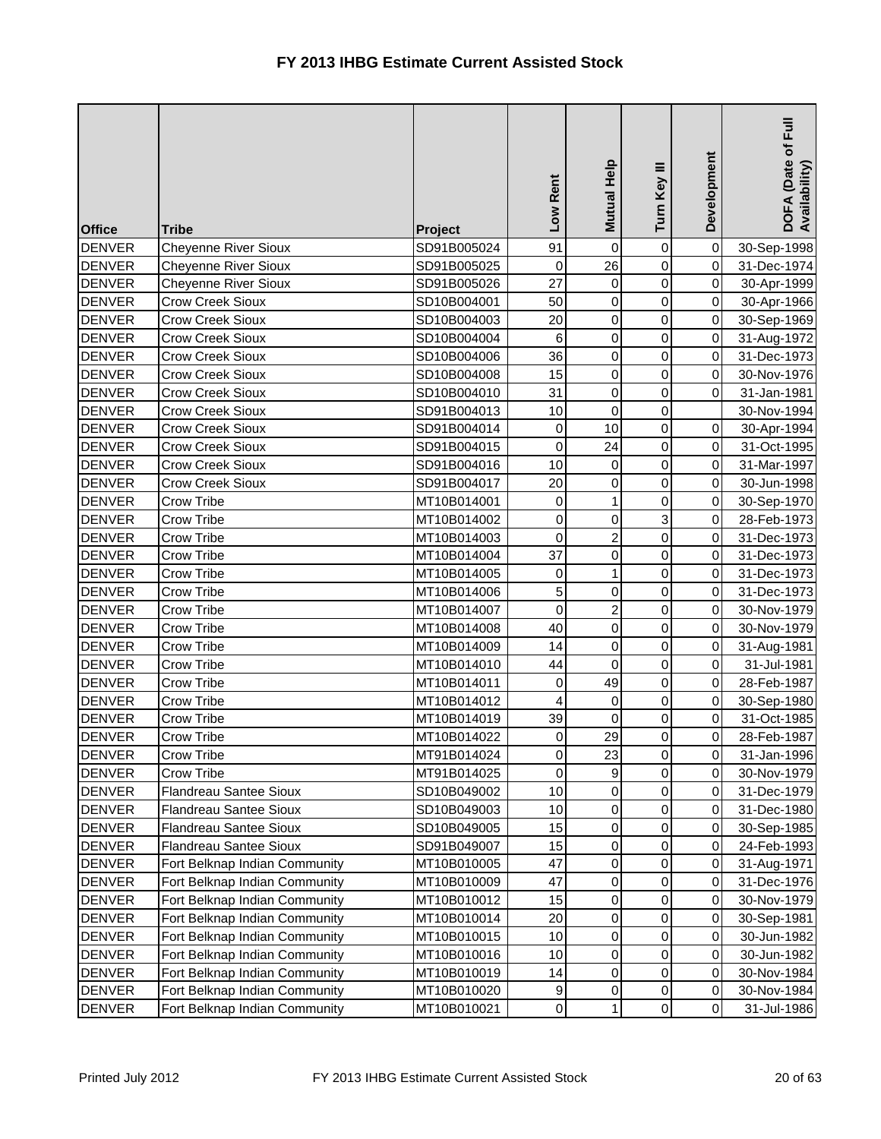| <b>Office</b> | <b>Tribe</b>                  | Project     | Low Rent         | Mutual Help             | Turn Key III        | Development | DOFA (Date of Full<br>Availability) |
|---------------|-------------------------------|-------------|------------------|-------------------------|---------------------|-------------|-------------------------------------|
| <b>DENVER</b> | <b>Cheyenne River Sioux</b>   | SD91B005024 | 91               | 0                       | 0                   | $\mbox{O}$  | 30-Sep-1998                         |
| <b>DENVER</b> | Cheyenne River Sioux          | SD91B005025 | $\pmb{0}$        | 26                      | 0                   | $\mathbf 0$ | 31-Dec-1974                         |
| <b>DENVER</b> | <b>Cheyenne River Sioux</b>   | SD91B005026 | 27               | $\overline{0}$          | $\pmb{0}$           | $\mathbf 0$ | 30-Apr-1999                         |
| <b>DENVER</b> | <b>Crow Creek Sioux</b>       | SD10B004001 | 50               | $\overline{0}$          | 0                   | $\mathbf 0$ | 30-Apr-1966                         |
| <b>DENVER</b> | <b>Crow Creek Sioux</b>       | SD10B004003 | 20               | $\overline{0}$          | 0                   | $\pmb{0}$   | 30-Sep-1969                         |
| <b>DENVER</b> | <b>Crow Creek Sioux</b>       | SD10B004004 | 6                | 0                       | 0                   | $\mathbf 0$ | 31-Aug-1972                         |
| <b>DENVER</b> | <b>Crow Creek Sioux</b>       | SD10B004006 | 36               | $\overline{0}$          | 0                   | $\mathbf 0$ | 31-Dec-1973                         |
| <b>DENVER</b> | <b>Crow Creek Sioux</b>       | SD10B004008 | 15               | $\overline{0}$          | 0                   | 0           | 30-Nov-1976                         |
| <b>DENVER</b> | <b>Crow Creek Sioux</b>       | SD10B004010 | 31               | 0                       | $\mathbf 0$         | 0           | 31-Jan-1981                         |
| <b>DENVER</b> | <b>Crow Creek Sioux</b>       | SD91B004013 | 10               | 0                       | 0                   |             | 30-Nov-1994                         |
| <b>DENVER</b> | <b>Crow Creek Sioux</b>       | SD91B004014 | $\pmb{0}$        | 10                      | 0                   | $\,0\,$     | 30-Apr-1994                         |
| <b>DENVER</b> | <b>Crow Creek Sioux</b>       | SD91B004015 | $\pmb{0}$        | 24                      | 0                   | $\mathbf 0$ | 31-Oct-1995                         |
| <b>DENVER</b> | <b>Crow Creek Sioux</b>       | SD91B004016 | 10               | $\overline{0}$          | 0                   | $\pmb{0}$   | 31-Mar-1997                         |
| <b>DENVER</b> | <b>Crow Creek Sioux</b>       | SD91B004017 | 20               | 0                       | $\mathbf 0$         | $\pmb{0}$   | 30-Jun-1998                         |
| <b>DENVER</b> | Crow Tribe                    | MT10B014001 | $\mathbf 0$      | $\mathbf{1}$            | 0                   | 0           | 30-Sep-1970                         |
| <b>DENVER</b> | Crow Tribe                    | MT10B014002 | $\pmb{0}$        | 0                       | 3                   | $\mathbf 0$ | 28-Feb-1973                         |
| <b>DENVER</b> | Crow Tribe                    | MT10B014003 | $\pmb{0}$        | $\overline{\mathbf{c}}$ | 0                   | $\mathbf 0$ | 31-Dec-1973                         |
| <b>DENVER</b> | Crow Tribe                    | MT10B014004 | 37               | $\overline{0}$          | 0                   | 0           | 31-Dec-1973                         |
| <b>DENVER</b> | <b>Crow Tribe</b>             | MT10B014005 | $\mathbf 0$      | $\mathbf{1}$            | $\mathbf 0$         | $\mathbf 0$ | 31-Dec-1973                         |
| <b>DENVER</b> | Crow Tribe                    | MT10B014006 | 5                | 0                       | 0                   | 0           | 31-Dec-1973                         |
| <b>DENVER</b> | Crow Tribe                    | MT10B014007 | $\mathbf 0$      | $\overline{c}$          | 0                   | $\mathbf 0$ | 30-Nov-1979                         |
| <b>DENVER</b> | Crow Tribe                    | MT10B014008 | 40               | $\overline{0}$          | 0                   | $\mathbf 0$ | 30-Nov-1979                         |
| <b>DENVER</b> | Crow Tribe                    | MT10B014009 | 14               | $\overline{0}$          | 0                   | $\mathbf 0$ | 31-Aug-1981                         |
| <b>DENVER</b> | Crow Tribe                    | MT10B014010 | 44               | $\overline{0}$          | 0                   | $\mathbf 0$ | 31-Jul-1981                         |
| <b>DENVER</b> | <b>Crow Tribe</b>             | MT10B014011 | $\boldsymbol{0}$ | 49                      | 0                   | 0           | 28-Feb-1987                         |
| <b>DENVER</b> | Crow Tribe                    | MT10B014012 | $\overline{4}$   | 0                       | 0                   | $\mathbf 0$ | 30-Sep-1980                         |
| <b>DENVER</b> | Crow Tribe                    | MT10B014019 | 39               | $\overline{0}$          | 0                   | $\pmb{0}$   | 31-Oct-1985                         |
| <b>DENVER</b> | <b>Crow Tribe</b>             | MT10B014022 | $\pmb{0}$        | 29                      | 0                   | $\pmb{0}$   | 28-Feb-1987                         |
| <b>DENVER</b> | Crow Tribe                    | MT91B014024 | 0                | 23                      | $\overline{0}$      | $\mathbf 0$ | 31-Jan-1996                         |
| <b>DENVER</b> | Crow Tribe                    | MT91B014025 | $\mathbf 0$      | 9                       | 0                   | 0           | 30-Nov-1979                         |
| <b>DENVER</b> | Flandreau Santee Sioux        | SD10B049002 | 10               | 0                       | 0                   | $\pmb{0}$   | 31-Dec-1979                         |
| <b>DENVER</b> | <b>Flandreau Santee Sioux</b> | SD10B049003 | 10               | $\overline{0}$          | 0                   | 0           | 31-Dec-1980                         |
| <b>DENVER</b> | Flandreau Santee Sioux        | SD10B049005 | 15               | $\overline{0}$          | 0                   | $\pmb{0}$   | 30-Sep-1985                         |
| <b>DENVER</b> | Flandreau Santee Sioux        | SD91B049007 | 15               | 0                       | 0                   | $\mathbf 0$ | 24-Feb-1993                         |
| <b>DENVER</b> | Fort Belknap Indian Community | MT10B010005 | 47               | 0                       | 0                   | 0           | 31-Aug-1971                         |
| <b>DENVER</b> | Fort Belknap Indian Community | MT10B010009 | 47               | $\overline{0}$          | 0                   | 0           | 31-Dec-1976                         |
| <b>DENVER</b> | Fort Belknap Indian Community | MT10B010012 | 15               | $\overline{0}$          | 0                   | 0           | 30-Nov-1979                         |
| <b>DENVER</b> | Fort Belknap Indian Community | MT10B010014 | 20               | $\overline{0}$          | 0                   | 0           | 30-Sep-1981                         |
| <b>DENVER</b> | Fort Belknap Indian Community | MT10B010015 | 10               | $\overline{0}$          | 0                   | $\mathbf 0$ | 30-Jun-1982                         |
| <b>DENVER</b> | Fort Belknap Indian Community | MT10B010016 | 10               | 0                       | 0                   | $\mathbf 0$ | 30-Jun-1982                         |
| <b>DENVER</b> | Fort Belknap Indian Community | MT10B010019 | 14               | 0                       | 0                   | $\,0\,$     | 30-Nov-1984                         |
| <b>DENVER</b> | Fort Belknap Indian Community | MT10B010020 | 9                | $\overline{0}$          | 0                   | 0           | 30-Nov-1984                         |
| <b>DENVER</b> | Fort Belknap Indian Community | MT10B010021 | $\mathbf 0$      | 1                       | $\mathsf{O}\xspace$ | $\pmb{0}$   | 31-Jul-1986                         |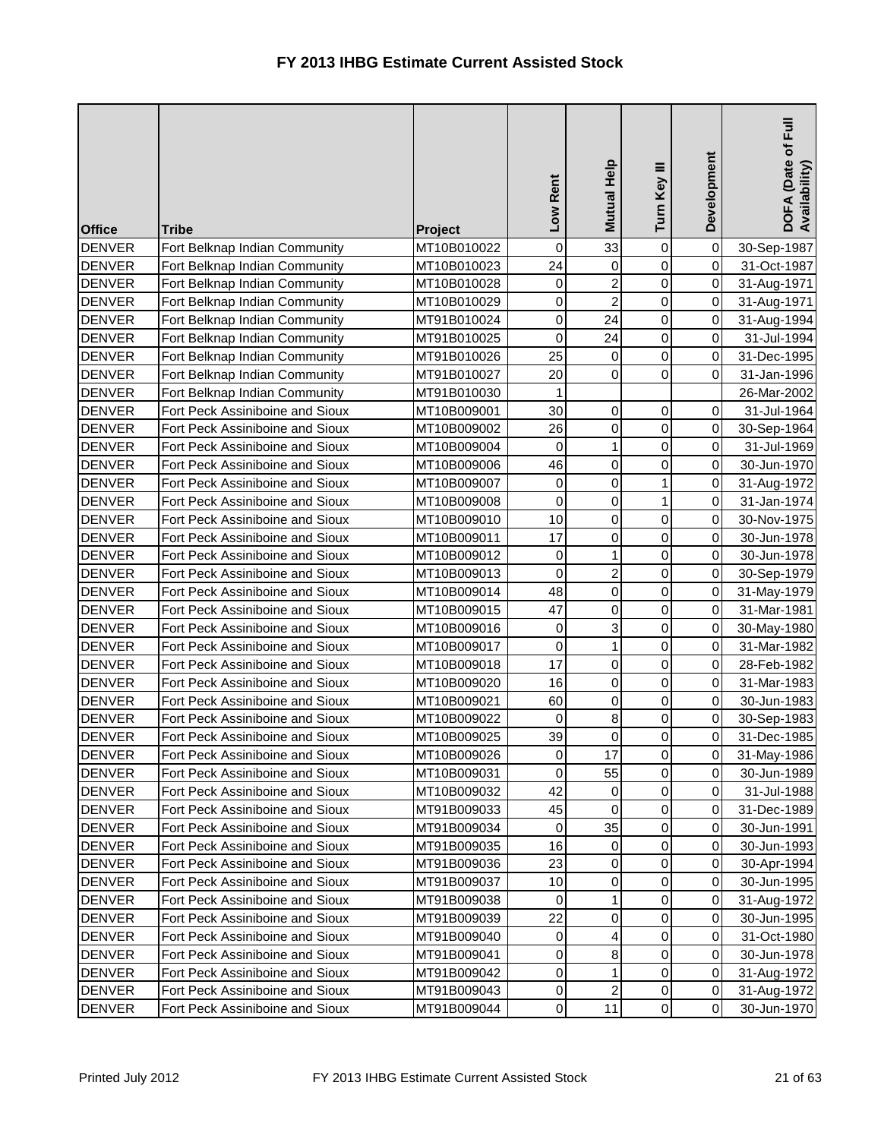| <b>Office</b> | <b>Tribe</b>                    | Project     | Low Rent         | Mutual Help             | Turn Key III   | Development | $E_{\rm{H}}$<br>DOFA (Date of I<br>Availability) |
|---------------|---------------------------------|-------------|------------------|-------------------------|----------------|-------------|--------------------------------------------------|
| <b>DENVER</b> | Fort Belknap Indian Community   | MT10B010022 | $\pmb{0}$        | 33                      | 0              | $\pmb{0}$   | 30-Sep-1987                                      |
| <b>DENVER</b> | Fort Belknap Indian Community   | MT10B010023 | 24               | $\mathbf 0$             | 0              | $\mathbf 0$ | 31-Oct-1987                                      |
| <b>DENVER</b> | Fort Belknap Indian Community   | MT10B010028 | 0                | $\overline{\mathbf{c}}$ | 0              | 0           | 31-Aug-1971                                      |
| <b>DENVER</b> | Fort Belknap Indian Community   | MT10B010029 | 0                | $\overline{a}$          | $\mathbf 0$    | $\mathbf 0$ | 31-Aug-1971                                      |
| <b>DENVER</b> | Fort Belknap Indian Community   | MT91B010024 | $\boldsymbol{0}$ | 24                      | 0              | 0           | 31-Aug-1994                                      |
| <b>DENVER</b> | Fort Belknap Indian Community   | MT91B010025 | $\mathbf 0$      | 24                      | 0              | $\mathbf 0$ | 31-Jul-1994                                      |
| <b>DENVER</b> | Fort Belknap Indian Community   | MT91B010026 | 25               | $\mathsf{O}\xspace$     | $\mathsf 0$    | $\mathbf 0$ | 31-Dec-1995                                      |
| <b>DENVER</b> | Fort Belknap Indian Community   | MT91B010027 | 20               | $\mathbf 0$             | 0              | $\mathbf 0$ | 31-Jan-1996                                      |
| <b>DENVER</b> | Fort Belknap Indian Community   | MT91B010030 | 1                |                         |                |             | 26-Mar-2002                                      |
| <b>DENVER</b> | Fort Peck Assiniboine and Sioux | MT10B009001 | 30               | $\overline{0}$          | 0              | 0           | 31-Jul-1964                                      |
| <b>DENVER</b> | Fort Peck Assiniboine and Sioux | MT10B009002 | 26               | $\overline{0}$          | 0              | 0           | 30-Sep-1964                                      |
| <b>DENVER</b> | Fort Peck Assiniboine and Sioux | MT10B009004 | $\boldsymbol{0}$ | $\mathbf{1}$            | $\mathsf 0$    | $\mathbf 0$ | 31-Jul-1969                                      |
| <b>DENVER</b> | Fort Peck Assiniboine and Sioux | MT10B009006 | 46               | $\overline{0}$          | 0              | 0           | 30-Jun-1970                                      |
| <b>DENVER</b> | Fort Peck Assiniboine and Sioux | MT10B009007 | $\boldsymbol{0}$ | $\overline{0}$          | 1              | $\mathbf 0$ | 31-Aug-1972                                      |
| <b>DENVER</b> | Fort Peck Assiniboine and Sioux | MT10B009008 | 0                | $\overline{0}$          | 1              | 0           | 31-Jan-1974                                      |
| <b>DENVER</b> | Fort Peck Assiniboine and Sioux | MT10B009010 | 10               | $\overline{0}$          | 0              | 0           | 30-Nov-1975                                      |
| <b>DENVER</b> | Fort Peck Assiniboine and Sioux | MT10B009011 | 17               | $\overline{0}$          | $\mathsf 0$    | $\mathbf 0$ | 30-Jun-1978                                      |
| <b>DENVER</b> | Fort Peck Assiniboine and Sioux | MT10B009012 | $\mathbf 0$      | $\mathbf{1}$            | 0              | 0           | 30-Jun-1978                                      |
| <b>DENVER</b> | Fort Peck Assiniboine and Sioux | MT10B009013 | $\mathbf 0$      | $\overline{2}$          | $\mathsf 0$    | $\mathbf 0$ | 30-Sep-1979                                      |
| <b>DENVER</b> | Fort Peck Assiniboine and Sioux | MT10B009014 | 48               | $\overline{0}$          | 0              | $\,0\,$     | 31-May-1979                                      |
| <b>DENVER</b> | Fort Peck Assiniboine and Sioux | MT10B009015 | 47               | $\overline{0}$          | 0              | 0           | 31-Mar-1981                                      |
| <b>DENVER</b> | Fort Peck Assiniboine and Sioux | MT10B009016 | $\boldsymbol{0}$ | 3                       | $\mathsf 0$    | $\mathbf 0$ | 30-May-1980                                      |
| <b>DENVER</b> | Fort Peck Assiniboine and Sioux | MT10B009017 | 0                | $\mathbf{1}$            | 0              | 0           | 31-Mar-1982                                      |
| <b>DENVER</b> | Fort Peck Assiniboine and Sioux | MT10B009018 | 17               | $\mathbf 0$             | $\mathsf 0$    | $\mathbf 0$ | 28-Feb-1982                                      |
| <b>DENVER</b> | Fort Peck Assiniboine and Sioux | MT10B009020 | 16               | $\overline{0}$          | 0              | 0           | 31-Mar-1983                                      |
| <b>DENVER</b> | Fort Peck Assiniboine and Sioux | MT10B009021 | 60               | $\overline{0}$          | 0              | 0           | 30-Jun-1983                                      |
| <b>DENVER</b> | Fort Peck Assiniboine and Sioux | MT10B009022 | $\mathbf 0$      | $\bf8$                  | $\mathsf 0$    | $\mathbf 0$ | 30-Sep-1983                                      |
| <b>DENVER</b> | Fort Peck Assiniboine and Sioux | MT10B009025 | 39               | $\overline{0}$          | 0              | 0           | 31-Dec-1985                                      |
| DENVER        | Fort Peck Assiniboine and Sioux | MT10B009026 | 0                | 17                      | $\overline{0}$ | 0           | 31-May-1986                                      |
| <b>DENVER</b> | Fort Peck Assiniboine and Sioux | MT10B009031 | $\Omega$         | 55                      | 0              | 0           | 30-Jun-1989                                      |
| <b>DENVER</b> | Fort Peck Assiniboine and Sioux | MT10B009032 | 42               | $\overline{0}$          | 0              | $\pmb{0}$   | 31-Jul-1988                                      |
| <b>DENVER</b> | Fort Peck Assiniboine and Sioux | MT91B009033 | 45               | $\mathbf 0$             | 0              | $\mathbf 0$ | 31-Dec-1989                                      |
| <b>DENVER</b> | Fort Peck Assiniboine and Sioux | MT91B009034 | 0                | 35                      | 0              | 0           | 30-Jun-1991                                      |
| <b>DENVER</b> | Fort Peck Assiniboine and Sioux | MT91B009035 | 16               | 0                       | 0              | $\mathbf 0$ | 30-Jun-1993                                      |
| <b>DENVER</b> | Fort Peck Assiniboine and Sioux | MT91B009036 | 23               | 0                       | 0              | 0           | 30-Apr-1994                                      |
| <b>DENVER</b> | Fort Peck Assiniboine and Sioux | MT91B009037 | 10               | $\overline{0}$          | 0              | $\mathbf 0$ | 30-Jun-1995                                      |
| <b>DENVER</b> | Fort Peck Assiniboine and Sioux | MT91B009038 | 0                | 1                       | 0              | 0           | 31-Aug-1972                                      |
| <b>DENVER</b> | Fort Peck Assiniboine and Sioux | MT91B009039 | 22               | 0                       | 0              | 0           | 30-Jun-1995                                      |
| <b>DENVER</b> | Fort Peck Assiniboine and Sioux | MT91B009040 | 0                | $\overline{4}$          | 0              | $\mathbf 0$ | 31-Oct-1980                                      |
| <b>DENVER</b> | Fort Peck Assiniboine and Sioux | MT91B009041 | 0                | 8                       | 0              | 0           | 30-Jun-1978                                      |
| <b>DENVER</b> | Fort Peck Assiniboine and Sioux | MT91B009042 | 0                | $\mathbf{1}$            | 0              | $\mathbf 0$ | 31-Aug-1972                                      |
| <b>DENVER</b> | Fort Peck Assiniboine and Sioux | MT91B009043 | 0                | $\overline{a}$          | 0              | $\mathbf 0$ | 31-Aug-1972                                      |
| <b>DENVER</b> | Fort Peck Assiniboine and Sioux | MT91B009044 | $\boldsymbol{0}$ | 11                      | 0              | 0           | 30-Jun-1970                                      |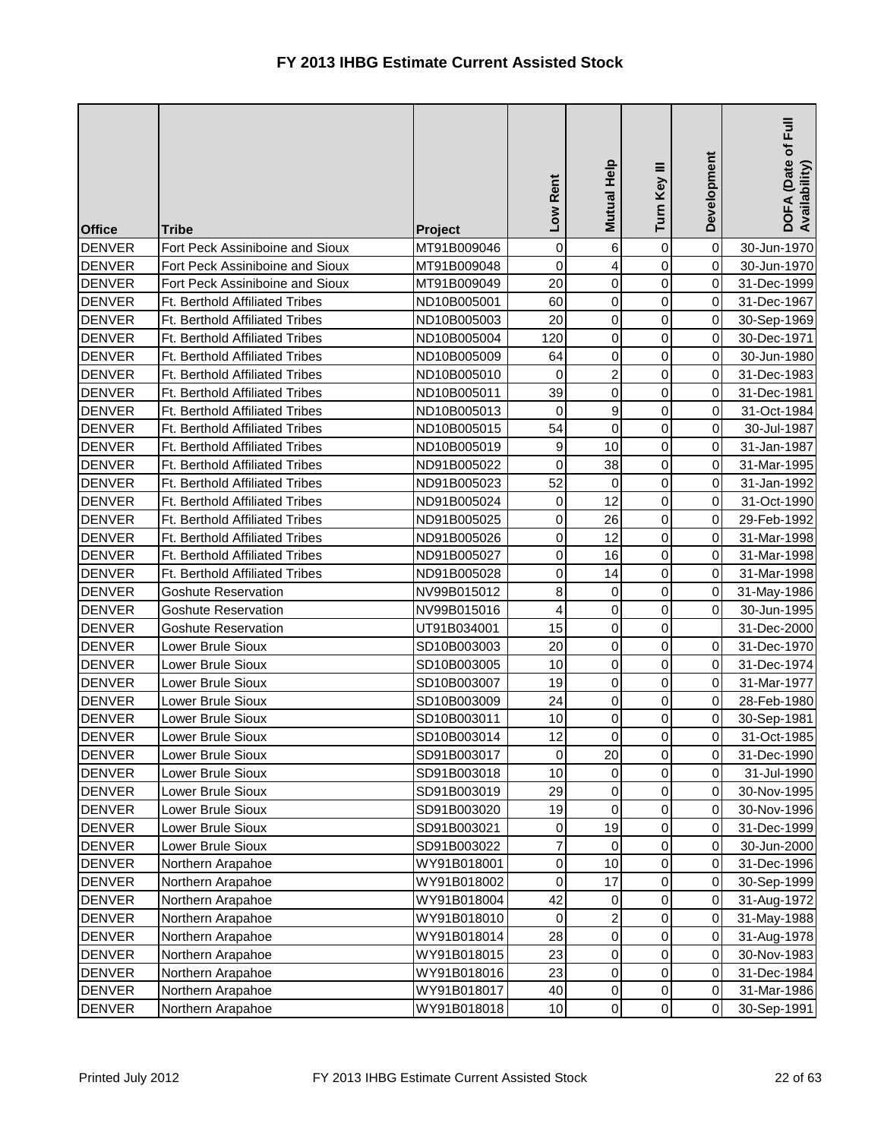| <b>Office</b> | <b>Tribe</b>                    | Project     | Low Rent       | Mutual Help         | Turn Key III   | Development | DOFA (Date of Full<br>Availability) |
|---------------|---------------------------------|-------------|----------------|---------------------|----------------|-------------|-------------------------------------|
| <b>DENVER</b> | Fort Peck Assiniboine and Sioux | MT91B009046 | $\pmb{0}$      | 6                   | 0              | $\mathbf 0$ | 30-Jun-1970                         |
| <b>DENVER</b> | Fort Peck Assiniboine and Sioux | MT91B009048 | 0              | $\vert$             | 0              | $\mathbf 0$ | 30-Jun-1970                         |
| <b>DENVER</b> | Fort Peck Assiniboine and Sioux | MT91B009049 | 20             | $\overline{0}$      | 0              | 0           | 31-Dec-1999                         |
| <b>DENVER</b> | Ft. Berthold Affiliated Tribes  | ND10B005001 | 60             | 0                   | 0              | 0           | 31-Dec-1967                         |
| <b>DENVER</b> | Ft. Berthold Affiliated Tribes  | ND10B005003 | 20             | 0                   | 0              | 0           | 30-Sep-1969                         |
| <b>DENVER</b> | Ft. Berthold Affiliated Tribes  | ND10B005004 | 120            | $\overline{0}$      | 0              | 0           | 30-Dec-1971                         |
| <b>DENVER</b> | Ft. Berthold Affiliated Tribes  | ND10B005009 | 64             | $\overline{0}$      | 0              | $\pmb{0}$   | 30-Jun-1980                         |
| <b>DENVER</b> | Ft. Berthold Affiliated Tribes  | ND10B005010 | 0              | $\mathbf{2}$        | 0              | 0           | 31-Dec-1983                         |
| <b>DENVER</b> | Ft. Berthold Affiliated Tribes  | ND10B005011 | 39             | $\overline{0}$      | 0              | 0           | 31-Dec-1981                         |
| <b>DENVER</b> | Ft. Berthold Affiliated Tribes  | ND10B005013 | 0              | 9                   | 0              | 0           | 31-Oct-1984                         |
| <b>DENVER</b> | Ft. Berthold Affiliated Tribes  | ND10B005015 | 54             | $\mathbf 0$         | 0              | 0           | 30-Jul-1987                         |
| <b>DENVER</b> | Ft. Berthold Affiliated Tribes  | ND10B005019 | 9              | 10                  | $\mathsf 0$    | $\mbox{O}$  | 31-Jan-1987                         |
| <b>DENVER</b> | Ft. Berthold Affiliated Tribes  | ND91B005022 | $\mathbf 0$    | 38                  | 0              | $\pmb{0}$   | 31-Mar-1995                         |
| <b>DENVER</b> | Ft. Berthold Affiliated Tribes  | ND91B005023 | 52             | 0                   | 0              | 0           | 31-Jan-1992                         |
| <b>DENVER</b> | Ft. Berthold Affiliated Tribes  | ND91B005024 | $\mathbf 0$    | 12                  | 0              | 0           | 31-Oct-1990                         |
| <b>DENVER</b> | Ft. Berthold Affiliated Tribes  | ND91B005025 | 0              | 26                  | 0              | 0           | 29-Feb-1992                         |
| <b>DENVER</b> | Ft. Berthold Affiliated Tribes  | ND91B005026 | $\pmb{0}$      | 12                  | 0              | 0           | 31-Mar-1998                         |
| <b>DENVER</b> | Ft. Berthold Affiliated Tribes  | ND91B005027 | 0              | 16                  | 0              | 0           | 31-Mar-1998                         |
| <b>DENVER</b> | Ft. Berthold Affiliated Tribes  | ND91B005028 | $\mathbf 0$    | 14                  | 0              | 0           | 31-Mar-1998                         |
| <b>DENVER</b> | <b>Goshute Reservation</b>      | NV99B015012 | 8              | 0                   | $\mathsf 0$    | 0           | 31-May-1986                         |
| <b>DENVER</b> | <b>Goshute Reservation</b>      | NV99B015016 | 4              | $\mathsf{O}\xspace$ | 0              | 0           | 30-Jun-1995                         |
| <b>DENVER</b> | <b>Goshute Reservation</b>      | UT91B034001 | 15             | $\overline{0}$      | 0              |             | 31-Dec-2000                         |
| <b>DENVER</b> | Lower Brule Sioux               | SD10B003003 | 20             | $\overline{0}$      | 0              | 0           | 31-Dec-1970                         |
| <b>DENVER</b> | Lower Brule Sioux               | SD10B003005 | 10             | $\overline{0}$      | 0              | 0           | 31-Dec-1974                         |
| <b>DENVER</b> | Lower Brule Sioux               | SD10B003007 | 19             | 0                   | 0              | $\mathbf 0$ | 31-Mar-1977                         |
| <b>DENVER</b> | Lower Brule Sioux               | SD10B003009 | 24             | $\overline{0}$      | 0              | 0           | 28-Feb-1980                         |
| <b>DENVER</b> | Lower Brule Sioux               | SD10B003011 | 10             | $\overline{0}$      | 0              | 0           | 30-Sep-1981                         |
| <b>DENVER</b> | Lower Brule Sioux               | SD10B003014 | 12             | $\overline{0}$      | 0              | 0           | 31-Oct-1985                         |
| <b>DENVER</b> | Lower Brule Sioux               | SD91B003017 | 0              | 20                  | $\overline{0}$ | $\mathbf 0$ | 31-Dec-1990                         |
| <b>DENVER</b> | Lower Brule Sioux               | SD91B003018 | 10             | 0                   | 0              | 0           | 31-Jul-1990                         |
| <b>DENVER</b> | Lower Brule Sioux               | SD91B003019 | 29             | $\overline{0}$      | 0              | $\mbox{O}$  | 30-Nov-1995                         |
| <b>DENVER</b> | Lower Brule Sioux               | SD91B003020 | 19             | $\overline{0}$      | 0              | $\mbox{O}$  | 30-Nov-1996                         |
| <b>DENVER</b> | Lower Brule Sioux               | SD91B003021 | 0              | 19                  | 0              | 0           | 31-Dec-1999                         |
| <b>DENVER</b> | Lower Brule Sioux               | SD91B003022 | $\overline{7}$ | $\overline{0}$      | 0              | 0           | 30-Jun-2000                         |
| <b>DENVER</b> | Northern Arapahoe               | WY91B018001 | 0              | 10                  | 0              | 0           | 31-Dec-1996                         |
| <b>DENVER</b> | Northern Arapahoe               | WY91B018002 | 0              | 17                  | $\pmb{0}$      | 0           | 30-Sep-1999                         |
| <b>DENVER</b> | Northern Arapahoe               | WY91B018004 | 42             | $\overline{0}$      | 0              | $\mbox{O}$  | 31-Aug-1972                         |
| <b>DENVER</b> | Northern Arapahoe               | WY91B018010 | 0              | $\mathbf{2}$        | 0              | 0           | 31-May-1988                         |
| <b>DENVER</b> | Northern Arapahoe               | WY91B018014 | 28             | $\overline{0}$      | 0              | 0           | 31-Aug-1978                         |
| <b>DENVER</b> | Northern Arapahoe               | WY91B018015 | 23             | $\overline{0}$      | 0              | 0           | 30-Nov-1983                         |
| <b>DENVER</b> | Northern Arapahoe               | WY91B018016 | 23             | $\overline{0}$      | 0              | $\,0\,$     | 31-Dec-1984                         |
| <b>DENVER</b> | Northern Arapahoe               | WY91B018017 | 40             | $\overline{0}$      | 0              | 0           | 31-Mar-1986                         |
| <b>DENVER</b> | Northern Arapahoe               | WY91B018018 | 10             | $\overline{0}$      | 0              | $\mathbf 0$ | 30-Sep-1991                         |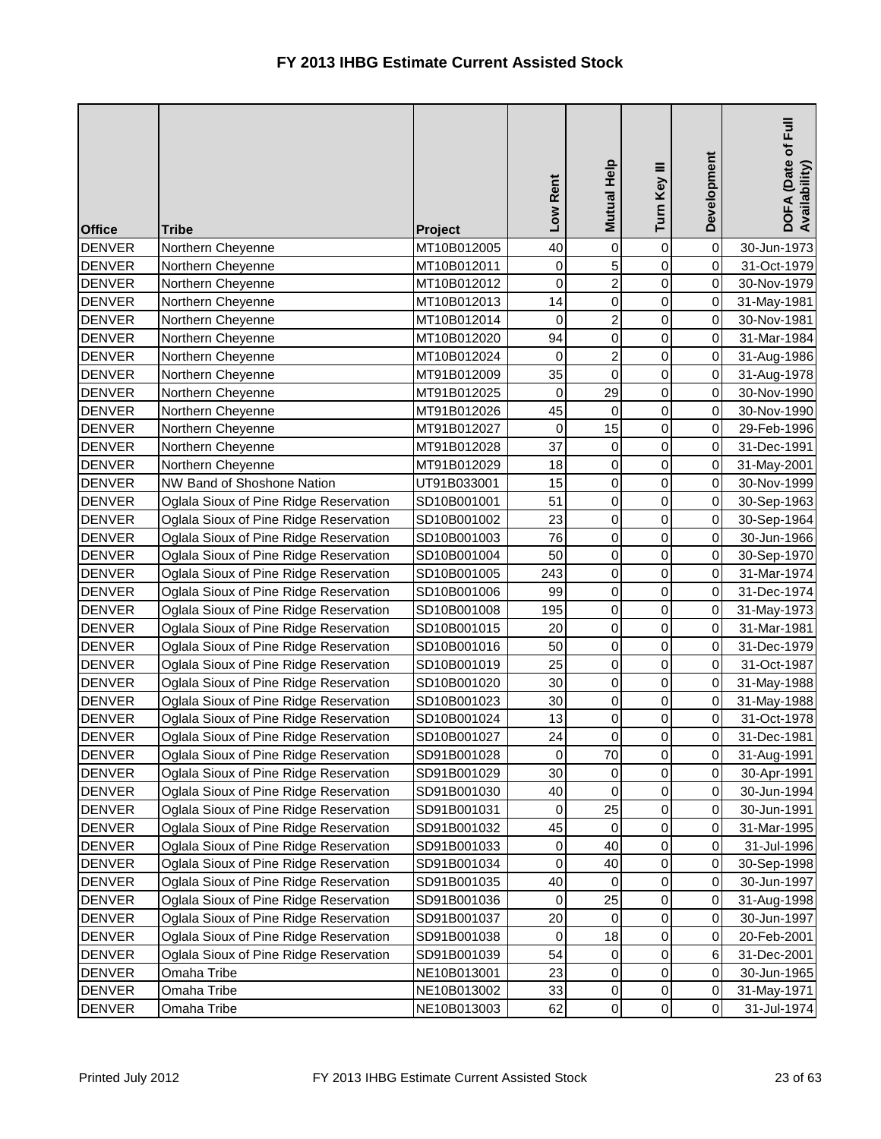| <b>Office</b> | <b>Tribe</b>                           | Project     | Low Rent    | Mutual Help    | Turn Key III        | Development | Full<br>DOFA (Date of I<br>Availability) |
|---------------|----------------------------------------|-------------|-------------|----------------|---------------------|-------------|------------------------------------------|
| <b>DENVER</b> | Northern Cheyenne                      | MT10B012005 | 40          | $\overline{0}$ | 0                   | $\mathbf 0$ | 30-Jun-1973                              |
| <b>DENVER</b> | Northern Cheyenne                      | MT10B012011 | 0           | 5              | $\mathbf 0$         | $\mathbf 0$ | 31-Oct-1979                              |
| <b>DENVER</b> | Northern Cheyenne                      | MT10B012012 | $\mathbf 0$ | $\overline{a}$ | 0                   | 0           | 30-Nov-1979                              |
| <b>DENVER</b> | Northern Cheyenne                      | MT10B012013 | 14          | $\overline{0}$ | $\mathbf 0$         | 0           | 31-May-1981                              |
| <b>DENVER</b> | Northern Cheyenne                      | MT10B012014 | $\mathbf 0$ | $\overline{2}$ | $\mathsf 0$         | 0           | 30-Nov-1981                              |
| <b>DENVER</b> | Northern Cheyenne                      | MT10B012020 | 94          | $\overline{0}$ | 0                   | $\mathbf 0$ | 31-Mar-1984                              |
| <b>DENVER</b> | Northern Cheyenne                      | MT10B012024 | $\mathbf 0$ | $\overline{2}$ | 0                   | $\mathbf 0$ | 31-Aug-1986                              |
| <b>DENVER</b> | Northern Cheyenne                      | MT91B012009 | 35          | $\overline{0}$ | $\mathsf 0$         | 0           | 31-Aug-1978                              |
| <b>DENVER</b> | Northern Cheyenne                      | MT91B012025 | 0           | 29             | 0                   | 0           | 30-Nov-1990                              |
| <b>DENVER</b> | Northern Cheyenne                      | MT91B012026 | 45          | $\overline{0}$ | 0                   | 0           | 30-Nov-1990                              |
| <b>DENVER</b> | Northern Cheyenne                      | MT91B012027 | 0           | 15             | 0                   | 0           | 29-Feb-1996                              |
| <b>DENVER</b> | Northern Cheyenne                      | MT91B012028 | 37          | $\overline{0}$ | 0                   | $\mathbf 0$ | 31-Dec-1991                              |
| <b>DENVER</b> | Northern Cheyenne                      | MT91B012029 | 18          | $\overline{0}$ | $\mathsf 0$         | 0           | 31-May-2001                              |
| <b>DENVER</b> | NW Band of Shoshone Nation             | UT91B033001 | 15          | $\overline{0}$ | 0                   | 0           | 30-Nov-1999                              |
| <b>DENVER</b> | Oglala Sioux of Pine Ridge Reservation | SD10B001001 | 51          | $\overline{0}$ | 0                   | 0           | 30-Sep-1963                              |
| <b>DENVER</b> | Oglala Sioux of Pine Ridge Reservation | SD10B001002 | 23          | $\overline{0}$ | 0                   | 0           | 30-Sep-1964                              |
| <b>DENVER</b> | Oglala Sioux of Pine Ridge Reservation | SD10B001003 | 76          | $\overline{0}$ | 0                   | $\mathbf 0$ | 30-Jun-1966                              |
| <b>DENVER</b> | Oglala Sioux of Pine Ridge Reservation | SD10B001004 | 50          | $\overline{0}$ | 0                   | 0           | 30-Sep-1970                              |
| <b>DENVER</b> | Oglala Sioux of Pine Ridge Reservation | SD10B001005 | 243         | $\overline{0}$ | 0                   | $\mathbf 0$ | 31-Mar-1974                              |
| <b>DENVER</b> | Oglala Sioux of Pine Ridge Reservation | SD10B001006 | 99          | $\overline{0}$ | 0                   | 0           | 31-Dec-1974                              |
| <b>DENVER</b> | Oglala Sioux of Pine Ridge Reservation | SD10B001008 | 195         | $\overline{0}$ | 0                   | 0           | 31-May-1973                              |
| <b>DENVER</b> | Oglala Sioux of Pine Ridge Reservation | SD10B001015 | 20          | $\overline{0}$ | 0                   | $\mathbf 0$ | 31-Mar-1981                              |
| <b>DENVER</b> | Oglala Sioux of Pine Ridge Reservation | SD10B001016 | 50          | $\overline{0}$ | 0                   | 0           | 31-Dec-1979                              |
| <b>DENVER</b> | Oglala Sioux of Pine Ridge Reservation | SD10B001019 | 25          | $\overline{0}$ | 0                   | $\mathsf 0$ | 31-Oct-1987                              |
| <b>DENVER</b> | Oglala Sioux of Pine Ridge Reservation | SD10B001020 | 30          | $\overline{0}$ | 0                   | 0           | 31-May-1988                              |
| <b>DENVER</b> | Oglala Sioux of Pine Ridge Reservation | SD10B001023 | 30          | $\overline{0}$ | 0                   | 0           | 31-May-1988                              |
| <b>DENVER</b> | Oglala Sioux of Pine Ridge Reservation | SD10B001024 | 13          | $\overline{0}$ | 0                   | $\mathbf 0$ | 31-Oct-1978                              |
| <b>DENVER</b> | Oglala Sioux of Pine Ridge Reservation | SD10B001027 | 24          | $\overline{0}$ | 0                   | 0           | 31-Dec-1981                              |
| <b>DENVER</b> | Oglala Sioux of Pine Ridge Reservation | SD91B001028 | 0           | 70             | $\overline{0}$      | 0           | 31-Aug-1991                              |
| <b>DENVER</b> | Oglala Sioux of Pine Ridge Reservation | SD91B001029 | 30          | 0              | 0                   | 0           | 30-Apr-1991                              |
| <b>DENVER</b> | Oglala Sioux of Pine Ridge Reservation | SD91B001030 | 40          | 0              | 0                   | $\pmb{0}$   | 30-Jun-1994                              |
| <b>DENVER</b> | Oglala Sioux of Pine Ridge Reservation | SD91B001031 | 0           | 25             | 0                   | $\mathbf 0$ | 30-Jun-1991                              |
| <b>DENVER</b> | Oglala Sioux of Pine Ridge Reservation | SD91B001032 | 45          | 0              | 0                   | 0           | 31-Mar-1995                              |
| <b>DENVER</b> | Oglala Sioux of Pine Ridge Reservation | SD91B001033 | $\mathbf 0$ | 40             | 0                   | 0           | 31-Jul-1996                              |
| <b>DENVER</b> | Oglala Sioux of Pine Ridge Reservation | SD91B001034 | 0           | 40             | 0                   | 0           | 30-Sep-1998                              |
| <b>DENVER</b> | Oglala Sioux of Pine Ridge Reservation | SD91B001035 | 40          | 0              | $\mathsf{O}\xspace$ | 0           | 30-Jun-1997                              |
| <b>DENVER</b> | Oglala Sioux of Pine Ridge Reservation | SD91B001036 | $\mathbf 0$ | 25             | 0                   | 0           | 31-Aug-1998                              |
| <b>DENVER</b> | Oglala Sioux of Pine Ridge Reservation | SD91B001037 | 20          | 0              | 0                   | 0           | 30-Jun-1997                              |
| <b>DENVER</b> | Oglala Sioux of Pine Ridge Reservation | SD91B001038 | 0           | 18             | 0                   | 0           | 20-Feb-2001                              |
| <b>DENVER</b> | Oglala Sioux of Pine Ridge Reservation | SD91B001039 | 54          | $\overline{0}$ | 0                   | 6           | 31-Dec-2001                              |
| <b>DENVER</b> | Omaha Tribe                            | NE10B013001 | 23          | $\overline{0}$ | 0                   | 0           | 30-Jun-1965                              |
| <b>DENVER</b> | Omaha Tribe                            | NE10B013002 | 33          | $\overline{0}$ | 0                   | $\,0\,$     | 31-May-1971                              |
| <b>DENVER</b> | Omaha Tribe                            | NE10B013003 | 62          | $\overline{0}$ | 0                   | $\,0\,$     | 31-Jul-1974                              |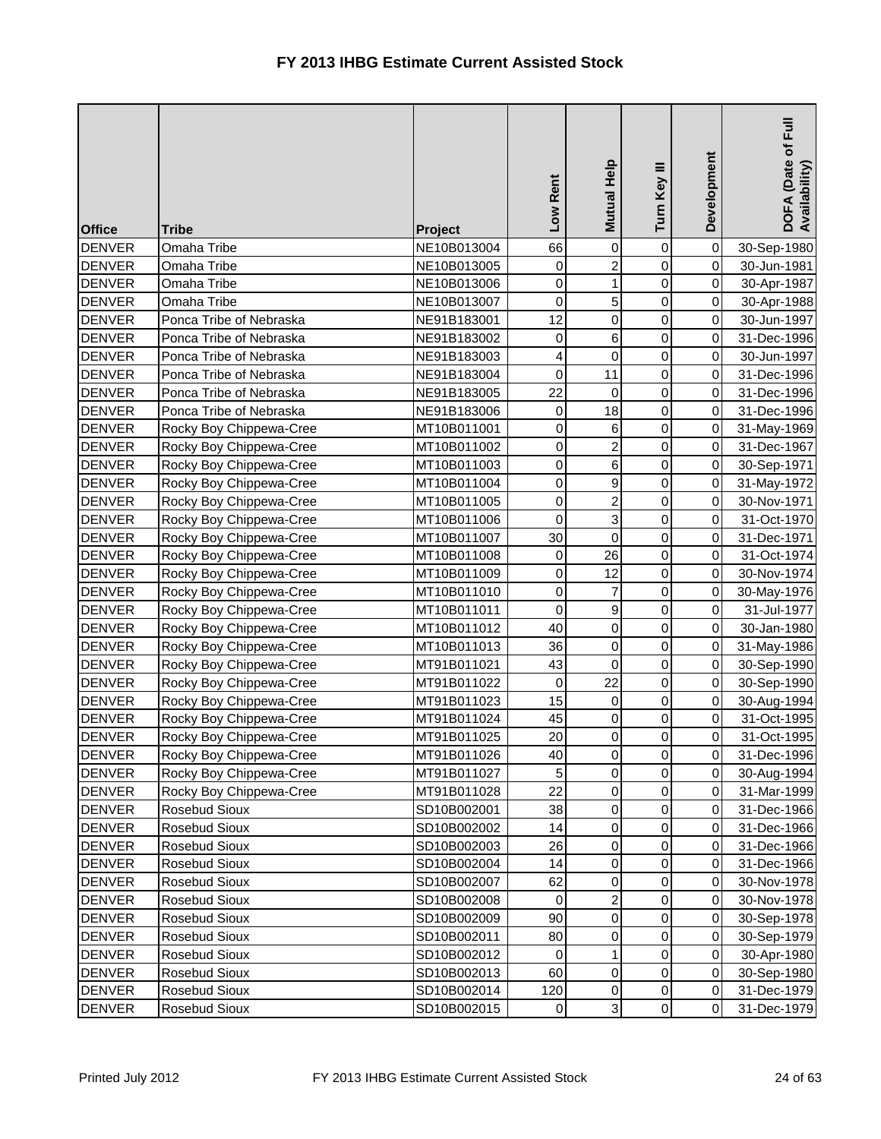| <b>Office</b> | <b>Tribe</b>            | Project     | Low Rent         | Mutual Help         | Turn Key III   | Development | $E_{\rm{H}}$<br>DOFA (Date of F<br>Availability) |
|---------------|-------------------------|-------------|------------------|---------------------|----------------|-------------|--------------------------------------------------|
| <b>DENVER</b> | Omaha Tribe             | NE10B013004 | 66               | $\mathsf{O}\xspace$ | 0              | $\mathbf 0$ | 30-Sep-1980                                      |
| <b>DENVER</b> | Omaha Tribe             | NE10B013005 | $\,0\,$          | $\overline{a}$      | 0              | $\mathbf 0$ | 30-Jun-1981                                      |
| <b>DENVER</b> | Omaha Tribe             | NE10B013006 | $\mathbf 0$      | 1                   | $\mathsf 0$    | $\mathsf 0$ | 30-Apr-1987                                      |
| <b>DENVER</b> | Omaha Tribe             | NE10B013007 | $\mathbf 0$      | 5                   | $\mathsf 0$    | 0           | 30-Apr-1988                                      |
| <b>DENVER</b> | Ponca Tribe of Nebraska | NE91B183001 | 12               | $\overline{0}$      | 0              | 0           | 30-Jun-1997                                      |
| <b>DENVER</b> | Ponca Tribe of Nebraska | NE91B183002 | $\pmb{0}$        | 6                   | 0              | 0           | 31-Dec-1996                                      |
| <b>DENVER</b> | Ponca Tribe of Nebraska | NE91B183003 | 4                | $\overline{0}$      | 0              | $\mathbf 0$ | 30-Jun-1997                                      |
| <b>DENVER</b> | Ponca Tribe of Nebraska | NE91B183004 | 0                | 11                  | $\mathsf 0$    | 0           | 31-Dec-1996                                      |
| <b>DENVER</b> | Ponca Tribe of Nebraska | NE91B183005 | 22               | $\overline{0}$      | 0              | 0           | 31-Dec-1996                                      |
| <b>DENVER</b> | Ponca Tribe of Nebraska | NE91B183006 | 0                | 18                  | $\mathsf 0$    | 0           | 31-Dec-1996                                      |
| <b>DENVER</b> | Rocky Boy Chippewa-Cree | MT10B011001 | 0                | 6                   | 0              | $\pmb{0}$   | 31-May-1969                                      |
| <b>DENVER</b> | Rocky Boy Chippewa-Cree | MT10B011002 | 0                | $\overline{a}$      | 0              | $\pmb{0}$   | 31-Dec-1967                                      |
| <b>DENVER</b> | Rocky Boy Chippewa-Cree | MT10B011003 | 0                | $6 \mid$            | $\mathsf 0$    | $\mathbf 0$ | 30-Sep-1971                                      |
| <b>DENVER</b> | Rocky Boy Chippewa-Cree | MT10B011004 | $\mathbf 0$      | $\mathbf{g}$        | $\mathsf 0$    | 0           | 31-May-1972                                      |
| <b>DENVER</b> | Rocky Boy Chippewa-Cree | MT10B011005 | 0                | $\overline{2}$      | $\mathsf 0$    | 0           | 30-Nov-1971                                      |
| <b>DENVER</b> | Rocky Boy Chippewa-Cree | MT10B011006 | 0                | ვ                   | 0              | $\mathbf 0$ | 31-Oct-1970                                      |
| <b>DENVER</b> | Rocky Boy Chippewa-Cree | MT10B011007 | 30               | $\overline{0}$      | 0              | 0           | 31-Dec-1971                                      |
| <b>DENVER</b> | Rocky Boy Chippewa-Cree | MT10B011008 | $\mathbf 0$      | 26                  | $\mathsf 0$    | 0           | 31-Oct-1974                                      |
| <b>DENVER</b> | Rocky Boy Chippewa-Cree | MT10B011009 | $\boldsymbol{0}$ | 12                  | 0              | 0           | 30-Nov-1974                                      |
| <b>DENVER</b> | Rocky Boy Chippewa-Cree | MT10B011010 | $\mathbf 0$      | $\overline{7}$      | $\mathsf 0$    | 0           | 30-May-1976                                      |
| <b>DENVER</b> | Rocky Boy Chippewa-Cree | MT10B011011 | 0                | $\mathbf{g}$        | 0              | $\mathbf 0$ | 31-Jul-1977                                      |
| <b>DENVER</b> | Rocky Boy Chippewa-Cree | MT10B011012 | 40               | $\overline{0}$      | 0              | $\mathbf 0$ | 30-Jan-1980                                      |
| <b>DENVER</b> | Rocky Boy Chippewa-Cree | MT10B011013 | 36               | $\overline{0}$      | $\mathsf 0$    | 0           | 31-May-1986                                      |
| <b>DENVER</b> | Rocky Boy Chippewa-Cree | MT91B011021 | 43               | $\mathbf 0$         | 0              | 0           | 30-Sep-1990                                      |
| <b>DENVER</b> | Rocky Boy Chippewa-Cree | MT91B011022 | 0                | 22                  | 0              | $\mathbf 0$ | 30-Sep-1990                                      |
| <b>DENVER</b> | Rocky Boy Chippewa-Cree | MT91B011023 | 15               | $\overline{0}$      | 0              | $\mathbf 0$ | 30-Aug-1994                                      |
| <b>DENVER</b> | Rocky Boy Chippewa-Cree | MT91B011024 | 45               | $\overline{0}$      | 0              | 0           | 31-Oct-1995                                      |
| <b>DENVER</b> | Rocky Boy Chippewa-Cree | MT91B011025 | 20               | $\overline{0}$      | 0              | 0           | 31-Oct-1995                                      |
| <b>DENVER</b> | Rocky Boy Chippewa-Cree | MT91B011026 | 40               | $\overline{0}$      | $\overline{0}$ | $\mathbf 0$ | 31-Dec-1996                                      |
| <b>DENVER</b> | Rocky Boy Chippewa-Cree | MT91B011027 | 5                | $\mathbf 0$         | 0              | 0           | 30-Aug-1994                                      |
| <b>DENVER</b> | Rocky Boy Chippewa-Cree | MT91B011028 | 22               | $\overline{0}$      | 0              | $\pmb{0}$   | 31-Mar-1999                                      |
| <b>DENVER</b> | Rosebud Sioux           | SD10B002001 | 38               | $\overline{0}$      | 0              | $\mbox{O}$  | 31-Dec-1966                                      |
| <b>DENVER</b> | Rosebud Sioux           | SD10B002002 | 14               | $\overline{0}$      | 0              | $\pmb{0}$   | 31-Dec-1966                                      |
| <b>DENVER</b> | Rosebud Sioux           | SD10B002003 | 26               | $\overline{0}$      | 0              | 0           | 31-Dec-1966                                      |
| <b>DENVER</b> | Rosebud Sioux           | SD10B002004 | 14               | $\overline{0}$      | 0              | 0           | 31-Dec-1966                                      |
| <b>DENVER</b> | Rosebud Sioux           | SD10B002007 | 62               | $\overline{0}$      | 0              | 0           | 30-Nov-1978                                      |
| <b>DENVER</b> | Rosebud Sioux           | SD10B002008 | 0                | $\overline{a}$      | 0              | 0           | 30-Nov-1978                                      |
| <b>DENVER</b> | Rosebud Sioux           | SD10B002009 | 90               | $\overline{0}$      | 0              | 0           | 30-Sep-1978                                      |
| <b>DENVER</b> | Rosebud Sioux           | SD10B002011 | 80               | $\overline{0}$      | 0              | 0           | 30-Sep-1979                                      |
| <b>DENVER</b> | Rosebud Sioux           | SD10B002012 | 0                | 1                   | 0              | $\mathbf 0$ | 30-Apr-1980                                      |
| <b>DENVER</b> | Rosebud Sioux           | SD10B002013 | 60               | $\overline{0}$      | 0              | $\pmb{0}$   | 30-Sep-1980                                      |
| <b>DENVER</b> | Rosebud Sioux           | SD10B002014 | 120              | $\overline{0}$      | 0              | 0           | 31-Dec-1979                                      |
| <b>DENVER</b> | Rosebud Sioux           | SD10B002015 | $\boldsymbol{0}$ | $\overline{3}$      | 0              | $\mathbf 0$ | 31-Dec-1979                                      |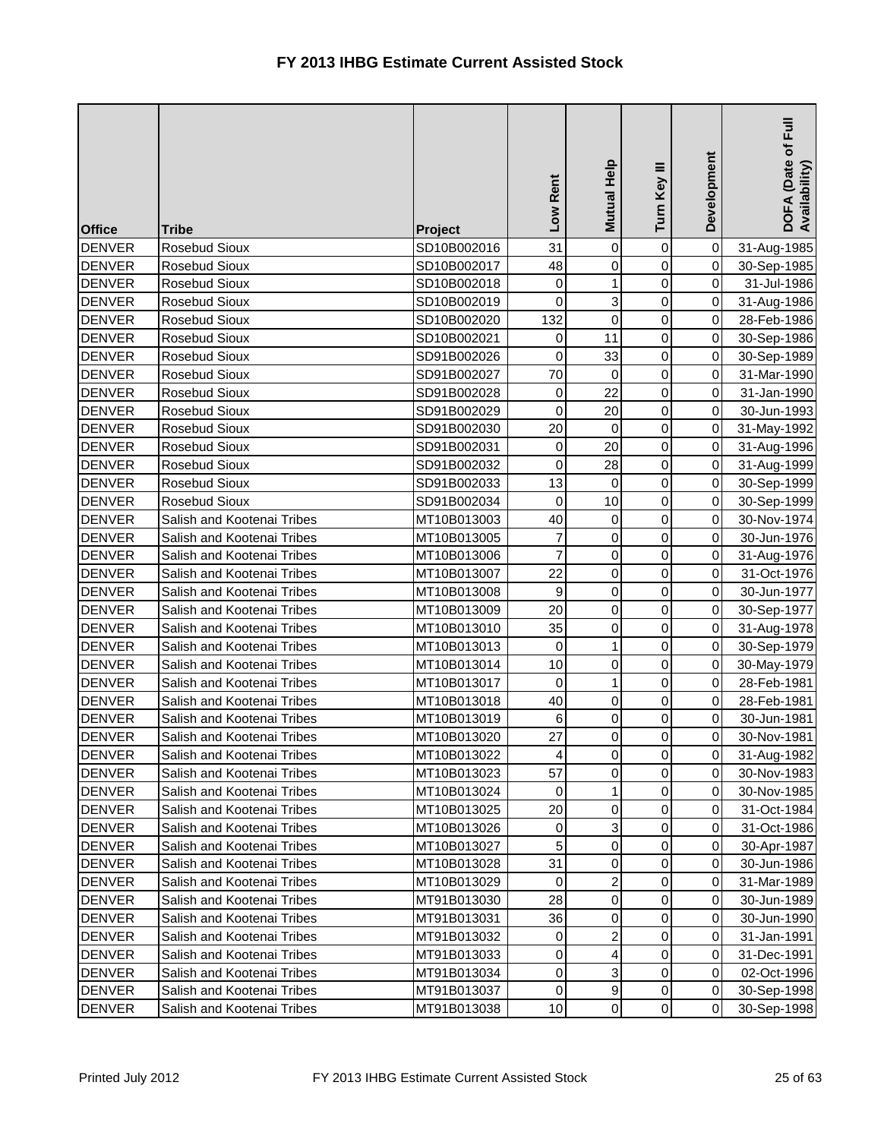| <b>Office</b> | <b>Tribe</b>               | Project     | Low Rent         | Mutual Help         | Turn Key III   | Development | DOFA (Date of Full<br>Availability) |
|---------------|----------------------------|-------------|------------------|---------------------|----------------|-------------|-------------------------------------|
| <b>DENVER</b> | Rosebud Sioux              | SD10B002016 | 31               | $\mathsf{O}\xspace$ | 0              | $\mathbf 0$ | 31-Aug-1985                         |
| <b>DENVER</b> | Rosebud Sioux              | SD10B002017 | 48               | $\overline{0}$      | 0              | $\mathbf 0$ | 30-Sep-1985                         |
| <b>DENVER</b> | Rosebud Sioux              | SD10B002018 | 0                | $\mathbf{1}$        | 0              | $\pmb{0}$   | 31-Jul-1986                         |
| <b>DENVER</b> | Rosebud Sioux              | SD10B002019 | 0                | 3                   | $\mathsf 0$    | $\mathbf 0$ | 31-Aug-1986                         |
| <b>DENVER</b> | Rosebud Sioux              | SD10B002020 | 132              | $\mathbf 0$         | 0              | 0           | 28-Feb-1986                         |
| <b>DENVER</b> | Rosebud Sioux              | SD10B002021 | 0                | 11                  | 0              | $\mathbf 0$ | 30-Sep-1986                         |
| <b>DENVER</b> | Rosebud Sioux              | SD91B002026 | $\boldsymbol{0}$ | 33                  | 0              | $\mathbf 0$ | 30-Sep-1989                         |
| <b>DENVER</b> | <b>Rosebud Sioux</b>       | SD91B002027 | 70               | 0                   | 0              | 0           | 31-Mar-1990                         |
| <b>DENVER</b> | Rosebud Sioux              | SD91B002028 | 0                | 22                  | 0              | 0           | 31-Jan-1990                         |
| <b>DENVER</b> | Rosebud Sioux              | SD91B002029 | $\mathbf 0$      | 20                  | 0              | 0           | 30-Jun-1993                         |
| <b>DENVER</b> | Rosebud Sioux              | SD91B002030 | 20               | $\pmb{0}$           | 0              | $\mathbf 0$ | 31-May-1992                         |
| <b>DENVER</b> | Rosebud Sioux              | SD91B002031 | $\pmb{0}$        | 20                  | 0              | $\,0\,$     | 31-Aug-1996                         |
| <b>DENVER</b> | Rosebud Sioux              | SD91B002032 | 0                | 28                  | 0              | $\mathbf 0$ | 31-Aug-1999                         |
| <b>DENVER</b> | Rosebud Sioux              | SD91B002033 | 13               | 0                   | $\mathsf 0$    | 0           | 30-Sep-1999                         |
| <b>DENVER</b> | Rosebud Sioux              | SD91B002034 | 0                | 10                  | $\mathsf 0$    | 0           | 30-Sep-1999                         |
| <b>DENVER</b> | Salish and Kootenai Tribes | MT10B013003 | 40               | $\mathsf{O}\xspace$ | 0              | $\mathbf 0$ | 30-Nov-1974                         |
| <b>DENVER</b> | Salish and Kootenai Tribes | MT10B013005 | $\overline{7}$   | $\overline{0}$      | 0              | 0           | 30-Jun-1976                         |
| <b>DENVER</b> | Salish and Kootenai Tribes | MT10B013006 | $\overline{7}$   | $\overline{0}$      | 0              | $\mathbf 0$ | 31-Aug-1976                         |
| <b>DENVER</b> | Salish and Kootenai Tribes | MT10B013007 | 22               | $\overline{0}$      | 0              | 0           | 31-Oct-1976                         |
| <b>DENVER</b> | Salish and Kootenai Tribes | MT10B013008 | 9                | $\overline{0}$      | $\mathsf 0$    | 0           | 30-Jun-1977                         |
| <b>DENVER</b> | Salish and Kootenai Tribes | MT10B013009 | 20               | $\overline{0}$      | 0              | $\mathbf 0$ | 30-Sep-1977                         |
| <b>DENVER</b> | Salish and Kootenai Tribes | MT10B013010 | 35               | $\overline{0}$      | 0              | $\mathbf 0$ | 31-Aug-1978                         |
| <b>DENVER</b> | Salish and Kootenai Tribes | MT10B013013 | 0                | $\mathbf{1}$        | 0              | $\mathbf 0$ | 30-Sep-1979                         |
| <b>DENVER</b> | Salish and Kootenai Tribes | MT10B013014 | 10               | 0                   | 0              | 0           | 30-May-1979                         |
| <b>DENVER</b> | Salish and Kootenai Tribes | MT10B013017 | $\mathbf 0$      | $\mathbf{1}$        | 0              | $\mathbf 0$ | 28-Feb-1981                         |
| <b>DENVER</b> | Salish and Kootenai Tribes | MT10B013018 | 40               | $\overline{0}$      | 0              | $\mathbf 0$ | 28-Feb-1981                         |
| <b>DENVER</b> | Salish and Kootenai Tribes | MT10B013019 | 6                | $\overline{0}$      | 0              | 0           | 30-Jun-1981                         |
| <b>DENVER</b> | Salish and Kootenai Tribes | MT10B013020 | 27               | $\overline{0}$      | 0              | 0           | 30-Nov-1981                         |
| <b>DENVER</b> | Salish and Kootenai Tribes | MT10B013022 | 4                | $\overline{0}$      | $\overline{0}$ | $\mathbf 0$ | 31-Aug-1982                         |
| <b>DENVER</b> | Salish and Kootenai Tribes | MT10B013023 | 57               | $\mathbf 0$         | 0              | 0           | 30-Nov-1983                         |
| <b>DENVER</b> | Salish and Kootenai Tribes | MT10B013024 | 0                | $\mathbf{1}$        | 0              | $\pmb{0}$   | 30-Nov-1985                         |
| <b>DENVER</b> | Salish and Kootenai Tribes | MT10B013025 | 20               | $\overline{0}$      | 0              | $\mbox{O}$  | 31-Oct-1984                         |
| <b>DENVER</b> | Salish and Kootenai Tribes | MT10B013026 | 0                | $\overline{3}$      | 0              | $\pmb{0}$   | 31-Oct-1986                         |
| <b>DENVER</b> | Salish and Kootenai Tribes | MT10B013027 | 5                | $\overline{0}$      | 0              | $\mathbf 0$ | 30-Apr-1987                         |
| <b>DENVER</b> | Salish and Kootenai Tribes | MT10B013028 | 31               | 0                   | 0              | 0           | 30-Jun-1986                         |
| <b>DENVER</b> | Salish and Kootenai Tribes | MT10B013029 | 0                | $\overline{a}$      | 0              | $\pmb{0}$   | 31-Mar-1989                         |
| <b>DENVER</b> | Salish and Kootenai Tribes | MT91B013030 | 28               | $\overline{0}$      | 0              | 0           | 30-Jun-1989                         |
| <b>DENVER</b> | Salish and Kootenai Tribes | MT91B013031 | 36               | 0                   | 0              | $\pmb{0}$   | 30-Jun-1990                         |
| <b>DENVER</b> | Salish and Kootenai Tribes | MT91B013032 | 0                | $\mathbf{2}$        | 0              | 0           | 31-Jan-1991                         |
| <b>DENVER</b> | Salish and Kootenai Tribes | MT91B013033 | 0                | 4                   | 0              | 0           | 31-Dec-1991                         |
| <b>DENVER</b> | Salish and Kootenai Tribes | MT91B013034 | 0                | 3                   | 0              | $\pmb{0}$   | 02-Oct-1996                         |
| <b>DENVER</b> | Salish and Kootenai Tribes | MT91B013037 | 0                | $\overline{9}$      | 0              | $\pmb{0}$   | 30-Sep-1998                         |
| <b>DENVER</b> | Salish and Kootenai Tribes | MT91B013038 | 10               | $\overline{0}$      | 0              | $\mathbf 0$ | 30-Sep-1998                         |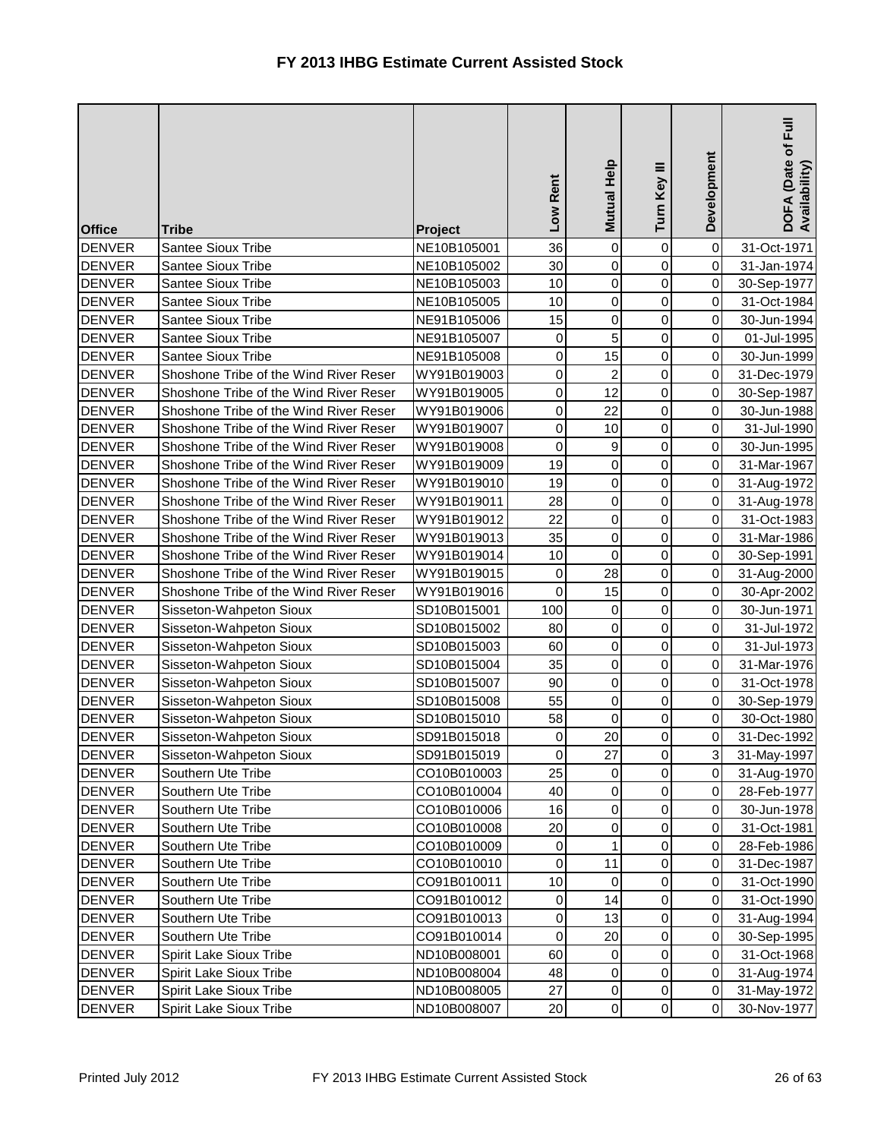| <b>Office</b> | <b>Tribe</b>                           | Project     | Low Rent    | Mutual Help         | Turn Key III   | Development | DOFA (Date of Full<br>Availability) |
|---------------|----------------------------------------|-------------|-------------|---------------------|----------------|-------------|-------------------------------------|
| <b>DENVER</b> | Santee Sioux Tribe                     | NE10B105001 | 36          | $\mathsf{O}\xspace$ | $\pmb{0}$      | $\pmb{0}$   | 31-Oct-1971                         |
| <b>DENVER</b> | <b>Santee Sioux Tribe</b>              | NE10B105002 | 30          | $\pmb{0}$           | $\mathbf 0$    | $\mathbf 0$ | 31-Jan-1974                         |
| <b>DENVER</b> | <b>Santee Sioux Tribe</b>              | NE10B105003 | 10          | $\pmb{0}$           | $\pmb{0}$      | 0           | 30-Sep-1977                         |
| <b>DENVER</b> | <b>Santee Sioux Tribe</b>              | NE10B105005 | 10          | $\mathsf 0$         | $\mathbf 0$    | 0           | 31-Oct-1984                         |
| <b>DENVER</b> | Santee Sioux Tribe                     | NE91B105006 | 15          | $\pmb{0}$           | $\pmb{0}$      | 0           | 30-Jun-1994                         |
| <b>DENVER</b> | Santee Sioux Tribe                     | NE91B105007 | 0           | $\overline{5}$      | $\pmb{0}$      | 0           | 01-Jul-1995                         |
| <b>DENVER</b> | Santee Sioux Tribe                     | NE91B105008 | 0           | 15                  | $\pmb{0}$      | 0           | 30-Jun-1999                         |
| <b>DENVER</b> | Shoshone Tribe of the Wind River Reser | WY91B019003 | 0           | $\overline{c}$      | 0              | $\mathbf 0$ | 31-Dec-1979                         |
| <b>DENVER</b> | Shoshone Tribe of the Wind River Reser | WY91B019005 | 0           | 12                  | 0              | 0           | 30-Sep-1987                         |
| <b>DENVER</b> | Shoshone Tribe of the Wind River Reser | WY91B019006 | 0           | 22                  | $\pmb{0}$      | 0           | 30-Jun-1988                         |
| <b>DENVER</b> | Shoshone Tribe of the Wind River Reser | WY91B019007 | 0           | 10                  | $\mathsf 0$    | $\pmb{0}$   | 31-Jul-1990                         |
| <b>DENVER</b> | Shoshone Tribe of the Wind River Reser | WY91B019008 | 0           | 9                   | $\mathbf 0$    | $\pmb{0}$   | 30-Jun-1995                         |
| <b>DENVER</b> | Shoshone Tribe of the Wind River Reser | WY91B019009 | 19          | $\mathsf{O}\xspace$ | $\mathbf 0$    | $\mathbf 0$ | 31-Mar-1967                         |
| <b>DENVER</b> | Shoshone Tribe of the Wind River Reser | WY91B019010 | 19          | $\pmb{0}$           | 0              | 0           | 31-Aug-1972                         |
| <b>DENVER</b> | Shoshone Tribe of the Wind River Reser | WY91B019011 | 28          | $\pmb{0}$           | 0              | 0           | 31-Aug-1978                         |
| <b>DENVER</b> | Shoshone Tribe of the Wind River Reser | WY91B019012 | 22          | $\mathsf{O}\xspace$ | $\mathsf 0$    | $\mathbf 0$ | 31-Oct-1983                         |
| <b>DENVER</b> | Shoshone Tribe of the Wind River Reser | WY91B019013 | 35          | $\pmb{0}$           | $\pmb{0}$      | 0           | 31-Mar-1986                         |
| <b>DENVER</b> | Shoshone Tribe of the Wind River Reser | WY91B019014 | 10          | $\mathsf 0$         | 0              | 0           | 30-Sep-1991                         |
| <b>DENVER</b> | Shoshone Tribe of the Wind River Reser | WY91B019015 | $\mathbf 0$ | 28                  | 0              | 0           | 31-Aug-2000                         |
| <b>DENVER</b> | Shoshone Tribe of the Wind River Reser | WY91B019016 | 0           | 15                  | $\pmb{0}$      | 0           | 30-Apr-2002                         |
| <b>DENVER</b> | Sisseton-Wahpeton Sioux                | SD10B015001 | 100         | $\mathsf 0$         | $\mathbf 0$    | $\mathbf 0$ | 30-Jun-1971                         |
| <b>DENVER</b> | Sisseton-Wahpeton Sioux                | SD10B015002 | 80          | $\pmb{0}$           | $\mathbf 0$    | $\pmb{0}$   | 31-Jul-1972                         |
| <b>DENVER</b> | Sisseton-Wahpeton Sioux                | SD10B015003 | 60          | $\pmb{0}$           | 0              | $\mathbf 0$ | 31-Jul-1973                         |
| <b>DENVER</b> | Sisseton-Wahpeton Sioux                | SD10B015004 | 35          | $\pmb{0}$           | 0              | $\mathbf 0$ | 31-Mar-1976                         |
| <b>DENVER</b> | Sisseton-Wahpeton Sioux                | SD10B015007 | 90          | $\pmb{0}$           | $\mathbf 0$    | $\mathbf 0$ | 31-Oct-1978                         |
| <b>DENVER</b> | Sisseton-Wahpeton Sioux                | SD10B015008 | 55          | $\mathbf 0$         | $\mathbf 0$    | $\mathbf 0$ | 30-Sep-1979                         |
| <b>DENVER</b> | Sisseton-Wahpeton Sioux                | SD10B015010 | 58          | 0                   | $\mathbf 0$    | $\mathbf 0$ | 30-Oct-1980                         |
| <b>DENVER</b> | Sisseton-Wahpeton Sioux                | SD91B015018 | 0           | 20                  | 0              | $\mathbf 0$ | 31-Dec-1992                         |
| <b>DENVER</b> | Sisseton-Wahpeton Sioux                | SD91B015019 | $\pmb{0}$   | 27                  | $\overline{O}$ | $\sqrt{3}$  | 31-May-1997                         |
| <b>DENVER</b> | Southern Ute Tribe                     | CO10B010003 | 25          | $\pmb{0}$           | 0              | 0           | 31-Aug-1970                         |
| <b>DENVER</b> | Southern Ute Tribe                     | CO10B010004 | 40          | $\pmb{0}$           | $\pmb{0}$      | $\pmb{0}$   | 28-Feb-1977                         |
| <b>DENVER</b> | Southern Ute Tribe                     | CO10B010006 | 16          | $\pmb{0}$           | 0              | $\pmb{0}$   | 30-Jun-1978                         |
| <b>DENVER</b> | Southern Ute Tribe                     | CO10B010008 | 20          | $\pmb{0}$           | $\mathbf 0$    | $\mathbf 0$ | 31-Oct-1981                         |
| <b>DENVER</b> | Southern Ute Tribe                     | CO10B010009 | $\mathbf 0$ | $\mathbf{1}$        | $\mathbf 0$    | $\mathbf 0$ | 28-Feb-1986                         |
| <b>DENVER</b> | Southern Ute Tribe                     | CO10B010010 | 0           | 11                  | $\mathbf 0$    | 0           | 31-Dec-1987                         |
| <b>DENVER</b> | Southern Ute Tribe                     | CO91B010011 | 10          | $\mathbf 0$         | $\pmb{0}$      | $\mathbf 0$ | 31-Oct-1990                         |
| <b>DENVER</b> | Southern Ute Tribe                     | CO91B010012 | $\pmb{0}$   | 14                  | $\pmb{0}$      | $\mathbf 0$ | 31-Oct-1990                         |
| <b>DENVER</b> | Southern Ute Tribe                     | CO91B010013 | 0           | 13                  | $\mathbf 0$    | $\mathbf 0$ | 31-Aug-1994                         |
| <b>DENVER</b> | Southern Ute Tribe                     | CO91B010014 | 0           | 20                  | $\pmb{0}$      | $\mathbf 0$ | 30-Sep-1995                         |
| <b>DENVER</b> | Spirit Lake Sioux Tribe                | ND10B008001 | 60          | 0                   | $\mathbf 0$    | $\mathbf 0$ | 31-Oct-1968                         |
| <b>DENVER</b> | Spirit Lake Sioux Tribe                | ND10B008004 | 48          | $\pmb{0}$           | $\pmb{0}$      | $\pmb{0}$   | 31-Aug-1974                         |
| <b>DENVER</b> | Spirit Lake Sioux Tribe                | ND10B008005 | 27          | $\pmb{0}$           | $\pmb{0}$      | $\pmb{0}$   | 31-May-1972                         |
| DENVER        | Spirit Lake Sioux Tribe                | ND10B008007 | 20          | $\mathsf{O}\xspace$ | $\mathsf 0$    | 0           | 30-Nov-1977                         |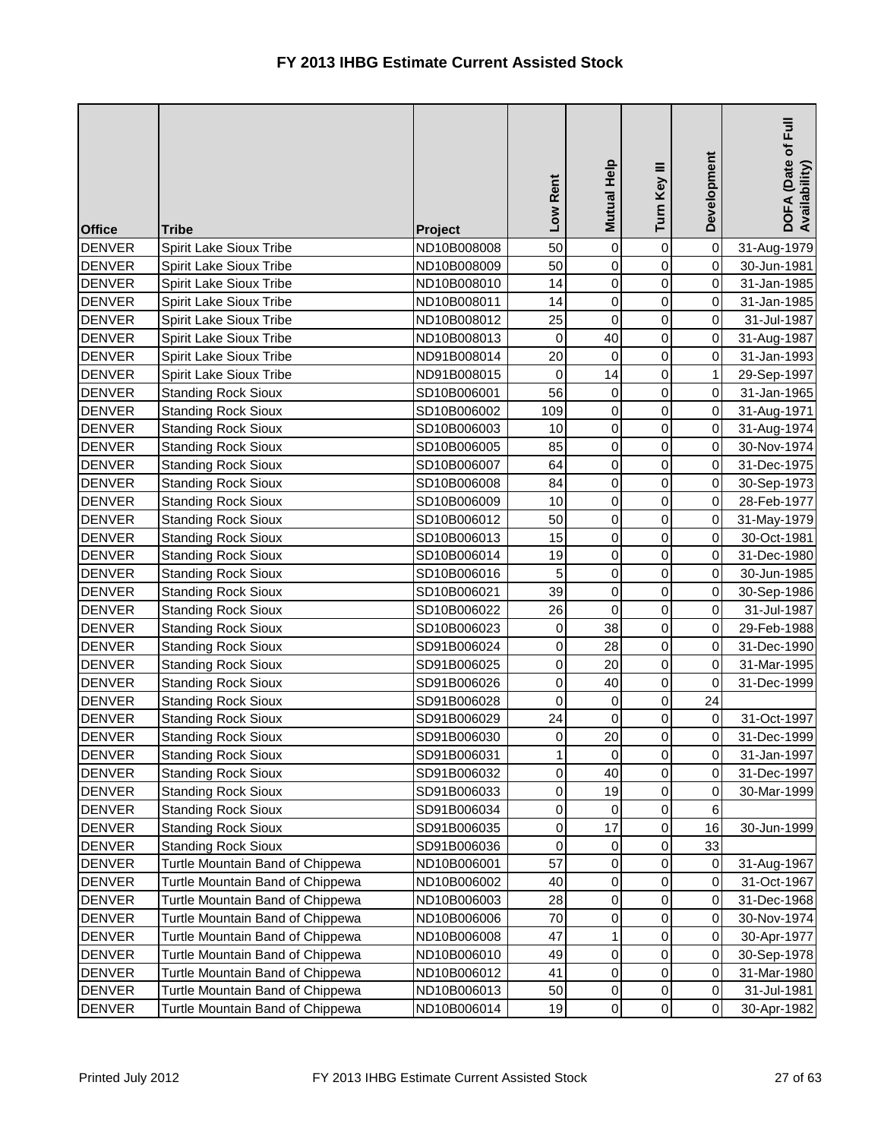| <b>Office</b> | <b>Tribe</b>                     | Project     | Low Rent     | Mutual Help    | Turn Key III        | Development  | $E_{\rm{H}}$<br>DOFA (Date of I<br>Availability) |
|---------------|----------------------------------|-------------|--------------|----------------|---------------------|--------------|--------------------------------------------------|
| <b>DENVER</b> | Spirit Lake Sioux Tribe          | ND10B008008 | 50           | $\overline{0}$ | 0                   | $\mathbf 0$  | 31-Aug-1979                                      |
| <b>DENVER</b> | Spirit Lake Sioux Tribe          | ND10B008009 | 50           | $\overline{0}$ | 0                   | $\mathbf 0$  | 30-Jun-1981                                      |
| <b>DENVER</b> | Spirit Lake Sioux Tribe          | ND10B008010 | 14           | $\overline{0}$ | $\pmb{0}$           | $\pmb{0}$    | 31-Jan-1985                                      |
| <b>DENVER</b> | Spirit Lake Sioux Tribe          | ND10B008011 | 14           | $\overline{0}$ | $\mathbf 0$         | $\mathbf 0$  | 31-Jan-1985                                      |
| <b>DENVER</b> | Spirit Lake Sioux Tribe          | ND10B008012 | 25           | 0              | $\mathbf 0$         | 0            | 31-Jul-1987                                      |
| <b>DENVER</b> | Spirit Lake Sioux Tribe          | ND10B008013 | $\mathbf 0$  | 40             | 0                   | $\mathbf 0$  | 31-Aug-1987                                      |
| <b>DENVER</b> | Spirit Lake Sioux Tribe          | ND91B008014 | 20           | $\overline{0}$ | 0                   | $\pmb{0}$    | 31-Jan-1993                                      |
| <b>DENVER</b> | Spirit Lake Sioux Tribe          | ND91B008015 | $\pmb{0}$    | 14             | 0                   | $\mathbf{1}$ | 29-Sep-1997                                      |
| <b>DENVER</b> | <b>Standing Rock Sioux</b>       | SD10B006001 | 56           | $\overline{0}$ | $\mathbf 0$         | $\pmb{0}$    | 31-Jan-1965                                      |
| <b>DENVER</b> | <b>Standing Rock Sioux</b>       | SD10B006002 | 109          | $\overline{0}$ | $\mathbf 0$         | 0            | 31-Aug-1971                                      |
| <b>DENVER</b> | <b>Standing Rock Sioux</b>       | SD10B006003 | 10           | $\overline{0}$ | 0                   | $\mathbf 0$  | 31-Aug-1974                                      |
| <b>DENVER</b> | <b>Standing Rock Sioux</b>       | SD10B006005 | 85           | $\overline{0}$ | 0                   | $\mathbf 0$  | 30-Nov-1974                                      |
| <b>DENVER</b> | <b>Standing Rock Sioux</b>       | SD10B006007 | 64           | $\overline{0}$ | 0                   | $\pmb{0}$    | 31-Dec-1975                                      |
| <b>DENVER</b> | <b>Standing Rock Sioux</b>       | SD10B006008 | 84           | $\overline{0}$ | $\mathbf 0$         | $\pmb{0}$    | 30-Sep-1973                                      |
| <b>DENVER</b> | <b>Standing Rock Sioux</b>       | SD10B006009 | 10           | $\overline{0}$ | 0                   | 0            | 28-Feb-1977                                      |
| <b>DENVER</b> | <b>Standing Rock Sioux</b>       | SD10B006012 | 50           | $\overline{0}$ | 0                   | $\mathbf 0$  | 31-May-1979                                      |
| <b>DENVER</b> | <b>Standing Rock Sioux</b>       | SD10B006013 | 15           | $\overline{0}$ | 0                   | $\mathbf 0$  | 30-Oct-1981                                      |
| <b>DENVER</b> | <b>Standing Rock Sioux</b>       | SD10B006014 | 19           | $\overline{0}$ | 0                   | 0            | 31-Dec-1980                                      |
| <b>DENVER</b> | <b>Standing Rock Sioux</b>       | SD10B006016 | 5            | $\overline{0}$ | $\mathbf 0$         | $\mathbf 0$  | 30-Jun-1985                                      |
| <b>DENVER</b> | <b>Standing Rock Sioux</b>       | SD10B006021 | 39           | $\overline{0}$ | 0                   | 0            | 30-Sep-1986                                      |
| <b>DENVER</b> | <b>Standing Rock Sioux</b>       | SD10B006022 | 26           | 0              | 0                   | $\mathbf 0$  | 31-Jul-1987                                      |
| <b>DENVER</b> | <b>Standing Rock Sioux</b>       | SD10B006023 | $\pmb{0}$    | 38             | 0                   | $\mathbf 0$  | 29-Feb-1988                                      |
| <b>DENVER</b> | <b>Standing Rock Sioux</b>       | SD91B006024 | 0            | 28             | 0                   | $\mbox{O}$   | 31-Dec-1990                                      |
| <b>DENVER</b> | <b>Standing Rock Sioux</b>       | SD91B006025 | $\pmb{0}$    | 20             | 0                   | $\mathbf 0$  | 31-Mar-1995                                      |
| <b>DENVER</b> | <b>Standing Rock Sioux</b>       | SD91B006026 | $\pmb{0}$    | 40             | 0                   | 0            | 31-Dec-1999                                      |
| <b>DENVER</b> | <b>Standing Rock Sioux</b>       | SD91B006028 | $\mathbf 0$  | 0              | 0                   | 24           |                                                  |
| <b>DENVER</b> | <b>Standing Rock Sioux</b>       | SD91B006029 | 24           | $\overline{0}$ | 0                   | $\pmb{0}$    | 31-Oct-1997                                      |
| <b>DENVER</b> | <b>Standing Rock Sioux</b>       | SD91B006030 | $\pmb{0}$    | 20             | $\pmb{0}$           | $\pmb{0}$    | 31-Dec-1999                                      |
| <b>DENVER</b> | <b>Standing Rock Sioux</b>       | SD91B006031 | $\mathbf{1}$ | $\overline{0}$ | $\overline{0}$      | $\mathbf 0$  | 31-Jan-1997                                      |
| <b>DENVER</b> | <b>Standing Rock Sioux</b>       | SD91B006032 | 0            | 40             | 0                   | 0            | 31-Dec-1997                                      |
| <b>DENVER</b> | <b>Standing Rock Sioux</b>       | SD91B006033 | $\pmb{0}$    | 19             | 0                   | $\mbox{O}$   | 30-Mar-1999                                      |
| <b>DENVER</b> | <b>Standing Rock Sioux</b>       | SD91B006034 | 0            | 0              | 0                   | 6            |                                                  |
| <b>DENVER</b> | <b>Standing Rock Sioux</b>       | SD91B006035 | 0            | 17             | 0                   | 16           | 30-Jun-1999                                      |
| <b>DENVER</b> | <b>Standing Rock Sioux</b>       | SD91B006036 | 0            | $\overline{0}$ | 0                   | 33           |                                                  |
| <b>DENVER</b> | Turtle Mountain Band of Chippewa | ND10B006001 | 57           | $\overline{0}$ | 0                   | 0            | 31-Aug-1967                                      |
| <b>DENVER</b> | Turtle Mountain Band of Chippewa | ND10B006002 | 40           | $\overline{0}$ | 0                   | 0            | 31-Oct-1967                                      |
| <b>DENVER</b> | Turtle Mountain Band of Chippewa | ND10B006003 | 28           | $\overline{0}$ | 0                   | 0            | 31-Dec-1968                                      |
| <b>DENVER</b> | Turtle Mountain Band of Chippewa | ND10B006006 | 70           | $\overline{0}$ | 0                   | 0            | 30-Nov-1974                                      |
| <b>DENVER</b> | Turtle Mountain Band of Chippewa | ND10B006008 | 47           | 1              | 0                   | 0            | 30-Apr-1977                                      |
| <b>DENVER</b> | Turtle Mountain Band of Chippewa | ND10B006010 | 49           | $\overline{0}$ | 0                   | 0            | 30-Sep-1978                                      |
| <b>DENVER</b> | Turtle Mountain Band of Chippewa | ND10B006012 | 41           | 0              | 0                   | $\,0\,$      | 31-Mar-1980                                      |
| <b>DENVER</b> | Turtle Mountain Band of Chippewa | ND10B006013 | 50           | $\overline{0}$ | 0                   | $\pmb{0}$    | 31-Jul-1981                                      |
| <b>DENVER</b> | Turtle Mountain Band of Chippewa | ND10B006014 | 19           | $\overline{0}$ | $\mathsf{O}\xspace$ | $\pmb{0}$    | 30-Apr-1982                                      |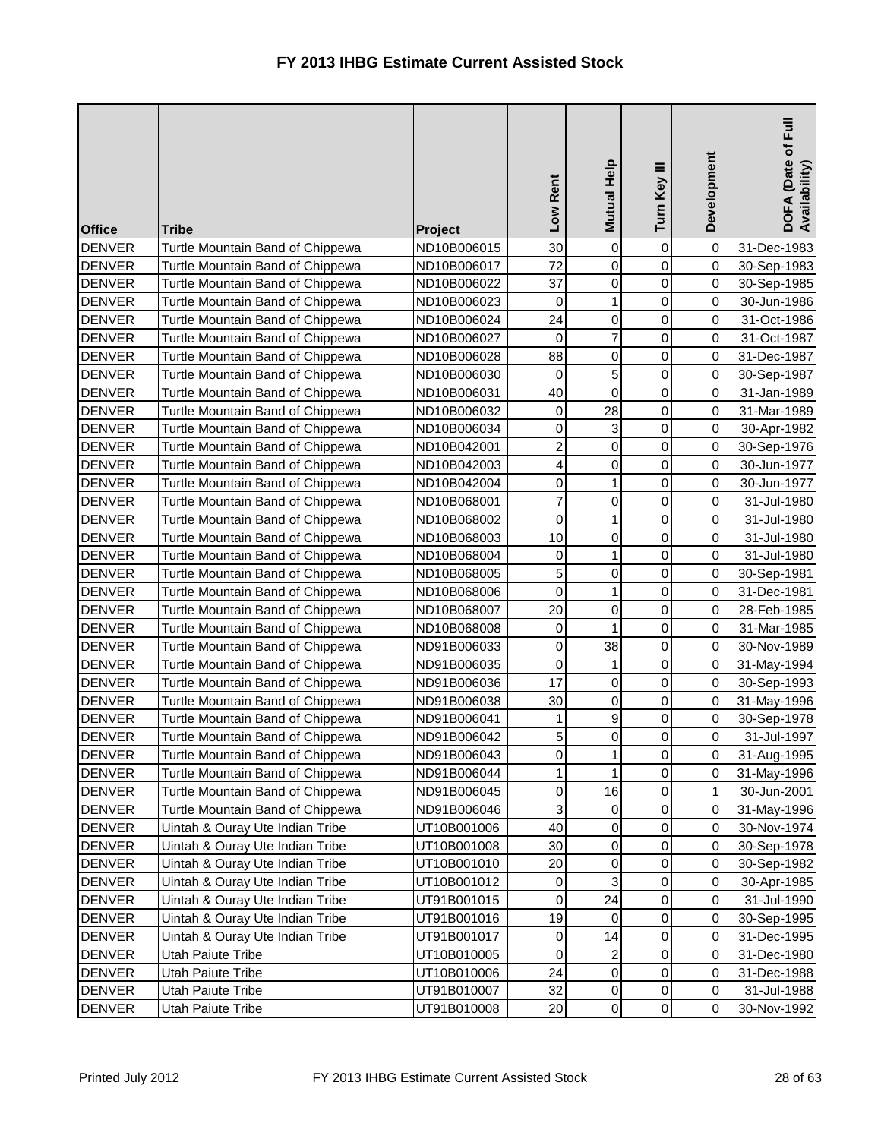| <b>Office</b> | <b>Tribe</b>                     | Project     | Low Rent                | Mutual Help    | Turn Key III        | Development  | DOFA (Date of Full<br>Availability) |
|---------------|----------------------------------|-------------|-------------------------|----------------|---------------------|--------------|-------------------------------------|
| <b>DENVER</b> | Turtle Mountain Band of Chippewa | ND10B006015 | 30                      | 0              | 0                   | $\mathbf 0$  | 31-Dec-1983                         |
| <b>DENVER</b> | Turtle Mountain Band of Chippewa | ND10B006017 | 72                      | $\overline{0}$ | $\mathbf 0$         | $\mathbf 0$  | 30-Sep-1983                         |
| <b>DENVER</b> | Turtle Mountain Band of Chippewa | ND10B006022 | 37                      | 0              | $\mathbf 0$         | 0            | 30-Sep-1985                         |
| <b>DENVER</b> | Turtle Mountain Band of Chippewa | ND10B006023 | $\mathbf 0$             | $\mathbf{1}$   | $\mathbf 0$         | $\mathsf 0$  | 30-Jun-1986                         |
| <b>DENVER</b> | Turtle Mountain Band of Chippewa | ND10B006024 | 24                      | 0              | 0                   | 0            | 31-Oct-1986                         |
| <b>DENVER</b> | Turtle Mountain Band of Chippewa | ND10B006027 | 0                       | $\overline{7}$ | $\mathbf 0$         | $\mathsf 0$  | 31-Oct-1987                         |
| <b>DENVER</b> | Turtle Mountain Band of Chippewa | ND10B006028 | 88                      | $\overline{0}$ | 0                   | 0            | 31-Dec-1987                         |
| <b>DENVER</b> | Turtle Mountain Band of Chippewa | ND10B006030 | $\mathbf 0$             | 5 <sup>1</sup> | 0                   | 0            | 30-Sep-1987                         |
| <b>DENVER</b> | Turtle Mountain Band of Chippewa | ND10B006031 | 40                      | $\mathbf 0$    | $\mathbf 0$         | 0            | 31-Jan-1989                         |
| <b>DENVER</b> | Turtle Mountain Band of Chippewa | ND10B006032 | 0                       | 28             | $\mathbf 0$         | 0            | 31-Mar-1989                         |
| <b>DENVER</b> | Turtle Mountain Band of Chippewa | ND10B006034 | 0                       | 3              | $\mathbf 0$         | $\mathsf 0$  | 30-Apr-1982                         |
| <b>DENVER</b> | Turtle Mountain Band of Chippewa | ND10B042001 | $\overline{\mathbf{c}}$ | $\overline{0}$ | $\mathbf 0$         | $\mathbf 0$  | 30-Sep-1976                         |
| <b>DENVER</b> | Turtle Mountain Band of Chippewa | ND10B042003 | 4                       | 0              | $\mathbf 0$         | $\,0\,$      | 30-Jun-1977                         |
| <b>DENVER</b> | Turtle Mountain Band of Chippewa | ND10B042004 | 0                       | $\mathbf{1}$   | $\mathbf 0$         | $\mathsf 0$  | 30-Jun-1977                         |
| <b>DENVER</b> | Turtle Mountain Band of Chippewa | ND10B068001 | 7                       | 0              | 0                   | 0            | 31-Jul-1980                         |
| <b>DENVER</b> | Turtle Mountain Band of Chippewa | ND10B068002 | 0                       | $\mathbf{1}$   | $\mathbf 0$         | $\mathsf 0$  | 31-Jul-1980                         |
| <b>DENVER</b> | Turtle Mountain Band of Chippewa | ND10B068003 | 10                      | $\overline{0}$ | $\mathbf 0$         | 0            | 31-Jul-1980                         |
| <b>DENVER</b> | Turtle Mountain Band of Chippewa | ND10B068004 | $\boldsymbol{0}$        | 1              | 0                   | 0            | 31-Jul-1980                         |
| <b>DENVER</b> | Turtle Mountain Band of Chippewa | ND10B068005 | 5                       | 0              | $\mathbf 0$         | $\mathsf 0$  | 30-Sep-1981                         |
| <b>DENVER</b> | Turtle Mountain Band of Chippewa | ND10B068006 | $\mathbf 0$             | $\mathbf{1}$   | $\mathbf 0$         | 0            | 31-Dec-1981                         |
| <b>DENVER</b> | Turtle Mountain Band of Chippewa | ND10B068007 | 20                      | 0              | $\mathbf 0$         | $\mathsf 0$  | 28-Feb-1985                         |
| <b>DENVER</b> | Turtle Mountain Band of Chippewa | ND10B068008 | 0                       | $\mathbf{1}$   | $\mathbf 0$         | $\mathbf 0$  | 31-Mar-1985                         |
| <b>DENVER</b> | Turtle Mountain Band of Chippewa | ND91B006033 | $\boldsymbol{0}$        | 38             | $\boldsymbol{0}$    | 0            | 30-Nov-1989                         |
| <b>DENVER</b> | Turtle Mountain Band of Chippewa | ND91B006035 | $\mathbf 0$             | 1              | $\mathbf 0$         | 0            | 31-May-1994                         |
| <b>DENVER</b> | Turtle Mountain Band of Chippewa | ND91B006036 | 17                      | 0              | 0                   | 0            | 30-Sep-1993                         |
| <b>DENVER</b> | Turtle Mountain Band of Chippewa | ND91B006038 | 30                      | 0              | $\mathbf 0$         | $\mathsf 0$  | 31-May-1996                         |
| <b>DENVER</b> | Turtle Mountain Band of Chippewa | ND91B006041 | 1                       | 9              | 0                   | 0            | 30-Sep-1978                         |
| <b>DENVER</b> | Turtle Mountain Band of Chippewa | ND91B006042 | 5                       | $\overline{0}$ | 0                   | 0            | 31-Jul-1997                         |
| <b>DENVER</b> | Turtle Mountain Band of Chippewa | ND91B006043 | 0                       | 1              | $\overline{0}$      | $\mathbf 0$  | 31-Aug-1995                         |
| <b>DENVER</b> | Turtle Mountain Band of Chippewa | ND91B006044 | 1                       | $\mathbf{1}$   | 0                   | 0            | 31-May-1996                         |
| <b>DENVER</b> | Turtle Mountain Band of Chippewa | ND91B006045 | $\boldsymbol{0}$        | 16             | 0                   | $\mathbf{1}$ | 30-Jun-2001                         |
| <b>DENVER</b> | Turtle Mountain Band of Chippewa | ND91B006046 | 3                       | 0              | 0                   | $\mbox{O}$   | 31-May-1996                         |
| <b>DENVER</b> | Uintah & Ouray Ute Indian Tribe  | UT10B001006 | 40                      | $\overline{0}$ | 0                   | $\mathbf 0$  | 30-Nov-1974                         |
| <b>DENVER</b> | Uintah & Ouray Ute Indian Tribe  | UT10B001008 | 30                      | $\overline{0}$ | 0                   | 0            | 30-Sep-1978                         |
| <b>DENVER</b> | Uintah & Ouray Ute Indian Tribe  | UT10B001010 | 20                      | 0              | 0                   | 0            | 30-Sep-1982                         |
| <b>DENVER</b> | Uintah & Ouray Ute Indian Tribe  | UT10B001012 | 0                       | 3              | 0                   | $\pmb{0}$    | 30-Apr-1985                         |
| <b>DENVER</b> | Uintah & Ouray Ute Indian Tribe  | UT91B001015 | 0                       | 24             | 0                   | $\mathbf 0$  | 31-Jul-1990                         |
| <b>DENVER</b> | Uintah & Ouray Ute Indian Tribe  | UT91B001016 | 19                      | $\overline{0}$ | 0                   | $\pmb{0}$    | 30-Sep-1995                         |
| <b>DENVER</b> | Uintah & Ouray Ute Indian Tribe  | UT91B001017 | $\mathbf 0$             | 14             | 0                   | 0            | 31-Dec-1995                         |
| <b>DENVER</b> | Utah Paiute Tribe                | UT10B010005 | 0                       | $\mathbf{2}$   | 0                   | 0            | 31-Dec-1980                         |
| <b>DENVER</b> | Utah Paiute Tribe                | UT10B010006 | 24                      | $\overline{0}$ | 0                   | $\mbox{O}$   | 31-Dec-1988                         |
| <b>DENVER</b> | Utah Paiute Tribe                | UT91B010007 | 32                      | $\overline{0}$ | 0                   | $\pmb{0}$    | 31-Jul-1988                         |
| <b>DENVER</b> | Utah Paiute Tribe                | UT91B010008 | 20                      | $\overline{0}$ | $\mathsf{O}\xspace$ | $\pmb{0}$    | 30-Nov-1992                         |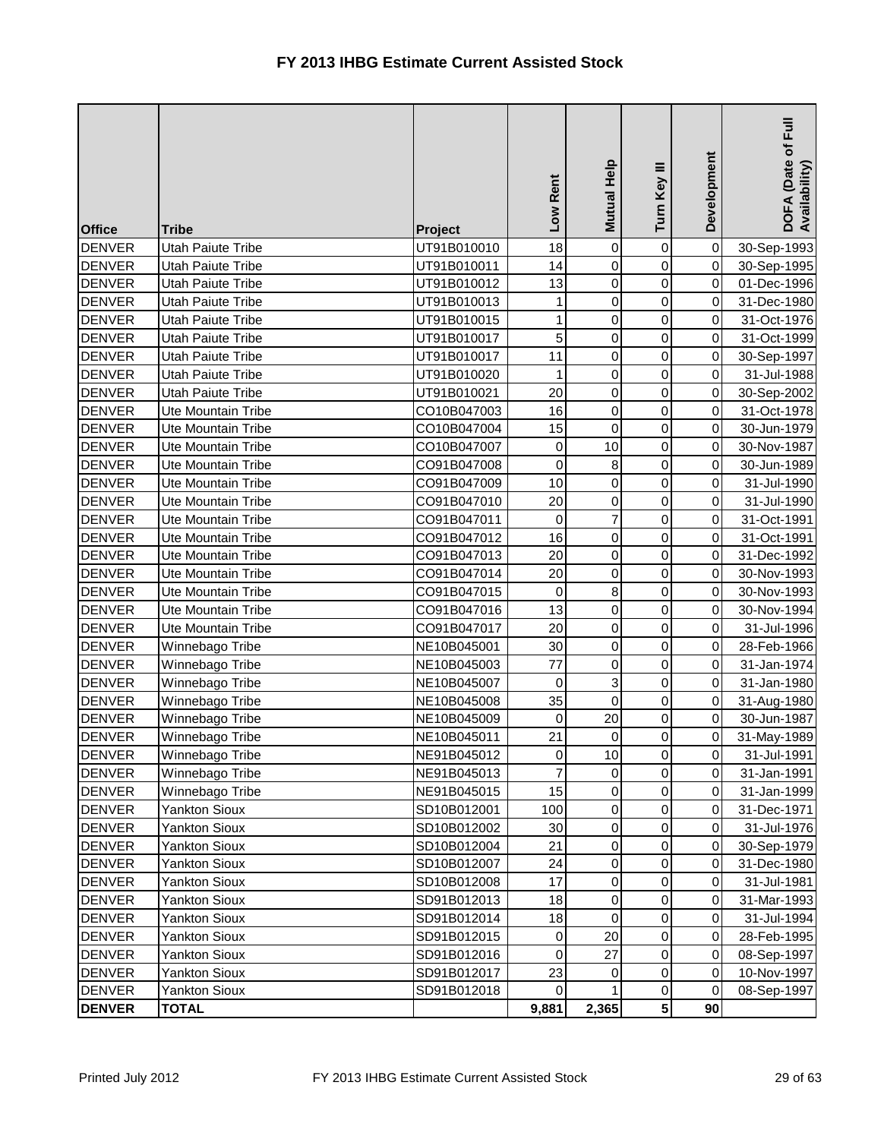| <b>Office</b> | <b>Tribe</b>              | Project     | Low Rent       | Mutual Help    | Turn Key III    | Development    | $E_{\rm HI}$<br>DOFA (Date of F<br>Availability) |
|---------------|---------------------------|-------------|----------------|----------------|-----------------|----------------|--------------------------------------------------|
| <b>DENVER</b> | Utah Paiute Tribe         | UT91B010010 | 18             | $\overline{0}$ | 0               | $\mathbf 0$    | 30-Sep-1993                                      |
| <b>DENVER</b> | Utah Paiute Tribe         | UT91B010011 | 14             | $\overline{0}$ | 0               | $\mathbf 0$    | 30-Sep-1995                                      |
| <b>DENVER</b> | Utah Paiute Tribe         | UT91B010012 | 13             | $\overline{0}$ | $\mathbf 0$     | 0              | 01-Dec-1996                                      |
| <b>DENVER</b> | Utah Paiute Tribe         | UT91B010013 | 1              | $\overline{0}$ | $\pmb{0}$       | $\mathsf 0$    | 31-Dec-1980                                      |
| <b>DENVER</b> | Utah Paiute Tribe         | UT91B010015 | 1              | $\overline{0}$ | 0               | $\pmb{0}$      | 31-Oct-1976                                      |
| <b>DENVER</b> | Utah Paiute Tribe         | UT91B010017 | 5              | $\overline{0}$ | 0               | $\mathbf 0$    | 31-Oct-1999                                      |
| <b>DENVER</b> | Utah Paiute Tribe         | UT91B010017 | 11             | $\overline{0}$ | 0               | $\mathbf 0$    | 30-Sep-1997                                      |
| <b>DENVER</b> | Utah Paiute Tribe         | UT91B010020 | 1              | $\overline{0}$ | 0               | $\pmb{0}$      | 31-Jul-1988                                      |
| <b>DENVER</b> | Utah Paiute Tribe         | UT91B010021 | 20             | $\overline{0}$ | 0               | $\mathbf 0$    | 30-Sep-2002                                      |
| <b>DENVER</b> | Ute Mountain Tribe        | CO10B047003 | 16             | $\overline{0}$ | 0               | $\pmb{0}$      | 31-Oct-1978                                      |
| <b>DENVER</b> | Ute Mountain Tribe        | CO10B047004 | 15             | $\overline{0}$ | 0               | $\pmb{0}$      | 30-Jun-1979                                      |
| <b>DENVER</b> | Ute Mountain Tribe        | CO10B047007 | $\pmb{0}$      | 10             | 0               | $\mathbf 0$    | 30-Nov-1987                                      |
| <b>DENVER</b> | Ute Mountain Tribe        | CO91B047008 | $\mathbf 0$    | $\bf{8}$       | 0               | 0              | 30-Jun-1989                                      |
| <b>DENVER</b> | Ute Mountain Tribe        | CO91B047009 | 10             | $\overline{0}$ | $\pmb{0}$       | 0              | 31-Jul-1990                                      |
| <b>DENVER</b> | Ute Mountain Tribe        | CO91B047010 | 20             | $\overline{0}$ | 0               | $\pmb{0}$      | 31-Jul-1990                                      |
| <b>DENVER</b> | Ute Mountain Tribe        | CO91B047011 | $\mathbf 0$    | $\overline{7}$ | 0               | $\mathbf 0$    | 31-Oct-1991                                      |
| <b>DENVER</b> | Ute Mountain Tribe        | CO91B047012 | 16             | $\overline{0}$ | $\mathbf 0$     | $\pmb{0}$      | 31-Oct-1991                                      |
| <b>DENVER</b> | <b>Ute Mountain Tribe</b> | CO91B047013 | 20             | $\overline{0}$ | 0               | 0              | 31-Dec-1992                                      |
| DENVER        | Ute Mountain Tribe        | CO91B047014 | 20             | $\overline{0}$ | 0               | $\mathbf 0$    | 30-Nov-1993                                      |
| <b>DENVER</b> | Ute Mountain Tribe        | CO91B047015 | $\pmb{0}$      | $\bf{8}$       | 0               | 0              | 30-Nov-1993                                      |
| <b>DENVER</b> | Ute Mountain Tribe        | CO91B047016 | 13             | $\overline{0}$ | 0               | $\pmb{0}$      | 30-Nov-1994                                      |
| <b>DENVER</b> | Ute Mountain Tribe        | CO91B047017 | 20             | $\overline{0}$ | 0               | $\mathsf 0$    | 31-Jul-1996                                      |
| <b>DENVER</b> | Winnebago Tribe           | NE10B045001 | 30             | $\overline{0}$ | 0               | 0              | 28-Feb-1966                                      |
| <b>DENVER</b> | Winnebago Tribe           | NE10B045003 | 77             | $\overline{0}$ | $\mathbf 0$     | $\mathbf 0$    | 31-Jan-1974                                      |
| <b>DENVER</b> | Winnebago Tribe           | NE10B045007 | $\mathbf 0$    | 3              | 0               | $\pmb{0}$      | 31-Jan-1980                                      |
| <b>DENVER</b> | Winnebago Tribe           | NE10B045008 | 35             | $\overline{0}$ | 0               | $\mathbf 0$    | 31-Aug-1980                                      |
| <b>DENVER</b> | Winnebago Tribe           | NE10B045009 | $\mathbf 0$    | 20             | 0               | $\pmb{0}$      | 30-Jun-1987                                      |
| <b>DENVER</b> | Winnebago Tribe           | NE10B045011 | 21             | $\overline{0}$ | 0               | 0              | 31-May-1989                                      |
| <b>DENVER</b> | Winnebago Tribe           | NE91B045012 | $\pmb{0}$      | 10             | $\overline{0}$  | $\overline{0}$ | 31-Jul-1991                                      |
| <b>DENVER</b> | Winnebago Tribe           | NE91B045013 | $\overline{7}$ | 0              | 0               | $\mathbf 0$    | 31-Jan-1991                                      |
| <b>DENVER</b> | Winnebago Tribe           | NE91B045015 | 15             | $\overline{0}$ | 0               | $\pmb{0}$      | 31-Jan-1999                                      |
| <b>DENVER</b> | <b>Yankton Sioux</b>      | SD10B012001 | 100            | $\overline{0}$ | 0               | $\mathbf 0$    | 31-Dec-1971                                      |
| <b>DENVER</b> | <b>Yankton Sioux</b>      | SD10B012002 | 30             | $\overline{0}$ | 0               | $\mathbf 0$    | 31-Jul-1976                                      |
| <b>DENVER</b> | Yankton Sioux             | SD10B012004 | 21             | $\overline{0}$ | 0               | $\pmb{0}$      | 30-Sep-1979                                      |
| <b>DENVER</b> | Yankton Sioux             | SD10B012007 | 24             | $\overline{0}$ | 0               | $\mathbf 0$    | 31-Dec-1980                                      |
| <b>DENVER</b> | <b>Yankton Sioux</b>      | SD10B012008 | 17             | $\overline{0}$ | 0               | $\pmb{0}$      | 31-Jul-1981                                      |
| <b>DENVER</b> | <b>Yankton Sioux</b>      | SD91B012013 | 18             | $\overline{0}$ | 0               | $\mathbf 0$    | 31-Mar-1993                                      |
| <b>DENVER</b> | <b>Yankton Sioux</b>      | SD91B012014 | 18             | $\overline{0}$ | 0               | $\mathbf 0$    | 31-Jul-1994                                      |
| <b>DENVER</b> | <b>Yankton Sioux</b>      | SD91B012015 | 0              | 20             | 0               | $\mathbf 0$    | 28-Feb-1995                                      |
| <b>DENVER</b> | Yankton Sioux             | SD91B012016 | 0              | 27             | 0               | 0              | 08-Sep-1997                                      |
| <b>DENVER</b> | Yankton Sioux             | SD91B012017 | 23             | $\overline{0}$ | 0               | $\mathbf 0$    | 10-Nov-1997                                      |
| <b>DENVER</b> | Yankton Sioux             | SD91B012018 | $\pmb{0}$      | 1              | 0               | 0              | 08-Sep-1997                                      |
| <b>DENVER</b> | <b>TOTAL</b>              |             | 9,881          | 2,365          | $5\phantom{.0}$ | 90             |                                                  |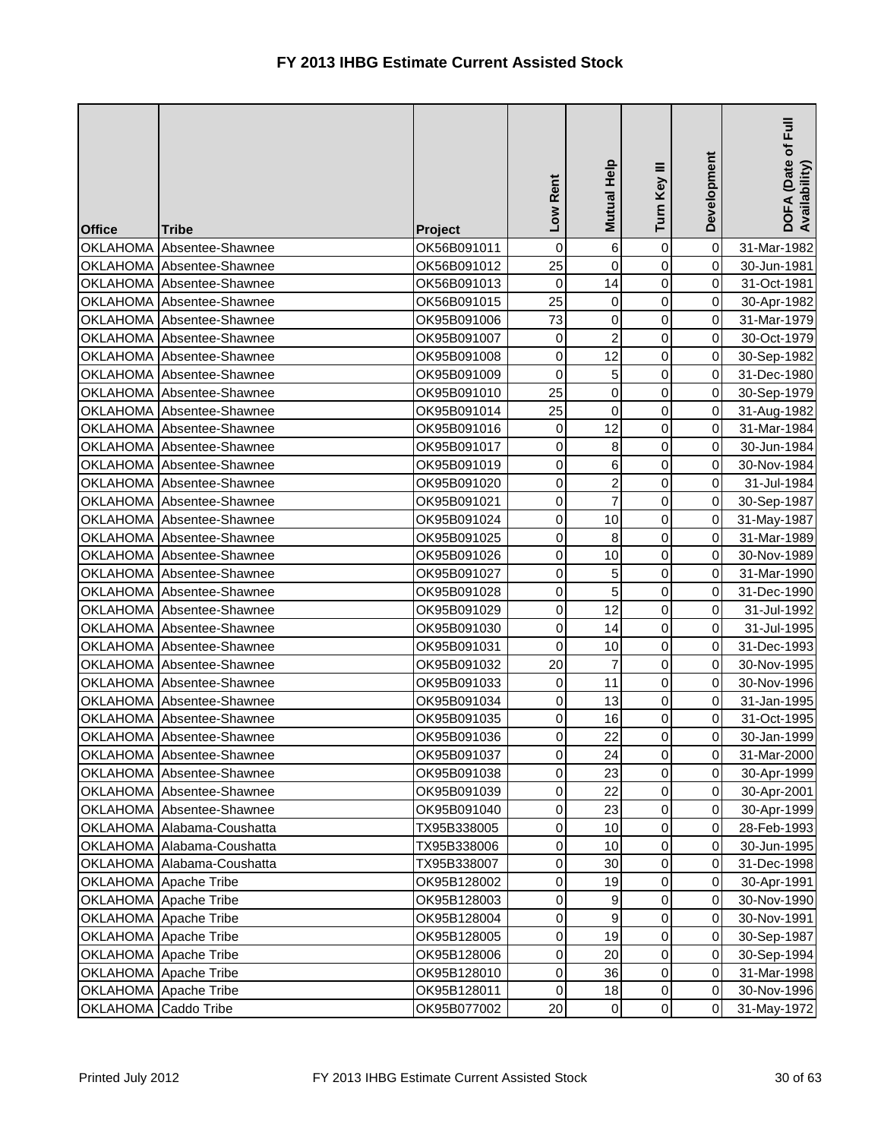| <b>Office</b>        | <b>Tribe</b>               | Project     | Low Rent         | Mutual Help    | Turn Key III   | Development | Ful<br>DOFA (Date of I<br>Availability) |
|----------------------|----------------------------|-------------|------------------|----------------|----------------|-------------|-----------------------------------------|
| <b>OKLAHOMA</b>      | Absentee-Shawnee           | OK56B091011 | $\pmb{0}$        | 6              | 0              | $\mathbf 0$ | 31-Mar-1982                             |
|                      | OKLAHOMA Absentee-Shawnee  | OK56B091012 | 25               | $\overline{0}$ | 0              | $\mathbf 0$ | 30-Jun-1981                             |
|                      | OKLAHOMA Absentee-Shawnee  | OK56B091013 | $\pmb{0}$        | 14             | 0              | $\mathbf 0$ | 31-Oct-1981                             |
|                      | OKLAHOMA Absentee-Shawnee  | OK56B091015 | 25               | $\overline{0}$ | 0              | $\mathbf 0$ | 30-Apr-1982                             |
|                      | OKLAHOMA Absentee-Shawnee  | OK95B091006 | 73               | 0              | 0              | 0           | 31-Mar-1979                             |
|                      | OKLAHOMA Absentee-Shawnee  | OK95B091007 | $\pmb{0}$        | $\overline{a}$ | 0              | $\mathbf 0$ | 30-Oct-1979                             |
|                      | OKLAHOMA Absentee-Shawnee  | OK95B091008 | $\pmb{0}$        | 12             | 0              | $\pmb{0}$   | 30-Sep-1982                             |
|                      | OKLAHOMA Absentee-Shawnee  | OK95B091009 | $\pmb{0}$        | 5 <sup>1</sup> | 0              | $\pmb{0}$   | 31-Dec-1980                             |
|                      | OKLAHOMA Absentee-Shawnee  | OK95B091010 | 25               | $\overline{0}$ | $\mathbf 0$    | $\pmb{0}$   | 30-Sep-1979                             |
|                      | OKLAHOMA Absentee-Shawnee  | OK95B091014 | 25               | 0              | 0              | $\pmb{0}$   | 31-Aug-1982                             |
|                      | OKLAHOMA Absentee-Shawnee  | OK95B091016 | $\boldsymbol{0}$ | 12             | 0              | $\mathbf 0$ | 31-Mar-1984                             |
|                      | OKLAHOMA Absentee-Shawnee  | OK95B091017 | 0                | $\bf{8}$       | 0              | $\mathbf 0$ | 30-Jun-1984                             |
|                      | OKLAHOMA Absentee-Shawnee  | OK95B091019 | $\boldsymbol{0}$ | $6 \mid$       | 0              | $\pmb{0}$   | 30-Nov-1984                             |
|                      | OKLAHOMA Absentee-Shawnee  | OK95B091020 | 0                | $\mathbf{2}$   | 0              | 0           | 31-Jul-1984                             |
|                      | OKLAHOMA Absentee-Shawnee  | OK95B091021 | $\mathbf 0$      | $\overline{7}$ | 0              | $\pmb{0}$   | 30-Sep-1987                             |
|                      | OKLAHOMA Absentee-Shawnee  | OK95B091024 | 0                | 10             | 0              | $\mathbf 0$ | 31-May-1987                             |
|                      | OKLAHOMA Absentee-Shawnee  | OK95B091025 | 0                | $\bf{8}$       | 0              | $\mathbf 0$ | 31-Mar-1989                             |
|                      | OKLAHOMA Absentee-Shawnee  | OK95B091026 | $\pmb{0}$        | 10             | 0              | $\pmb{0}$   | 30-Nov-1989                             |
|                      | OKLAHOMA Absentee-Shawnee  | OK95B091027 | 0                | 5              | $\mathbf 0$    | $\mathbf 0$ | 31-Mar-1990                             |
|                      | OKLAHOMA Absentee-Shawnee  | OK95B091028 | $\pmb{0}$        | 5              | 0              | 0           | 31-Dec-1990                             |
|                      | OKLAHOMA Absentee-Shawnee  | OK95B091029 | 0                | 12             | 0              | $\mathsf 0$ | 31-Jul-1992                             |
|                      | OKLAHOMA Absentee-Shawnee  | OK95B091030 | 0                | 14             | 0              | $\pmb{0}$   | 31-Jul-1995                             |
|                      | OKLAHOMA Absentee-Shawnee  | OK95B091031 | 0                | 10             | 0              | $\pmb{0}$   | 31-Dec-1993                             |
|                      | OKLAHOMA Absentee-Shawnee  | OK95B091032 | 20               | $\overline{7}$ | 0              | 0           | 30-Nov-1995                             |
|                      | OKLAHOMA Absentee-Shawnee  | OK95B091033 | 0                | 11             | 0              | 0           | 30-Nov-1996                             |
|                      | OKLAHOMA Absentee-Shawnee  | OK95B091034 | 0                | 13             | 0              | $\mathsf 0$ | 31-Jan-1995                             |
|                      | OKLAHOMA Absentee-Shawnee  | OK95B091035 | 0                | 16             | 0              | $\pmb{0}$   | 31-Oct-1995                             |
|                      | OKLAHOMA Absentee-Shawnee  | OK95B091036 | 0                | 22             | 0              | 0           | 30-Jan-1999                             |
|                      | OKLAHOMA Absentee-Shawnee  | OK95B091037 | $\pmb{0}$        | 24             | $\overline{O}$ | $\mathbf 0$ | 31-Mar-2000                             |
|                      | OKLAHOMA Absentee-Shawnee  | OK95B091038 | 0                | 23             | 0              | $\pmb{0}$   | 30-Apr-1999                             |
|                      | OKLAHOMA Absentee-Shawnee  | OK95B091039 | 0                | 22             | 0              | $\pmb{0}$   | 30-Apr-2001                             |
|                      | OKLAHOMA Absentee-Shawnee  | OK95B091040 | 0                | 23             | 0              | $\pmb{0}$   | 30-Apr-1999                             |
|                      | OKLAHOMA Alabama-Coushatta | TX95B338005 | 0                | 10             | 0              | $\mathbf 0$ | 28-Feb-1993                             |
|                      | OKLAHOMA Alabama-Coushatta | TX95B338006 | 0                | 10             | 0              | $\mathbf 0$ | 30-Jun-1995                             |
|                      | OKLAHOMA Alabama-Coushatta | TX95B338007 | 0                | 30             | 0              | $\mathbf 0$ | 31-Dec-1998                             |
|                      | OKLAHOMA Apache Tribe      | OK95B128002 | $\pmb{0}$        | 19             | 0              | $\pmb{0}$   | 30-Apr-1991                             |
|                      | OKLAHOMA Apache Tribe      | OK95B128003 | 0                | 9              | 0              | $\mathbf 0$ | 30-Nov-1990                             |
|                      | OKLAHOMA Apache Tribe      | OK95B128004 | 0                | $\overline{9}$ | 0              | $\mathbf 0$ | 30-Nov-1991                             |
|                      | OKLAHOMA Apache Tribe      | OK95B128005 | 0                | 19             | 0              | $\mathbf 0$ | 30-Sep-1987                             |
|                      | OKLAHOMA Apache Tribe      | OK95B128006 | 0                | 20             | 0              | $\mathbf 0$ | 30-Sep-1994                             |
|                      | OKLAHOMA Apache Tribe      | OK95B128010 | 0                | 36             | 0              | $\pmb{0}$   | 31-Mar-1998                             |
|                      | OKLAHOMA Apache Tribe      | OK95B128011 | $\mathbf 0$      | 18             | 0              | $\pmb{0}$   | 30-Nov-1996                             |
| OKLAHOMA Caddo Tribe |                            | OK95B077002 | 20               | $\overline{0}$ | 0              | $\pmb{0}$   | 31-May-1972                             |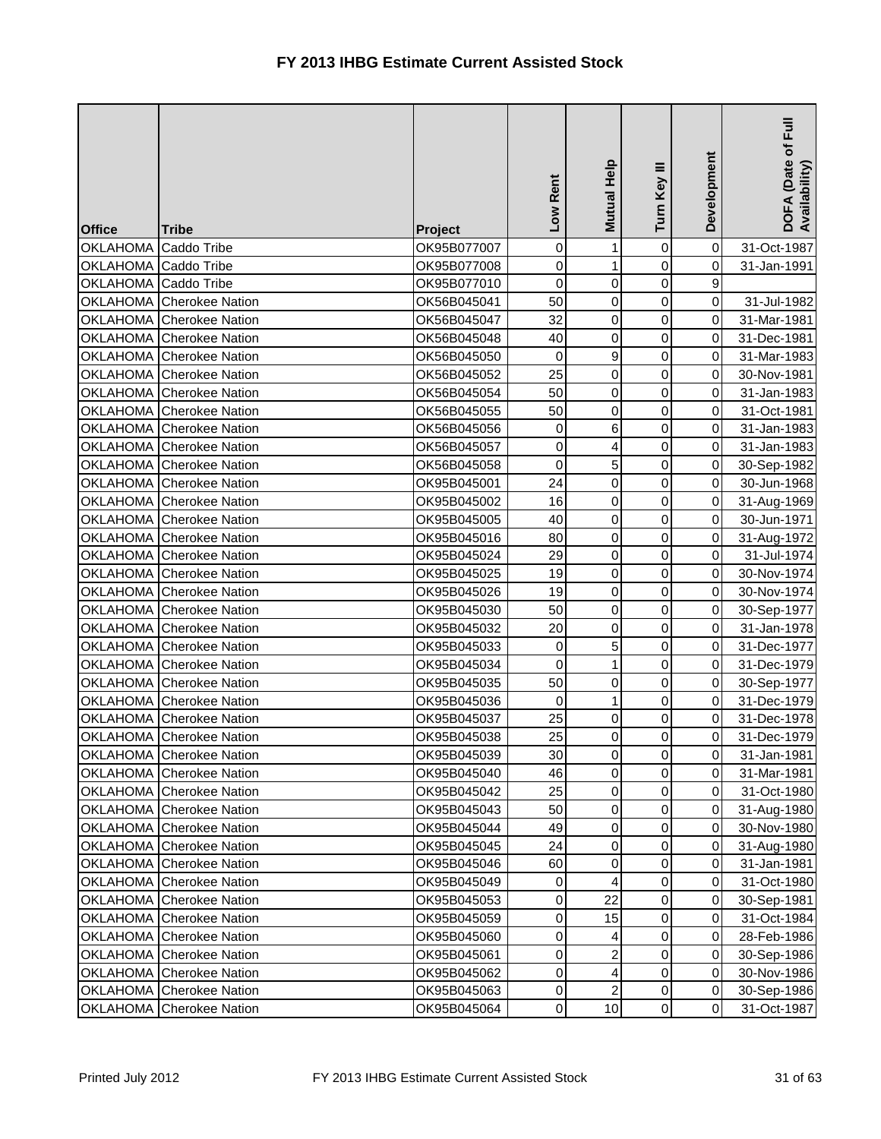| <b>Office</b>        | <b>Tribe</b>                    | Project     | Low Rent    | Mutual Help      | Turn Key III   | Development      | $\bar{E}$<br>DOFA (Date of F<br>Availability) |
|----------------------|---------------------------------|-------------|-------------|------------------|----------------|------------------|-----------------------------------------------|
| <b>OKLAHOMA</b>      | Caddo Tribe                     | OK95B077007 | $\pmb{0}$   | $\mathbf{1}$     | $\mathbf 0$    | $\pmb{0}$        | 31-Oct-1987                                   |
| OKLAHOMA Caddo Tribe |                                 | OK95B077008 | 0           | $\mathbf{1}$     | $\mathbf 0$    | $\mathbf 0$      | 31-Jan-1991                                   |
| OKLAHOMA Caddo Tribe |                                 | OK95B077010 | 0           | $\pmb{0}$        | $\pmb{0}$      | 9                |                                               |
|                      | OKLAHOMA Cherokee Nation        | OK56B045041 | 50          | $\mathbf 0$      | $\mathbf 0$    | $\mathbf 0$      | 31-Jul-1982                                   |
|                      | OKLAHOMA Cherokee Nation        | OK56B045047 | 32          | $\pmb{0}$        | $\pmb{0}$      | 0                | 31-Mar-1981                                   |
|                      | OKLAHOMA Cherokee Nation        | OK56B045048 | 40          | $\mathbf 0$      | $\pmb{0}$      | 0                | 31-Dec-1981                                   |
|                      | OKLAHOMA Cherokee Nation        | OK56B045050 | $\pmb{0}$   | $\boldsymbol{9}$ | $\pmb{0}$      | $\pmb{0}$        | 31-Mar-1983                                   |
|                      | OKLAHOMA Cherokee Nation        | OK56B045052 | 25          | $\pmb{0}$        | 0              | 0                | 30-Nov-1981                                   |
|                      | OKLAHOMA Cherokee Nation        | OK56B045054 | 50          | $\pmb{0}$        | 0              | 0                | 31-Jan-1983                                   |
|                      | OKLAHOMA Cherokee Nation        | OK56B045055 | 50          | $\pmb{0}$        | 0              | 0                | 31-Oct-1981                                   |
|                      | OKLAHOMA Cherokee Nation        | OK56B045056 | 0           | $\,6$            | $\mathsf 0$    | 0                | 31-Jan-1983                                   |
|                      | OKLAHOMA Cherokee Nation        | OK56B045057 | 0           | 4                | $\mathbf 0$    | $\pmb{0}$        | 31-Jan-1983                                   |
|                      | OKLAHOMA Cherokee Nation        | OK56B045058 | 0           | $\sqrt{5}$       | 0              | 0                | 30-Sep-1982                                   |
|                      | OKLAHOMA Cherokee Nation        | OK95B045001 | 24          | $\pmb{0}$        | 0              | $\pmb{0}$        | 30-Jun-1968                                   |
|                      | OKLAHOMA Cherokee Nation        | OK95B045002 | 16          | $\mathbf 0$      | $\pmb{0}$      | $\pmb{0}$        | 31-Aug-1969                                   |
|                      | OKLAHOMA Cherokee Nation        | OK95B045005 | 40          | $\mathbf 0$      | $\mathsf 0$    | $\mathbf 0$      | 30-Jun-1971                                   |
|                      | OKLAHOMA Cherokee Nation        | OK95B045016 | 80          | $\mathbf 0$      | $\pmb{0}$      | $\pmb{0}$        | 31-Aug-1972                                   |
|                      | OKLAHOMA Cherokee Nation        | OK95B045024 | 29          | $\pmb{0}$        | $\mathbf 0$    | 0                | 31-Jul-1974                                   |
|                      | OKLAHOMA Cherokee Nation        | OK95B045025 | 19          | $\mathbf 0$      | 0              | 0                | 30-Nov-1974                                   |
|                      | OKLAHOMA Cherokee Nation        | OK95B045026 | 19          | $\mathbf 0$      | $\pmb{0}$      | $\pmb{0}$        | 30-Nov-1974                                   |
|                      | OKLAHOMA Cherokee Nation        | OK95B045030 | 50          | $\mathbf 0$      | $\mathsf 0$    | $\mathbf 0$      | 30-Sep-1977                                   |
|                      | OKLAHOMA Cherokee Nation        | OK95B045032 | 20          | $\mathbf 0$      | $\mathbf 0$    | $\pmb{0}$        | 31-Jan-1978                                   |
|                      | OKLAHOMA Cherokee Nation        | OK95B045033 | $\mathbf 0$ | 5                | 0              | $\boldsymbol{0}$ | 31-Dec-1977                                   |
|                      | OKLAHOMA Cherokee Nation        | OK95B045034 | 0           | $\mathbf{1}$     | 0              | 0                | 31-Dec-1979                                   |
|                      | OKLAHOMA Cherokee Nation        | OK95B045035 | 50          | $\pmb{0}$        | $\pmb{0}$      | 0                | 30-Sep-1977                                   |
|                      | OKLAHOMA Cherokee Nation        | OK95B045036 | 0           | $\mathbf{1}$     | $\pmb{0}$      | $\mathbf 0$      | 31-Dec-1979                                   |
|                      | OKLAHOMA Cherokee Nation        | OK95B045037 | 25          | $\pmb{0}$        | $\mathbf 0$    | $\mathbf 0$      | 31-Dec-1978                                   |
|                      | OKLAHOMA Cherokee Nation        | OK95B045038 | 25          | $\pmb{0}$        | 0              | 0                | 31-Dec-1979                                   |
|                      | OKLAHOMA Cherokee Nation        | OK95B045039 | 30          | $\overline{0}$   | $\overline{0}$ | $\mathbf 0$      | 31-Jan-1981                                   |
|                      | OKLAHOMA Cherokee Nation        | OK95B045040 | 46          | 0                | 0              | 0                | 31-Mar-1981                                   |
|                      | OKLAHOMA Cherokee Nation        | OK95B045042 | 25          | $\pmb{0}$        | $\mathbf 0$    | $\pmb{0}$        | 31-Oct-1980                                   |
|                      | OKLAHOMA Cherokee Nation        | OK95B045043 | 50          | $\mathbf 0$      | 0              | $\mathbf 0$      | 31-Aug-1980                                   |
|                      | <b>OKLAHOMA</b> Cherokee Nation | OK95B045044 | 49          | $\pmb{0}$        | 0              | $\mathbf 0$      | 30-Nov-1980                                   |
|                      | <b>OKLAHOMA</b> Cherokee Nation | OK95B045045 | 24          | $\mathbf 0$      | 0              | $\mathbf 0$      | 31-Aug-1980                                   |
|                      | OKLAHOMA Cherokee Nation        | OK95B045046 | 60          | $\mathbf 0$      | 0              | 0                | 31-Jan-1981                                   |
|                      | OKLAHOMA Cherokee Nation        | OK95B045049 | 0           | 4                | $\mathbf 0$    | $\mathbf 0$      | 31-Oct-1980                                   |
|                      | OKLAHOMA Cherokee Nation        | OK95B045053 | 0           | 22               | 0              | $\mathbf 0$      | 30-Sep-1981                                   |
|                      | OKLAHOMA Cherokee Nation        | OK95B045059 | 0           | 15               | 0              | 0                | 31-Oct-1984                                   |
| OKLAHOMA             | <b>Cherokee Nation</b>          | OK95B045060 | 0           | 4                | 0              | $\mathbf 0$      | 28-Feb-1986                                   |
|                      | OKLAHOMA Cherokee Nation        | OK95B045061 | 0           | 2                | 0              | $\mathbf 0$      | 30-Sep-1986                                   |
|                      | OKLAHOMA Cherokee Nation        | OK95B045062 | 0           | 4                | $\mathbf 0$    | $\pmb{0}$        | 30-Nov-1986                                   |
|                      | OKLAHOMA Cherokee Nation        | OK95B045063 | 0           | $\boldsymbol{2}$ | $\mathbf 0$    | 0                | 30-Sep-1986                                   |
|                      | OKLAHOMA Cherokee Nation        | OK95B045064 | 0           | 10               | $\pmb{0}$      | $\pmb{0}$        | 31-Oct-1987                                   |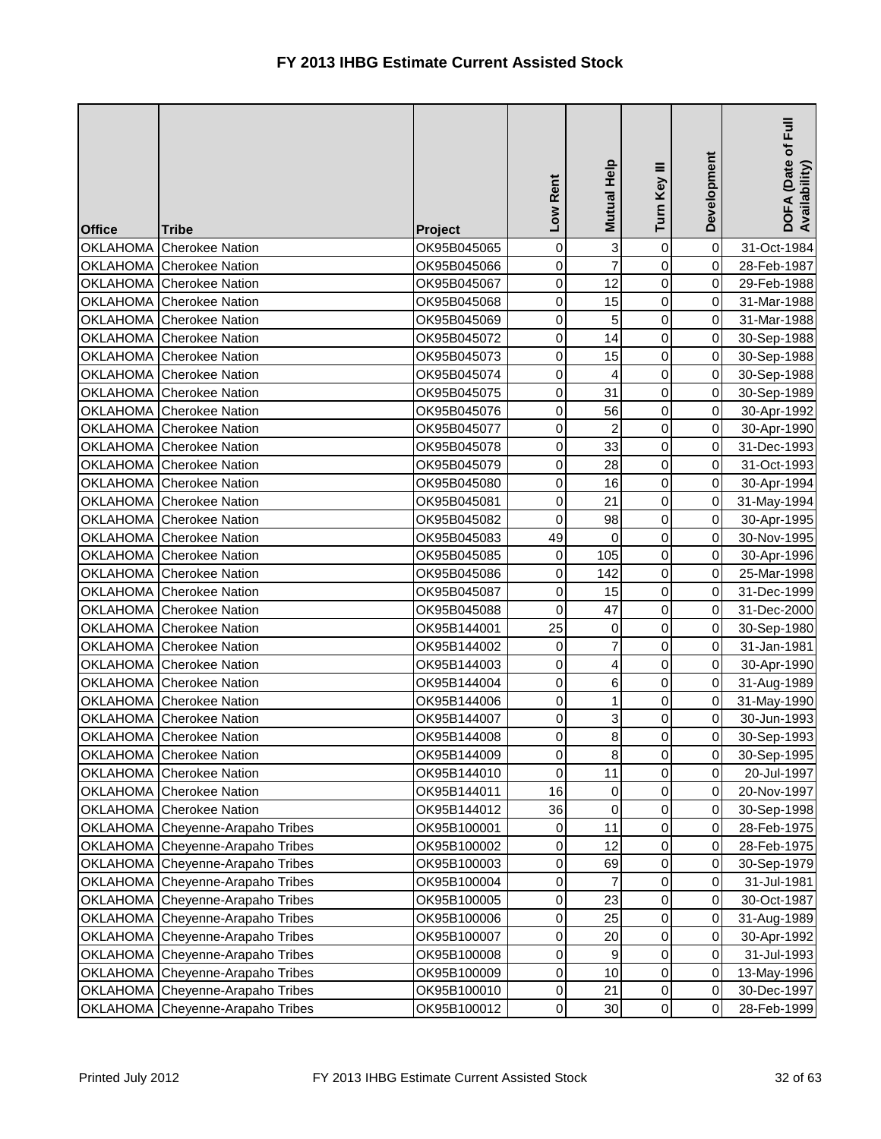| <b>Office</b>   | <b>Tribe</b>                     | Project     | Low Rent         | Mutual Help             | Turn Key III   | Development | $\bar{E}$<br>DOFA (Date of I<br>Availability) |
|-----------------|----------------------------------|-------------|------------------|-------------------------|----------------|-------------|-----------------------------------------------|
| <b>OKLAHOMA</b> | <b>Cherokee Nation</b>           | OK95B045065 | 0                | 3                       | 0              | $\mathbf 0$ | 31-Oct-1984                                   |
|                 | OKLAHOMA Cherokee Nation         | OK95B045066 | 0                | $\overline{7}$          | 0              | $\pmb{0}$   | 28-Feb-1987                                   |
|                 | OKLAHOMA Cherokee Nation         | OK95B045067 | $\pmb{0}$        | 12                      | 0              | $\pmb{0}$   | 29-Feb-1988                                   |
|                 | OKLAHOMA Cherokee Nation         | OK95B045068 | 0                | 15                      | 0              | $\pmb{0}$   | 31-Mar-1988                                   |
|                 | OKLAHOMA Cherokee Nation         | OK95B045069 | 0                | 5                       | 0              | 0           | 31-Mar-1988                                   |
|                 | OKLAHOMA Cherokee Nation         | OK95B045072 | 0                | 14                      | 0              | $\mathbf 0$ | 30-Sep-1988                                   |
|                 | OKLAHOMA Cherokee Nation         | OK95B045073 | $\pmb{0}$        | 15                      | 0              | $\mathbf 0$ | 30-Sep-1988                                   |
|                 | OKLAHOMA Cherokee Nation         | OK95B045074 | $\mathbf 0$      | $\overline{\mathbf{r}}$ | 0              | $\pmb{0}$   | 30-Sep-1988                                   |
| <b>OKLAHOMA</b> | <b>Cherokee Nation</b>           | OK95B045075 | $\boldsymbol{0}$ | 31                      | 0              | $\pmb{0}$   | 30-Sep-1989                                   |
| <b>OKLAHOMA</b> | <b>Cherokee Nation</b>           | OK95B045076 | 0                | 56                      | 0              | 0           | 30-Apr-1992                                   |
| <b>OKLAHOMA</b> | <b>Cherokee Nation</b>           | OK95B045077 | 0                | $\overline{a}$          | 0              | $\mathbf 0$ | 30-Apr-1990                                   |
| <b>OKLAHOMA</b> | <b>Cherokee Nation</b>           | OK95B045078 | 0                | 33                      | 0              | $\mathbf 0$ | 31-Dec-1993                                   |
|                 | OKLAHOMA Cherokee Nation         | OK95B045079 | 0                | 28                      | 0              | $\mathbf 0$ | 31-Oct-1993                                   |
| <b>OKLAHOMA</b> | <b>Cherokee Nation</b>           | OK95B045080 | 0                | 16                      | 0              | $\pmb{0}$   | 30-Apr-1994                                   |
|                 | OKLAHOMA Cherokee Nation         | OK95B045081 | 0                | 21                      | $\mathsf 0$    | 0           | 31-May-1994                                   |
|                 | OKLAHOMA Cherokee Nation         | OK95B045082 | 0                | 98                      | 0              | $\mathbf 0$ | 30-Apr-1995                                   |
|                 | OKLAHOMA Cherokee Nation         | OK95B045083 | 49               | $\overline{0}$          | 0              | $\pmb{0}$   | 30-Nov-1995                                   |
|                 | OKLAHOMA Cherokee Nation         | OK95B045085 | $\pmb{0}$        | 105                     | 0              | $\pmb{0}$   | 30-Apr-1996                                   |
| <b>OKLAHOMA</b> | <b>Cherokee Nation</b>           | OK95B045086 | $\boldsymbol{0}$ | 142                     | 0              | $\pmb{0}$   | 25-Mar-1998                                   |
| <b>OKLAHOMA</b> | <b>Cherokee Nation</b>           | OK95B045087 | 0                | 15                      | 0              | 0           | 31-Dec-1999                                   |
|                 | OKLAHOMA Cherokee Nation         | OK95B045088 | $\mathbf 0$      | 47                      | 0              | $\mathbf 0$ | 31-Dec-2000                                   |
|                 | OKLAHOMA Cherokee Nation         | OK95B144001 | 25               | $\overline{0}$          | 0              | $\mathbf 0$ | 30-Sep-1980                                   |
|                 | OKLAHOMA Cherokee Nation         | OK95B144002 | 0                | $\overline{7}$          | 0              | $\mathbf 0$ | 31-Jan-1981                                   |
| <b>OKLAHOMA</b> | <b>Cherokee Nation</b>           | OK95B144003 | $\mathbf 0$      | $\overline{4}$          | 0              | $\pmb{0}$   | 30-Apr-1990                                   |
|                 | OKLAHOMA Cherokee Nation         | OK95B144004 | 0                | 6                       | 0              | 0           | 31-Aug-1989                                   |
|                 | OKLAHOMA Cherokee Nation         | OK95B144006 | 0                | $\mathbf{1}$            | 0              | $\mathbf 0$ | 31-May-1990                                   |
|                 | OKLAHOMA Cherokee Nation         | OK95B144007 | 0                | $\overline{3}$          | 0              | $\pmb{0}$   | 30-Jun-1993                                   |
|                 | OKLAHOMA Cherokee Nation         | OK95B144008 | 0                | 8 <sup>1</sup>          | $\pmb{0}$      | 0           | 30-Sep-1993                                   |
|                 | OKLAHOMA Cherokee Nation         | OK95B144009 | 0                | 8 <sup>1</sup>          | $\overline{0}$ | $\mathbf 0$ | 30-Sep-1995                                   |
| <b>OKLAHOMA</b> | <b>Cherokee Nation</b>           | OK95B144010 | 0                | 11                      | 0              | 0           | 20-Jul-1997                                   |
|                 | OKLAHOMA Cherokee Nation         | OK95B144011 | 16               | 0                       | 0              | $\,0\,$     | 20-Nov-1997                                   |
|                 | OKLAHOMA Cherokee Nation         | OK95B144012 | 36               | 0                       | 0              | $\,0\,$     | 30-Sep-1998                                   |
|                 | OKLAHOMA Cheyenne-Arapaho Tribes | OK95B100001 | 0                | 11                      | 0              | 0           | 28-Feb-1975                                   |
| <b>OKLAHOMA</b> | Cheyenne-Arapaho Tribes          | OK95B100002 | 0                | 12                      | 0              | 0           | 28-Feb-1975                                   |
| <b>OKLAHOMA</b> | Cheyenne-Arapaho Tribes          | OK95B100003 | 0                | 69                      | 0              | 0           | 30-Sep-1979                                   |
|                 | OKLAHOMA Cheyenne-Arapaho Tribes | OK95B100004 | 0                | $\overline{7}$          | 0              | $\pmb{0}$   | 31-Jul-1981                                   |
|                 | OKLAHOMA Cheyenne-Arapaho Tribes | OK95B100005 | 0                | 23                      | 0              | 0           | 30-Oct-1987                                   |
|                 | OKLAHOMA Cheyenne-Arapaho Tribes | OK95B100006 | 0                | 25                      | 0              | 0           | 31-Aug-1989                                   |
| <b>OKLAHOMA</b> | Cheyenne-Arapaho Tribes          | OK95B100007 | 0                | 20                      | 0              | 0           | 30-Apr-1992                                   |
| <b>OKLAHOMA</b> | Cheyenne-Arapaho Tribes          | OK95B100008 | 0                | 9                       | 0              | $\pmb{0}$   | 31-Jul-1993                                   |
| <b>OKLAHOMA</b> | Cheyenne-Arapaho Tribes          | OK95B100009 | 0                | 10                      | 0              | $\,0\,$     | 13-May-1996                                   |
| OKLAHOMA        | Cheyenne-Arapaho Tribes          | OK95B100010 | 0                | 21                      | 0              | 0           | 30-Dec-1997                                   |
| OKLAHOMA        | Cheyenne-Arapaho Tribes          | OK95B100012 | $\pmb{0}$        | 30                      | 0              | $\,0\,$     | 28-Feb-1999                                   |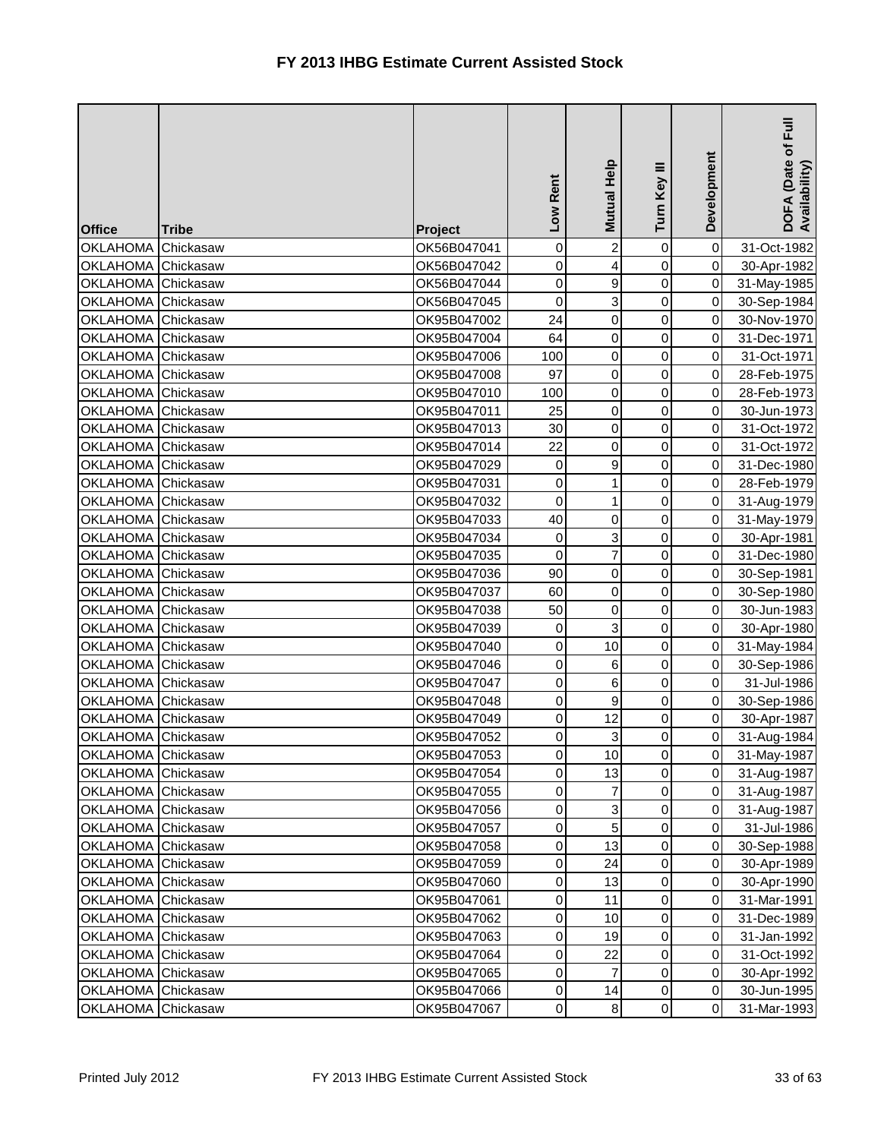| <b>Office</b>      | <b>Tribe</b> | Project     | Low Rent    | <b>Mutual Help</b>      | Ξ<br>Turn Key       | Development | E<br>DOFA (Date of I<br>Availability) |
|--------------------|--------------|-------------|-------------|-------------------------|---------------------|-------------|---------------------------------------|
| <b>OKLAHOMA</b>    | Chickasaw    | OK56B047041 | $\mathbf 0$ | $\overline{2}$          | 0                   | $\pmb{0}$   | 31-Oct-1982                           |
| <b>OKLAHOMA</b>    | Chickasaw    | OK56B047042 | 0           | $\overline{\mathbf{r}}$ | 0                   | $\mathbf 0$ | 30-Apr-1982                           |
| <b>OKLAHOMA</b>    | Chickasaw    | OK56B047044 | $\mathbf 0$ | $\mathbf{9}$            | 0                   | $\mathbf 0$ | 31-May-1985                           |
| <b>OKLAHOMA</b>    | Chickasaw    | OK56B047045 | 0           | 3                       | 0                   | 0           | 30-Sep-1984                           |
| OKLAHOMA Chickasaw |              | OK95B047002 | 24          | $\overline{0}$          | 0                   | 0           | 30-Nov-1970                           |
| <b>OKLAHOMA</b>    | Chickasaw    | OK95B047004 | 64          | $\overline{0}$          | 0                   | $\mathbf 0$ | 31-Dec-1971                           |
| <b>OKLAHOMA</b>    | Chickasaw    | OK95B047006 | 100         | $\overline{0}$          | $\mathsf 0$         | 0           | 31-Oct-1971                           |
| <b>OKLAHOMA</b>    | Chickasaw    | OK95B047008 | 97          | $\overline{0}$          | 0                   | 0           | 28-Feb-1975                           |
| <b>OKLAHOMA</b>    | Chickasaw    | OK95B047010 | 100         | $\overline{0}$          | 0                   | 0           | 28-Feb-1973                           |
| <b>OKLAHOMA</b>    | Chickasaw    | OK95B047011 | 25          | $\overline{0}$          | 0                   | 0           | 30-Jun-1973                           |
| <b>OKLAHOMA</b>    | Chickasaw    | OK95B047013 | 30          | $\overline{0}$          | 0                   | $\mathbf 0$ | 31-Oct-1972                           |
| <b>OKLAHOMA</b>    | Chickasaw    | OK95B047014 | 22          | $\mathbf 0$             | $\mathsf 0$         | 0           | 31-Oct-1972                           |
| <b>OKLAHOMA</b>    | Chickasaw    | OK95B047029 | 0           | $\mathbf{9}$            | 0                   | 0           | 31-Dec-1980                           |
| <b>OKLAHOMA</b>    | Chickasaw    | OK95B047031 | 0           | $\mathbf{1}$            | 0                   | 0           | 28-Feb-1979                           |
| <b>OKLAHOMA</b>    | Chickasaw    | OK95B047032 | 0           | $\mathbf{1}$            | 0                   | $\pmb{0}$   | 31-Aug-1979                           |
| <b>OKLAHOMA</b>    | Chickasaw    | OK95B047033 | 40          | $\overline{0}$          | 0                   | $\pmb{0}$   | 31-May-1979                           |
| <b>OKLAHOMA</b>    | Chickasaw    | OK95B047034 | 0           | $\overline{3}$          | 0                   | $\pmb{0}$   | 30-Apr-1981                           |
| <b>OKLAHOMA</b>    | Chickasaw    | OK95B047035 | $\mathbf 0$ | $\overline{7}$          | 0                   | 0           | 31-Dec-1980                           |
| <b>OKLAHOMA</b>    | Chickasaw    | OK95B047036 | 90          | $\overline{0}$          | 0                   | 0           | 30-Sep-1981                           |
| <b>OKLAHOMA</b>    | Chickasaw    | OK95B047037 | 60          | $\overline{0}$          | 0                   | $\mathbf 0$ | 30-Sep-1980                           |
| <b>OKLAHOMA</b>    | Chickasaw    | OK95B047038 | 50          | $\overline{0}$          | 0                   | $\mathsf 0$ | 30-Jun-1983                           |
| <b>OKLAHOMA</b>    | Chickasaw    | OK95B047039 | 0           | 3                       | 0                   | $\pmb{0}$   | 30-Apr-1980                           |
| <b>OKLAHOMA</b>    | Chickasaw    | OK95B047040 | 0           | 10                      | 0                   | $\mathbf 0$ | 31-May-1984                           |
| <b>OKLAHOMA</b>    | Chickasaw    | OK95B047046 | 0           | 6                       | 0                   | 0           | 30-Sep-1986                           |
| OKLAHOMA Chickasaw |              | OK95B047047 | 0           | 6                       | $\mathsf{O}\xspace$ | $\mathbf 0$ | 31-Jul-1986                           |
| <b>OKLAHOMA</b>    | Chickasaw    | OK95B047048 | $\mathbf 0$ | $\mathbf{g}$            | $\mathsf{O}\xspace$ | $\pmb{0}$   | 30-Sep-1986                           |
| <b>OKLAHOMA</b>    | Chickasaw    | OK95B047049 | 0           | 12                      | 0                   | 0           | 30-Apr-1987                           |
| <b>OKLAHOMA</b>    | Chickasaw    | OK95B047052 | 0           | $\overline{3}$          | 0                   | 0           | 31-Aug-1984                           |
| OKLAHOMA Chickasaw |              | OK95B047053 | 0           | 10                      | $\overline{0}$      | 0           | 31-May-1987                           |
| OKLAHOMA Chickasaw |              | OK95B047054 | 0           | 13                      | 0                   | $\pmb{0}$   | 31-Aug-1987                           |
| OKLAHOMA Chickasaw |              | OK95B047055 | 0           | $\overline{7}$          | 0                   | $\mathbf 0$ | 31-Aug-1987                           |
| OKLAHOMA Chickasaw |              | OK95B047056 | 0           | $\overline{3}$          | 0                   | $\mathbf 0$ | 31-Aug-1987                           |
| OKLAHOMA Chickasaw |              | OK95B047057 | 0           | 5 <sup>1</sup>          | 0                   | $\mathbf 0$ | 31-Jul-1986                           |
| OKLAHOMA Chickasaw |              | OK95B047058 | 0           | 13                      | 0                   | 0           | 30-Sep-1988                           |
| OKLAHOMA Chickasaw |              | OK95B047059 | 0           | 24                      | 0                   | $\pmb{0}$   | 30-Apr-1989                           |
| OKLAHOMA Chickasaw |              | OK95B047060 | $\pmb{0}$   | 13                      | 0                   | $\pmb{0}$   | 30-Apr-1990                           |
| OKLAHOMA Chickasaw |              | OK95B047061 | 0           | 11                      | 0                   | $\mathbf 0$ | 31-Mar-1991                           |
| OKLAHOMA Chickasaw |              | OK95B047062 | 0           | 10                      | 0                   | $\pmb{0}$   | 31-Dec-1989                           |
| <b>OKLAHOMA</b>    | Chickasaw    | OK95B047063 | 0           | 19                      | 0                   | $\mathbf 0$ | 31-Jan-1992                           |
| OKLAHOMA Chickasaw |              | OK95B047064 | 0           | 22                      | 0                   | $\pmb{0}$   | 31-Oct-1992                           |
| <b>OKLAHOMA</b>    | Chickasaw    | OK95B047065 | 0           | $\overline{7}$          | 0                   | $\pmb{0}$   | 30-Apr-1992                           |
| <b>OKLAHOMA</b>    | Chickasaw    | OK95B047066 | 0           | 14                      | 0                   | $\pmb{0}$   | 30-Jun-1995                           |
| <b>OKLAHOMA</b>    | Chickasaw    | OK95B047067 | 0           | 8 <sup>1</sup>          | $\mathsf{O}\xspace$ | $\pmb{0}$   | 31-Mar-1993                           |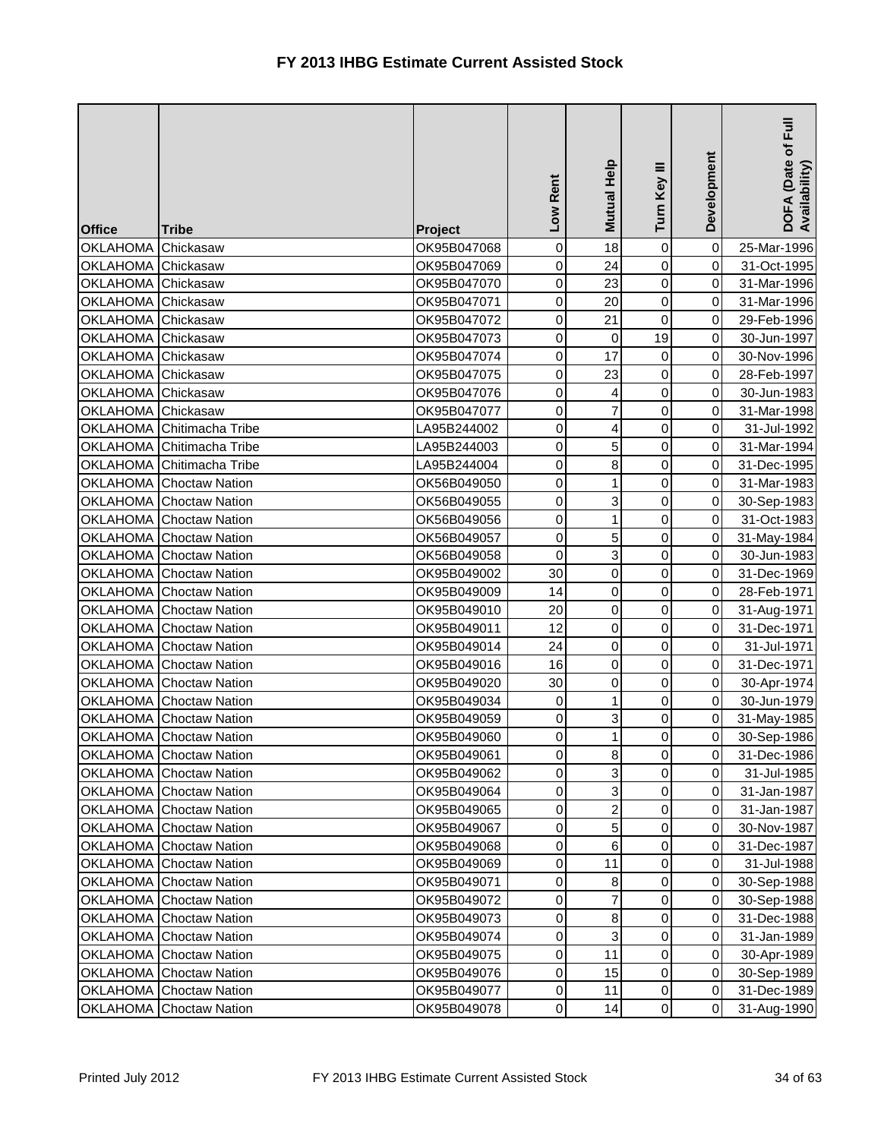| <b>Office</b>      | <b>Tribe</b>                   | Project     | Low Rent         | Mutual Help         | Turn Key III   | Development | $\bar{E}$<br>DOFA (Date of I<br>Availability) |
|--------------------|--------------------------------|-------------|------------------|---------------------|----------------|-------------|-----------------------------------------------|
| <b>OKLAHOMA</b>    | Chickasaw                      | OK95B047068 | 0                | 18                  | 0              | $\mathbf 0$ | 25-Mar-1996                                   |
| <b>OKLAHOMA</b>    | Chickasaw                      | OK95B047069 | 0                | 24                  | 0              | $\pmb{0}$   | 31-Oct-1995                                   |
| <b>OKLAHOMA</b>    | Chickasaw                      | OK95B047070 | $\pmb{0}$        | 23                  | 0              | $\pmb{0}$   | 31-Mar-1996                                   |
| <b>OKLAHOMA</b>    | Chickasaw                      | OK95B047071 | 0                | 20                  | 0              | 0           | 31-Mar-1996                                   |
| OKLAHOMA Chickasaw |                                | OK95B047072 | 0                | 21                  | 0              | 0           | 29-Feb-1996                                   |
| OKLAHOMA Chickasaw |                                | OK95B047073 | 0                | $\mathsf{O}\xspace$ | 19             | $\mathbf 0$ | 30-Jun-1997                                   |
| <b>OKLAHOMA</b>    | Chickasaw                      | OK95B047074 | $\pmb{0}$        | 17                  | 0              | $\mathbf 0$ | 30-Nov-1996                                   |
| <b>OKLAHOMA</b>    | Chickasaw                      | OK95B047075 | $\mathbf 0$      | 23                  | 0              | 0           | 28-Feb-1997                                   |
| <b>OKLAHOMA</b>    | Chickasaw                      | OK95B047076 | $\mathbf 0$      | $\overline{4}$      | 0              | 0           | 30-Jun-1983                                   |
| <b>OKLAHOMA</b>    | Chickasaw                      | OK95B047077 | 0                | $\overline{7}$      | 0              | 0           | 31-Mar-1998                                   |
| <b>OKLAHOMA</b>    | Chitimacha Tribe               | LA95B244002 | 0                | $\overline{4}$      | 0              | $\mathbf 0$ | 31-Jul-1992                                   |
| <b>OKLAHOMA</b>    | Chitimacha Tribe               | LA95B244003 | $\pmb{0}$        | 5 <sup>1</sup>      | 0              | $\mathbf 0$ | 31-Mar-1994                                   |
| <b>OKLAHOMA</b>    | Chitimacha Tribe               | LA95B244004 | 0                | $\bf8$              | $\mathsf 0$    | 0           | 31-Dec-1995                                   |
| <b>OKLAHOMA</b>    | <b>Choctaw Nation</b>          | OK56B049050 | 0                | $\mathbf{1}$        | 0              | 0           | 31-Mar-1983                                   |
| <b>OKLAHOMA</b>    | <b>Choctaw Nation</b>          | OK56B049055 | 0                | 3                   | 0              | 0           | 30-Sep-1983                                   |
| <b>OKLAHOMA</b>    | <b>Choctaw Nation</b>          | OK56B049056 | 0                | $\mathbf{1}$        | 0              | $\mathbf 0$ | 31-Oct-1983                                   |
| <b>OKLAHOMA</b>    | <b>Choctaw Nation</b>          | OK56B049057 | 0                | 5 <sub>l</sub>      | 0              | $\pmb{0}$   | 31-May-1984                                   |
|                    | OKLAHOMA Choctaw Nation        | OK56B049058 | $\mathbf 0$      | $\overline{3}$      | 0              | 0           | 30-Jun-1983                                   |
| <b>OKLAHOMA</b>    | <b>Choctaw Nation</b>          | OK95B049002 | 30               | $\overline{0}$      | 0              | 0           | 31-Dec-1969                                   |
| <b>OKLAHOMA</b>    | <b>Choctaw Nation</b>          | OK95B049009 | 14               | $\overline{0}$      | 0              | 0           | 28-Feb-1971                                   |
| <b>OKLAHOMA</b>    | <b>Choctaw Nation</b>          | OK95B049010 | 20               | $\overline{0}$      | 0              | $\mathbf 0$ | 31-Aug-1971                                   |
| <b>OKLAHOMA</b>    | <b>Choctaw Nation</b>          | OK95B049011 | 12               | $\overline{0}$      | 0              | $\mathbf 0$ | 31-Dec-1971                                   |
| <b>OKLAHOMA</b>    | <b>Choctaw Nation</b>          | OK95B049014 | 24               | $\overline{0}$      | 0              | $\pmb{0}$   | 31-Jul-1971                                   |
| <b>OKLAHOMA</b>    | <b>Choctaw Nation</b>          | OK95B049016 | 16               | $\overline{0}$      | 0              | 0           | 31-Dec-1971                                   |
| <b>OKLAHOMA</b>    | <b>Choctaw Nation</b>          | OK95B049020 | 30               | $\mathsf{O}\xspace$ | 0              | 0           | 30-Apr-1974                                   |
| <b>OKLAHOMA</b>    | <b>Choctaw Nation</b>          | OK95B049034 | $\boldsymbol{0}$ | $\mathbf{1}$        | 0              | $\mathbf 0$ | 30-Jun-1979                                   |
| <b>OKLAHOMA</b>    | <b>Choctaw Nation</b>          | OK95B049059 | 0                | $\overline{3}$      | 0              | 0           | 31-May-1985                                   |
|                    | <b>OKLAHOMA</b> Choctaw Nation | OK95B049060 | 0                | 1                   | $\mathbf 0$    | 0           | 30-Sep-1986                                   |
|                    | OKLAHOMA Choctaw Nation        | OK95B049061 | $\pmb{0}$        | 8                   | $\overline{0}$ | $\mathbf 0$ | 31-Dec-1986                                   |
| <b>OKLAHOMA</b>    | <b>Choctaw Nation</b>          | OK95B049062 | 0                | 3                   | 0              | $\mathbf 0$ | 31-Jul-1985                                   |
|                    | OKLAHOMA Choctaw Nation        | OK95B049064 | 0                | $\overline{3}$      | 0              | $\pmb{0}$   | 31-Jan-1987                                   |
|                    | <b>OKLAHOMA</b> Choctaw Nation | OK95B049065 | 0                | $\mathbf{2}$        | 0              | $\pmb{0}$   | 31-Jan-1987                                   |
|                    | <b>OKLAHOMA</b> Choctaw Nation | OK95B049067 | 0                | 5 <sub>l</sub>      | 0              | $\mathbf 0$ | 30-Nov-1987                                   |
|                    | <b>OKLAHOMA</b> Choctaw Nation | OK95B049068 | 0                | 6                   | 0              | 0           | 31-Dec-1987                                   |
|                    | OKLAHOMA Choctaw Nation        | OK95B049069 | 0                | 11                  | 0              | 0           | 31-Jul-1988                                   |
|                    | OKLAHOMA Choctaw Nation        | OK95B049071 | 0                | $\bf8$              | 0              | $\mathbf 0$ | 30-Sep-1988                                   |
|                    | <b>OKLAHOMA</b> Choctaw Nation | OK95B049072 | 0                | $\overline{7}$      | 0              | $\mathbf 0$ | 30-Sep-1988                                   |
|                    | OKLAHOMA Choctaw Nation        | OK95B049073 | 0                | 8                   | 0              | 0           | 31-Dec-1988                                   |
| <b>OKLAHOMA</b>    | <b>Choctaw Nation</b>          | OK95B049074 | 0                | $\overline{3}$      | 0              | $\mathbf 0$ | 31-Jan-1989                                   |
| <b>OKLAHOMA</b>    | <b>Choctaw Nation</b>          | OK95B049075 | 0                | 11                  | 0              | $\mathbf 0$ | 30-Apr-1989                                   |
| OKLAHOMA           | <b>Choctaw Nation</b>          | OK95B049076 | 0                | 15                  | 0              | $\pmb{0}$   | 30-Sep-1989                                   |
| OKLAHOMA           | <b>Choctaw Nation</b>          | OK95B049077 | 0                | 11                  | 0              | $\pmb{0}$   | 31-Dec-1989                                   |
| OKLAHOMA           | <b>Choctaw Nation</b>          | OK95B049078 | 0                | 14                  | 0              | $\pmb{0}$   | 31-Aug-1990                                   |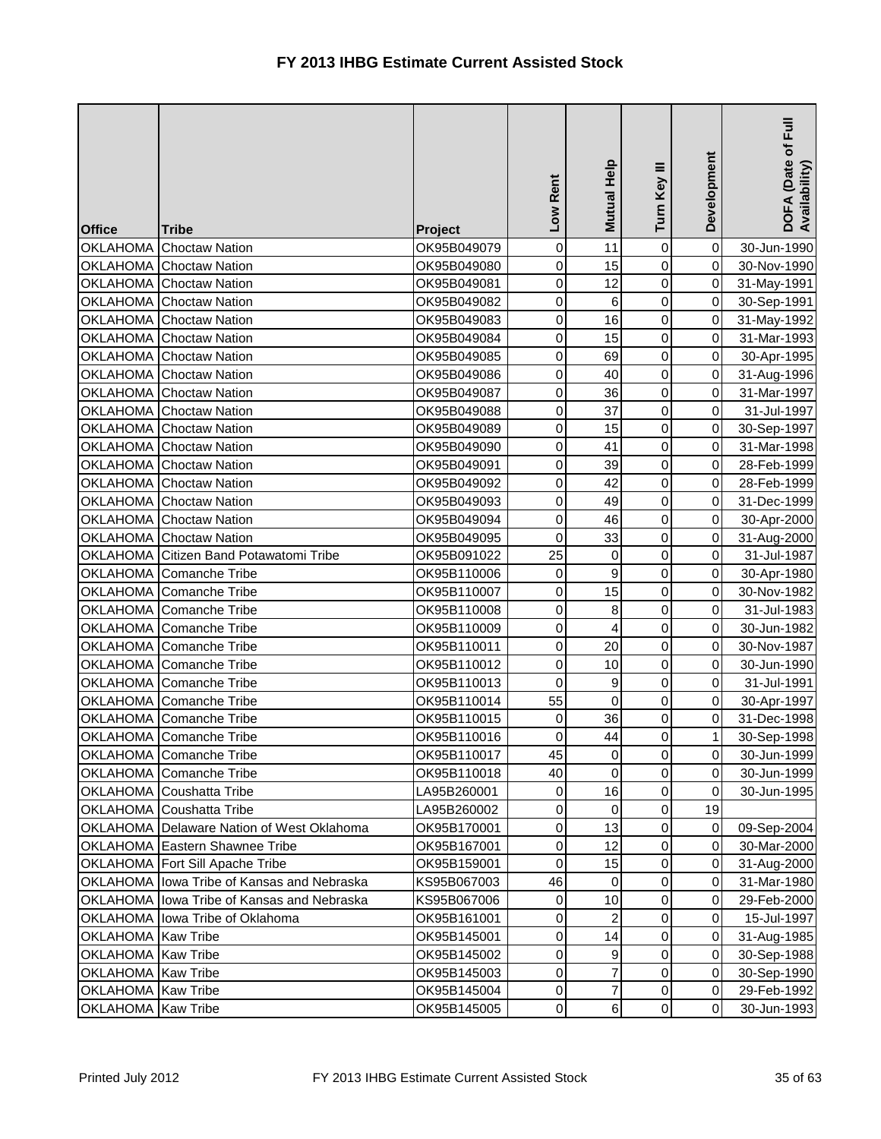| <b>Office</b>      | <b>Tribe</b>                                  | Project     | Low Rent         | <b>Mutual Help</b>      | Turn Key III        | Development    | DOFA (Date of Full<br>Availability) |
|--------------------|-----------------------------------------------|-------------|------------------|-------------------------|---------------------|----------------|-------------------------------------|
| OKLAHOMA           | <b>Choctaw Nation</b>                         | OK95B049079 | $\mathbf 0$      | 11                      | 0                   | $\overline{0}$ | 30-Jun-1990                         |
| <b>OKLAHOMA</b>    | <b>Choctaw Nation</b>                         | OK95B049080 | $\boldsymbol{0}$ | 15                      | 0                   | 0              | 30-Nov-1990                         |
| <b>OKLAHOMA</b>    | <b>Choctaw Nation</b>                         | OK95B049081 | 0                | 12                      | 0                   | $\mathbf 0$    | 31-May-1991                         |
| <b>OKLAHOMA</b>    | <b>Choctaw Nation</b>                         | OK95B049082 | 0                | 6                       | 0                   | 0              | 30-Sep-1991                         |
|                    | OKLAHOMA Choctaw Nation                       | OK95B049083 | 0                | 16                      | 0                   | 0              | 31-May-1992                         |
| <b>OKLAHOMA</b>    | <b>Choctaw Nation</b>                         | OK95B049084 | $\mathbf 0$      | 15                      | 0                   | $\mathbf 0$    | 31-Mar-1993                         |
| <b>OKLAHOMA</b>    | <b>Choctaw Nation</b>                         | OK95B049085 | 0                | 69                      | $\mathsf 0$         | 0              | 30-Apr-1995                         |
| <b>OKLAHOMA</b>    | <b>Choctaw Nation</b>                         | OK95B049086 | 0                | 40                      | 0                   | $\pmb{0}$      | 31-Aug-1996                         |
| <b>OKLAHOMA</b>    | <b>Choctaw Nation</b>                         | OK95B049087 | $\mathbf 0$      | 36                      | 0                   | 0              | 31-Mar-1997                         |
| <b>OKLAHOMA</b>    | <b>Choctaw Nation</b>                         | OK95B049088 | 0                | 37                      | 0                   | $\pmb{0}$      | 31-Jul-1997                         |
| <b>OKLAHOMA</b>    | <b>Choctaw Nation</b>                         | OK95B049089 | $\mathbf 0$      | 15                      | 0                   | $\mathbf 0$    | 30-Sep-1997                         |
| <b>OKLAHOMA</b>    | <b>Choctaw Nation</b>                         | OK95B049090 | 0                | 41                      | $\mathsf 0$         | 0              | 31-Mar-1998                         |
| <b>OKLAHOMA</b>    | <b>Choctaw Nation</b>                         | OK95B049091 | 0                | 39                      | $\mathsf 0$         | $\mathbf 0$    | 28-Feb-1999                         |
| <b>OKLAHOMA</b>    | <b>Choctaw Nation</b>                         | OK95B049092 | 0                | 42                      | 0                   | 0              | 28-Feb-1999                         |
|                    | OKLAHOMA Choctaw Nation                       | OK95B049093 | 0                | 49                      | 0                   | 0              | 31-Dec-1999                         |
|                    | OKLAHOMA Choctaw Nation                       | OK95B049094 | $\mathbf 0$      | 46                      | 0                   | $\pmb{0}$      | 30-Apr-2000                         |
|                    | OKLAHOMA Choctaw Nation                       | OK95B049095 | 0                | 33                      | 0                   | 0              | 31-Aug-2000                         |
|                    | <b>OKLAHOMA Citizen Band Potawatomi Tribe</b> | OK95B091022 | 25               | $\overline{0}$          | $\mathsf 0$         | $\mathbf 0$    | 31-Jul-1987                         |
| <b>OKLAHOMA</b>    | Comanche Tribe                                | OK95B110006 | $\pmb{0}$        | 9                       | 0                   | 0              | 30-Apr-1980                         |
|                    | OKLAHOMA Comanche Tribe                       | OK95B110007 | $\pmb{0}$        | 15                      | 0                   | $\mathbf 0$    | 30-Nov-1982                         |
|                    | OKLAHOMA Comanche Tribe                       | OK95B110008 | $\mathbf 0$      | 8                       | 0                   | $\mathsf 0$    | 31-Jul-1983                         |
|                    | OKLAHOMA Comanche Tribe                       | OK95B110009 | 0                | $\overline{\mathbf{r}}$ | 0                   | $\pmb{0}$      | 30-Jun-1982                         |
|                    | OKLAHOMA Comanche Tribe                       | OK95B110011 | 0                | 20                      | 0                   | $\mathbf 0$    | 30-Nov-1987                         |
| <b>OKLAHOMA</b>    | Comanche Tribe                                | OK95B110012 | 0                | 10                      | 0                   | 0              | 30-Jun-1990                         |
|                    | OKLAHOMA Comanche Tribe                       | OK95B110013 | 0                | 9                       | 0                   | $\mathbf 0$    | 31-Jul-1991                         |
|                    | OKLAHOMA Comanche Tribe                       | OK95B110014 | 55               | $\overline{0}$          | 0                   | $\pmb{0}$      | 30-Apr-1997                         |
| <b>OKLAHOMA</b>    | Comanche Tribe                                | OK95B110015 | 0                | 36                      | 0                   | 0              | 31-Dec-1998                         |
|                    | OKLAHOMA Comanche Tribe                       | OK95B110016 | 0                | 44                      | 0                   | 1              | 30-Sep-1998                         |
|                    | OKLAHOMA Comanche Tribe                       | OK95B110017 | 45               | $\overline{0}$          | $\overline{0}$      | $\mathbf 0$    | 30-Jun-1999                         |
|                    | OKLAHOMA Comanche Tribe                       | OK95B110018 | 40               | $\Omega$                | 0                   | $\mathbf 0$    | 30-Jun-1999                         |
|                    | OKLAHOMA Coushatta Tribe                      | LA95B260001 | 0                | 16                      | $\mathsf{O}\xspace$ | $\mathbf 0$    | 30-Jun-1995                         |
|                    | OKLAHOMA Coushatta Tribe                      | LA95B260002 | 0                | $\overline{0}$          | 0                   | 19             |                                     |
|                    | OKLAHOMA Delaware Nation of West Oklahoma     | OK95B170001 | 0                | 13                      | 0                   | $\mathbf 0$    | 09-Sep-2004                         |
|                    | OKLAHOMA Eastern Shawnee Tribe                | OK95B167001 | 0                | 12                      | 0                   | 0              | 30-Mar-2000                         |
|                    | OKLAHOMA Fort Sill Apache Tribe               | OK95B159001 | 0                | 15                      | 0                   | $\pmb{0}$      | 31-Aug-2000                         |
|                    | OKLAHOMA lowa Tribe of Kansas and Nebraska    | KS95B067003 | 46               | $\overline{0}$          | 0                   | $\pmb{0}$      | 31-Mar-1980                         |
|                    | OKLAHOMA lowa Tribe of Kansas and Nebraska    | KS95B067006 | 0                | 10                      | 0                   | 0              | 29-Feb-2000                         |
|                    | OKLAHOMA lowa Tribe of Oklahoma               | OK95B161001 | 0                | $\overline{2}$          | 0                   | $\mathbf 0$    | 15-Jul-1997                         |
| OKLAHOMA Kaw Tribe |                                               | OK95B145001 | 0                | 14                      | 0                   | 0              | 31-Aug-1985                         |
| OKLAHOMA Kaw Tribe |                                               | OK95B145002 | 0                | 9                       | 0                   | $\pmb{0}$      | 30-Sep-1988                         |
| OKLAHOMA Kaw Tribe |                                               | OK95B145003 | 0                | $\overline{7}$          | 0                   | $\pmb{0}$      | 30-Sep-1990                         |
| OKLAHOMA Kaw Tribe |                                               | OK95B145004 | 0                | $\overline{7}$          | 0                   | $\pmb{0}$      | 29-Feb-1992                         |
| OKLAHOMA Kaw Tribe |                                               | OK95B145005 | 0                | $\,$ 6 $\,$             | $\mathsf{O}\xspace$ | $\pmb{0}$      | 30-Jun-1993                         |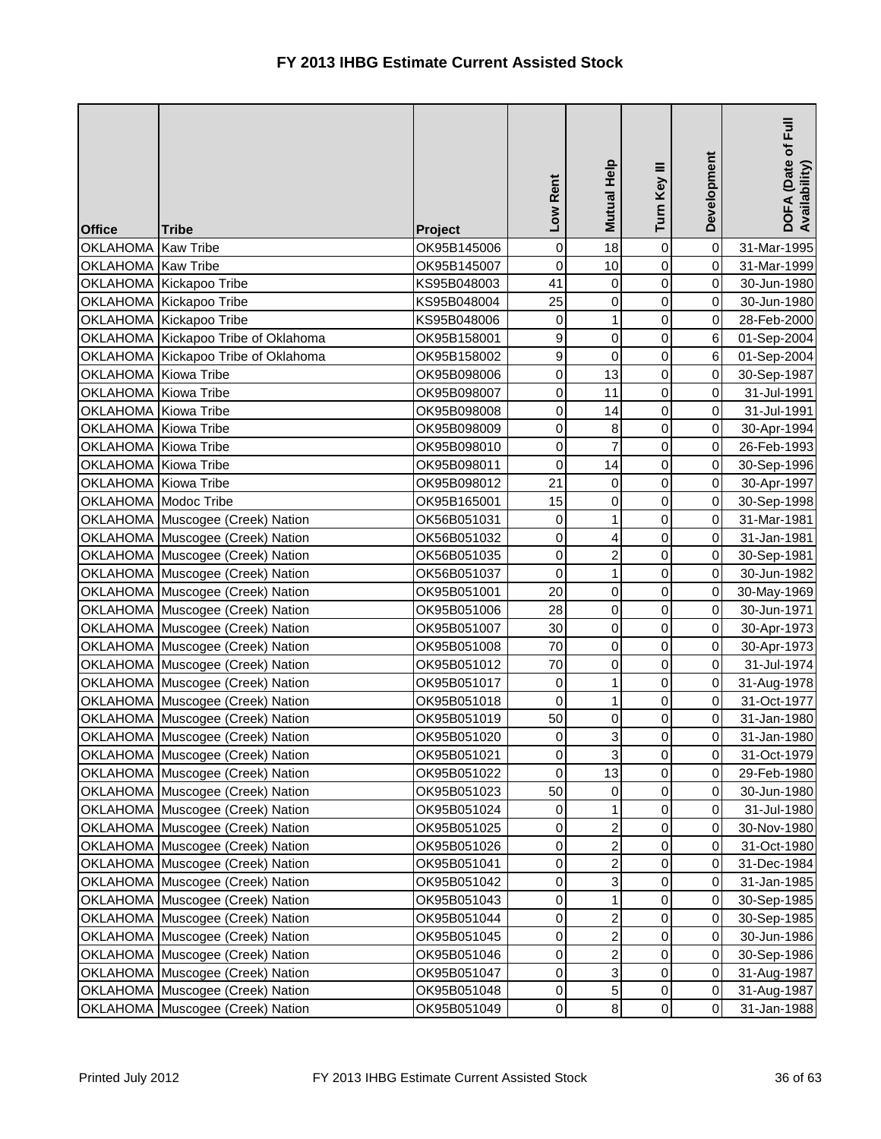| <b>Office</b>        | <b>Tribe</b>                        | Project     | Low Rent         | <b>Mutual Help</b> | Turn Key III        | Development | $\bar{E}$<br>DOFA (Date of F<br>Availability) |
|----------------------|-------------------------------------|-------------|------------------|--------------------|---------------------|-------------|-----------------------------------------------|
| OKLAHOMA Kaw Tribe   |                                     | OK95B145006 | $\mathbf 0$      | 18                 | $\mathsf{O}\xspace$ | $\mathbf 0$ | 31-Mar-1995                                   |
| OKLAHOMA Kaw Tribe   |                                     | OK95B145007 | 0                | 10                 | 0                   | $\pmb{0}$   | 31-Mar-1999                                   |
|                      | OKLAHOMA Kickapoo Tribe             | KS95B048003 | 41               | $\overline{0}$     | 0                   | 0           | 30-Jun-1980                                   |
|                      | OKLAHOMA Kickapoo Tribe             | KS95B048004 | 25               | $\overline{0}$     | 0                   | 0           | 30-Jun-1980                                   |
|                      | OKLAHOMA Kickapoo Tribe             | KS95B048006 | 0                | $\mathbf{1}$       | 0                   | $\pmb{0}$   | 28-Feb-2000                                   |
|                      | OKLAHOMA Kickapoo Tribe of Oklahoma | OK95B158001 | 9                | $\overline{0}$     | 0                   | 6           | 01-Sep-2004                                   |
|                      | OKLAHOMA Kickapoo Tribe of Oklahoma | OK95B158002 | $\boldsymbol{9}$ | $\overline{0}$     | 0                   | 6           | 01-Sep-2004                                   |
| OKLAHOMA Kiowa Tribe |                                     | OK95B098006 | $\pmb{0}$        | 13                 | 0                   | $\pmb{0}$   | 30-Sep-1987                                   |
| OKLAHOMA Kiowa Tribe |                                     | OK95B098007 | $\pmb{0}$        | 11                 | 0                   | $\pmb{0}$   | 31-Jul-1991                                   |
| OKLAHOMA Kiowa Tribe |                                     | OK95B098008 | 0                | 14                 | 0                   | $\pmb{0}$   | 31-Jul-1991                                   |
| OKLAHOMA Kiowa Tribe |                                     | OK95B098009 | $\mathbf 0$      | $\bf{8}$           | 0                   | $\mathbf 0$ | 30-Apr-1994                                   |
| OKLAHOMA Kiowa Tribe |                                     | OK95B098010 | 0                | $\overline{7}$     | $\mathsf 0$         | 0           | 26-Feb-1993                                   |
| OKLAHOMA Kiowa Tribe |                                     | OK95B098011 | $\mathbf 0$      | 14                 | 0                   | $\mathbf 0$ | 30-Sep-1996                                   |
| OKLAHOMA Kiowa Tribe |                                     | OK95B098012 | 21               | $\overline{0}$     | 0                   | $\pmb{0}$   | 30-Apr-1997                                   |
| OKLAHOMA Modoc Tribe |                                     | OK95B165001 | 15               | $\overline{0}$     | 0                   | $\pmb{0}$   | 30-Sep-1998                                   |
|                      | OKLAHOMA Muscogee (Creek) Nation    | OK56B051031 | $\mathbf 0$      | $\mathbf{1}$       | 0                   | $\pmb{0}$   | 31-Mar-1981                                   |
|                      | OKLAHOMA Muscogee (Creek) Nation    | OK56B051032 | 0                | $\overline{4}$     | 0                   | $\pmb{0}$   | 31-Jan-1981                                   |
|                      | OKLAHOMA Muscogee (Creek) Nation    | OK56B051035 | 0                | $\mathbf{2}$       | 0                   | $\mathbf 0$ | 30-Sep-1981                                   |
|                      | OKLAHOMA Muscogee (Creek) Nation    | OK56B051037 | $\mathbf 0$      | 1                  | 0                   | $\pmb{0}$   | 30-Jun-1982                                   |
|                      | OKLAHOMA Muscogee (Creek) Nation    | OK95B051001 | 20               | $\overline{0}$     | 0                   | $\mathbf 0$ | 30-May-1969                                   |
|                      | OKLAHOMA Muscogee (Creek) Nation    | OK95B051006 | 28               | $\overline{0}$     | $\mathbf 0$         | $\mathsf 0$ | 30-Jun-1971                                   |
|                      | OKLAHOMA Muscogee (Creek) Nation    | OK95B051007 | 30               | $\overline{0}$     | 0                   | $\pmb{0}$   | 30-Apr-1973                                   |
|                      | OKLAHOMA Muscogee (Creek) Nation    | OK95B051008 | 70               | $\overline{0}$     | 0                   | $\mathsf 0$ | 30-Apr-1973                                   |
|                      | OKLAHOMA Muscogee (Creek) Nation    | OK95B051012 | 70               | 0                  | 0                   | 0           | 31-Jul-1974                                   |
|                      | OKLAHOMA Muscogee (Creek) Nation    | OK95B051017 | $\pmb{0}$        | $\mathbf{1}$       | $\mathsf{O}\xspace$ | $\mathbf 0$ | 31-Aug-1978                                   |
|                      | OKLAHOMA Muscogee (Creek) Nation    | OK95B051018 | $\mathbf 0$      | $\mathbf{1}$       | $\mathsf{O}\xspace$ | $\pmb{0}$   | 31-Oct-1977                                   |
|                      | OKLAHOMA Muscogee (Creek) Nation    | OK95B051019 | 50               | $\overline{0}$     | 0                   | $\pmb{0}$   | 31-Jan-1980                                   |
|                      | OKLAHOMA Muscogee (Creek) Nation    | OK95B051020 | 0                | $\overline{3}$     | 0                   | 0           | 31-Jan-1980                                   |
|                      | OKLAHOMA Muscogee (Creek) Nation    | OK95B051021 | 0                | $\overline{3}$     | $\overline{0}$      | 0           | 31-Oct-1979                                   |
|                      | OKLAHOMA Muscogee (Creek) Nation    | OK95B051022 | 0                | 13                 | 0                   | 0           | 29-Feb-1980                                   |
|                      | OKLAHOMA Muscogee (Creek) Nation    | OK95B051023 | 50               | $\overline{0}$     | $\mathsf{O}\xspace$ | $\mathbf 0$ | 30-Jun-1980                                   |
|                      | OKLAHOMA Muscogee (Creek) Nation    | OK95B051024 | 0                | $\mathbf{1}$       | 0                   | $\mathbf 0$ | 31-Jul-1980                                   |
|                      | OKLAHOMA Muscogee (Creek) Nation    | OK95B051025 | 0                | $\mathbf{2}$       | 0                   | $\mathbf 0$ | 30-Nov-1980                                   |
|                      | OKLAHOMA Muscogee (Creek) Nation    | OK95B051026 | 0                | $\mathbf{2}$       | 0                   | 0           | 31-Oct-1980                                   |
|                      | OKLAHOMA Muscogee (Creek) Nation    | OK95B051041 | 0                | $\overline{a}$     | 0                   | $\mathbf 0$ | 31-Dec-1984                                   |
|                      | OKLAHOMA Muscogee (Creek) Nation    | OK95B051042 | 0                | $\overline{3}$     | 0                   | $\mathbf 0$ | 31-Jan-1985                                   |
|                      | OKLAHOMA Muscogee (Creek) Nation    | OK95B051043 | 0                | $\mathbf{1}$       | 0                   | 0           | 30-Sep-1985                                   |
|                      | OKLAHOMA Muscogee (Creek) Nation    | OK95B051044 | 0                | $\mathbf{2}$       | 0                   | 0           | 30-Sep-1985                                   |
|                      | OKLAHOMA Muscogee (Creek) Nation    | OK95B051045 | 0                | $\mathbf{2}$       | 0                   | $\mathbf 0$ | 30-Jun-1986                                   |
|                      | OKLAHOMA Muscogee (Creek) Nation    | OK95B051046 | 0                | $\overline{a}$     | 0                   | $\pmb{0}$   | 30-Sep-1986                                   |
|                      | OKLAHOMA Muscogee (Creek) Nation    | OK95B051047 | 0                | $\overline{3}$     | 0                   | $\pmb{0}$   | 31-Aug-1987                                   |
|                      | OKLAHOMA Muscogee (Creek) Nation    | OK95B051048 | 0                | 5 <sup>1</sup>     | 0                   | $\pmb{0}$   | 31-Aug-1987                                   |
|                      | OKLAHOMA Muscogee (Creek) Nation    | OK95B051049 | 0                | $\bf{8}$           | $\mathsf{O}\xspace$ | $\pmb{0}$   | 31-Jan-1988                                   |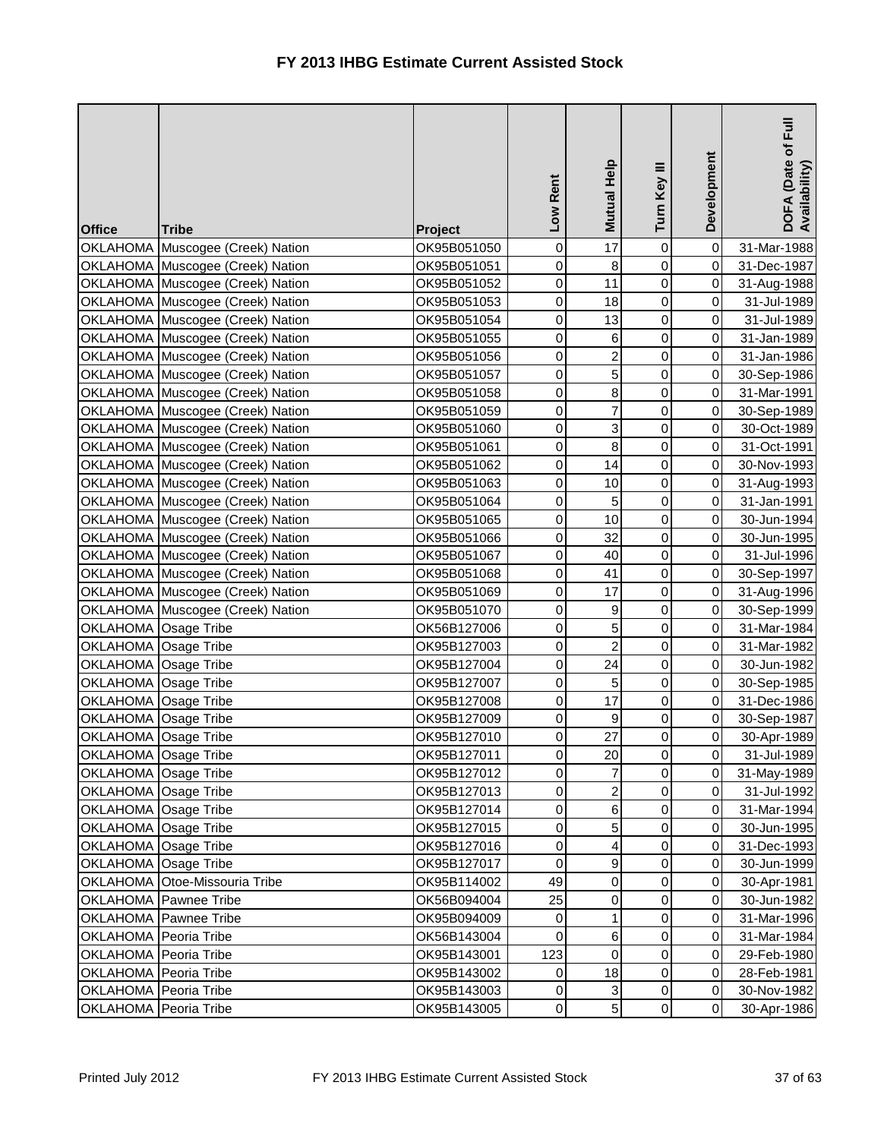| OKLAHOMA Muscogee (Creek) Nation<br>0<br>$\pmb{0}$<br>$\bf8$<br>$\pmb{0}$<br>OKLAHOMA Muscogee (Creek) Nation<br>OK95B051051<br>31-Dec-1987<br>11<br>0<br>OKLAHOMA Muscogee (Creek) Nation<br>0<br>$\pmb{0}$<br>OK95B051052<br>31-Aug-1988<br>$\mathbf 0$<br>$\boldsymbol{0}$<br>$\mathbf 0$<br>18<br>OKLAHOMA Muscogee (Creek) Nation<br>OK95B051053<br>31-Jul-1989<br>13<br>0<br>0<br>0<br>OKLAHOMA Muscogee (Creek) Nation<br>OK95B051054<br>31-Jul-1989<br>6<br>0<br>$\mathbf 0$<br>OKLAHOMA Muscogee (Creek) Nation<br>0<br>OK95B051055<br>31-Jan-1989<br>$\overline{a}$<br>0<br>$\mathbf 0$<br>OKLAHOMA Muscogee (Creek) Nation<br>$\pmb{0}$<br>OK95B051056<br>31-Jan-1986<br>5 <sup>1</sup><br>0<br>OKLAHOMA Muscogee (Creek) Nation<br>$\mathbf 0$<br>$\pmb{0}$<br>OK95B051057<br>30-Sep-1986<br>$\bf{8}$<br>$\boldsymbol{0}$<br>0<br>$\pmb{0}$<br>OKLAHOMA Muscogee (Creek) Nation<br>OK95B051058<br>31-Mar-1991<br>$\overline{7}$<br>$\mathsf 0$<br>0<br>0<br>OKLAHOMA Muscogee (Creek) Nation<br>OK95B051059<br>30-Sep-1989<br>$\overline{3}$<br>0<br>0<br>$\mathbf 0$<br>OKLAHOMA Muscogee (Creek) Nation<br>OK95B051060<br>30-Oct-1989<br>$\infty$<br>$\mathbf 0$<br>0<br>$\mathbf 0$<br>OKLAHOMA Muscogee (Creek) Nation<br>OK95B051061<br>31-Oct-1991<br>14<br>0<br>$\mathbf 0$<br>0<br>OKLAHOMA Muscogee (Creek) Nation<br>OK95B051062<br>30-Nov-1993<br>0<br>0<br>10<br>$\pmb{0}$<br>OKLAHOMA Muscogee (Creek) Nation<br>OK95B051063<br>31-Aug-1993<br>5<br>0<br>0<br>0<br>OKLAHOMA Muscogee (Creek) Nation<br>OK95B051064<br>31-Jan-1991<br>0<br>10<br>0<br>$\mathbf 0$<br>OKLAHOMA Muscogee (Creek) Nation<br>OK95B051065<br>30-Jun-1994<br>$\mathbf 0$<br>32<br>0<br>OKLAHOMA Muscogee (Creek) Nation<br>$\pmb{0}$<br>OK95B051066<br>30-Jun-1995<br>0<br>$\mathbf 0$<br>OKLAHOMA Muscogee (Creek) Nation<br>OK95B051067<br>$\pmb{0}$<br>40<br>31-Jul-1996<br>$\mathbf 0$<br>0<br>OKLAHOMA Muscogee (Creek) Nation<br>41<br>$\pmb{0}$<br>OK95B051068<br>30-Sep-1997<br>17<br>0<br>OKLAHOMA Muscogee (Creek) Nation<br>$\pmb{0}$<br>0<br>OK95B051069<br>31-Aug-1996<br>9<br>0<br>0<br>$\mathbf 0$<br>OKLAHOMA Muscogee (Creek) Nation<br>OK95B051070<br>30-Sep-1999<br>$\overline{5}$<br>0<br>$\mathbf 0$<br>$\pmb{0}$<br>OKLAHOMA Osage Tribe<br>OK56B127006<br>31-Mar-1984<br>$\overline{2}$<br>0<br>$\mathbf 0$<br>OKLAHOMA Osage Tribe<br>0<br>OK95B127003<br>31-Mar-1982<br>0<br>24<br>0<br>$\pmb{0}$<br>OKLAHOMA Osage Tribe<br>OK95B127004<br>30-Jun-1982<br>5<br>OKLAHOMA Osage Tribe<br>OK95B127007<br>0<br>0<br>$\pmb{0}$<br>30-Sep-1985<br>17<br>0<br>0<br>$\mathbf 0$<br>OKLAHOMA Osage Tribe<br>OK95B127008<br>31-Dec-1986<br>OKLAHOMA Osage Tribe<br>9<br>0<br>$\pmb{0}$<br>OK95B127009<br>0<br>30-Sep-1987<br>27<br>$\mathsf{O}\xspace$<br>OKLAHOMA Osage Tribe<br>$\pmb{0}$<br>$\pmb{0}$<br>OK95B127010<br>30-Apr-1989<br>$\mathbf 0$<br>OKLAHOMA Osage Tribe<br>OK95B127011<br>20<br>$\overline{0}$<br>$\mathbf 0$<br>31-Jul-1989<br>$\overline{7}$<br>0<br>0<br>$\pmb{0}$<br>OKLAHOMA Osage Tribe<br>OK95B127012<br>31-May-1989<br>$\overline{2}$<br>0<br>0<br>$\pmb{0}$<br>OKLAHOMA Osage Tribe<br>OK95B127013<br>31-Jul-1992<br>$6 \mid$<br>0<br>$\pmb{0}$<br>OKLAHOMA Osage Tribe<br>OK95B127014<br>0<br>31-Mar-1994<br>5 <sub>l</sub><br>OKLAHOMA Osage Tribe<br>0<br>0<br>$\mathbf 0$<br>OK95B127015<br>30-Jun-1995<br>$\vert$<br>OKLAHOMA Osage Tribe<br>OK95B127016<br>0<br>0<br>$\mathbf 0$<br>31-Dec-1993<br>OKLAHOMA Osage Tribe<br>OK95B127017<br>9<br>0<br>0<br>$\mathbf 0$<br>30-Jun-1999<br>$\overline{0}$<br>0<br>$\pmb{0}$<br>OKLAHOMA Otoe-Missouria Tribe<br>OK95B114002<br>49<br>30-Apr-1981<br>$\overline{0}$<br>0<br>OKLAHOMA Pawnee Tribe<br>OK56B094004<br>25<br>$\mathbf 0$<br>30-Jun-1982<br>$\mathbf{1}$<br>0<br>OKLAHOMA Pawnee Tribe<br>$\mathbf 0$<br>OK95B094009<br>0<br>31-Mar-1996<br>$\boldsymbol{0}$<br>$6 \mid$<br>0<br>OKLAHOMA Peoria Tribe<br>$\mathbf 0$<br>OK56B143004<br>31-Mar-1984<br>123<br>$\mathbf 0$<br>OKLAHOMA Peoria Tribe<br>OK95B143001<br>0<br>0<br>29-Feb-1980<br>0<br>18<br>0<br>OKLAHOMA Peoria Tribe<br>OK95B143002<br>0<br>28-Feb-1981<br>$\mathbf{3}$<br>0<br>OKLAHOMA Peoria Tribe<br>OK95B143003<br>$\,0\,$<br>0<br>30-Nov-1982<br>5 <sup>1</sup><br>0<br>$\mathbf 0$<br>0<br>OKLAHOMA Peoria Tribe<br>OK95B143005<br>30-Apr-1986 | <b>Office</b> | <b>Tribe</b> | Project     | Low Rent  | Mutual Help | Turn Key III | Development | $E_{\rm HI}$<br>DOFA (Date of I<br>Availability) |
|------------------------------------------------------------------------------------------------------------------------------------------------------------------------------------------------------------------------------------------------------------------------------------------------------------------------------------------------------------------------------------------------------------------------------------------------------------------------------------------------------------------------------------------------------------------------------------------------------------------------------------------------------------------------------------------------------------------------------------------------------------------------------------------------------------------------------------------------------------------------------------------------------------------------------------------------------------------------------------------------------------------------------------------------------------------------------------------------------------------------------------------------------------------------------------------------------------------------------------------------------------------------------------------------------------------------------------------------------------------------------------------------------------------------------------------------------------------------------------------------------------------------------------------------------------------------------------------------------------------------------------------------------------------------------------------------------------------------------------------------------------------------------------------------------------------------------------------------------------------------------------------------------------------------------------------------------------------------------------------------------------------------------------------------------------------------------------------------------------------------------------------------------------------------------------------------------------------------------------------------------------------------------------------------------------------------------------------------------------------------------------------------------------------------------------------------------------------------------------------------------------------------------------------------------------------------------------------------------------------------------------------------------------------------------------------------------------------------------------------------------------------------------------------------------------------------------------------------------------------------------------------------------------------------------------------------------------------------------------------------------------------------------------------------------------------------------------------------------------------------------------------------------------------------------------------------------------------------------------------------------------------------------------------------------------------------------------------------------------------------------------------------------------------------------------------------------------------------------------------------------------------------------------------------------------------------------------------------------------------------------------------------------------------------------------------------------------------------------------------------------------------------------------------------------------------------------------------------------------------------------------------------------------------------------------------------------------------------------------------------------------------------------------------------------------------------------------------------------------------------------------------------------------------------------------------------------------------------------------------------------------------------------------------------------------------------------------|---------------|--------------|-------------|-----------|-------------|--------------|-------------|--------------------------------------------------|
|                                                                                                                                                                                                                                                                                                                                                                                                                                                                                                                                                                                                                                                                                                                                                                                                                                                                                                                                                                                                                                                                                                                                                                                                                                                                                                                                                                                                                                                                                                                                                                                                                                                                                                                                                                                                                                                                                                                                                                                                                                                                                                                                                                                                                                                                                                                                                                                                                                                                                                                                                                                                                                                                                                                                                                                                                                                                                                                                                                                                                                                                                                                                                                                                                                                                                                                                                                                                                                                                                                                                                                                                                                                                                                                                                                                                                                                                                                                                                                                                                                                                                                                                                                                                                                                                                                                                    |               |              | OK95B051050 | $\pmb{0}$ | 17          | $\pmb{0}$    | $\pmb{0}$   | 31-Mar-1988                                      |
|                                                                                                                                                                                                                                                                                                                                                                                                                                                                                                                                                                                                                                                                                                                                                                                                                                                                                                                                                                                                                                                                                                                                                                                                                                                                                                                                                                                                                                                                                                                                                                                                                                                                                                                                                                                                                                                                                                                                                                                                                                                                                                                                                                                                                                                                                                                                                                                                                                                                                                                                                                                                                                                                                                                                                                                                                                                                                                                                                                                                                                                                                                                                                                                                                                                                                                                                                                                                                                                                                                                                                                                                                                                                                                                                                                                                                                                                                                                                                                                                                                                                                                                                                                                                                                                                                                                                    |               |              |             |           |             |              |             |                                                  |
|                                                                                                                                                                                                                                                                                                                                                                                                                                                                                                                                                                                                                                                                                                                                                                                                                                                                                                                                                                                                                                                                                                                                                                                                                                                                                                                                                                                                                                                                                                                                                                                                                                                                                                                                                                                                                                                                                                                                                                                                                                                                                                                                                                                                                                                                                                                                                                                                                                                                                                                                                                                                                                                                                                                                                                                                                                                                                                                                                                                                                                                                                                                                                                                                                                                                                                                                                                                                                                                                                                                                                                                                                                                                                                                                                                                                                                                                                                                                                                                                                                                                                                                                                                                                                                                                                                                                    |               |              |             |           |             |              |             |                                                  |
|                                                                                                                                                                                                                                                                                                                                                                                                                                                                                                                                                                                                                                                                                                                                                                                                                                                                                                                                                                                                                                                                                                                                                                                                                                                                                                                                                                                                                                                                                                                                                                                                                                                                                                                                                                                                                                                                                                                                                                                                                                                                                                                                                                                                                                                                                                                                                                                                                                                                                                                                                                                                                                                                                                                                                                                                                                                                                                                                                                                                                                                                                                                                                                                                                                                                                                                                                                                                                                                                                                                                                                                                                                                                                                                                                                                                                                                                                                                                                                                                                                                                                                                                                                                                                                                                                                                                    |               |              |             |           |             |              |             |                                                  |
|                                                                                                                                                                                                                                                                                                                                                                                                                                                                                                                                                                                                                                                                                                                                                                                                                                                                                                                                                                                                                                                                                                                                                                                                                                                                                                                                                                                                                                                                                                                                                                                                                                                                                                                                                                                                                                                                                                                                                                                                                                                                                                                                                                                                                                                                                                                                                                                                                                                                                                                                                                                                                                                                                                                                                                                                                                                                                                                                                                                                                                                                                                                                                                                                                                                                                                                                                                                                                                                                                                                                                                                                                                                                                                                                                                                                                                                                                                                                                                                                                                                                                                                                                                                                                                                                                                                                    |               |              |             |           |             |              |             |                                                  |
|                                                                                                                                                                                                                                                                                                                                                                                                                                                                                                                                                                                                                                                                                                                                                                                                                                                                                                                                                                                                                                                                                                                                                                                                                                                                                                                                                                                                                                                                                                                                                                                                                                                                                                                                                                                                                                                                                                                                                                                                                                                                                                                                                                                                                                                                                                                                                                                                                                                                                                                                                                                                                                                                                                                                                                                                                                                                                                                                                                                                                                                                                                                                                                                                                                                                                                                                                                                                                                                                                                                                                                                                                                                                                                                                                                                                                                                                                                                                                                                                                                                                                                                                                                                                                                                                                                                                    |               |              |             |           |             |              |             |                                                  |
|                                                                                                                                                                                                                                                                                                                                                                                                                                                                                                                                                                                                                                                                                                                                                                                                                                                                                                                                                                                                                                                                                                                                                                                                                                                                                                                                                                                                                                                                                                                                                                                                                                                                                                                                                                                                                                                                                                                                                                                                                                                                                                                                                                                                                                                                                                                                                                                                                                                                                                                                                                                                                                                                                                                                                                                                                                                                                                                                                                                                                                                                                                                                                                                                                                                                                                                                                                                                                                                                                                                                                                                                                                                                                                                                                                                                                                                                                                                                                                                                                                                                                                                                                                                                                                                                                                                                    |               |              |             |           |             |              |             |                                                  |
|                                                                                                                                                                                                                                                                                                                                                                                                                                                                                                                                                                                                                                                                                                                                                                                                                                                                                                                                                                                                                                                                                                                                                                                                                                                                                                                                                                                                                                                                                                                                                                                                                                                                                                                                                                                                                                                                                                                                                                                                                                                                                                                                                                                                                                                                                                                                                                                                                                                                                                                                                                                                                                                                                                                                                                                                                                                                                                                                                                                                                                                                                                                                                                                                                                                                                                                                                                                                                                                                                                                                                                                                                                                                                                                                                                                                                                                                                                                                                                                                                                                                                                                                                                                                                                                                                                                                    |               |              |             |           |             |              |             |                                                  |
|                                                                                                                                                                                                                                                                                                                                                                                                                                                                                                                                                                                                                                                                                                                                                                                                                                                                                                                                                                                                                                                                                                                                                                                                                                                                                                                                                                                                                                                                                                                                                                                                                                                                                                                                                                                                                                                                                                                                                                                                                                                                                                                                                                                                                                                                                                                                                                                                                                                                                                                                                                                                                                                                                                                                                                                                                                                                                                                                                                                                                                                                                                                                                                                                                                                                                                                                                                                                                                                                                                                                                                                                                                                                                                                                                                                                                                                                                                                                                                                                                                                                                                                                                                                                                                                                                                                                    |               |              |             |           |             |              |             |                                                  |
|                                                                                                                                                                                                                                                                                                                                                                                                                                                                                                                                                                                                                                                                                                                                                                                                                                                                                                                                                                                                                                                                                                                                                                                                                                                                                                                                                                                                                                                                                                                                                                                                                                                                                                                                                                                                                                                                                                                                                                                                                                                                                                                                                                                                                                                                                                                                                                                                                                                                                                                                                                                                                                                                                                                                                                                                                                                                                                                                                                                                                                                                                                                                                                                                                                                                                                                                                                                                                                                                                                                                                                                                                                                                                                                                                                                                                                                                                                                                                                                                                                                                                                                                                                                                                                                                                                                                    |               |              |             |           |             |              |             |                                                  |
|                                                                                                                                                                                                                                                                                                                                                                                                                                                                                                                                                                                                                                                                                                                                                                                                                                                                                                                                                                                                                                                                                                                                                                                                                                                                                                                                                                                                                                                                                                                                                                                                                                                                                                                                                                                                                                                                                                                                                                                                                                                                                                                                                                                                                                                                                                                                                                                                                                                                                                                                                                                                                                                                                                                                                                                                                                                                                                                                                                                                                                                                                                                                                                                                                                                                                                                                                                                                                                                                                                                                                                                                                                                                                                                                                                                                                                                                                                                                                                                                                                                                                                                                                                                                                                                                                                                                    |               |              |             |           |             |              |             |                                                  |
|                                                                                                                                                                                                                                                                                                                                                                                                                                                                                                                                                                                                                                                                                                                                                                                                                                                                                                                                                                                                                                                                                                                                                                                                                                                                                                                                                                                                                                                                                                                                                                                                                                                                                                                                                                                                                                                                                                                                                                                                                                                                                                                                                                                                                                                                                                                                                                                                                                                                                                                                                                                                                                                                                                                                                                                                                                                                                                                                                                                                                                                                                                                                                                                                                                                                                                                                                                                                                                                                                                                                                                                                                                                                                                                                                                                                                                                                                                                                                                                                                                                                                                                                                                                                                                                                                                                                    |               |              |             |           |             |              |             |                                                  |
|                                                                                                                                                                                                                                                                                                                                                                                                                                                                                                                                                                                                                                                                                                                                                                                                                                                                                                                                                                                                                                                                                                                                                                                                                                                                                                                                                                                                                                                                                                                                                                                                                                                                                                                                                                                                                                                                                                                                                                                                                                                                                                                                                                                                                                                                                                                                                                                                                                                                                                                                                                                                                                                                                                                                                                                                                                                                                                                                                                                                                                                                                                                                                                                                                                                                                                                                                                                                                                                                                                                                                                                                                                                                                                                                                                                                                                                                                                                                                                                                                                                                                                                                                                                                                                                                                                                                    |               |              |             |           |             |              |             |                                                  |
|                                                                                                                                                                                                                                                                                                                                                                                                                                                                                                                                                                                                                                                                                                                                                                                                                                                                                                                                                                                                                                                                                                                                                                                                                                                                                                                                                                                                                                                                                                                                                                                                                                                                                                                                                                                                                                                                                                                                                                                                                                                                                                                                                                                                                                                                                                                                                                                                                                                                                                                                                                                                                                                                                                                                                                                                                                                                                                                                                                                                                                                                                                                                                                                                                                                                                                                                                                                                                                                                                                                                                                                                                                                                                                                                                                                                                                                                                                                                                                                                                                                                                                                                                                                                                                                                                                                                    |               |              |             |           |             |              |             |                                                  |
|                                                                                                                                                                                                                                                                                                                                                                                                                                                                                                                                                                                                                                                                                                                                                                                                                                                                                                                                                                                                                                                                                                                                                                                                                                                                                                                                                                                                                                                                                                                                                                                                                                                                                                                                                                                                                                                                                                                                                                                                                                                                                                                                                                                                                                                                                                                                                                                                                                                                                                                                                                                                                                                                                                                                                                                                                                                                                                                                                                                                                                                                                                                                                                                                                                                                                                                                                                                                                                                                                                                                                                                                                                                                                                                                                                                                                                                                                                                                                                                                                                                                                                                                                                                                                                                                                                                                    |               |              |             |           |             |              |             |                                                  |
|                                                                                                                                                                                                                                                                                                                                                                                                                                                                                                                                                                                                                                                                                                                                                                                                                                                                                                                                                                                                                                                                                                                                                                                                                                                                                                                                                                                                                                                                                                                                                                                                                                                                                                                                                                                                                                                                                                                                                                                                                                                                                                                                                                                                                                                                                                                                                                                                                                                                                                                                                                                                                                                                                                                                                                                                                                                                                                                                                                                                                                                                                                                                                                                                                                                                                                                                                                                                                                                                                                                                                                                                                                                                                                                                                                                                                                                                                                                                                                                                                                                                                                                                                                                                                                                                                                                                    |               |              |             |           |             |              |             |                                                  |
|                                                                                                                                                                                                                                                                                                                                                                                                                                                                                                                                                                                                                                                                                                                                                                                                                                                                                                                                                                                                                                                                                                                                                                                                                                                                                                                                                                                                                                                                                                                                                                                                                                                                                                                                                                                                                                                                                                                                                                                                                                                                                                                                                                                                                                                                                                                                                                                                                                                                                                                                                                                                                                                                                                                                                                                                                                                                                                                                                                                                                                                                                                                                                                                                                                                                                                                                                                                                                                                                                                                                                                                                                                                                                                                                                                                                                                                                                                                                                                                                                                                                                                                                                                                                                                                                                                                                    |               |              |             |           |             |              |             |                                                  |
|                                                                                                                                                                                                                                                                                                                                                                                                                                                                                                                                                                                                                                                                                                                                                                                                                                                                                                                                                                                                                                                                                                                                                                                                                                                                                                                                                                                                                                                                                                                                                                                                                                                                                                                                                                                                                                                                                                                                                                                                                                                                                                                                                                                                                                                                                                                                                                                                                                                                                                                                                                                                                                                                                                                                                                                                                                                                                                                                                                                                                                                                                                                                                                                                                                                                                                                                                                                                                                                                                                                                                                                                                                                                                                                                                                                                                                                                                                                                                                                                                                                                                                                                                                                                                                                                                                                                    |               |              |             |           |             |              |             |                                                  |
|                                                                                                                                                                                                                                                                                                                                                                                                                                                                                                                                                                                                                                                                                                                                                                                                                                                                                                                                                                                                                                                                                                                                                                                                                                                                                                                                                                                                                                                                                                                                                                                                                                                                                                                                                                                                                                                                                                                                                                                                                                                                                                                                                                                                                                                                                                                                                                                                                                                                                                                                                                                                                                                                                                                                                                                                                                                                                                                                                                                                                                                                                                                                                                                                                                                                                                                                                                                                                                                                                                                                                                                                                                                                                                                                                                                                                                                                                                                                                                                                                                                                                                                                                                                                                                                                                                                                    |               |              |             |           |             |              |             |                                                  |
|                                                                                                                                                                                                                                                                                                                                                                                                                                                                                                                                                                                                                                                                                                                                                                                                                                                                                                                                                                                                                                                                                                                                                                                                                                                                                                                                                                                                                                                                                                                                                                                                                                                                                                                                                                                                                                                                                                                                                                                                                                                                                                                                                                                                                                                                                                                                                                                                                                                                                                                                                                                                                                                                                                                                                                                                                                                                                                                                                                                                                                                                                                                                                                                                                                                                                                                                                                                                                                                                                                                                                                                                                                                                                                                                                                                                                                                                                                                                                                                                                                                                                                                                                                                                                                                                                                                                    |               |              |             |           |             |              |             |                                                  |
|                                                                                                                                                                                                                                                                                                                                                                                                                                                                                                                                                                                                                                                                                                                                                                                                                                                                                                                                                                                                                                                                                                                                                                                                                                                                                                                                                                                                                                                                                                                                                                                                                                                                                                                                                                                                                                                                                                                                                                                                                                                                                                                                                                                                                                                                                                                                                                                                                                                                                                                                                                                                                                                                                                                                                                                                                                                                                                                                                                                                                                                                                                                                                                                                                                                                                                                                                                                                                                                                                                                                                                                                                                                                                                                                                                                                                                                                                                                                                                                                                                                                                                                                                                                                                                                                                                                                    |               |              |             |           |             |              |             |                                                  |
|                                                                                                                                                                                                                                                                                                                                                                                                                                                                                                                                                                                                                                                                                                                                                                                                                                                                                                                                                                                                                                                                                                                                                                                                                                                                                                                                                                                                                                                                                                                                                                                                                                                                                                                                                                                                                                                                                                                                                                                                                                                                                                                                                                                                                                                                                                                                                                                                                                                                                                                                                                                                                                                                                                                                                                                                                                                                                                                                                                                                                                                                                                                                                                                                                                                                                                                                                                                                                                                                                                                                                                                                                                                                                                                                                                                                                                                                                                                                                                                                                                                                                                                                                                                                                                                                                                                                    |               |              |             |           |             |              |             |                                                  |
|                                                                                                                                                                                                                                                                                                                                                                                                                                                                                                                                                                                                                                                                                                                                                                                                                                                                                                                                                                                                                                                                                                                                                                                                                                                                                                                                                                                                                                                                                                                                                                                                                                                                                                                                                                                                                                                                                                                                                                                                                                                                                                                                                                                                                                                                                                                                                                                                                                                                                                                                                                                                                                                                                                                                                                                                                                                                                                                                                                                                                                                                                                                                                                                                                                                                                                                                                                                                                                                                                                                                                                                                                                                                                                                                                                                                                                                                                                                                                                                                                                                                                                                                                                                                                                                                                                                                    |               |              |             |           |             |              |             |                                                  |
|                                                                                                                                                                                                                                                                                                                                                                                                                                                                                                                                                                                                                                                                                                                                                                                                                                                                                                                                                                                                                                                                                                                                                                                                                                                                                                                                                                                                                                                                                                                                                                                                                                                                                                                                                                                                                                                                                                                                                                                                                                                                                                                                                                                                                                                                                                                                                                                                                                                                                                                                                                                                                                                                                                                                                                                                                                                                                                                                                                                                                                                                                                                                                                                                                                                                                                                                                                                                                                                                                                                                                                                                                                                                                                                                                                                                                                                                                                                                                                                                                                                                                                                                                                                                                                                                                                                                    |               |              |             |           |             |              |             |                                                  |
|                                                                                                                                                                                                                                                                                                                                                                                                                                                                                                                                                                                                                                                                                                                                                                                                                                                                                                                                                                                                                                                                                                                                                                                                                                                                                                                                                                                                                                                                                                                                                                                                                                                                                                                                                                                                                                                                                                                                                                                                                                                                                                                                                                                                                                                                                                                                                                                                                                                                                                                                                                                                                                                                                                                                                                                                                                                                                                                                                                                                                                                                                                                                                                                                                                                                                                                                                                                                                                                                                                                                                                                                                                                                                                                                                                                                                                                                                                                                                                                                                                                                                                                                                                                                                                                                                                                                    |               |              |             |           |             |              |             |                                                  |
|                                                                                                                                                                                                                                                                                                                                                                                                                                                                                                                                                                                                                                                                                                                                                                                                                                                                                                                                                                                                                                                                                                                                                                                                                                                                                                                                                                                                                                                                                                                                                                                                                                                                                                                                                                                                                                                                                                                                                                                                                                                                                                                                                                                                                                                                                                                                                                                                                                                                                                                                                                                                                                                                                                                                                                                                                                                                                                                                                                                                                                                                                                                                                                                                                                                                                                                                                                                                                                                                                                                                                                                                                                                                                                                                                                                                                                                                                                                                                                                                                                                                                                                                                                                                                                                                                                                                    |               |              |             |           |             |              |             |                                                  |
|                                                                                                                                                                                                                                                                                                                                                                                                                                                                                                                                                                                                                                                                                                                                                                                                                                                                                                                                                                                                                                                                                                                                                                                                                                                                                                                                                                                                                                                                                                                                                                                                                                                                                                                                                                                                                                                                                                                                                                                                                                                                                                                                                                                                                                                                                                                                                                                                                                                                                                                                                                                                                                                                                                                                                                                                                                                                                                                                                                                                                                                                                                                                                                                                                                                                                                                                                                                                                                                                                                                                                                                                                                                                                                                                                                                                                                                                                                                                                                                                                                                                                                                                                                                                                                                                                                                                    |               |              |             |           |             |              |             |                                                  |
|                                                                                                                                                                                                                                                                                                                                                                                                                                                                                                                                                                                                                                                                                                                                                                                                                                                                                                                                                                                                                                                                                                                                                                                                                                                                                                                                                                                                                                                                                                                                                                                                                                                                                                                                                                                                                                                                                                                                                                                                                                                                                                                                                                                                                                                                                                                                                                                                                                                                                                                                                                                                                                                                                                                                                                                                                                                                                                                                                                                                                                                                                                                                                                                                                                                                                                                                                                                                                                                                                                                                                                                                                                                                                                                                                                                                                                                                                                                                                                                                                                                                                                                                                                                                                                                                                                                                    |               |              |             |           |             |              |             |                                                  |
|                                                                                                                                                                                                                                                                                                                                                                                                                                                                                                                                                                                                                                                                                                                                                                                                                                                                                                                                                                                                                                                                                                                                                                                                                                                                                                                                                                                                                                                                                                                                                                                                                                                                                                                                                                                                                                                                                                                                                                                                                                                                                                                                                                                                                                                                                                                                                                                                                                                                                                                                                                                                                                                                                                                                                                                                                                                                                                                                                                                                                                                                                                                                                                                                                                                                                                                                                                                                                                                                                                                                                                                                                                                                                                                                                                                                                                                                                                                                                                                                                                                                                                                                                                                                                                                                                                                                    |               |              |             |           |             |              |             |                                                  |
|                                                                                                                                                                                                                                                                                                                                                                                                                                                                                                                                                                                                                                                                                                                                                                                                                                                                                                                                                                                                                                                                                                                                                                                                                                                                                                                                                                                                                                                                                                                                                                                                                                                                                                                                                                                                                                                                                                                                                                                                                                                                                                                                                                                                                                                                                                                                                                                                                                                                                                                                                                                                                                                                                                                                                                                                                                                                                                                                                                                                                                                                                                                                                                                                                                                                                                                                                                                                                                                                                                                                                                                                                                                                                                                                                                                                                                                                                                                                                                                                                                                                                                                                                                                                                                                                                                                                    |               |              |             |           |             |              |             |                                                  |
|                                                                                                                                                                                                                                                                                                                                                                                                                                                                                                                                                                                                                                                                                                                                                                                                                                                                                                                                                                                                                                                                                                                                                                                                                                                                                                                                                                                                                                                                                                                                                                                                                                                                                                                                                                                                                                                                                                                                                                                                                                                                                                                                                                                                                                                                                                                                                                                                                                                                                                                                                                                                                                                                                                                                                                                                                                                                                                                                                                                                                                                                                                                                                                                                                                                                                                                                                                                                                                                                                                                                                                                                                                                                                                                                                                                                                                                                                                                                                                                                                                                                                                                                                                                                                                                                                                                                    |               |              |             |           |             |              |             |                                                  |
|                                                                                                                                                                                                                                                                                                                                                                                                                                                                                                                                                                                                                                                                                                                                                                                                                                                                                                                                                                                                                                                                                                                                                                                                                                                                                                                                                                                                                                                                                                                                                                                                                                                                                                                                                                                                                                                                                                                                                                                                                                                                                                                                                                                                                                                                                                                                                                                                                                                                                                                                                                                                                                                                                                                                                                                                                                                                                                                                                                                                                                                                                                                                                                                                                                                                                                                                                                                                                                                                                                                                                                                                                                                                                                                                                                                                                                                                                                                                                                                                                                                                                                                                                                                                                                                                                                                                    |               |              |             |           |             |              |             |                                                  |
|                                                                                                                                                                                                                                                                                                                                                                                                                                                                                                                                                                                                                                                                                                                                                                                                                                                                                                                                                                                                                                                                                                                                                                                                                                                                                                                                                                                                                                                                                                                                                                                                                                                                                                                                                                                                                                                                                                                                                                                                                                                                                                                                                                                                                                                                                                                                                                                                                                                                                                                                                                                                                                                                                                                                                                                                                                                                                                                                                                                                                                                                                                                                                                                                                                                                                                                                                                                                                                                                                                                                                                                                                                                                                                                                                                                                                                                                                                                                                                                                                                                                                                                                                                                                                                                                                                                                    |               |              |             |           |             |              |             |                                                  |
|                                                                                                                                                                                                                                                                                                                                                                                                                                                                                                                                                                                                                                                                                                                                                                                                                                                                                                                                                                                                                                                                                                                                                                                                                                                                                                                                                                                                                                                                                                                                                                                                                                                                                                                                                                                                                                                                                                                                                                                                                                                                                                                                                                                                                                                                                                                                                                                                                                                                                                                                                                                                                                                                                                                                                                                                                                                                                                                                                                                                                                                                                                                                                                                                                                                                                                                                                                                                                                                                                                                                                                                                                                                                                                                                                                                                                                                                                                                                                                                                                                                                                                                                                                                                                                                                                                                                    |               |              |             |           |             |              |             |                                                  |
|                                                                                                                                                                                                                                                                                                                                                                                                                                                                                                                                                                                                                                                                                                                                                                                                                                                                                                                                                                                                                                                                                                                                                                                                                                                                                                                                                                                                                                                                                                                                                                                                                                                                                                                                                                                                                                                                                                                                                                                                                                                                                                                                                                                                                                                                                                                                                                                                                                                                                                                                                                                                                                                                                                                                                                                                                                                                                                                                                                                                                                                                                                                                                                                                                                                                                                                                                                                                                                                                                                                                                                                                                                                                                                                                                                                                                                                                                                                                                                                                                                                                                                                                                                                                                                                                                                                                    |               |              |             |           |             |              |             |                                                  |
|                                                                                                                                                                                                                                                                                                                                                                                                                                                                                                                                                                                                                                                                                                                                                                                                                                                                                                                                                                                                                                                                                                                                                                                                                                                                                                                                                                                                                                                                                                                                                                                                                                                                                                                                                                                                                                                                                                                                                                                                                                                                                                                                                                                                                                                                                                                                                                                                                                                                                                                                                                                                                                                                                                                                                                                                                                                                                                                                                                                                                                                                                                                                                                                                                                                                                                                                                                                                                                                                                                                                                                                                                                                                                                                                                                                                                                                                                                                                                                                                                                                                                                                                                                                                                                                                                                                                    |               |              |             |           |             |              |             |                                                  |
|                                                                                                                                                                                                                                                                                                                                                                                                                                                                                                                                                                                                                                                                                                                                                                                                                                                                                                                                                                                                                                                                                                                                                                                                                                                                                                                                                                                                                                                                                                                                                                                                                                                                                                                                                                                                                                                                                                                                                                                                                                                                                                                                                                                                                                                                                                                                                                                                                                                                                                                                                                                                                                                                                                                                                                                                                                                                                                                                                                                                                                                                                                                                                                                                                                                                                                                                                                                                                                                                                                                                                                                                                                                                                                                                                                                                                                                                                                                                                                                                                                                                                                                                                                                                                                                                                                                                    |               |              |             |           |             |              |             |                                                  |
|                                                                                                                                                                                                                                                                                                                                                                                                                                                                                                                                                                                                                                                                                                                                                                                                                                                                                                                                                                                                                                                                                                                                                                                                                                                                                                                                                                                                                                                                                                                                                                                                                                                                                                                                                                                                                                                                                                                                                                                                                                                                                                                                                                                                                                                                                                                                                                                                                                                                                                                                                                                                                                                                                                                                                                                                                                                                                                                                                                                                                                                                                                                                                                                                                                                                                                                                                                                                                                                                                                                                                                                                                                                                                                                                                                                                                                                                                                                                                                                                                                                                                                                                                                                                                                                                                                                                    |               |              |             |           |             |              |             |                                                  |
|                                                                                                                                                                                                                                                                                                                                                                                                                                                                                                                                                                                                                                                                                                                                                                                                                                                                                                                                                                                                                                                                                                                                                                                                                                                                                                                                                                                                                                                                                                                                                                                                                                                                                                                                                                                                                                                                                                                                                                                                                                                                                                                                                                                                                                                                                                                                                                                                                                                                                                                                                                                                                                                                                                                                                                                                                                                                                                                                                                                                                                                                                                                                                                                                                                                                                                                                                                                                                                                                                                                                                                                                                                                                                                                                                                                                                                                                                                                                                                                                                                                                                                                                                                                                                                                                                                                                    |               |              |             |           |             |              |             |                                                  |
|                                                                                                                                                                                                                                                                                                                                                                                                                                                                                                                                                                                                                                                                                                                                                                                                                                                                                                                                                                                                                                                                                                                                                                                                                                                                                                                                                                                                                                                                                                                                                                                                                                                                                                                                                                                                                                                                                                                                                                                                                                                                                                                                                                                                                                                                                                                                                                                                                                                                                                                                                                                                                                                                                                                                                                                                                                                                                                                                                                                                                                                                                                                                                                                                                                                                                                                                                                                                                                                                                                                                                                                                                                                                                                                                                                                                                                                                                                                                                                                                                                                                                                                                                                                                                                                                                                                                    |               |              |             |           |             |              |             |                                                  |
|                                                                                                                                                                                                                                                                                                                                                                                                                                                                                                                                                                                                                                                                                                                                                                                                                                                                                                                                                                                                                                                                                                                                                                                                                                                                                                                                                                                                                                                                                                                                                                                                                                                                                                                                                                                                                                                                                                                                                                                                                                                                                                                                                                                                                                                                                                                                                                                                                                                                                                                                                                                                                                                                                                                                                                                                                                                                                                                                                                                                                                                                                                                                                                                                                                                                                                                                                                                                                                                                                                                                                                                                                                                                                                                                                                                                                                                                                                                                                                                                                                                                                                                                                                                                                                                                                                                                    |               |              |             |           |             |              |             |                                                  |
|                                                                                                                                                                                                                                                                                                                                                                                                                                                                                                                                                                                                                                                                                                                                                                                                                                                                                                                                                                                                                                                                                                                                                                                                                                                                                                                                                                                                                                                                                                                                                                                                                                                                                                                                                                                                                                                                                                                                                                                                                                                                                                                                                                                                                                                                                                                                                                                                                                                                                                                                                                                                                                                                                                                                                                                                                                                                                                                                                                                                                                                                                                                                                                                                                                                                                                                                                                                                                                                                                                                                                                                                                                                                                                                                                                                                                                                                                                                                                                                                                                                                                                                                                                                                                                                                                                                                    |               |              |             |           |             |              |             |                                                  |
|                                                                                                                                                                                                                                                                                                                                                                                                                                                                                                                                                                                                                                                                                                                                                                                                                                                                                                                                                                                                                                                                                                                                                                                                                                                                                                                                                                                                                                                                                                                                                                                                                                                                                                                                                                                                                                                                                                                                                                                                                                                                                                                                                                                                                                                                                                                                                                                                                                                                                                                                                                                                                                                                                                                                                                                                                                                                                                                                                                                                                                                                                                                                                                                                                                                                                                                                                                                                                                                                                                                                                                                                                                                                                                                                                                                                                                                                                                                                                                                                                                                                                                                                                                                                                                                                                                                                    |               |              |             |           |             |              |             |                                                  |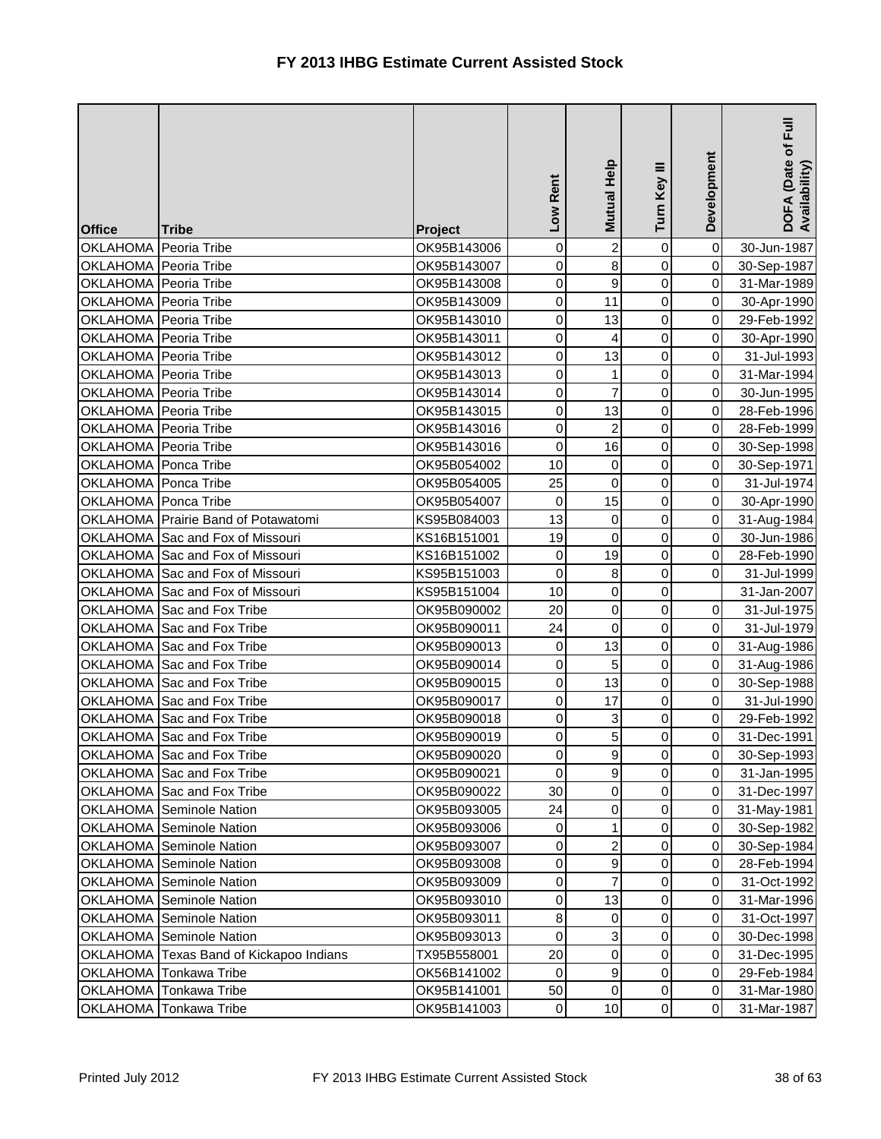| <b>Office</b>         | <b>Tribe</b>                            | Project     | Low Rent         | Mutual Help     | Turn Key III   | Development | DOFA (Date of Full<br>Availability) |
|-----------------------|-----------------------------------------|-------------|------------------|-----------------|----------------|-------------|-------------------------------------|
| OKLAHOMA Peoria Tribe |                                         | OK95B143006 | $\mathbf 0$      | $\overline{a}$  | 0              | $\pmb{0}$   | 30-Jun-1987                         |
| OKLAHOMA Peoria Tribe |                                         | OK95B143007 | 0                | $\infty$        | 0              | $\pmb{0}$   | 30-Sep-1987                         |
| OKLAHOMA Peoria Tribe |                                         | OK95B143008 | $\pmb{0}$        | $\mathbf{g}$    | 0              | $\pmb{0}$   | 31-Mar-1989                         |
| OKLAHOMA Peoria Tribe |                                         | OK95B143009 | $\boldsymbol{0}$ | 11              | 0              | $\mathbf 0$ | 30-Apr-1990                         |
| OKLAHOMA Peoria Tribe |                                         | OK95B143010 | 0                | 13              | 0              | $\pmb{0}$   | 29-Feb-1992                         |
| OKLAHOMA Peoria Tribe |                                         | OK95B143011 | 0                | $\overline{4}$  | 0              | $\mathbf 0$ | 30-Apr-1990                         |
| OKLAHOMA Peoria Tribe |                                         | OK95B143012 | 0                | 13              | 0              | $\pmb{0}$   | 31-Jul-1993                         |
| OKLAHOMA Peoria Tribe |                                         | OK95B143013 | 0                | $\mathbf{1}$    | 0              | $\pmb{0}$   | 31-Mar-1994                         |
| OKLAHOMA Peoria Tribe |                                         | OK95B143014 | $\pmb{0}$        | $\overline{7}$  | 0              | $\pmb{0}$   | 30-Jun-1995                         |
| OKLAHOMA Peoria Tribe |                                         | OK95B143015 | 0                | 13              | 0              | 0           | 28-Feb-1996                         |
| OKLAHOMA Peoria Tribe |                                         | OK95B143016 | 0                | $\overline{a}$  | 0              | $\mathbf 0$ | 28-Feb-1999                         |
| OKLAHOMA Peoria Tribe |                                         | OK95B143016 | $\pmb{0}$        | 16              | 0              | $\pmb{0}$   | 30-Sep-1998                         |
| OKLAHOMA Ponca Tribe  |                                         | OK95B054002 | 10               | $\overline{0}$  | 0              | $\mathbf 0$ | 30-Sep-1971                         |
| OKLAHOMA Ponca Tribe  |                                         | OK95B054005 | 25               | $\overline{0}$  | 0              | $\pmb{0}$   | 31-Jul-1974                         |
| OKLAHOMA Ponca Tribe  |                                         | OK95B054007 | 0                | 15              | 0              | $\pmb{0}$   | 30-Apr-1990                         |
|                       | OKLAHOMA Prairie Band of Potawatomi     | KS95B084003 | 13               | $\overline{0}$  | 0              | $\mathbf 0$ | 31-Aug-1984                         |
|                       | OKLAHOMA Sac and Fox of Missouri        | KS16B151001 | 19               | $\overline{0}$  | 0              | $\pmb{0}$   | 30-Jun-1986                         |
|                       | OKLAHOMA Sac and Fox of Missouri        | KS16B151002 | $\boldsymbol{0}$ | 19              | 0              | 0           | 28-Feb-1990                         |
|                       | OKLAHOMA Sac and Fox of Missouri        | KS95B151003 | $\mathbf 0$      | $\bf{8}$        | 0              | 0           | 31-Jul-1999                         |
|                       | OKLAHOMA Sac and Fox of Missouri        | KS95B151004 | 10               | $\overline{0}$  | 0              |             | 31-Jan-2007                         |
|                       | OKLAHOMA Sac and Fox Tribe              | OK95B090002 | 20               | $\overline{0}$  | 0              | $\mathbf 0$ | 31-Jul-1975                         |
|                       | OKLAHOMA Sac and Fox Tribe              | OK95B090011 | 24               | $\overline{0}$  | 0              | $\pmb{0}$   | 31-Jul-1979                         |
|                       | OKLAHOMA Sac and Fox Tribe              | OK95B090013 | 0                | 13              | 0              | $\mathbf 0$ | 31-Aug-1986                         |
|                       | OKLAHOMA Sac and Fox Tribe              | OK95B090014 | $\pmb{0}$        | 5               | 0              | $\pmb{0}$   | 31-Aug-1986                         |
|                       | OKLAHOMA Sac and Fox Tribe              | OK95B090015 | 0                | 13              | 0              | $\mathbf 0$ | 30-Sep-1988                         |
|                       | OKLAHOMA Sac and Fox Tribe              | OK95B090017 | 0                | 17              | 0              | $\mathbf 0$ | 31-Jul-1990                         |
|                       | OKLAHOMA Sac and Fox Tribe              | OK95B090018 | 0                | $\overline{3}$  | 0              | 0           | 29-Feb-1992                         |
|                       | OKLAHOMA Sac and Fox Tribe              | OK95B090019 | $\pmb{0}$        | 5 <sub>l</sub>  | $\mathbf 0$    | $\mathbf 0$ | 31-Dec-1991                         |
|                       | OKLAHOMA Sac and Fox Tribe              | OK95B090020 | $\mathbf 0$      | 9               | $\overline{0}$ | $\mathbf 0$ | 30-Sep-1993                         |
|                       | OKLAHOMA Sac and Fox Tribe              | OK95B090021 | $\Omega$         | $\mathsf{g}$    | 0              | $\pmb{0}$   | 31-Jan-1995                         |
|                       | OKLAHOMA Sac and Fox Tribe              | OK95B090022 | 30               | $\overline{0}$  | 0              | $\pmb{0}$   | 31-Dec-1997                         |
|                       | OKLAHOMA Seminole Nation                | OK95B093005 | 24               | $\overline{0}$  | 0              | 0           | 31-May-1981                         |
|                       | <b>OKLAHOMA</b> Seminole Nation         | OK95B093006 | 0                | $\mathbf{1}$    | 0              | $\mathbf 0$ | 30-Sep-1982                         |
|                       | OKLAHOMA Seminole Nation                | OK95B093007 | 0                | $\overline{2}$  | 0              | $\mathbf 0$ | 30-Sep-1984                         |
|                       | OKLAHOMA Seminole Nation                | OK95B093008 | 0                | $\overline{9}$  | 0              | $\mathbf 0$ | 28-Feb-1994                         |
|                       | OKLAHOMA Seminole Nation                | OK95B093009 | 0                | $\overline{7}$  | 0              | $\mathbf 0$ | 31-Oct-1992                         |
|                       | <b>OKLAHOMA</b> Seminole Nation         | OK95B093010 | 0                | 13              | 0              | $\mathbf 0$ | 31-Mar-1996                         |
|                       | <b>OKLAHOMA</b> Seminole Nation         | OK95B093011 | 8                | $\overline{0}$  | 0              | $\mathbf 0$ | 31-Oct-1997                         |
|                       | OKLAHOMA Seminole Nation                | OK95B093013 | 0                | $\overline{3}$  | 0              | $\mathbf 0$ | 30-Dec-1998                         |
|                       | OKLAHOMA Texas Band of Kickapoo Indians | TX95B558001 | 20               | $\overline{0}$  | 0              | 0           | 31-Dec-1995                         |
| <b>OKLAHOMA</b>       | <b>Tonkawa Tribe</b>                    | OK56B141002 | 0                | $\overline{9}$  | 0              | $\pmb{0}$   | 29-Feb-1984                         |
| <b>OKLAHOMA</b>       | <b>Tonkawa Tribe</b>                    | OK95B141001 | 50               | $\overline{0}$  | 0              | $\,0\,$     | 31-Mar-1980                         |
| OKLAHOMA              | Tonkawa Tribe                           | OK95B141003 | $\mathbf 0$      | 10 <sup>1</sup> | 0              | $\pmb{0}$   | 31-Mar-1987                         |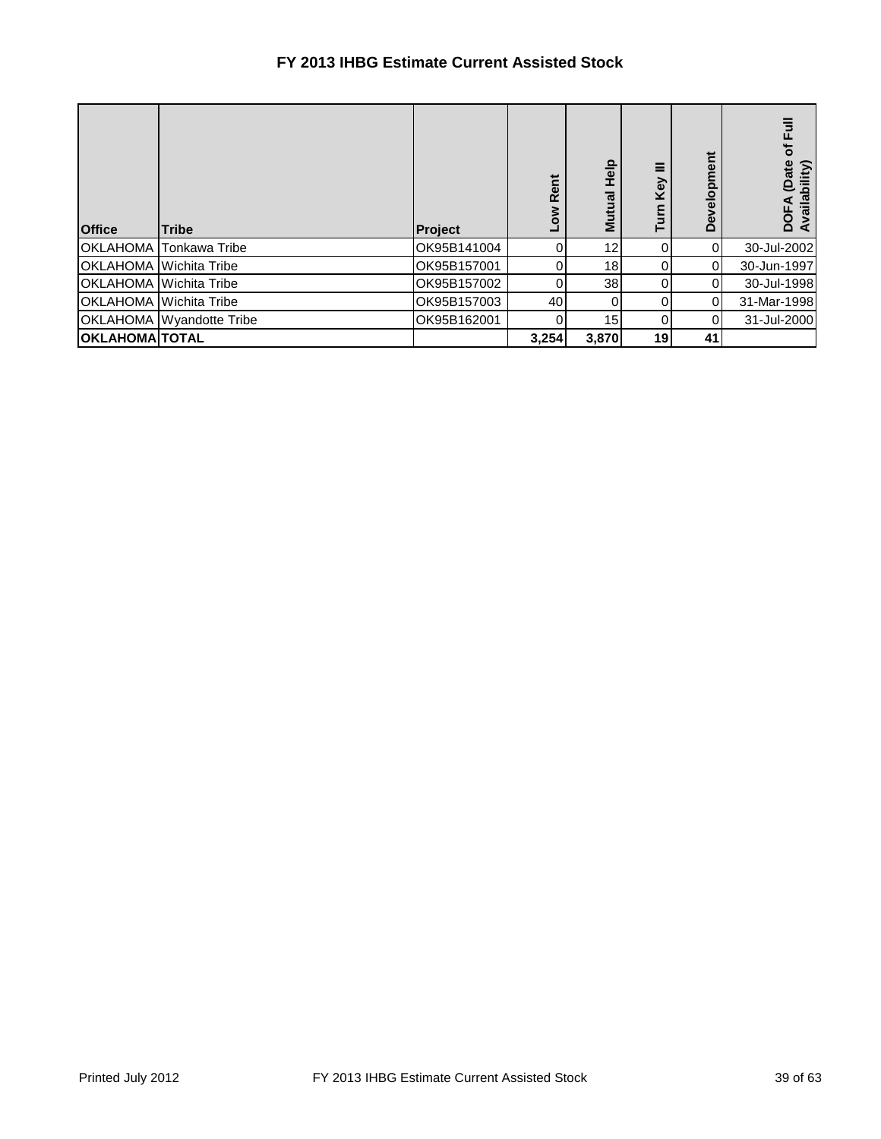## **FY 2013 IHBG Estimate Current Assisted Stock**

| <b>Office</b>         | <b>Tribe</b>                  | Project     | Rent<br>š | <b>Help</b><br>Mutual | Key | Development | 틶<br>৳<br>(Date<br>Availability)<br>DOF |
|-----------------------|-------------------------------|-------------|-----------|-----------------------|-----|-------------|-----------------------------------------|
| <b>OKLAHOMA</b>       | <b>Tonkawa Tribe</b>          | OK95B141004 |           | 12                    |     | $\Omega$    | 30-Jul-2002                             |
|                       | <b>OKLAHOMA</b> Wichita Tribe | OK95B157001 |           | 18                    |     | 0           | 30-Jun-1997                             |
|                       | <b>OKLAHOMA</b> Wichita Tribe | OK95B157002 |           | 38                    |     | 0           | 30-Jul-1998                             |
|                       | <b>OKLAHOMA</b> Wichita Tribe | OK95B157003 | 40        | 0                     |     | 0           | 31-Mar-1998                             |
|                       | OKLAHOMA Wyandotte Tribe      | OK95B162001 |           | 15                    |     | 0           | 31-Jul-2000                             |
| <b>OKLAHOMA TOTAL</b> |                               |             | 3,254     | 3,870                 | 19  | 41          |                                         |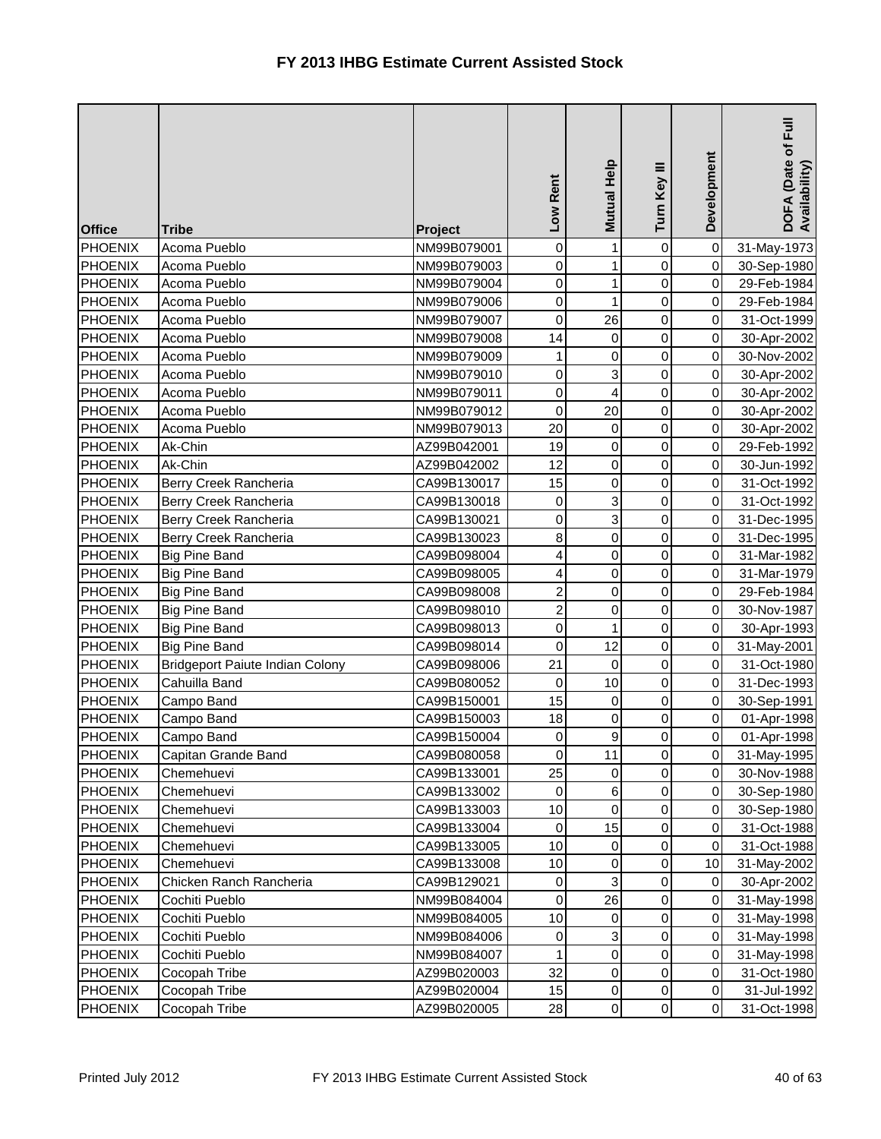| <b>Office</b>  | <b>Tribe</b>                    | Project     | Low Rent       | Mutual Help         | Turn Key III        | Development | $\bar{E}$<br>DOFA (Date of I<br>Availability) |
|----------------|---------------------------------|-------------|----------------|---------------------|---------------------|-------------|-----------------------------------------------|
| <b>PHOENIX</b> | Acoma Pueblo                    | NM99B079001 | 0              | $\mathbf{1}$        | $\mathsf{O}\xspace$ | $\mathbf 0$ | 31-May-1973                                   |
| <b>PHOENIX</b> | Acoma Pueblo                    | NM99B079003 | $\mathbf 0$    | 1                   | 0                   | $\mathbf 0$ | 30-Sep-1980                                   |
| <b>PHOENIX</b> | Acoma Pueblo                    | NM99B079004 | 0              | 1                   | 0                   | 0           | 29-Feb-1984                                   |
| <b>PHOENIX</b> | Acoma Pueblo                    | NM99B079006 | $\mathbf 0$    | 1                   | 0                   | $\pmb{0}$   | 29-Feb-1984                                   |
| <b>PHOENIX</b> | Acoma Pueblo                    | NM99B079007 | 0              | 26                  | 0                   | 0           | 31-Oct-1999                                   |
| <b>PHOENIX</b> | Acoma Pueblo                    | NM99B079008 | 14             | $\mathsf 0$         | 0                   | $\mathbf 0$ | 30-Apr-2002                                   |
| <b>PHOENIX</b> | Acoma Pueblo                    | NM99B079009 | 1              | $\pmb{0}$           | 0                   | 0           | 30-Nov-2002                                   |
| <b>PHOENIX</b> | Acoma Pueblo                    | NM99B079010 | $\mathbf 0$    | 3                   | 0                   | 0           | 30-Apr-2002                                   |
| <b>PHOENIX</b> | Acoma Pueblo                    | NM99B079011 | $\mathbf 0$    | 4                   | 0                   | $\pmb{0}$   | 30-Apr-2002                                   |
| PHOENIX        | Acoma Pueblo                    | NM99B079012 | 0              | 20                  | 0                   | $\pmb{0}$   | 30-Apr-2002                                   |
| <b>PHOENIX</b> | Acoma Pueblo                    | NM99B079013 | 20             | $\mathsf 0$         | 0                   | $\mathbf 0$ | 30-Apr-2002                                   |
| <b>PHOENIX</b> | Ak-Chin                         | AZ99B042001 | 19             | $\mathbf 0$         | 0                   | $\mathbf 0$ | 29-Feb-1992                                   |
| <b>PHOENIX</b> | Ak-Chin                         | AZ99B042002 | 12             | 0                   | 0                   | $\pmb{0}$   | 30-Jun-1992                                   |
| <b>PHOENIX</b> | Berry Creek Rancheria           | CA99B130017 | 15             | 0                   | 0                   | 0           | 31-Oct-1992                                   |
| <b>PHOENIX</b> | Berry Creek Rancheria           | CA99B130018 | $\mathbf 0$    | $\overline{3}$      | 0                   | 0           | 31-Oct-1992                                   |
| PHOENIX        | Berry Creek Rancheria           | CA99B130021 | 0              | ც                   | 0                   | 0           | 31-Dec-1995                                   |
| <b>PHOENIX</b> | Berry Creek Rancheria           | CA99B130023 | 8              | $\mathsf{O}\xspace$ | 0                   | $\mathbf 0$ | 31-Dec-1995                                   |
| <b>PHOENIX</b> | <b>Big Pine Band</b>            | CA99B098004 | 4              | $\pmb{0}$           | 0                   | 0           | 31-Mar-1982                                   |
| <b>PHOENIX</b> | <b>Big Pine Band</b>            | CA99B098005 | 4              | $\mathsf{O}\xspace$ | 0                   | 0           | 31-Mar-1979                                   |
| <b>PHOENIX</b> | <b>Big Pine Band</b>            | CA99B098008 | $\overline{c}$ | $\mathsf{O}$        | 0                   | 0           | 29-Feb-1984                                   |
| <b>PHOENIX</b> | <b>Big Pine Band</b>            | CA99B098010 | $\overline{c}$ | 0                   | 0                   | $\mathbf 0$ | 30-Nov-1987                                   |
| <b>PHOENIX</b> | <b>Big Pine Band</b>            | CA99B098013 | $\mathsf 0$    | $\mathbf{1}$        | 0                   | $\mathbf 0$ | 30-Apr-1993                                   |
| <b>PHOENIX</b> | <b>Big Pine Band</b>            | CA99B098014 | $\mathbf 0$    | 12                  | 0                   | $\mathbf 0$ | 31-May-2001                                   |
| <b>PHOENIX</b> | Bridgeport Paiute Indian Colony | CA99B098006 | 21             | $\pmb{0}$           | 0                   | $\pmb{0}$   | 31-Oct-1980                                   |
| <b>PHOENIX</b> | Cahuilla Band                   | CA99B080052 | 0              | 10                  | 0                   | $\mathbf 0$ | 31-Dec-1993                                   |
| <b>PHOENIX</b> | Campo Band                      | CA99B150001 | 15             | $\mathsf{O}\xspace$ | 0                   | $\mathbf 0$ | 30-Sep-1991                                   |
| <b>PHOENIX</b> | Campo Band                      | CA99B150003 | 18             | 0                   | 0                   | $\pmb{0}$   | 01-Apr-1998                                   |
| <b>PHOENIX</b> | Campo Band                      | CA99B150004 | 0              | $\overline{9}$      | $\pmb{0}$           | $\pmb{0}$   | 01-Apr-1998                                   |
| PHOENIX        | Capitan Grande Band             | CA99B080058 | 0              | 11                  | $\overline{0}$      | $\mathbf 0$ | 31-May-1995                                   |
| <b>PHOENIX</b> | Chemehuevi                      | CA99B133001 | 25             | 0                   | 0                   | 0           | 30-Nov-1988                                   |
| <b>PHOENIX</b> | Chemehuevi                      | CA99B133002 | 0              | $\,6$               | 0                   | $\pmb{0}$   | 30-Sep-1980                                   |
| PHOENIX        | Chemehuevi                      | CA99B133003 | 10             | $\pmb{0}$           | 0                   | $\,0\,$     | 30-Sep-1980                                   |
| <b>PHOENIX</b> | Chemehuevi                      | CA99B133004 | 0              | 15                  | 0                   | $\pmb{0}$   | 31-Oct-1988                                   |
| <b>PHOENIX</b> | Chemehuevi                      | CA99B133005 | 10             | 0                   | 0                   | 0           | 31-Oct-1988                                   |
| <b>PHOENIX</b> | Chemehuevi                      | CA99B133008 | 10             | 0                   | 0                   | 10          | 31-May-2002                                   |
| PHOENIX        | Chicken Ranch Rancheria         | CA99B129021 | $\pmb{0}$      | $\mathbf{3}$        | 0                   | 0           | 30-Apr-2002                                   |
| <b>PHOENIX</b> | Cochiti Pueblo                  | NM99B084004 | 0              | 26                  | 0                   | 0           | 31-May-1998                                   |
| PHOENIX        | Cochiti Pueblo                  | NM99B084005 | 10             | 0                   | 0                   | 0           | 31-May-1998                                   |
| <b>PHOENIX</b> | Cochiti Pueblo                  | NM99B084006 | 0              | 3                   | 0                   | 0           | 31-May-1998                                   |
| PHOENIX        | Cochiti Pueblo                  | NM99B084007 | 1              | $\mathsf{O}$        | 0                   | 0           | 31-May-1998                                   |
| PHOENIX        | Cocopah Tribe                   | AZ99B020003 | 32             | $\pmb{0}$           | 0                   | $\,0\,$     | 31-Oct-1980                                   |
| <b>PHOENIX</b> | Cocopah Tribe                   | AZ99B020004 | 15             | $\overline{0}$      | $\mathsf{O}\xspace$ | $\,0\,$     | 31-Jul-1992                                   |
| <b>PHOENIX</b> | Cocopah Tribe                   | AZ99B020005 | 28             | $\overline{0}$      | $\mathsf{O}\xspace$ | $\pmb{0}$   | 31-Oct-1998                                   |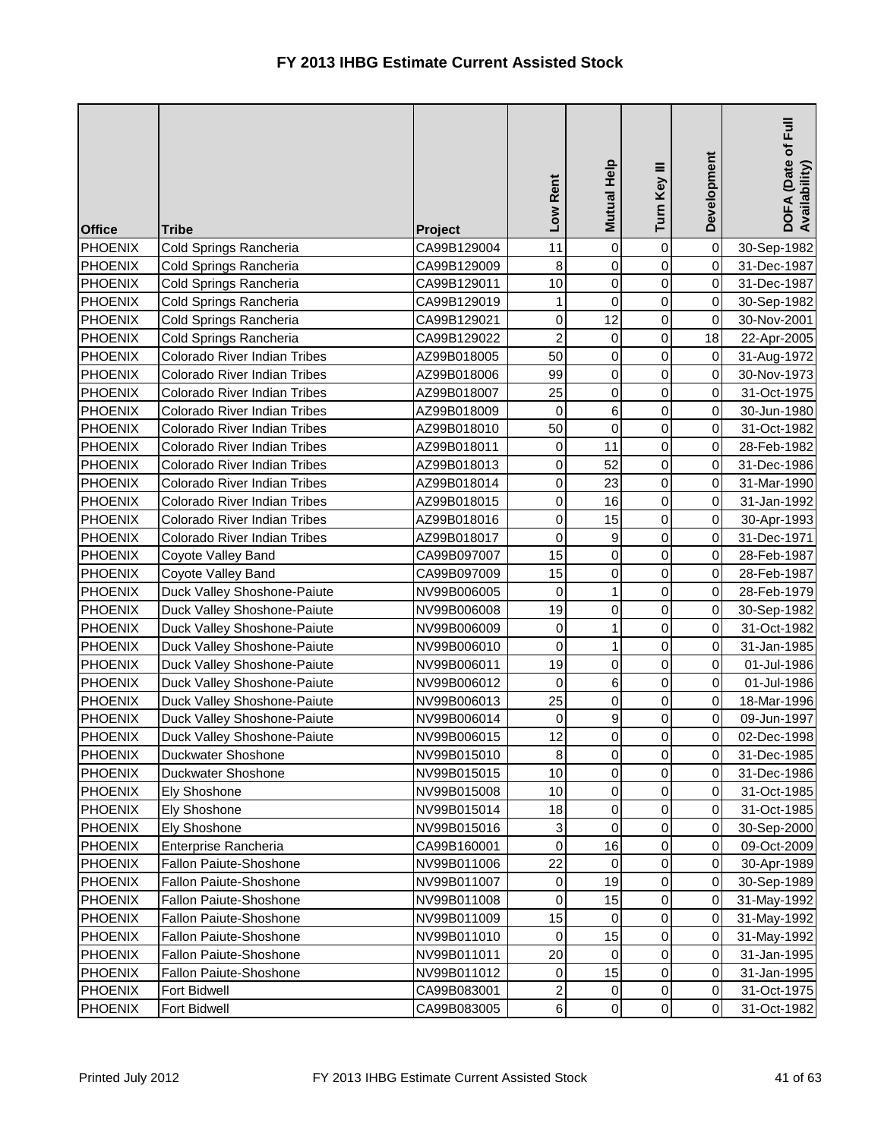| <b>Office</b>  | <b>Tribe</b>                 | Project     | Low Rent       | Mutual Help         | Turn Key III        | Development | DOFA (Date of Full<br>Availability) |
|----------------|------------------------------|-------------|----------------|---------------------|---------------------|-------------|-------------------------------------|
| <b>PHOENIX</b> | Cold Springs Rancheria       | CA99B129004 | 11             | $\mathsf{O}\xspace$ | $\mathsf{O}\xspace$ | $\pmb{0}$   | 30-Sep-1982                         |
| <b>PHOENIX</b> | Cold Springs Rancheria       | CA99B129009 | 8              | $\pmb{0}$           | 0                   | 0           | 31-Dec-1987                         |
| <b>PHOENIX</b> | Cold Springs Rancheria       | CA99B129011 | 10             | $\pmb{0}$           | 0                   | 0           | 31-Dec-1987                         |
| <b>PHOENIX</b> | Cold Springs Rancheria       | CA99B129019 | 1              | $\mathsf 0$         | 0                   | 0           | 30-Sep-1982                         |
| <b>PHOENIX</b> | Cold Springs Rancheria       | CA99B129021 | $\mathbf 0$    | 12                  | 0                   | 0           | 30-Nov-2001                         |
| <b>PHOENIX</b> | Cold Springs Rancheria       | CA99B129022 | $\overline{c}$ | $\mathsf 0$         | 0                   | 18          | 22-Apr-2005                         |
| <b>PHOENIX</b> | Colorado River Indian Tribes | AZ99B018005 | 50             | $\pmb{0}$           | 0                   | 0           | 31-Aug-1972                         |
| <b>PHOENIX</b> | Colorado River Indian Tribes | AZ99B018006 | 99             | $\pmb{0}$           | 0                   | 0           | 30-Nov-1973                         |
| <b>PHOENIX</b> | Colorado River Indian Tribes | AZ99B018007 | 25             | $\mathsf 0$         | 0                   | 0           | 31-Oct-1975                         |
| <b>PHOENIX</b> | Colorado River Indian Tribes | AZ99B018009 | 0              | 6                   | 0                   | 0           | 30-Jun-1980                         |
| <b>PHOENIX</b> | Colorado River Indian Tribes | AZ99B018010 | 50             | $\mathsf 0$         | 0                   | $\,0\,$     | 31-Oct-1982                         |
| <b>PHOENIX</b> | Colorado River Indian Tribes | AZ99B018011 | 0              | 11                  | 0                   | $\,0\,$     | 28-Feb-1982                         |
| <b>PHOENIX</b> | Colorado River Indian Tribes | AZ99B018013 | 0              | 52                  | 0                   | 0           | 31-Dec-1986                         |
| <b>PHOENIX</b> | Colorado River Indian Tribes | AZ99B018014 | $\mathbf 0$    | 23                  | 0                   | 0           | 31-Mar-1990                         |
| <b>PHOENIX</b> | Colorado River Indian Tribes | AZ99B018015 | 0              | 16                  | 0                   | 0           | 31-Jan-1992                         |
| PHOENIX        | Colorado River Indian Tribes | AZ99B018016 | $\mathbf 0$    | 15                  | 0                   | $\mathbf 0$ | 30-Apr-1993                         |
| <b>PHOENIX</b> | Colorado River Indian Tribes | AZ99B018017 | $\mathbf 0$    | $\boldsymbol{9}$    | 0                   | $\mathbf 0$ | 31-Dec-1971                         |
| <b>PHOENIX</b> | Coyote Valley Band           | CA99B097007 | 15             | $\mathsf{O}$        | 0                   | 0           | 28-Feb-1987                         |
| <b>PHOENIX</b> | Coyote Valley Band           | CA99B097009 | 15             | 0                   | 0                   | 0           | 28-Feb-1987                         |
| <b>PHOENIX</b> | Duck Valley Shoshone-Paiute  | NV99B006005 | $\mathbf 0$    | $\mathbf{1}$        | 0                   | 0           | 28-Feb-1979                         |
| <b>PHOENIX</b> | Duck Valley Shoshone-Paiute  | NV99B006008 | 19             | $\mathsf{O}$        | 0                   | $\mathbf 0$ | 30-Sep-1982                         |
| <b>PHOENIX</b> | Duck Valley Shoshone-Paiute  | NV99B006009 | 0              | $\mathbf{1}$        | 0                   | $\mathbf 0$ | 31-Oct-1982                         |
| <b>PHOENIX</b> | Duck Valley Shoshone-Paiute  | NV99B006010 | $\mathbf 0$    | $\mathbf{1}$        | 0                   | $\pmb{0}$   | 31-Jan-1985                         |
| <b>PHOENIX</b> | Duck Valley Shoshone-Paiute  | NV99B006011 | 19             | 0                   | 0                   | 0           | 01-Jul-1986                         |
| <b>PHOENIX</b> | Duck Valley Shoshone-Paiute  | NV99B006012 | 0              | 6                   | 0                   | 0           | 01-Jul-1986                         |
| <b>PHOENIX</b> | Duck Valley Shoshone-Paiute  | NV99B006013 | 25             | 0                   | 0                   | $\mathbf 0$ | 18-Mar-1996                         |
| <b>PHOENIX</b> | Duck Valley Shoshone-Paiute  | NV99B006014 | 0              | 9                   | 0                   | $\pmb{0}$   | 09-Jun-1997                         |
| <b>PHOENIX</b> | Duck Valley Shoshone-Paiute  | NV99B006015 | 12             | $\overline{0}$      | $\pmb{0}$           | 0           | 02-Dec-1998                         |
| PHOENIX        | Duckwater Shoshone           | NV99B015010 | $\bf8$         | $\overline{0}$      | $\overline{0}$      | 0           | 31-Dec-1985                         |
| <b>PHOENIX</b> | Duckwater Shoshone           | NV99B015015 | 10             | 0                   | 0                   | 0           | 31-Dec-1986                         |
| <b>PHOENIX</b> | Ely Shoshone                 | NV99B015008 | 10             | $\pmb{0}$           | 0                   | $\pmb{0}$   | 31-Oct-1985                         |
| <b>PHOENIX</b> | Ely Shoshone                 | NV99B015014 | 18             | 0                   | 0                   | $\,0\,$     | 31-Oct-1985                         |
| <b>PHOENIX</b> | <b>Ely Shoshone</b>          | NV99B015016 | 3              | $\mathbf 0$         | 0                   | 0           | 30-Sep-2000                         |
| <b>PHOENIX</b> | Enterprise Rancheria         | CA99B160001 | 0              | 16                  | 0                   | 0           | 09-Oct-2009                         |
| <b>PHOENIX</b> | Fallon Paiute-Shoshone       | NV99B011006 | 22             | 0                   | 0                   | 0           | 30-Apr-1989                         |
| <b>PHOENIX</b> | Fallon Paiute-Shoshone       | NV99B011007 | 0              | 19                  | 0                   | 0           | 30-Sep-1989                         |
| <b>PHOENIX</b> | Fallon Paiute-Shoshone       | NV99B011008 | 0              | 15                  | 0                   | 0           | 31-May-1992                         |
| <b>PHOENIX</b> | Fallon Paiute-Shoshone       | NV99B011009 | 15             | 0                   | 0                   | 0           | 31-May-1992                         |
| <b>PHOENIX</b> | Fallon Paiute-Shoshone       | NV99B011010 | 0              | 15                  | 0                   | 0           | 31-May-1992                         |
| <b>PHOENIX</b> | Fallon Paiute-Shoshone       | NV99B011011 | 20             | 0                   | 0                   | $\mathbf 0$ | 31-Jan-1995                         |
| PHOENIX        | Fallon Paiute-Shoshone       | NV99B011012 | 0              | 15                  | 0                   | $\,0\,$     | 31-Jan-1995                         |
| <b>PHOENIX</b> | <b>Fort Bidwell</b>          | CA99B083001 | 2              | 0                   | $\pmb{0}$           | $\pmb{0}$   | 31-Oct-1975                         |
| <b>PHOENIX</b> | Fort Bidwell                 | CA99B083005 | $\,6$          | $\overline{0}$      | $\mathsf{O}\xspace$ | $\pmb{0}$   | 31-Oct-1982                         |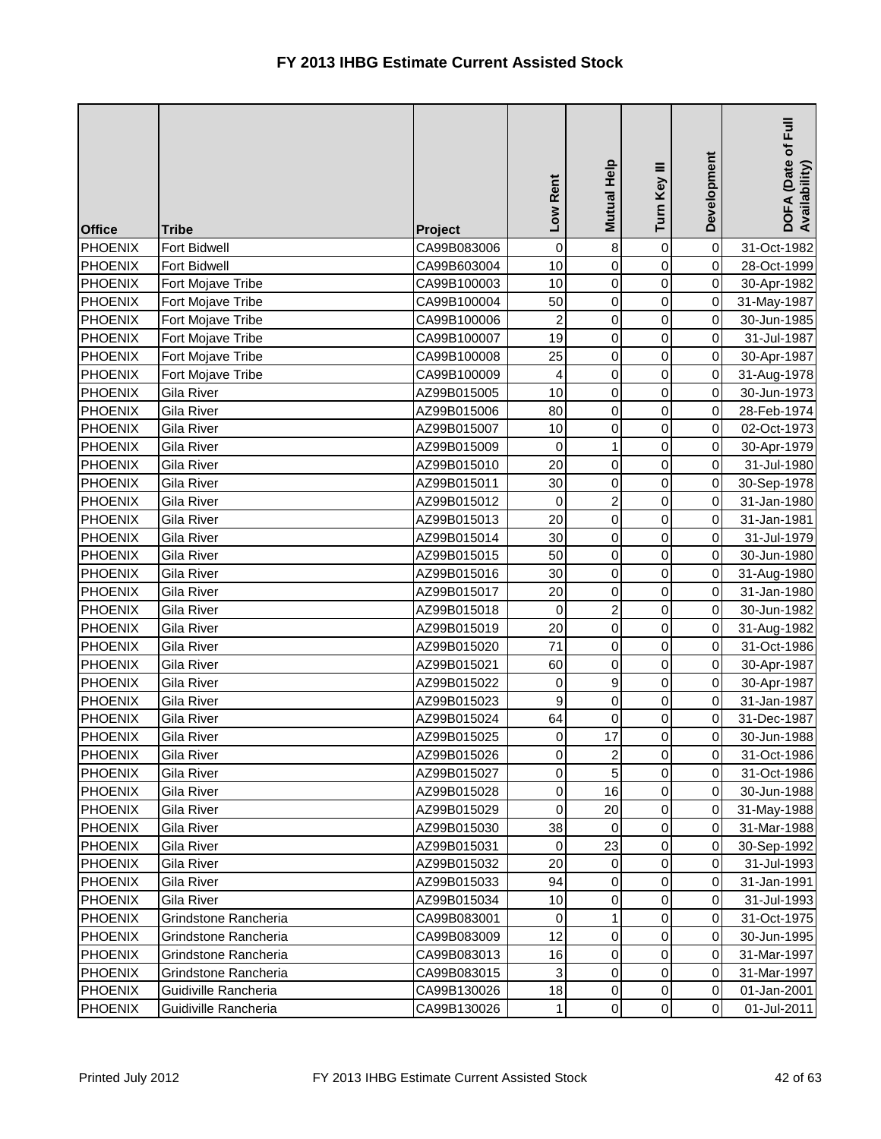| <b>Office</b>  | <b>Tribe</b>         | Project     | Low Rent       | Mutual Help             | Turn Key III        | Development | E<br>DOFA (Date of I<br>Availability) |
|----------------|----------------------|-------------|----------------|-------------------------|---------------------|-------------|---------------------------------------|
| <b>PHOENIX</b> | <b>Fort Bidwell</b>  | CA99B083006 | $\pmb{0}$      | $\bf 8$                 | 0                   | $\mathbf 0$ | 31-Oct-1982                           |
| <b>PHOENIX</b> | Fort Bidwell         | CA99B603004 | 10             | $\overline{\mathsf{o}}$ | 0                   | $\pmb{0}$   | 28-Oct-1999                           |
| <b>PHOENIX</b> | Fort Mojave Tribe    | CA99B100003 | 10             | $\pmb{0}$               | 0                   | $\mathbf 0$ | 30-Apr-1982                           |
| <b>PHOENIX</b> | Fort Mojave Tribe    | CA99B100004 | 50             | $\overline{0}$          | 0                   | $\mathbf 0$ | 31-May-1987                           |
| <b>PHOENIX</b> | Fort Mojave Tribe    | CA99B100006 | $\overline{c}$ | $\mathsf{O}$            | 0                   | 0           | 30-Jun-1985                           |
| <b>PHOENIX</b> | Fort Mojave Tribe    | CA99B100007 | 19             | $\mathsf{O}$            | 0                   | $\pmb{0}$   | 31-Jul-1987                           |
| <b>PHOENIX</b> | Fort Mojave Tribe    | CA99B100008 | 25             | $\mathsf{O}\xspace$     | 0                   | $\mathbf 0$ | 30-Apr-1987                           |
| <b>PHOENIX</b> | Fort Mojave Tribe    | CA99B100009 | 4              | $\pmb{0}$               | 0                   | 0           | 31-Aug-1978                           |
| <b>PHOENIX</b> | Gila River           | AZ99B015005 | 10             | $\mathsf{O}$            | 0                   | $\,0\,$     | 30-Jun-1973                           |
| <b>PHOENIX</b> | Gila River           | AZ99B015006 | 80             | $\mathsf{O}\xspace$     | 0                   | 0           | 28-Feb-1974                           |
| <b>PHOENIX</b> | Gila River           | AZ99B015007 | 10             | $\pmb{0}$               | 0                   | $\pmb{0}$   | 02-Oct-1973                           |
| PHOENIX        | Gila River           | AZ99B015009 | 0              | $\mathbf{1}$            | 0                   | $\mathbf 0$ | 30-Apr-1979                           |
| PHOENIX        | Gila River           | AZ99B015010 | 20             | 0                       | 0                   | $\pmb{0}$   | 31-Jul-1980                           |
| <b>PHOENIX</b> | Gila River           | AZ99B015011 | 30             | $\mathsf{O}\xspace$     | 0                   | $\mathbf 0$ | 30-Sep-1978                           |
| <b>PHOENIX</b> | Gila River           | AZ99B015012 | $\mathbf 0$    | $\overline{a}$          | 0                   | 0           | 31-Jan-1980                           |
| <b>PHOENIX</b> | Gila River           | AZ99B015013 | 20             | $\mathsf{O}$            | 0                   | $\pmb{0}$   | 31-Jan-1981                           |
| <b>PHOENIX</b> | Gila River           | AZ99B015014 | 30             | 0                       | 0                   | $\mathbf 0$ | 31-Jul-1979                           |
| <b>PHOENIX</b> | Gila River           | AZ99B015015 | 50             | $\overline{0}$          | 0                   | $\mathbf 0$ | 30-Jun-1980                           |
| <b>PHOENIX</b> | Gila River           | AZ99B015016 | 30             | $\mathsf{O}\xspace$     | 0                   | $\,0\,$     | 31-Aug-1980                           |
| <b>PHOENIX</b> | Gila River           | AZ99B015017 | 20             | $\mathbf 0$             | 0                   | $\mathbf 0$ | 31-Jan-1980                           |
| <b>PHOENIX</b> | Gila River           | AZ99B015018 | 0              | $\overline{c}$          | 0                   | $\pmb{0}$   | 30-Jun-1982                           |
| <b>PHOENIX</b> | Gila River           | AZ99B015019 | 20             | $\mathbf 0$             | 0                   | $\mathbf 0$ | 31-Aug-1982                           |
| <b>PHOENIX</b> | Gila River           | AZ99B015020 | 71             | $\mathsf{O}$            | 0                   | $\mathbf 0$ | 31-Oct-1986                           |
| <b>PHOENIX</b> | Gila River           | AZ99B015021 | 60             | 0                       | 0                   | $\mathbf 0$ | 30-Apr-1987                           |
| <b>PHOENIX</b> | Gila River           | AZ99B015022 | 0              | 9                       | 0                   | $\pmb{0}$   | 30-Apr-1987                           |
| <b>PHOENIX</b> | Gila River           | AZ99B015023 | 9              | $\mathsf{O}$            | 0                   | $\pmb{0}$   | 31-Jan-1987                           |
| <b>PHOENIX</b> | Gila River           | AZ99B015024 | 64             | 0                       | 0                   | $\mathbf 0$ | 31-Dec-1987                           |
| <b>PHOENIX</b> | Gila River           | AZ99B015025 | 0              | 17                      | 0                   | 0           | 30-Jun-1988                           |
| <b>PHOENIX</b> | Gila River           | AZ99B015026 | 0              | $\mathbf{2}$            | $\overline{0}$      | $\mathbf 0$ | 31-Oct-1986                           |
| <b>PHOENIX</b> | Gila River           | AZ99B015027 | 0              | 5                       | 0                   | $\mathbf 0$ | 31-Oct-1986                           |
| <b>PHOENIX</b> | Gila River           | AZ99B015028 | $\mathbf 0$    | 16                      | $\mathbf 0$         | $\pmb{0}$   | 30-Jun-1988                           |
| <b>PHOENIX</b> | Gila River           | AZ99B015029 | 0              | 20                      | 0                   | $\mathbf 0$ | 31-May-1988                           |
| <b>PHOENIX</b> | Gila River           | AZ99B015030 | 38             | 0                       | 0                   | 0           | 31-Mar-1988                           |
| <b>PHOENIX</b> | Gila River           | AZ99B015031 | 0              | 23                      | 0                   | $\mathbf 0$ | 30-Sep-1992                           |
| <b>PHOENIX</b> | Gila River           | AZ99B015032 | 20             | 0                       | 0                   | $\mathbf 0$ | 31-Jul-1993                           |
| <b>PHOENIX</b> | Gila River           | AZ99B015033 | 94             | 0                       | 0                   | $\mathbf 0$ | 31-Jan-1991                           |
| <b>PHOENIX</b> | Gila River           | AZ99B015034 | 10             | 0                       | 0                   | $\pmb{0}$   | 31-Jul-1993                           |
| <b>PHOENIX</b> | Grindstone Rancheria | CA99B083001 | 0              | $\mathbf{1}$            | 0                   | $\mathbf 0$ | 31-Oct-1975                           |
| <b>PHOENIX</b> | Grindstone Rancheria | CA99B083009 | 12             | 0                       | 0                   | $\mathbf 0$ | 30-Jun-1995                           |
| <b>PHOENIX</b> | Grindstone Rancheria | CA99B083013 | 16             | 0                       | 0                   | $\mathbf 0$ | 31-Mar-1997                           |
| <b>PHOENIX</b> | Grindstone Rancheria | CA99B083015 | 3              | $\pmb{0}$               | 0                   | $\mathbf 0$ | 31-Mar-1997                           |
| <b>PHOENIX</b> | Guidiville Rancheria | CA99B130026 | 18             | $\pmb{0}$               | 0                   | $\pmb{0}$   | 01-Jan-2001                           |
| <b>PHOENIX</b> | Guidiville Rancheria | CA99B130026 | 1              | $\overline{0}$          | $\mathsf{O}\xspace$ | $\mathbf 0$ | 01-Jul-2011                           |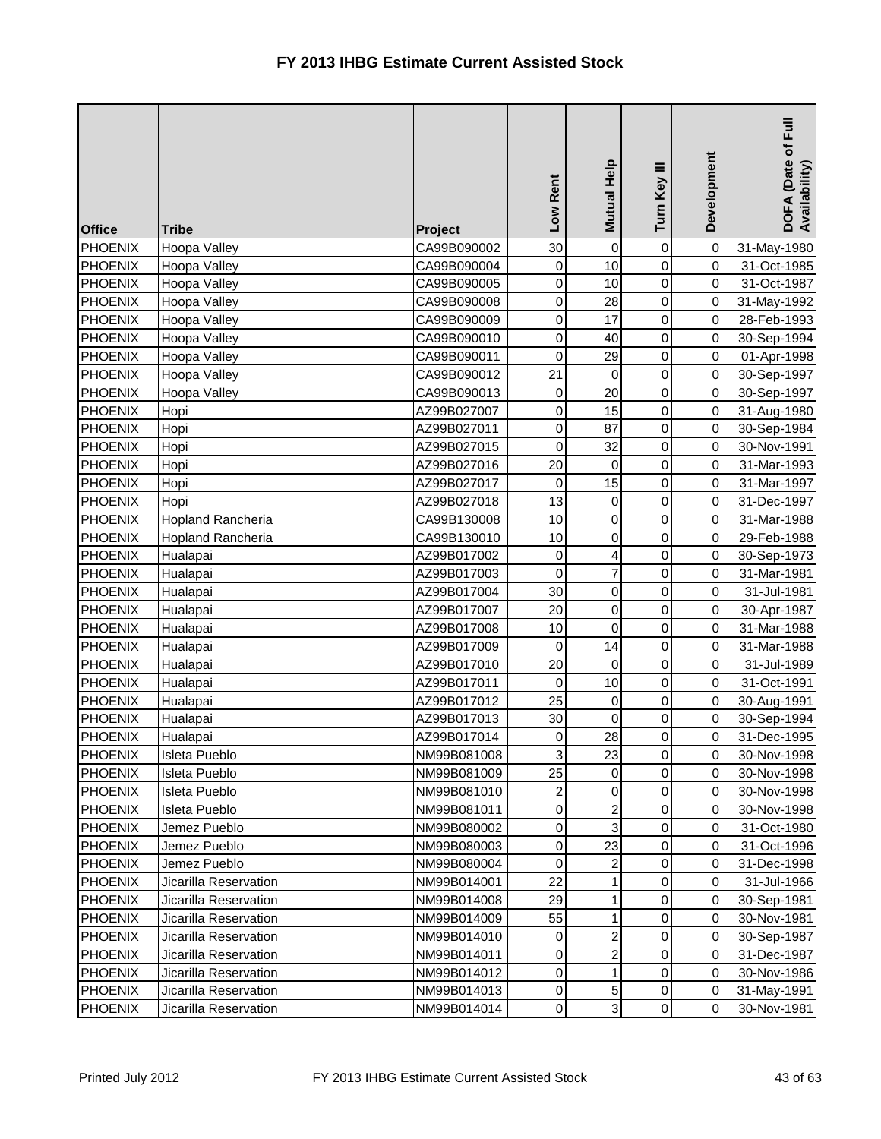| <b>Office</b>  | <b>Tribe</b>             | Project     | Low Rent         | Mutual Help         | Turn Key III   | Development | $E_{\rm{H}}$<br>DOFA (Date of F<br>Availability) |
|----------------|--------------------------|-------------|------------------|---------------------|----------------|-------------|--------------------------------------------------|
| <b>PHOENIX</b> | Hoopa Valley             | CA99B090002 | 30               | $\mathsf{O}\xspace$ | 0              | $\pmb{0}$   | 31-May-1980                                      |
| <b>PHOENIX</b> | Hoopa Valley             | CA99B090004 | 0                | 10                  | 0              | $\pmb{0}$   | 31-Oct-1985                                      |
| <b>PHOENIX</b> | Hoopa Valley             | CA99B090005 | $\mathbf 0$      | 10                  | 0              | $\mathbf 0$ | 31-Oct-1987                                      |
| <b>PHOENIX</b> | Hoopa Valley             | CA99B090008 | $\boldsymbol{0}$ | 28                  | 0              | $\mathbf 0$ | 31-May-1992                                      |
| <b>PHOENIX</b> | Hoopa Valley             | CA99B090009 | 0                | 17                  | 0              | 0           | 28-Feb-1993                                      |
| <b>PHOENIX</b> | Hoopa Valley             | CA99B090010 | 0                | 40                  | 0              | $\mathbf 0$ | 30-Sep-1994                                      |
| <b>PHOENIX</b> | Hoopa Valley             | CA99B090011 | $\mathbf 0$      | 29                  | 0              | $\mathbf 0$ | 01-Apr-1998                                      |
| <b>PHOENIX</b> | Hoopa Valley             | CA99B090012 | 21               | 0                   | $\mathsf 0$    | $\mathbf 0$ | 30-Sep-1997                                      |
| <b>PHOENIX</b> | Hoopa Valley             | CA99B090013 | 0                | 20                  | 0              | 0           | 30-Sep-1997                                      |
| <b>PHOENIX</b> | Hopi                     | AZ99B027007 | 0                | 15                  | $\mathsf 0$    | 0           | 31-Aug-1980                                      |
| PHOENIX        | Hopi                     | AZ99B027011 | $\boldsymbol{0}$ | 87                  | 0              | $\mathbf 0$ | 30-Sep-1984                                      |
| PHOENIX        | Hopi                     | AZ99B027015 | $\pmb{0}$        | 32                  | 0              | $\mathbf 0$ | 30-Nov-1991                                      |
| <b>PHOENIX</b> | Hopi                     | AZ99B027016 | 20               | 0                   | 0              | $\mathbf 0$ | 31-Mar-1993                                      |
| <b>PHOENIX</b> | Hopi                     | AZ99B027017 | $\mathbf 0$      | 15                  | 0              | 0           | 31-Mar-1997                                      |
| <b>PHOENIX</b> | Hopi                     | AZ99B027018 | 13               | $\overline{0}$      | $\mathsf 0$    | 0           | 31-Dec-1997                                      |
| <b>PHOENIX</b> | <b>Hopland Rancheria</b> | CA99B130008 | 10               | $\overline{0}$      | 0              | $\mathbf 0$ | 31-Mar-1988                                      |
| <b>PHOENIX</b> | <b>Hopland Rancheria</b> | CA99B130010 | 10               | $\overline{0}$      | 0              | 0           | 29-Feb-1988                                      |
| <b>PHOENIX</b> | Hualapai                 | AZ99B017002 | $\mathbf 0$      | $\vert$             | $\mathsf 0$    | $\mathbf 0$ | 30-Sep-1973                                      |
| <b>PHOENIX</b> | Hualapai                 | AZ99B017003 | $\mathbf 0$      | $\overline{7}$      | 0              | $\,0\,$     | 31-Mar-1981                                      |
| <b>PHOENIX</b> | Hualapai                 | AZ99B017004 | 30               | $\overline{0}$      | 0              | 0           | 31-Jul-1981                                      |
| <b>PHOENIX</b> | Hualapai                 | AZ99B017007 | 20               | $\overline{0}$      | 0              | $\mathbf 0$ | 30-Apr-1987                                      |
| <b>PHOENIX</b> | Hualapai                 | AZ99B017008 | 10               | $\overline{0}$      | 0              | $\mathbf 0$ | 31-Mar-1988                                      |
| <b>PHOENIX</b> | Hualapai                 | AZ99B017009 | 0                | 14                  | 0              | $\mathbf 0$ | 31-Mar-1988                                      |
| <b>PHOENIX</b> | Hualapai                 | AZ99B017010 | 20               | 0                   | 0              | $\pmb{0}$   | 31-Jul-1989                                      |
| <b>PHOENIX</b> | Hualapai                 | AZ99B017011 | $\mathbf 0$      | 10                  | 0              | $\mathbf 0$ | 31-Oct-1991                                      |
| <b>PHOENIX</b> | Hualapai                 | AZ99B017012 | 25               | $\mathsf{O}\xspace$ | 0              | $\mathbf 0$ | 30-Aug-1991                                      |
| <b>PHOENIX</b> | Hualapai                 | AZ99B017013 | 30               | 0                   | 0              | 0           | 30-Sep-1994                                      |
| <b>PHOENIX</b> | Hualapai                 | AZ99B017014 | 0                | 28                  | 0              | 0           | 31-Dec-1995                                      |
| <b>PHOENIX</b> | <b>Isleta Pueblo</b>     | NM99B081008 | 3                | 23                  | $\overline{0}$ | $\mathbf 0$ | 30-Nov-1998                                      |
| <b>PHOENIX</b> | Isleta Pueblo            | NM99B081009 | 25               | 0                   | 0              | 0           | 30-Nov-1998                                      |
| <b>PHOENIX</b> | Isleta Pueblo            | NM99B081010 | 2                | 0                   | 0              | $\pmb{0}$   | 30-Nov-1998                                      |
| <b>PHOENIX</b> | Isleta Pueblo            | NM99B081011 | 0                | $\overline{a}$      | 0              | 0           | 30-Nov-1998                                      |
| <b>PHOENIX</b> | Jemez Pueblo             | NM99B080002 | 0                | 3 <sup>1</sup>      | 0              | $\pmb{0}$   | 31-Oct-1980                                      |
| <b>PHOENIX</b> | Jemez Pueblo             | NM99B080003 | 0                | 23                  | 0              | $\mathbf 0$ | 31-Oct-1996                                      |
| <b>PHOENIX</b> | Jemez Pueblo             | NM99B080004 | 0                | $\overline{a}$      | 0              | 0           | 31-Dec-1998                                      |
| <b>PHOENIX</b> | Jicarilla Reservation    | NM99B014001 | 22               | $\mathbf{1}$        | 0              | 0           | 31-Jul-1966                                      |
| <b>PHOENIX</b> | Jicarilla Reservation    | NM99B014008 | 29               | $\mathbf{1}$        | 0              | $\mathbf 0$ | 30-Sep-1981                                      |
| <b>PHOENIX</b> | Jicarilla Reservation    | NM99B014009 | 55               | $\mathbf{1}$        | 0              | $\mathbf 0$ | 30-Nov-1981                                      |
| <b>PHOENIX</b> | Jicarilla Reservation    | NM99B014010 | 0                | $\overline{a}$      | 0              | $\mathbf 0$ | 30-Sep-1987                                      |
| <b>PHOENIX</b> | Jicarilla Reservation    | NM99B014011 | 0                | $\overline{a}$      | 0              | 0           | 31-Dec-1987                                      |
| <b>PHOENIX</b> | Jicarilla Reservation    | NM99B014012 | 0                | $\mathbf{1}$        | 0              | 0           | 30-Nov-1986                                      |
| <b>PHOENIX</b> | Jicarilla Reservation    | NM99B014013 | 0                | 5 <sup>1</sup>      | 0              | 0           | 31-May-1991                                      |
| <b>PHOENIX</b> | Jicarilla Reservation    | NM99B014014 | 0                | $\overline{3}$      | 0              | $\pmb{0}$   | 30-Nov-1981                                      |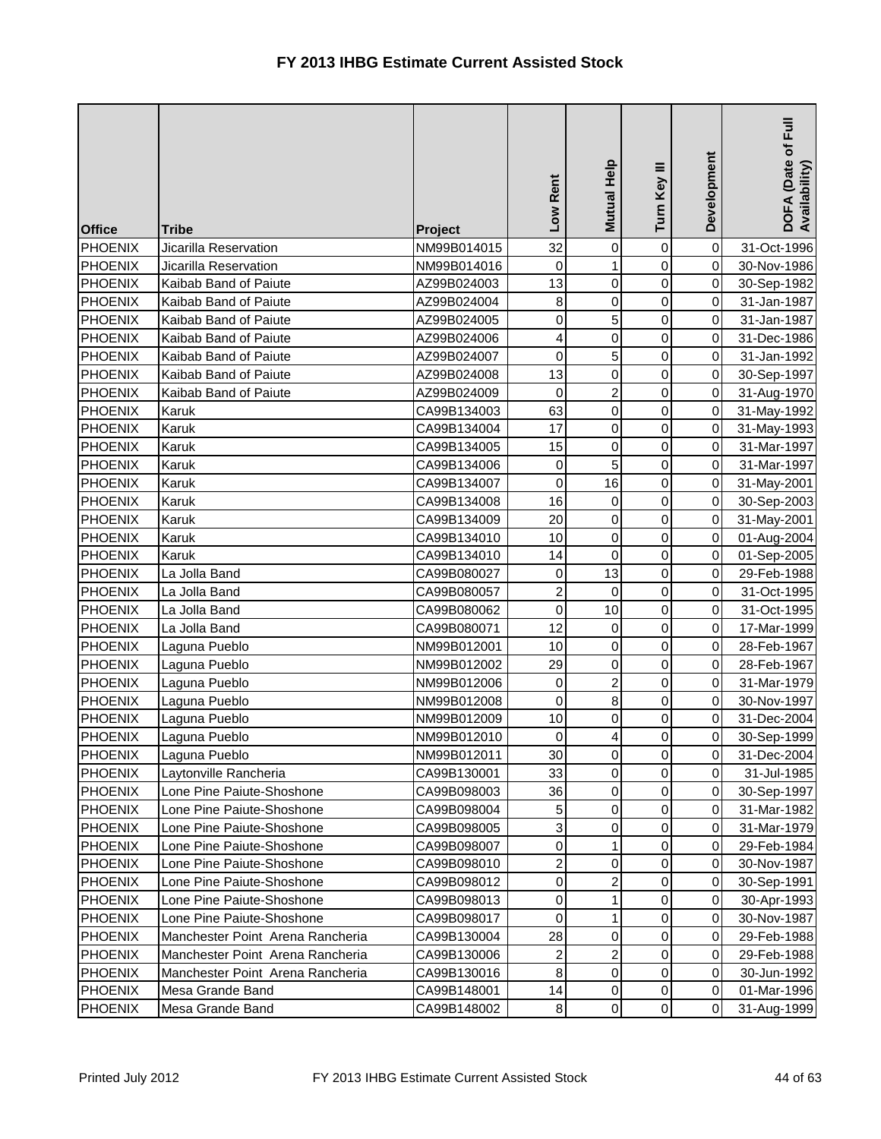| <b>Office</b>  | <b>Tribe</b>                     | Project     | Low Rent                 | Mutual Help             | Turn Key III        | Development | $E_{\rm H}$<br>DOFA (Date of I<br>Availability) |
|----------------|----------------------------------|-------------|--------------------------|-------------------------|---------------------|-------------|-------------------------------------------------|
| <b>PHOENIX</b> | Jicarilla Reservation            | NM99B014015 | 32                       | $\mathsf{O}\xspace$     | 0                   | $\mbox{O}$  | 31-Oct-1996                                     |
| <b>PHOENIX</b> | Jicarilla Reservation            | NM99B014016 | 0                        | $\mathbf{1}$            | 0                   | $\mathbf 0$ | 30-Nov-1986                                     |
| <b>PHOENIX</b> | Kaibab Band of Paiute            | AZ99B024003 | 13                       | $\mathsf{O}$            | 0                   | $\mathbf 0$ | 30-Sep-1982                                     |
| <b>PHOENIX</b> | Kaibab Band of Paiute            | AZ99B024004 | 8                        | $\mathsf{O}$            | 0                   | $\pmb{0}$   | 31-Jan-1987                                     |
| <b>PHOENIX</b> | Kaibab Band of Paiute            | AZ99B024005 | 0                        | 5                       | 0                   | 0           | 31-Jan-1987                                     |
| <b>PHOENIX</b> | Kaibab Band of Paiute            | AZ99B024006 | $\overline{\mathcal{L}}$ | $\mathsf{O}$            | 0                   | $\mathbf 0$ | 31-Dec-1986                                     |
| <b>PHOENIX</b> | Kaibab Band of Paiute            | AZ99B024007 | 0                        | 5 <sup>1</sup>          | 0                   | 0           | 31-Jan-1992                                     |
| <b>PHOENIX</b> | Kaibab Band of Paiute            | AZ99B024008 | 13                       | $\mathsf{O}$            | 0                   | 0           | 30-Sep-1997                                     |
| <b>PHOENIX</b> | Kaibab Band of Paiute            | AZ99B024009 | $\mathbf 0$              | $\overline{a}$          | 0                   | 0           | 31-Aug-1970                                     |
| <b>PHOENIX</b> | Karuk                            | CA99B134003 | 63                       | 0                       | 0                   | 0           | 31-May-1992                                     |
| <b>PHOENIX</b> | Karuk                            | CA99B134004 | 17                       | $\mathsf{O}$            | 0                   | $\mbox{O}$  | 31-May-1993                                     |
| <b>PHOENIX</b> | Karuk                            | CA99B134005 | 15                       | 0                       | 0                   | $\mathbf 0$ | 31-Mar-1997                                     |
| PHOENIX        | Karuk                            | CA99B134006 | 0                        | 5                       | 0                   | 0           | 31-Mar-1997                                     |
| <b>PHOENIX</b> | Karuk                            | CA99B134007 | $\mathbf 0$              | 16                      | 0                   | 0           | 31-May-2001                                     |
| <b>PHOENIX</b> | Karuk                            | CA99B134008 | 16                       | 0                       | 0                   | 0           | 30-Sep-2003                                     |
| <b>PHOENIX</b> | Karuk                            | CA99B134009 | 20                       | 0                       | 0                   | $\mathbf 0$ | 31-May-2001                                     |
| <b>PHOENIX</b> | Karuk                            | CA99B134010 | 10                       | $\overline{0}$          | 0                   | $\mathbf 0$ | 01-Aug-2004                                     |
| <b>PHOENIX</b> | Karuk                            | CA99B134010 | 14                       | 0                       | 0                   | 0           | 01-Sep-2005                                     |
| <b>PHOENIX</b> | La Jolla Band                    | CA99B080027 | 0                        | 13                      | 0                   | 0           | 29-Feb-1988                                     |
| <b>PHOENIX</b> | La Jolla Band                    | CA99B080057 | $\overline{\mathbf{c}}$  | $\mathsf 0$             | 0                   | 0           | 31-Oct-1995                                     |
| <b>PHOENIX</b> | La Jolla Band                    | CA99B080062 | $\mathsf 0$              | 10                      | 0                   | $\mathbf 0$ | 31-Oct-1995                                     |
| <b>PHOENIX</b> | La Jolla Band                    | CA99B080071 | 12                       | $\pmb{0}$               | 0                   | $\mathbf 0$ | 17-Mar-1999                                     |
| <b>PHOENIX</b> | Laguna Pueblo                    | NM99B012001 | 10                       | $\pmb{0}$               | 0                   | $\mathbf 0$ | 28-Feb-1967                                     |
| <b>PHOENIX</b> | Laguna Pueblo                    | NM99B012002 | 29                       | 0                       | 0                   | 0           | 28-Feb-1967                                     |
| <b>PHOENIX</b> | Laguna Pueblo                    | NM99B012006 | 0                        | $\overline{a}$          | 0                   | 0           | 31-Mar-1979                                     |
| <b>PHOENIX</b> | Laguna Pueblo                    | NM99B012008 | 0                        | $\bf 8$                 | 0                   | $\mathbf 0$ | 30-Nov-1997                                     |
| PHOENIX        | Laguna Pueblo                    | NM99B012009 | 10                       | 0                       | 0                   | 0           | 31-Dec-2004                                     |
| <b>PHOENIX</b> | Laguna Pueblo                    | NM99B012010 | 0                        | $\vert$                 | $\mathbf 0$         | 0           | 30-Sep-1999                                     |
| PHOENIX        | Laguna Pueblo                    | NM99B012011 | 30                       | $\overline{0}$          | $\overline{0}$      | 0           | 31-Dec-2004                                     |
| <b>PHOENIX</b> | Laytonville Rancheria            | CA99B130001 | 33                       | 0                       | 0                   | 0           | 31-Jul-1985                                     |
| <b>PHOENIX</b> | Lone Pine Paiute-Shoshone        | CA99B098003 | 36                       | $\pmb{0}$               | 0                   | $\pmb{0}$   | 30-Sep-1997                                     |
| <b>PHOENIX</b> | Lone Pine Paiute-Shoshone        | CA99B098004 | 5                        | 0                       | 0                   | 0           | 31-Mar-1982                                     |
| <b>PHOENIX</b> | Lone Pine Paiute-Shoshone        | CA99B098005 | 3                        | 0                       | 0                   | $\pmb{0}$   | 31-Mar-1979                                     |
| <b>PHOENIX</b> | Lone Pine Paiute-Shoshone        | CA99B098007 | 0                        | $\mathbf{1}$            | 0                   | 0           | 29-Feb-1984                                     |
| <b>PHOENIX</b> | Lone Pine Paiute-Shoshone        | CA99B098010 | $\overline{\mathbf{c}}$  | 0                       | 0                   | 0           | 30-Nov-1987                                     |
| PHOENIX        | Lone Pine Paiute-Shoshone        | CA99B098012 | 0                        | $\overline{c}$          | 0                   | 0           | 30-Sep-1991                                     |
| <b>PHOENIX</b> | Lone Pine Paiute-Shoshone        | CA99B098013 | 0                        | $\mathbf{1}$            | 0                   | 0           | 30-Apr-1993                                     |
| <b>PHOENIX</b> | Lone Pine Paiute-Shoshone        | CA99B098017 | 0                        | 1                       | 0                   | 0           | 30-Nov-1987                                     |
| <b>PHOENIX</b> | Manchester Point Arena Rancheria | CA99B130004 | 28                       | 0                       | 0                   | 0           | 29-Feb-1988                                     |
| PHOENIX        | Manchester Point Arena Rancheria | CA99B130006 | $\overline{2}$           | $\overline{\mathbf{c}}$ | 0                   | 0           | 29-Feb-1988                                     |
| PHOENIX        | Manchester Point Arena Rancheria | CA99B130016 | 8                        | $\pmb{0}$               | 0                   | 0           | 30-Jun-1992                                     |
| <b>PHOENIX</b> | Mesa Grande Band                 | CA99B148001 | 14                       | $\pmb{0}$               | 0                   | $\pmb{0}$   | 01-Mar-1996                                     |
| <b>PHOENIX</b> | Mesa Grande Band                 | CA99B148002 | $\bf 8$                  | $\overline{0}$          | $\mathsf{O}\xspace$ | $\mathbf 0$ | 31-Aug-1999                                     |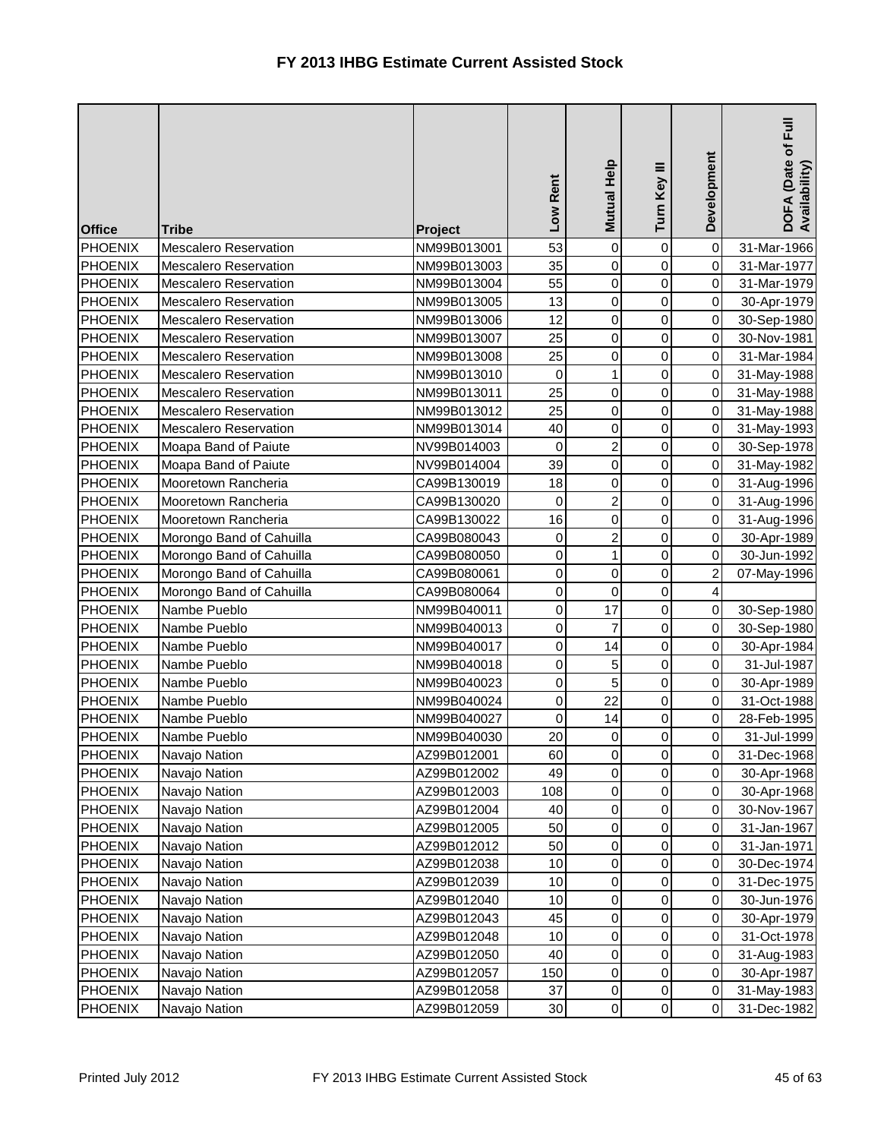| <b>Office</b>  | <b>Tribe</b>                 | Project     | Low Rent         | Mutual Help         | Turn Key III        | Development             | DOFA (Date of Full<br>Availability) |
|----------------|------------------------------|-------------|------------------|---------------------|---------------------|-------------------------|-------------------------------------|
| <b>PHOENIX</b> | <b>Mescalero Reservation</b> | NM99B013001 | 53               | $\overline{0}$      | 0                   | $\mathbf 0$             | 31-Mar-1966                         |
| <b>PHOENIX</b> | <b>Mescalero Reservation</b> | NM99B013003 | 35               | $\overline{0}$      | 0                   | $\mathbf 0$             | 31-Mar-1977                         |
| <b>PHOENIX</b> | <b>Mescalero Reservation</b> | NM99B013004 | 55               | $\overline{0}$      | 0                   | $\mathbf 0$             | 31-Mar-1979                         |
| <b>PHOENIX</b> | <b>Mescalero Reservation</b> | NM99B013005 | 13               | $\overline{0}$      | 0                   | $\mathbf 0$             | 30-Apr-1979                         |
| <b>PHOENIX</b> | <b>Mescalero Reservation</b> | NM99B013006 | 12               | $\mathbf 0$         | 0                   | 0                       | 30-Sep-1980                         |
| <b>PHOENIX</b> | <b>Mescalero Reservation</b> | NM99B013007 | 25               | $\overline{0}$      | 0                   | $\mathbf 0$             | 30-Nov-1981                         |
| <b>PHOENIX</b> | <b>Mescalero Reservation</b> | NM99B013008 | 25               | $\overline{0}$      | 0                   | $\mathbf 0$             | 31-Mar-1984                         |
| <b>PHOENIX</b> | <b>Mescalero Reservation</b> | NM99B013010 | 0                | 1                   | 0                   | 0                       | 31-May-1988                         |
| <b>PHOENIX</b> | <b>Mescalero Reservation</b> | NM99B013011 | 25               | $\overline{0}$      | 0                   | 0                       | 31-May-1988                         |
| <b>PHOENIX</b> | <b>Mescalero Reservation</b> | NM99B013012 | 25               | $\overline{0}$      | $\mathsf 0$         | 0                       | 31-May-1988                         |
| PHOENIX        | <b>Mescalero Reservation</b> | NM99B013014 | 40               | $\overline{0}$      | 0                   | $\mathbf 0$             | 31-May-1993                         |
| PHOENIX        | Moapa Band of Paiute         | NV99B014003 | 0                | $\overline{a}$      | 0                   | $\mathbf 0$             | 30-Sep-1978                         |
| <b>PHOENIX</b> | Moapa Band of Paiute         | NV99B014004 | 39               | $\overline{0}$      | $\mathsf 0$         | $\mathbf 0$             | 31-May-1982                         |
| <b>PHOENIX</b> | Mooretown Rancheria          | CA99B130019 | 18               | $\overline{0}$      | 0                   | 0                       | 31-Aug-1996                         |
| <b>PHOENIX</b> | Mooretown Rancheria          | CA99B130020 | 0                | $\overline{2}$      | $\mathsf 0$         | 0                       | 31-Aug-1996                         |
| <b>PHOENIX</b> | Mooretown Rancheria          | CA99B130022 | 16               | $\overline{0}$      | 0                   | $\mathbf 0$             | 31-Aug-1996                         |
| <b>PHOENIX</b> | Morongo Band of Cahuilla     | CA99B080043 | $\pmb{0}$        | $\overline{a}$      | 0                   | $\mathbf 0$             | 30-Apr-1989                         |
| <b>PHOENIX</b> | Morongo Band of Cahuilla     | CA99B080050 | $\boldsymbol{0}$ | 1                   | 0                   | $\mathbf 0$             | 30-Jun-1992                         |
| <b>PHOENIX</b> | Morongo Band of Cahuilla     | CA99B080061 | $\boldsymbol{0}$ | $\overline{0}$      | 0                   | $\overline{2}$          | 07-May-1996                         |
| <b>PHOENIX</b> | Morongo Band of Cahuilla     | CA99B080064 | $\mathbf 0$      | $\mathsf{O}\xspace$ | 0                   | $\overline{\mathbf{4}}$ |                                     |
| <b>PHOENIX</b> | Nambe Pueblo                 | NM99B040011 | 0                | 17                  | 0                   | $\mbox{O}$              | 30-Sep-1980                         |
| <b>PHOENIX</b> | Nambe Pueblo                 | NM99B040013 | $\pmb{0}$        | $\overline{7}$      | 0                   | $\mathbf 0$             | 30-Sep-1980                         |
| <b>PHOENIX</b> | Nambe Pueblo                 | NM99B040017 | 0                | 14                  | 0                   | $\mathbf 0$             | 30-Apr-1984                         |
| <b>PHOENIX</b> | Nambe Pueblo                 | NM99B040018 | $\mathbf 0$      | 5                   | 0                   | $\mathbf 0$             | 31-Jul-1987                         |
| <b>PHOENIX</b> | Nambe Pueblo                 | NM99B040023 | 0                | 5                   | 0                   | $\mathbf 0$             | 30-Apr-1989                         |
| <b>PHOENIX</b> | Nambe Pueblo                 | NM99B040024 | 0                | 22                  | 0                   | $\mathbf 0$             | 31-Oct-1988                         |
| <b>PHOENIX</b> | Nambe Pueblo                 | NM99B040027 | 0                | 14                  | 0                   | 0                       | 28-Feb-1995                         |
| <b>PHOENIX</b> | Nambe Pueblo                 | NM99B040030 | 20               | $\overline{0}$      | 0                   | 0                       | 31-Jul-1999                         |
| <b>PHOENIX</b> | Navajo Nation                | AZ99B012001 | 60               | $\overline{0}$      | $\overline{0}$      | $\mathbf 0$             | 31-Dec-1968                         |
| <b>PHOENIX</b> | Navajo Nation                | AZ99B012002 | 49               | $\mathbf 0$         | 0                   | 0                       | 30-Apr-1968                         |
| <b>PHOENIX</b> | Navajo Nation                | AZ99B012003 | 108              | $\overline{0}$      | 0                   | $\mathbf 0$             | 30-Apr-1968                         |
| <b>PHOENIX</b> | Navajo Nation                | AZ99B012004 | 40               | $\overline{0}$      | 0                   | $\,0\,$                 | 30-Nov-1967                         |
| <b>PHOENIX</b> | Navajo Nation                | AZ99B012005 | 50               | $\overline{0}$      | 0                   | $\pmb{0}$               | 31-Jan-1967                         |
| <b>PHOENIX</b> | Navajo Nation                | AZ99B012012 | 50               | $\overline{0}$      | 0                   | 0                       | 31-Jan-1971                         |
| <b>PHOENIX</b> | Navajo Nation                | AZ99B012038 | 10               | $\overline{0}$      | 0                   | 0                       | 30-Dec-1974                         |
| <b>PHOENIX</b> | Navajo Nation                | AZ99B012039 | 10               | $\overline{0}$      | $\pmb{0}$           | 0                       | 31-Dec-1975                         |
| <b>PHOENIX</b> | Navajo Nation                | AZ99B012040 | 10               | $\overline{0}$      | 0                   | 0                       | 30-Jun-1976                         |
| <b>PHOENIX</b> | Navajo Nation                | AZ99B012043 | 45               | $\overline{0}$      | 0                   | 0                       | 30-Apr-1979                         |
| <b>PHOENIX</b> | Navajo Nation                | AZ99B012048 | 10               | $\overline{0}$      | 0                   | 0                       | 31-Oct-1978                         |
| <b>PHOENIX</b> | Navajo Nation                | AZ99B012050 | 40               | 0                   | 0                   | 0                       | 31-Aug-1983                         |
| <b>PHOENIX</b> | Navajo Nation                | AZ99B012057 | 150              | $\overline{0}$      | 0                   | $\mbox{O}$              | 30-Apr-1987                         |
| <b>PHOENIX</b> | Navajo Nation                | AZ99B012058 | 37               | $\overline{0}$      | 0                   | 0                       | 31-May-1983                         |
| <b>PHOENIX</b> | Navajo Nation                | AZ99B012059 | 30               | $\overline{0}$      | $\mathsf{O}\xspace$ | 0                       | 31-Dec-1982                         |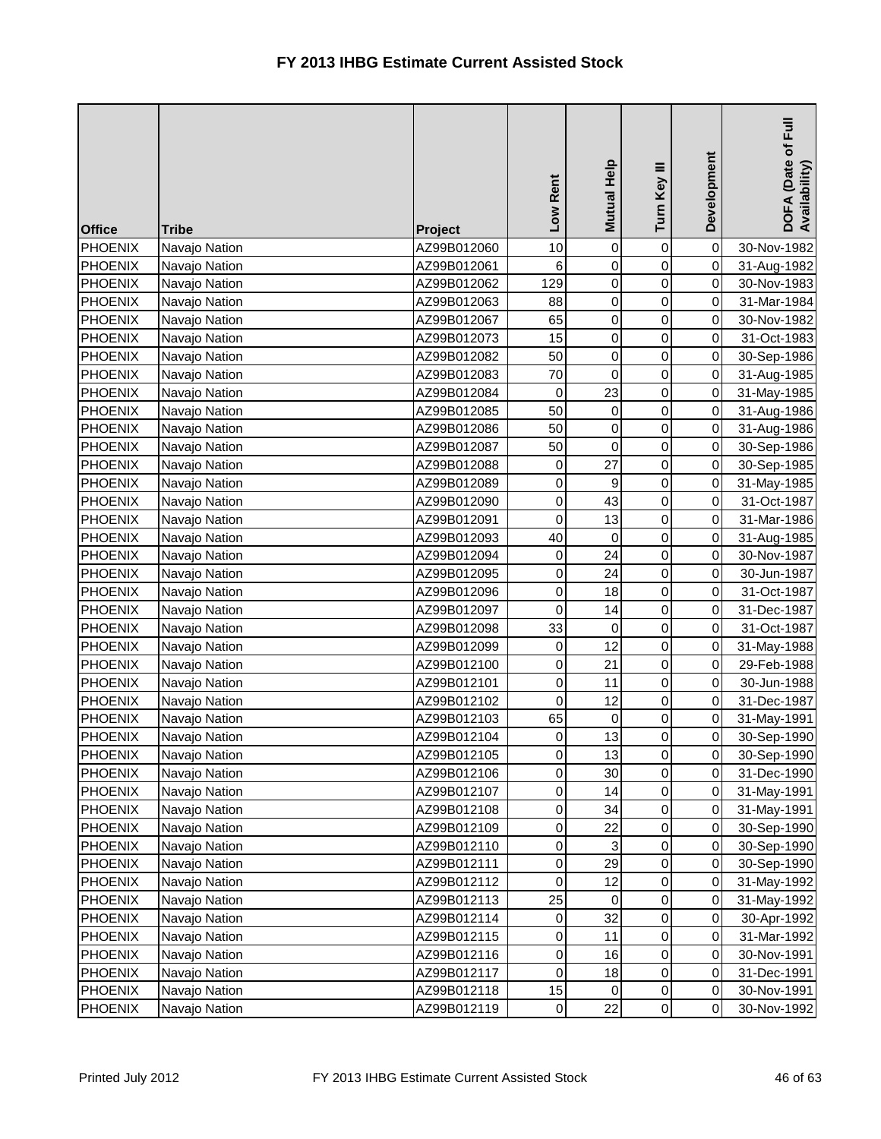| <b>Office</b>  | <b>Tribe</b>  | Project     | Low Rent    | <b>Mutual Help</b>  | Turn Key III        | Development | $E_{\rm{H}}$<br>DOFA (Date of F<br>Availability) |
|----------------|---------------|-------------|-------------|---------------------|---------------------|-------------|--------------------------------------------------|
| <b>PHOENIX</b> | Navajo Nation | AZ99B012060 | 10          | $\overline{0}$      | 0                   | $\mathbf 0$ | 30-Nov-1982                                      |
| <b>PHOENIX</b> | Navajo Nation | AZ99B012061 | 6           | $\overline{0}$      | 0                   | $\mbox{O}$  | 31-Aug-1982                                      |
| <b>PHOENIX</b> | Navajo Nation | AZ99B012062 | 129         | $\overline{0}$      | 0                   | $\mathbf 0$ | 30-Nov-1983                                      |
| <b>PHOENIX</b> | Navajo Nation | AZ99B012063 | 88          | $\overline{0}$      | 0                   | $\mathbf 0$ | 31-Mar-1984                                      |
| <b>PHOENIX</b> | Navajo Nation | AZ99B012067 | 65          | $\overline{0}$      | 0                   | 0           | 30-Nov-1982                                      |
| <b>PHOENIX</b> | Navajo Nation | AZ99B012073 | 15          | $\overline{0}$      | 0                   | $\mathbf 0$ | 31-Oct-1983                                      |
| <b>PHOENIX</b> | Navajo Nation | AZ99B012082 | 50          | $\overline{0}$      | 0                   | $\mathbf 0$ | 30-Sep-1986                                      |
| <b>PHOENIX</b> | Navajo Nation | AZ99B012083 | 70          | $\overline{0}$      | $\mathsf 0$         | $\mathbf 0$ | 31-Aug-1985                                      |
| <b>PHOENIX</b> | Navajo Nation | AZ99B012084 | 0           | 23                  | 0                   | 0           | 31-May-1985                                      |
| <b>PHOENIX</b> | Navajo Nation | AZ99B012085 | 50          | $\mathsf{O}\xspace$ | 0                   | 0           | 31-Aug-1986                                      |
| PHOENIX        | Navajo Nation | AZ99B012086 | 50          | $\overline{0}$      | 0                   | $\mathbf 0$ | 31-Aug-1986                                      |
| <b>PHOENIX</b> | Navajo Nation | AZ99B012087 | 50          | $\pmb{0}$           | 0                   | $\mathbf 0$ | 30-Sep-1986                                      |
| <b>PHOENIX</b> | Navajo Nation | AZ99B012088 | 0           | 27                  | 0                   | $\mathbf 0$ | 30-Sep-1985                                      |
| <b>PHOENIX</b> | Navajo Nation | AZ99B012089 | 0           | $\boldsymbol{9}$    | 0                   | $\,0\,$     | 31-May-1985                                      |
| <b>PHOENIX</b> | Navajo Nation | AZ99B012090 | 0           | 43                  | 0                   | 0           | 31-Oct-1987                                      |
| <b>PHOENIX</b> | Navajo Nation | AZ99B012091 | 0           | 13                  | 0                   | $\mathbf 0$ | 31-Mar-1986                                      |
| <b>PHOENIX</b> | Navajo Nation | AZ99B012093 | 40          | $\overline{0}$      | 0                   | $\mathbf 0$ | 31-Aug-1985                                      |
| <b>PHOENIX</b> | Navajo Nation | AZ99B012094 | 0           | 24                  | 0                   | $\mathbf 0$ | 30-Nov-1987                                      |
| <b>PHOENIX</b> | Navajo Nation | AZ99B012095 | $\mathbf 0$ | 24                  | 0                   | $\mathbf 0$ | 30-Jun-1987                                      |
| <b>PHOENIX</b> | Navajo Nation | AZ99B012096 | 0           | 18                  | 0                   | $\mathbf 0$ | 31-Oct-1987                                      |
| <b>PHOENIX</b> | Navajo Nation | AZ99B012097 | 0           | 14                  | 0                   | $\mathbf 0$ | 31-Dec-1987                                      |
| <b>PHOENIX</b> | Navajo Nation | AZ99B012098 | 33          | $\pmb{0}$           | 0                   | $\mathbf 0$ | 31-Oct-1987                                      |
| <b>PHOENIX</b> | Navajo Nation | AZ99B012099 | 0           | 12                  | 0                   | $\mathbf 0$ | 31-May-1988                                      |
| <b>PHOENIX</b> | Navajo Nation | AZ99B012100 | $\mathbf 0$ | 21                  | 0                   | 0           | 29-Feb-1988                                      |
| <b>PHOENIX</b> | Navajo Nation | AZ99B012101 | 0           | 11                  | 0                   | 0           | 30-Jun-1988                                      |
| <b>PHOENIX</b> | Navajo Nation | AZ99B012102 | $\mathbf 0$ | 12                  | 0                   | $\mathbf 0$ | 31-Dec-1987                                      |
| <b>PHOENIX</b> | Navajo Nation | AZ99B012103 | 65          | $\overline{0}$      | 0                   | 0           | 31-May-1991                                      |
| <b>PHOENIX</b> | Navajo Nation | AZ99B012104 | 0           | 13                  | $\pmb{0}$           | $\pmb{0}$   | 30-Sep-1990                                      |
| <b>PHOENIX</b> | Navajo Nation | AZ99B012105 | 0           | 13                  | $\overline{0}$      | $\mathbf 0$ | 30-Sep-1990                                      |
| <b>PHOENIX</b> | Navajo Nation | AZ99B012106 | 0           | 30                  | 0                   | 0           | 31-Dec-1990                                      |
| <b>PHOENIX</b> | Navajo Nation | AZ99B012107 | 0           | 14                  | $\mathsf{O}\xspace$ | $\mbox{O}$  | 31-May-1991                                      |
| <b>PHOENIX</b> | Navajo Nation | AZ99B012108 | 0           | 34                  | 0                   | $\mbox{O}$  | 31-May-1991                                      |
| <b>PHOENIX</b> | Navajo Nation | AZ99B012109 | 0           | 22                  | 0                   | 0           | 30-Sep-1990                                      |
| <b>PHOENIX</b> | Navajo Nation | AZ99B012110 | 0           | 3                   | 0                   | 0           | 30-Sep-1990                                      |
| <b>PHOENIX</b> | Navajo Nation | AZ99B012111 | 0           | 29                  | 0                   | 0           | 30-Sep-1990                                      |
| <b>PHOENIX</b> | Navajo Nation | AZ99B012112 | 0           | 12                  | $\pmb{0}$           | 0           | 31-May-1992                                      |
| <b>PHOENIX</b> | Navajo Nation | AZ99B012113 | 25          | $\overline{0}$      | 0                   | 0           | 31-May-1992                                      |
| <b>PHOENIX</b> | Navajo Nation | AZ99B012114 | 0           | 32                  | 0                   | $\pmb{0}$   | 30-Apr-1992                                      |
| <b>PHOENIX</b> | Navajo Nation | AZ99B012115 | 0           | 11                  | 0                   | $\pmb{0}$   | 31-Mar-1992                                      |
| <b>PHOENIX</b> | Navajo Nation | AZ99B012116 | 0           | 16                  | 0                   | 0           | 30-Nov-1991                                      |
| <b>PHOENIX</b> | Navajo Nation | AZ99B012117 | 0           | 18                  | 0                   | $\mbox{O}$  | 31-Dec-1991                                      |
| <b>PHOENIX</b> | Navajo Nation | AZ99B012118 | 15          | $\overline{0}$      | 0                   | 0           | 30-Nov-1991                                      |
| <b>PHOENIX</b> | Navajo Nation | AZ99B012119 | $\pmb{0}$   | 22                  | $\mathsf{O}\xspace$ | $\mbox{O}$  | 30-Nov-1992                                      |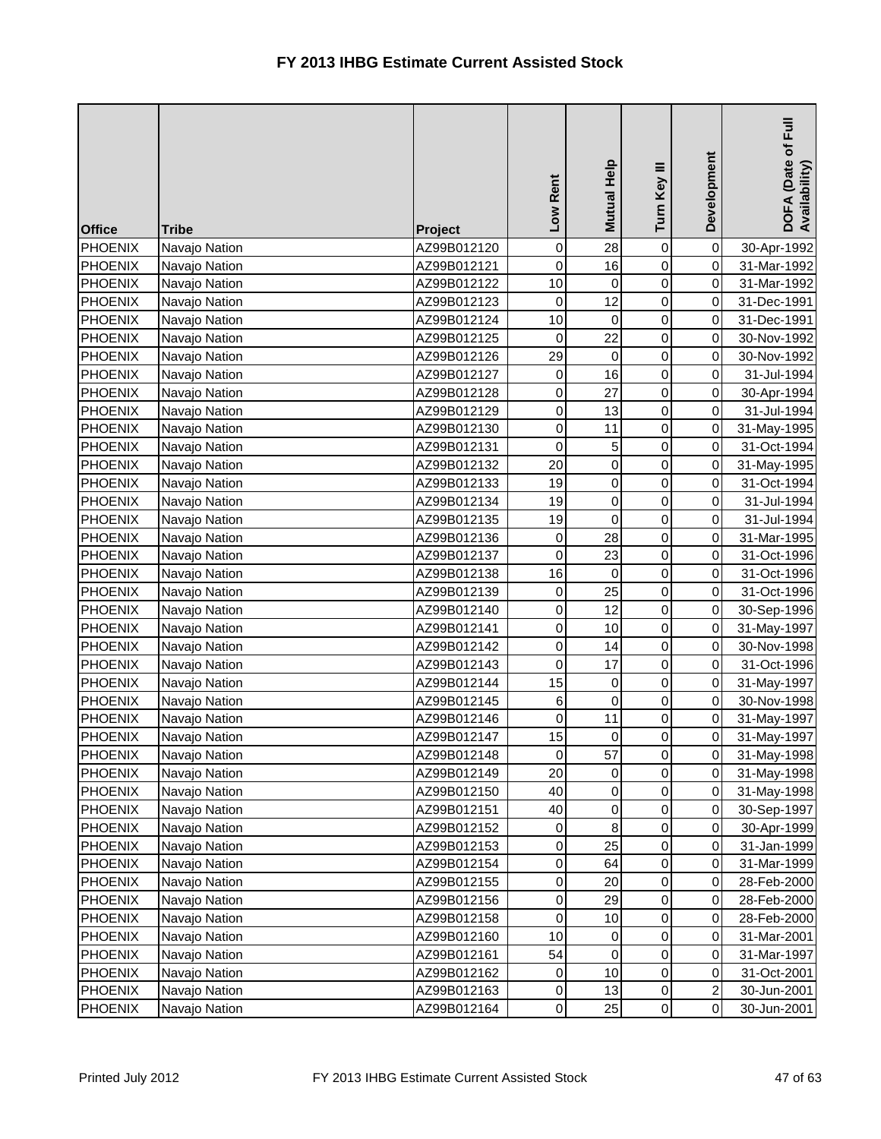| <b>Office</b>  | <b>Tribe</b>  | Project     | Low Rent         | Mutual Help         | Turn Key III        | Development         | $\bar{E}$<br>DOFA (Date of I<br>Availability) |
|----------------|---------------|-------------|------------------|---------------------|---------------------|---------------------|-----------------------------------------------|
| <b>PHOENIX</b> | Navajo Nation | AZ99B012120 | $\pmb{0}$        | 28                  | $\mathsf{O}\xspace$ | $\mathbf 0$         | 30-Apr-1992                                   |
| <b>PHOENIX</b> | Navajo Nation | AZ99B012121 | $\mathbf 0$      | 16                  | $\mathbf 0$         | $\mathsf{O}\xspace$ | 31-Mar-1992                                   |
| <b>PHOENIX</b> | Navajo Nation | AZ99B012122 | 10               | 0                   | 0                   | $\mathbf 0$         | 31-Mar-1992                                   |
| <b>PHOENIX</b> | Navajo Nation | AZ99B012123 | 0                | 12                  | 0                   | $\mathbf 0$         | 31-Dec-1991                                   |
| <b>PHOENIX</b> | Navajo Nation | AZ99B012124 | 10               | $\overline{0}$      | 0                   | $\mathbf 0$         | 31-Dec-1991                                   |
| <b>PHOENIX</b> | Navajo Nation | AZ99B012125 | 0                | 22                  | 0                   | $\pmb{0}$           | 30-Nov-1992                                   |
| <b>PHOENIX</b> | Navajo Nation | AZ99B012126 | 29               | $\overline{0}$      | 0                   | $\mathbf 0$         | 30-Nov-1992                                   |
| <b>PHOENIX</b> | Navajo Nation | AZ99B012127 | 0                | 16                  | 0                   | $\mathbf 0$         | 31-Jul-1994                                   |
| <b>PHOENIX</b> | Navajo Nation | AZ99B012128 | 0                | 27                  | 0                   | $\mathbf 0$         | 30-Apr-1994                                   |
| PHOENIX        | Navajo Nation | AZ99B012129 | $\pmb{0}$        | 13                  | 0                   | $\mathbf 0$         | 31-Jul-1994                                   |
| <b>PHOENIX</b> | Navajo Nation | AZ99B012130 | $\boldsymbol{0}$ | 11                  | 0                   | $\pmb{0}$           | 31-May-1995                                   |
| <b>PHOENIX</b> | Navajo Nation | AZ99B012131 | $\mathbf 0$      | 5                   | 0                   | $\mbox{O}$          | 31-Oct-1994                                   |
| <b>PHOENIX</b> | Navajo Nation | AZ99B012132 | 20               | $\overline{0}$      | $\mathsf 0$         | $\mathbf 0$         | 31-May-1995                                   |
| <b>PHOENIX</b> | Navajo Nation | AZ99B012133 | 19               | $\overline{0}$      | 0                   | $\mathbf 0$         | 31-Oct-1994                                   |
| <b>PHOENIX</b> | Navajo Nation | AZ99B012134 | 19               | $\overline{0}$      | 0                   | $\mbox{O}$          | 31-Jul-1994                                   |
| <b>PHOENIX</b> | Navajo Nation | AZ99B012135 | 19               | $\mathsf{O}\xspace$ | 0                   | $\pmb{0}$           | 31-Jul-1994                                   |
| <b>PHOENIX</b> | Navajo Nation | AZ99B012136 | $\mathbf 0$      | 28                  | 0                   | $\mathbf 0$         | 31-Mar-1995                                   |
| <b>PHOENIX</b> | Navajo Nation | AZ99B012137 | $\mathbf 0$      | 23                  | 0                   | 0                   | 31-Oct-1996                                   |
| <b>PHOENIX</b> | Navajo Nation | AZ99B012138 | 16               | $\mathbf 0$         | 0                   | $\mathbf 0$         | 31-Oct-1996                                   |
| <b>PHOENIX</b> | Navajo Nation | AZ99B012139 | 0                | 25                  | 0                   | $\mathbf 0$         | 31-Oct-1996                                   |
| <b>PHOENIX</b> | Navajo Nation | AZ99B012140 | 0                | 12                  | 0                   | $\mathbf 0$         | 30-Sep-1996                                   |
| <b>PHOENIX</b> | Navajo Nation | AZ99B012141 | $\mathbf 0$      | 10                  | $\mathsf{O}\xspace$ | $\mbox{O}$          | 31-May-1997                                   |
| <b>PHOENIX</b> | Navajo Nation | AZ99B012142 | 0                | 14                  | 0                   | $\,0\,$             | 30-Nov-1998                                   |
| <b>PHOENIX</b> | Navajo Nation | AZ99B012143 | 0                | 17                  | 0                   | $\mathbf 0$         | 31-Oct-1996                                   |
| PHOENIX        | Navajo Nation | AZ99B012144 | 15               | $\overline{0}$      | 0                   | 0                   | 31-May-1997                                   |
| <b>PHOENIX</b> | Navajo Nation | AZ99B012145 | $\,6$            | $\overline{0}$      | 0                   | $\pmb{0}$           | 30-Nov-1998                                   |
| <b>PHOENIX</b> | Navajo Nation | AZ99B012146 | 0                | 11                  | 0                   | $\pmb{0}$           | 31-May-1997                                   |
| <b>PHOENIX</b> | Navajo Nation | AZ99B012147 | 15               | $\overline{0}$      | 0                   | 0                   | 31-May-1997                                   |
| <b>PHOENIX</b> | Navajo Nation | AZ99B012148 | 0                | 57                  | $\overline{0}$      | $\mathbf 0$         | 31-May-1998                                   |
| <b>PHOENIX</b> | Navajo Nation | AZ99B012149 | 20               | 0                   | 0                   | 0                   | 31-May-1998                                   |
| <b>PHOENIX</b> | Navajo Nation | AZ99B012150 | 40               | $\overline{0}$      | $\pmb{0}$           | $\,0\,$             | 31-May-1998                                   |
| <b>PHOENIX</b> | Navajo Nation | AZ99B012151 | 40               | $\overline{0}$      | 0                   | $\mathbf 0$         | 30-Sep-1997                                   |
| <b>PHOENIX</b> | Navajo Nation | AZ99B012152 | 0                | 8                   | 0                   | $\pmb{0}$           | 30-Apr-1999                                   |
| <b>PHOENIX</b> | Navajo Nation | AZ99B012153 | 0                | 25                  | 0                   | $\mathbf 0$         | 31-Jan-1999                                   |
| <b>PHOENIX</b> | Navajo Nation | AZ99B012154 | 0                | 64                  | 0                   | $\pmb{0}$           | 31-Mar-1999                                   |
| <b>PHOENIX</b> | Navajo Nation | AZ99B012155 | 0                | 20                  | $\pmb{0}$           | $\pmb{0}$           | 28-Feb-2000                                   |
| <b>PHOENIX</b> | Navajo Nation | AZ99B012156 | $\pmb{0}$        | 29                  | 0                   | $\,0\,$             | 28-Feb-2000                                   |
| <b>PHOENIX</b> | Navajo Nation | AZ99B012158 | 0                | 10                  | 0                   | 0                   | 28-Feb-2000                                   |
| <b>PHOENIX</b> | Navajo Nation | AZ99B012160 | 10               | $\overline{0}$      | 0                   | $\pmb{0}$           | 31-Mar-2001                                   |
| <b>PHOENIX</b> | Navajo Nation | AZ99B012161 | 54               | $\overline{0}$      | 0                   | 0                   | 31-Mar-1997                                   |
| <b>PHOENIX</b> | Navajo Nation | AZ99B012162 | 0                | 10                  | 0                   | 0                   | 31-Oct-2001                                   |
| <b>PHOENIX</b> | Navajo Nation | AZ99B012163 | 0                | 13                  | 0                   | $\boldsymbol{2}$    | 30-Jun-2001                                   |
| <b>PHOENIX</b> | Navajo Nation | AZ99B012164 | 0                | 25                  | $\mathsf{O}\xspace$ | $\pmb{0}$           | 30-Jun-2001                                   |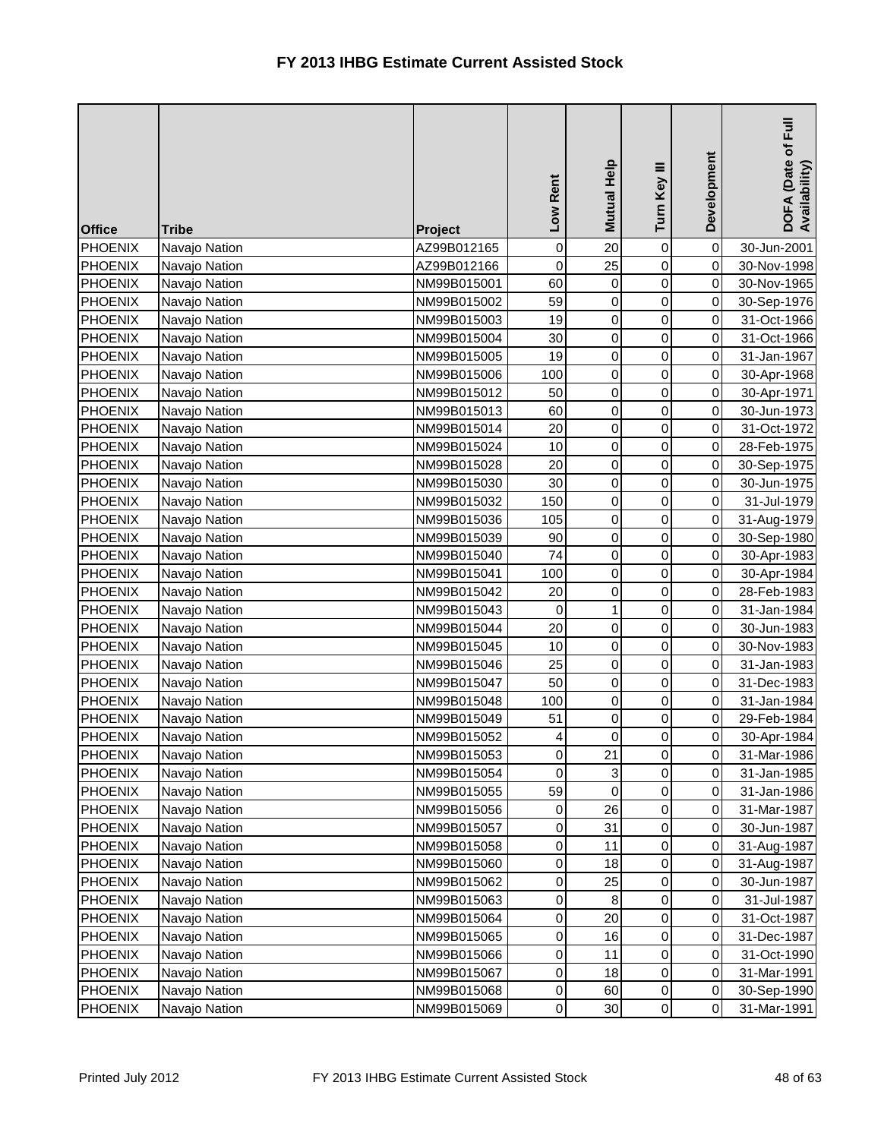| <b>Office</b>  | <b>Tribe</b>  | Project     | Low Rent    | <b>Mutual Help</b> | Turn Key III        | Development | $E_{\rm{H}}$<br>DOFA (Date of I<br>Availability) |
|----------------|---------------|-------------|-------------|--------------------|---------------------|-------------|--------------------------------------------------|
| <b>PHOENIX</b> | Navajo Nation | AZ99B012165 | $\mathbf 0$ | 20                 | 0                   | $\mbox{O}$  | 30-Jun-2001                                      |
| <b>PHOENIX</b> | Navajo Nation | AZ99B012166 | $\mathbf 0$ | 25                 | 0                   | $\pmb{0}$   | 30-Nov-1998                                      |
| <b>PHOENIX</b> | Navajo Nation | NM99B015001 | 60          | $\overline{0}$     | 0                   | $\mathbf 0$ | 30-Nov-1965                                      |
| <b>PHOENIX</b> | Navajo Nation | NM99B015002 | 59          | $\overline{0}$     | 0                   | $\mathbf 0$ | 30-Sep-1976                                      |
| <b>PHOENIX</b> | Navajo Nation | NM99B015003 | 19          | $\overline{0}$     | 0                   | 0           | 31-Oct-1966                                      |
| <b>PHOENIX</b> | Navajo Nation | NM99B015004 | 30          | $\overline{0}$     | 0                   | $\mathbf 0$ | 31-Oct-1966                                      |
| <b>PHOENIX</b> | Navajo Nation | NM99B015005 | 19          | $\overline{0}$     | 0                   | $\mathbf 0$ | 31-Jan-1967                                      |
| <b>PHOENIX</b> | Navajo Nation | NM99B015006 | 100         | $\overline{0}$     | $\mathsf 0$         | $\mathbf 0$ | 30-Apr-1968                                      |
| PHOENIX        | Navajo Nation | NM99B015012 | 50          | $\overline{0}$     | 0                   | $\mathbf 0$ | 30-Apr-1971                                      |
| <b>PHOENIX</b> | Navajo Nation | NM99B015013 | 60          | $\overline{0}$     | $\mathsf 0$         | 0           | 30-Jun-1973                                      |
| PHOENIX        | Navajo Nation | NM99B015014 | 20          | $\overline{0}$     | 0                   | $\mathbf 0$ | 31-Oct-1972                                      |
| <b>PHOENIX</b> | Navajo Nation | NM99B015024 | 10          | $\overline{0}$     | 0                   | $\mathbf 0$ | 28-Feb-1975                                      |
| <b>PHOENIX</b> | Navajo Nation | NM99B015028 | 20          | $\overline{0}$     | $\mathbf 0$         | $\mathbf 0$ | 30-Sep-1975                                      |
| <b>PHOENIX</b> | Navajo Nation | NM99B015030 | 30          | $\overline{0}$     | 0                   | $\,0\,$     | 30-Jun-1975                                      |
| <b>PHOENIX</b> | Navajo Nation | NM99B015032 | 150         | $\overline{0}$     | $\mathsf 0$         | $\mathsf 0$ | 31-Jul-1979                                      |
| <b>PHOENIX</b> | Navajo Nation | NM99B015036 | 105         | $\overline{0}$     | 0                   | $\mathbf 0$ | 31-Aug-1979                                      |
| <b>PHOENIX</b> | Navajo Nation | NM99B015039 | 90          | $\overline{0}$     | 0                   | $\mathbf 0$ | 30-Sep-1980                                      |
| <b>PHOENIX</b> | Navajo Nation | NM99B015040 | 74          | $\overline{0}$     | $\mathsf 0$         | $\mathbf 0$ | 30-Apr-1983                                      |
| <b>PHOENIX</b> | Navajo Nation | NM99B015041 | 100         | $\overline{0}$     | 0                   | $\mathbf 0$ | 30-Apr-1984                                      |
| <b>PHOENIX</b> | Navajo Nation | NM99B015042 | 20          | $\overline{0}$     | 0                   | $\mathbf 0$ | 28-Feb-1983                                      |
| <b>PHOENIX</b> | Navajo Nation | NM99B015043 | 0           | $\mathbf{1}$       | 0                   | $\mathbf 0$ | 31-Jan-1984                                      |
| PHOENIX        | Navajo Nation | NM99B015044 | 20          | $\overline{0}$     | 0                   | $\mathbf 0$ | 30-Jun-1983                                      |
| <b>PHOENIX</b> | Navajo Nation | NM99B015045 | 10          | $\overline{0}$     | 0                   | $\mathbf 0$ | 30-Nov-1983                                      |
| <b>PHOENIX</b> | Navajo Nation | NM99B015046 | 25          | $\overline{0}$     | 0                   | 0           | 31-Jan-1983                                      |
| <b>PHOENIX</b> | Navajo Nation | NM99B015047 | 50          | $\overline{0}$     | 0                   | 0           | 31-Dec-1983                                      |
| <b>PHOENIX</b> | Navajo Nation | NM99B015048 | 100         | $\overline{0}$     | 0                   | $\mathbf 0$ | 31-Jan-1984                                      |
| <b>PHOENIX</b> | Navajo Nation | NM99B015049 | 51          | $\overline{0}$     | 0                   | $\,0\,$     | 29-Feb-1984                                      |
| <b>PHOENIX</b> | Navajo Nation | NM99B015052 | 4           | $\overline{0}$     | 0                   | 0           | 30-Apr-1984                                      |
| <b>PHOENIX</b> | Navajo Nation | NM99B015053 | 0           | 21                 | $\overline{0}$      | $\mathbf 0$ | 31-Mar-1986                                      |
| <b>PHOENIX</b> | Navajo Nation | NM99B015054 | 0           | 3                  | 0                   | 0           | 31-Jan-1985                                      |
| <b>PHOENIX</b> | Navajo Nation | NM99B015055 | 59          | $\overline{0}$     | 0                   | $\pmb{0}$   | 31-Jan-1986                                      |
| <b>PHOENIX</b> | Navajo Nation | NM99B015056 | 0           | 26                 | 0                   | $\,0\,$     | 31-Mar-1987                                      |
| <b>PHOENIX</b> | Navajo Nation | NM99B015057 | 0           | 31                 | 0                   | $\pmb{0}$   | 30-Jun-1987                                      |
| <b>PHOENIX</b> | Navajo Nation | NM99B015058 | 0           | 11                 | 0                   | 0           | 31-Aug-1987                                      |
| <b>PHOENIX</b> | Navajo Nation | NM99B015060 | 0           | 18                 | 0                   | 0           | 31-Aug-1987                                      |
| <b>PHOENIX</b> | Navajo Nation | NM99B015062 | 0           | 25                 | $\pmb{0}$           | 0           | 30-Jun-1987                                      |
| <b>PHOENIX</b> | Navajo Nation | NM99B015063 | 0           | 8                  | 0                   | 0           | 31-Jul-1987                                      |
| <b>PHOENIX</b> | Navajo Nation | NM99B015064 | 0           | 20                 | 0                   | $\pmb{0}$   | 31-Oct-1987                                      |
| <b>PHOENIX</b> | Navajo Nation | NM99B015065 | 0           | 16                 | 0                   | 0           | 31-Dec-1987                                      |
| <b>PHOENIX</b> | Navajo Nation | NM99B015066 | 0           | 11                 | 0                   | 0           | 31-Oct-1990                                      |
| <b>PHOENIX</b> | Navajo Nation | NM99B015067 | 0           | 18                 | 0                   | $\mbox{O}$  | 31-Mar-1991                                      |
| <b>PHOENIX</b> | Navajo Nation | NM99B015068 | 0           | 60                 | 0                   | 0           | 30-Sep-1990                                      |
| <b>PHOENIX</b> | Navajo Nation | NM99B015069 | $\pmb{0}$   | 30                 | $\mathsf{O}\xspace$ | $\pmb{0}$   | 31-Mar-1991                                      |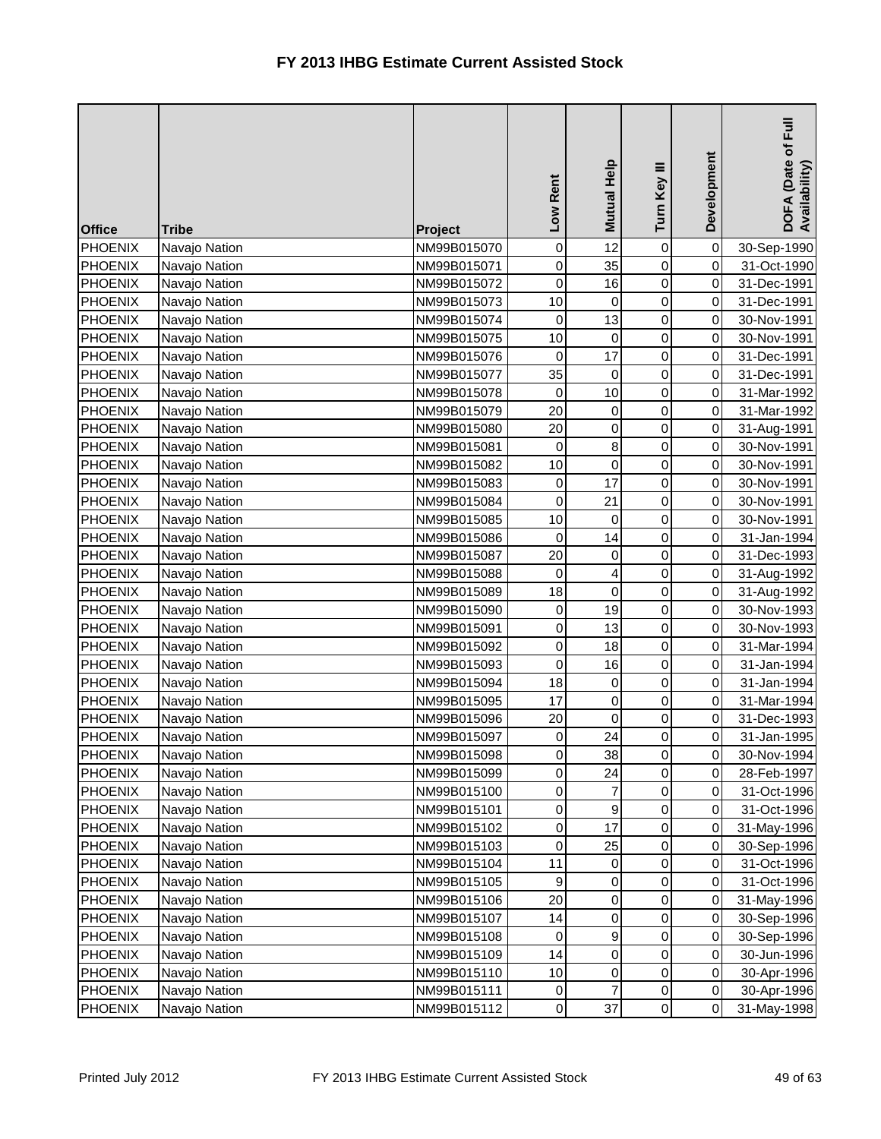| <b>Office</b>  | <b>Tribe</b>  | Project     | Low Rent         | <b>Mutual Help</b>      | Turn Key III        | Development | DOFA (Date of Full<br>Availability) |
|----------------|---------------|-------------|------------------|-------------------------|---------------------|-------------|-------------------------------------|
| <b>PHOENIX</b> | Navajo Nation | NM99B015070 | 0                | 12                      | 0                   | $\mathbf 0$ | 30-Sep-1990                         |
| <b>PHOENIX</b> | Navajo Nation | NM99B015071 | $\pmb{0}$        | 35                      | 0                   | $\mbox{O}$  | 31-Oct-1990                         |
| <b>PHOENIX</b> | Navajo Nation | NM99B015072 | $\mathbf 0$      | 16                      | 0                   | $\mathbf 0$ | 31-Dec-1991                         |
| <b>PHOENIX</b> | Navajo Nation | NM99B015073 | 10               | 0                       | 0                   | $\mathbf 0$ | 31-Dec-1991                         |
| <b>PHOENIX</b> | Navajo Nation | NM99B015074 | 0                | 13                      | 0                   | 0           | 30-Nov-1991                         |
| <b>PHOENIX</b> | Navajo Nation | NM99B015075 | 10               | $\overline{0}$          | 0                   | $\mathbf 0$ | 30-Nov-1991                         |
| <b>PHOENIX</b> | Navajo Nation | NM99B015076 | 0                | 17                      | 0                   | $\mathbf 0$ | 31-Dec-1991                         |
| <b>PHOENIX</b> | Navajo Nation | NM99B015077 | 35               | $\overline{0}$          | $\mathsf 0$         | 0           | 31-Dec-1991                         |
| <b>PHOENIX</b> | Navajo Nation | NM99B015078 | 0                | 10                      | 0                   | 0           | 31-Mar-1992                         |
| <b>PHOENIX</b> | Navajo Nation | NM99B015079 | 20               | $\mathsf{O}\xspace$     | 0                   | 0           | 31-Mar-1992                         |
| PHOENIX        | Navajo Nation | NM99B015080 | 20               | $\overline{0}$          | 0                   | $\mathbf 0$ | 31-Aug-1991                         |
| <b>PHOENIX</b> | Navajo Nation | NM99B015081 | 0                | $\bf{8}$                | 0                   | $\mathbf 0$ | 30-Nov-1991                         |
| <b>PHOENIX</b> | Navajo Nation | NM99B015082 | 10               | $\overline{0}$          | $\mathbf 0$         | $\mathbf 0$ | 30-Nov-1991                         |
| <b>PHOENIX</b> | Navajo Nation | NM99B015083 | $\pmb{0}$        | 17                      | 0                   | $\,0\,$     | 30-Nov-1991                         |
| <b>PHOENIX</b> | Navajo Nation | NM99B015084 | $\mathbf 0$      | 21                      | $\mathsf 0$         | 0           | 30-Nov-1991                         |
| <b>PHOENIX</b> | Navajo Nation | NM99B015085 | 10               | $\mathsf{O}\xspace$     | 0                   | $\mathbf 0$ | 30-Nov-1991                         |
| <b>PHOENIX</b> | Navajo Nation | NM99B015086 | $\mathbf 0$      | 14                      | 0                   | $\mathbf 0$ | 31-Jan-1994                         |
| <b>PHOENIX</b> | Navajo Nation | NM99B015087 | 20               | $\overline{0}$          | $\mathsf 0$         | $\mathbf 0$ | 31-Dec-1993                         |
| <b>PHOENIX</b> | Navajo Nation | NM99B015088 | 0                | $\overline{\mathbf{4}}$ | 0                   | $\,0\,$     | 31-Aug-1992                         |
| <b>PHOENIX</b> | Navajo Nation | NM99B015089 | 18               | $\mathbf 0$             | 0                   | $\,0\,$     | 31-Aug-1992                         |
| <b>PHOENIX</b> | Navajo Nation | NM99B015090 | $\pmb{0}$        | 19                      | 0                   | $\mathbf 0$ | 30-Nov-1993                         |
| <b>PHOENIX</b> | Navajo Nation | NM99B015091 | $\pmb{0}$        | 13                      | 0                   | $\mathbf 0$ | 30-Nov-1993                         |
| <b>PHOENIX</b> | Navajo Nation | NM99B015092 | $\mathbf 0$      | 18                      | 0                   | $\mathbf 0$ | 31-Mar-1994                         |
| <b>PHOENIX</b> | Navajo Nation | NM99B015093 | $\boldsymbol{0}$ | 16                      | 0                   | 0           | 31-Jan-1994                         |
| <b>PHOENIX</b> | Navajo Nation | NM99B015094 | 18               | 0                       | 0                   | 0           | 31-Jan-1994                         |
| <b>PHOENIX</b> | Navajo Nation | NM99B015095 | 17               | $\mathsf{O}\xspace$     | 0                   | $\mathbf 0$ | 31-Mar-1994                         |
| <b>PHOENIX</b> | Navajo Nation | NM99B015096 | 20               | $\overline{0}$          | 0                   | $\mbox{O}$  | 31-Dec-1993                         |
| <b>PHOENIX</b> | Navajo Nation | NM99B015097 | $\pmb{0}$        | 24                      | 0                   | 0           | 31-Jan-1995                         |
| <b>PHOENIX</b> | Navajo Nation | NM99B015098 | 0                | 38                      | $\overline{0}$      | $\mathbf 0$ | 30-Nov-1994                         |
| <b>PHOENIX</b> | Navajo Nation | NM99B015099 | 0                | 24                      | 0                   | 0           | 28-Feb-1997                         |
| <b>PHOENIX</b> | Navajo Nation | NM99B015100 | 0                | $\overline{7}$          | 0                   | $\pmb{0}$   | 31-Oct-1996                         |
| <b>PHOENIX</b> | Navajo Nation | NM99B015101 | 0                | 9                       | 0                   | $\mbox{O}$  | 31-Oct-1996                         |
| <b>PHOENIX</b> | Navajo Nation | NM99B015102 | 0                | 17                      | 0                   | 0           | 31-May-1996                         |
| <b>PHOENIX</b> | Navajo Nation | NM99B015103 | 0                | 25                      | 0                   | 0           | 30-Sep-1996                         |
| <b>PHOENIX</b> | Navajo Nation | NM99B015104 | 11               | 0                       | 0                   | 0           | 31-Oct-1996                         |
| <b>PHOENIX</b> | Navajo Nation | NM99B015105 | 9                | $\overline{0}$          | 0                   | 0           | 31-Oct-1996                         |
| <b>PHOENIX</b> | Navajo Nation | NM99B015106 | 20               | $\overline{0}$          | 0                   | $\mbox{O}$  | 31-May-1996                         |
| <b>PHOENIX</b> | Navajo Nation | NM99B015107 | 14               | $\overline{0}$          | 0                   | 0           | 30-Sep-1996                         |
| <b>PHOENIX</b> | Navajo Nation | NM99B015108 | 0                | 9                       | 0                   | 0           | 30-Sep-1996                         |
| <b>PHOENIX</b> | Navajo Nation | NM99B015109 | 14               | $\overline{0}$          | 0                   | 0           | 30-Jun-1996                         |
| <b>PHOENIX</b> | Navajo Nation | NM99B015110 | 10               | $\overline{0}$          | 0                   | $\,0\,$     | 30-Apr-1996                         |
| <b>PHOENIX</b> | Navajo Nation | NM99B015111 | 0                | $\overline{7}$          | 0                   | $\pmb{0}$   | 30-Apr-1996                         |
| <b>PHOENIX</b> | Navajo Nation | NM99B015112 | $\pmb{0}$        | 37                      | $\mathsf{O}\xspace$ | $\pmb{0}$   | 31-May-1998                         |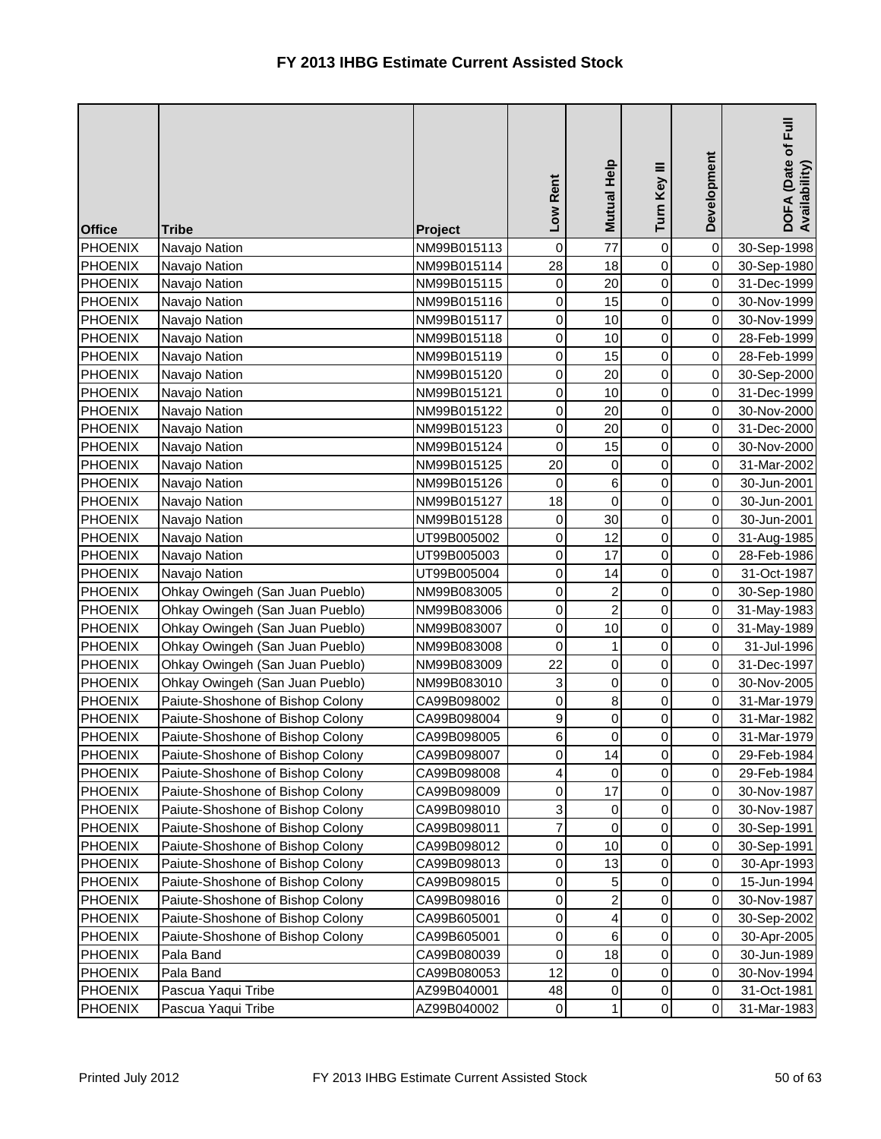| <b>Office</b>  | <b>Tribe</b>                     | Project     | Low Rent         | Mutual Help             | Turn Key III   | Development | Full<br>DOFA (Date of I<br>Availability) |
|----------------|----------------------------------|-------------|------------------|-------------------------|----------------|-------------|------------------------------------------|
| <b>PHOENIX</b> | Navajo Nation                    | NM99B015113 | $\pmb{0}$        | 77                      | 0              | $\mathbf 0$ | 30-Sep-1998                              |
| <b>PHOENIX</b> | Navajo Nation                    | NM99B015114 | $\overline{28}$  | 18                      | $\mathbf 0$    | $\mathbf 0$ | 30-Sep-1980                              |
| <b>PHOENIX</b> | Navajo Nation                    | NM99B015115 | 0                | 20                      | $\mathsf 0$    | 0           | 31-Dec-1999                              |
| <b>PHOENIX</b> | Navajo Nation                    | NM99B015116 | 0                | 15                      | 0              | $\mathbf 0$ | 30-Nov-1999                              |
| <b>PHOENIX</b> | Navajo Nation                    | NM99B015117 | $\boldsymbol{0}$ | 10                      | 0              | 0           | 30-Nov-1999                              |
| <b>PHOENIX</b> | Navajo Nation                    | NM99B015118 | 0                | 10                      | 0              | 0           | 28-Feb-1999                              |
| <b>PHOENIX</b> | Navajo Nation                    | NM99B015119 | 0                | 15                      | 0              | $\mathbf 0$ | 28-Feb-1999                              |
| PHOENIX        | Navajo Nation                    | NM99B015120 | 0                | 20                      | 0              | 0           | 30-Sep-2000                              |
| <b>PHOENIX</b> | Navajo Nation                    | NM99B015121 | $\pmb{0}$        | 10                      | 0              | $\,0\,$     | 31-Dec-1999                              |
| <b>PHOENIX</b> | Navajo Nation                    | NM99B015122 | $\boldsymbol{0}$ | 20                      | 0              | 0           | 30-Nov-2000                              |
| <b>PHOENIX</b> | Navajo Nation                    | NM99B015123 | $\pmb{0}$        | 20                      | 0              | 0           | 31-Dec-2000                              |
| PHOENIX        | Navajo Nation                    | NM99B015124 | $\mathbf 0$      | 15                      | 0              | $\mathbf 0$ | 30-Nov-2000                              |
| <b>PHOENIX</b> | Navajo Nation                    | NM99B015125 | 20               | 0                       | $\mathsf 0$    | 0           | 31-Mar-2002                              |
| <b>PHOENIX</b> | Navajo Nation                    | NM99B015126 | 0                | $6 \mid$                | $\mathbf 0$    | $\mathbf 0$ | 30-Jun-2001                              |
| <b>PHOENIX</b> | Navajo Nation                    | NM99B015127 | 18               | $\overline{0}$          | $\mathsf 0$    | 0           | 30-Jun-2001                              |
| <b>PHOENIX</b> | Navajo Nation                    | NM99B015128 | 0                | 30                      | 0              | 0           | 30-Jun-2001                              |
| <b>PHOENIX</b> | Navajo Nation                    | UT99B005002 | $\mathbf 0$      | 12                      | 0              | $\mathbf 0$ | 31-Aug-1985                              |
| <b>PHOENIX</b> | Navajo Nation                    | UT99B005003 | 0                | 17                      | 0              | 0           | 28-Feb-1986                              |
| <b>PHOENIX</b> | Navajo Nation                    | UT99B005004 | $\mathbf 0$      | 14                      | 0              | $\mathbf 0$ | 31-Oct-1987                              |
| <b>PHOENIX</b> | Ohkay Owingeh (San Juan Pueblo)  | NM99B083005 | $\boldsymbol{0}$ | $\mathbf{2}$            | 0              | 0           | 30-Sep-1980                              |
| <b>PHOENIX</b> | Ohkay Owingeh (San Juan Pueblo)  | NM99B083006 | 0                | $\overline{a}$          | 0              | $\mathbf 0$ | 31-May-1983                              |
| <b>PHOENIX</b> | Ohkay Owingeh (San Juan Pueblo)  | NM99B083007 | $\mathbf 0$      | 10                      | 0              | $\mbox{O}$  | 31-May-1989                              |
| <b>PHOENIX</b> | Ohkay Owingeh (San Juan Pueblo)  | NM99B083008 | 0                | $\mathbf{1}$            | 0              | 0           | 31-Jul-1996                              |
| <b>PHOENIX</b> | Ohkay Owingeh (San Juan Pueblo)  | NM99B083009 | 22               | $\overline{0}$          | 0              | $\mathbf 0$ | 31-Dec-1997                              |
| PHOENIX        | Ohkay Owingeh (San Juan Pueblo)  | NM99B083010 | 3                | $\overline{0}$          | 0              | 0           | 30-Nov-2005                              |
| <b>PHOENIX</b> | Paiute-Shoshone of Bishop Colony | CA99B098002 | 0                | $\bf{8}$                | 0              | 0           | 31-Mar-1979                              |
| <b>PHOENIX</b> | Paiute-Shoshone of Bishop Colony | CA99B098004 | 9                | $\overline{0}$          | 0              | $\mathbf 0$ | 31-Mar-1982                              |
| <b>PHOENIX</b> | Paiute-Shoshone of Bishop Colony | CA99B098005 | 6                | $\overline{0}$          | 0              | 0           | 31-Mar-1979                              |
| <b>PHOENIX</b> | Paiute-Shoshone of Bishop Colony | CA99B098007 | 0                | 14                      | $\overline{0}$ | $\pmb{0}$   | 29-Feb-1984                              |
| <b>PHOENIX</b> | Paiute-Shoshone of Bishop Colony | CA99B098008 | 4                | 0                       | 0              | 0           | 29-Feb-1984                              |
| <b>PHOENIX</b> | Paiute-Shoshone of Bishop Colony | CA99B098009 | 0                | 17                      | 0              | 0           | 30-Nov-1987                              |
| <b>PHOENIX</b> | Paiute-Shoshone of Bishop Colony | CA99B098010 | 3                | 0                       | $\mathsf 0$    | $\mathbf 0$ | 30-Nov-1987                              |
| <b>PHOENIX</b> | Paiute-Shoshone of Bishop Colony | CA99B098011 | 7                | 0                       | 0              | 0           | 30-Sep-1991                              |
| <b>PHOENIX</b> | Paiute-Shoshone of Bishop Colony | CA99B098012 | 0                | 10                      | 0              | 0           | 30-Sep-1991                              |
| <b>PHOENIX</b> | Paiute-Shoshone of Bishop Colony | CA99B098013 | 0                | 13                      | 0              | 0           | 30-Apr-1993                              |
| <b>PHOENIX</b> | Paiute-Shoshone of Bishop Colony | CA99B098015 | 0                | 5                       | 0              | 0           | 15-Jun-1994                              |
| <b>PHOENIX</b> | Paiute-Shoshone of Bishop Colony | CA99B098016 | 0                | $\overline{a}$          | 0              | $\,0\,$     | 30-Nov-1987                              |
| <b>PHOENIX</b> | Paiute-Shoshone of Bishop Colony | CA99B605001 | 0                | $\overline{\mathbf{r}}$ | 0              | 0           | 30-Sep-2002                              |
| <b>PHOENIX</b> | Paiute-Shoshone of Bishop Colony | CA99B605001 | 0                | 6                       | 0              | 0           | 30-Apr-2005                              |
| <b>PHOENIX</b> | Pala Band                        | CA99B080039 | 0                | 18                      | 0              | 0           | 30-Jun-1989                              |
| <b>PHOENIX</b> | Pala Band                        | CA99B080053 | 12               | $\overline{0}$          | 0              | 0           | 30-Nov-1994                              |
| <b>PHOENIX</b> | Pascua Yaqui Tribe               | AZ99B040001 | 48               | 0                       | 0              | $\,0\,$     | 31-Oct-1981                              |
| <b>PHOENIX</b> | Pascua Yaqui Tribe               | AZ99B040002 | $\mathbf 0$      | $\mathbf{1}$            | 0              | 0           | 31-Mar-1983                              |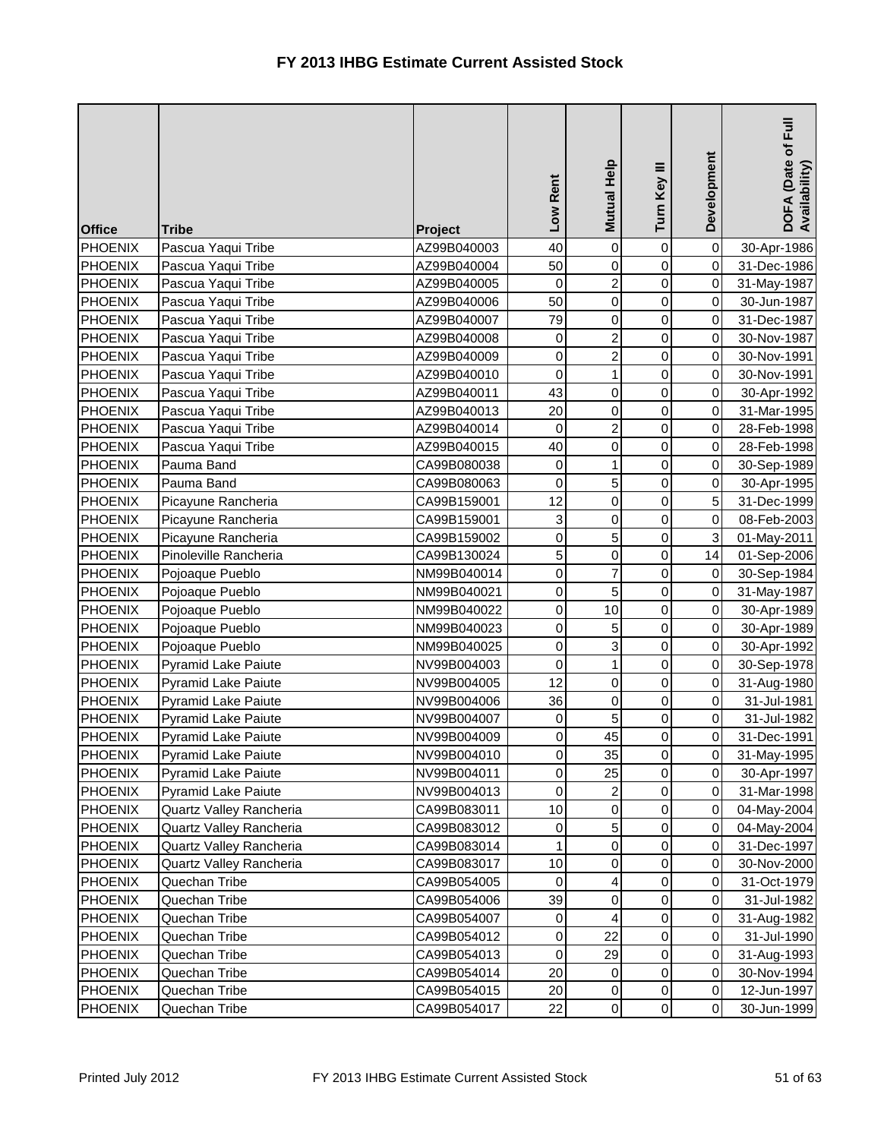| <b>Office</b>  | <b>Tribe</b>               | Project     | Low Rent         | <b>Mutual Help</b>      | Turn Key III        | Development | DOFA (Date of Full<br>Availability) |
|----------------|----------------------------|-------------|------------------|-------------------------|---------------------|-------------|-------------------------------------|
| <b>PHOENIX</b> | Pascua Yaqui Tribe         | AZ99B040003 | 40               | $\overline{0}$          | 0                   | $\mathbf 0$ | 30-Apr-1986                         |
| <b>PHOENIX</b> | Pascua Yaqui Tribe         | AZ99B040004 | 50               | $\overline{0}$          | 0                   | $\mathbf 0$ | 31-Dec-1986                         |
| <b>PHOENIX</b> | Pascua Yaqui Tribe         | AZ99B040005 | 0                | $\mathbf{2}$            | 0                   | $\mathbf 0$ | 31-May-1987                         |
| <b>PHOENIX</b> | Pascua Yaqui Tribe         | AZ99B040006 | 50               | $\overline{0}$          | $\mathsf 0$         | $\mathbf 0$ | 30-Jun-1987                         |
| <b>PHOENIX</b> | Pascua Yaqui Tribe         | AZ99B040007 | 79               | $\mathsf{O}\xspace$     | 0                   | 0           | 31-Dec-1987                         |
| <b>PHOENIX</b> | Pascua Yaqui Tribe         | AZ99B040008 | 0                | $\overline{a}$          | 0                   | $\mathbf 0$ | 30-Nov-1987                         |
| <b>PHOENIX</b> | Pascua Yaqui Tribe         | AZ99B040009 | $\mathbf 0$      | $\overline{a}$          | 0                   | $\mathbf 0$ | 30-Nov-1991                         |
| <b>PHOENIX</b> | Pascua Yaqui Tribe         | AZ99B040010 | 0                | 1                       | $\mathsf 0$         | 0           | 30-Nov-1991                         |
| <b>PHOENIX</b> | Pascua Yaqui Tribe         | AZ99B040011 | 43               | $\overline{0}$          | 0                   | 0           | 30-Apr-1992                         |
| <b>PHOENIX</b> | Pascua Yaqui Tribe         | AZ99B040013 | 20               | $\overline{0}$          | $\mathsf 0$         | 0           | 31-Mar-1995                         |
| PHOENIX        | Pascua Yaqui Tribe         | AZ99B040014 | $\mathbf 0$      | $\overline{a}$          | 0                   | $\mathbf 0$ | 28-Feb-1998                         |
| PHOENIX        | Pascua Yaqui Tribe         | AZ99B040015 | 40               | $\overline{0}$          | 0                   | $\,0\,$     | 28-Feb-1998                         |
| <b>PHOENIX</b> | Pauma Band                 | CA99B080038 | 0                | $\mathbf{1}$            | $\mathsf 0$         | $\mathbf 0$ | 30-Sep-1989                         |
| <b>PHOENIX</b> | Pauma Band                 | CA99B080063 | $\mathbf 0$      | 5                       | $\mathsf 0$         | $\pmb{0}$   | 30-Apr-1995                         |
| <b>PHOENIX</b> | Picayune Rancheria         | CA99B159001 | 12               | $\overline{0}$          | $\mathsf 0$         | 5           | 31-Dec-1999                         |
| <b>PHOENIX</b> | Picayune Rancheria         | CA99B159001 | 3                | $\overline{0}$          | 0                   | $\mathbf 0$ | 08-Feb-2003                         |
| <b>PHOENIX</b> | Picayune Rancheria         | CA99B159002 | $\mathbf 0$      | $\overline{5}$          | 0                   | 3           | 01-May-2011                         |
| <b>PHOENIX</b> | Pinoleville Rancheria      | CA99B130024 | 5                | $\overline{0}$          | 0                   | 14          | 01-Sep-2006                         |
| <b>PHOENIX</b> | Pojoaque Pueblo            | NM99B040014 | $\mathbf 0$      | $\overline{7}$          | 0                   | 0           | 30-Sep-1984                         |
| <b>PHOENIX</b> | Pojoaque Pueblo            | NM99B040021 | $\mathbf 0$      | 5                       | 0                   | $\,0\,$     | 31-May-1987                         |
| <b>PHOENIX</b> | Pojoaque Pueblo            | NM99B040022 | 0                | 10                      | 0                   | $\mathbf 0$ | 30-Apr-1989                         |
| <b>PHOENIX</b> | Pojoaque Pueblo            | NM99B040023 | $\pmb{0}$        | 5                       | 0                   | $\mathbf 0$ | 30-Apr-1989                         |
| <b>PHOENIX</b> | Pojoaque Pueblo            | NM99B040025 | $\mathbf 0$      | $\overline{3}$          | 0                   | $\mathbf 0$ | 30-Apr-1992                         |
| <b>PHOENIX</b> | Pyramid Lake Paiute        | NV99B004003 | $\boldsymbol{0}$ | 1                       | 0                   | 0           | 30-Sep-1978                         |
| <b>PHOENIX</b> | <b>Pyramid Lake Paiute</b> | NV99B004005 | 12               | $\overline{0}$          | 0                   | 0           | 31-Aug-1980                         |
| <b>PHOENIX</b> | Pyramid Lake Paiute        | NV99B004006 | 36               | $\overline{0}$          | 0                   | $\mathbf 0$ | 31-Jul-1981                         |
| <b>PHOENIX</b> | <b>Pyramid Lake Paiute</b> | NV99B004007 | 0                | 5 <sub>l</sub>          | 0                   | 0           | 31-Jul-1982                         |
| <b>PHOENIX</b> | <b>Pyramid Lake Paiute</b> | NV99B004009 | $\mathbf 0$      | 45                      | 0                   | 0           | 31-Dec-1991                         |
| <b>PHOENIX</b> | Pyramid Lake Paiute        | NV99B004010 | $\mathbf 0$      | 35                      | $\overline{0}$      | $\mathbf 0$ | 31-May-1995                         |
| <b>PHOENIX</b> | <b>Pyramid Lake Paiute</b> | NV99B004011 | 0                | 25                      | 0                   | $\pmb{0}$   | 30-Apr-1997                         |
| <b>PHOENIX</b> | Pyramid Lake Paiute        | NV99B004013 | 0                | $\overline{a}$          | 0                   | $\pmb{0}$   | 31-Mar-1998                         |
| <b>PHOENIX</b> | Quartz Valley Rancheria    | CA99B083011 | 10               | $\overline{0}$          | 0                   | 0           | 04-May-2004                         |
| <b>PHOENIX</b> | Quartz Valley Rancheria    | CA99B083012 | 0                | 5 <sub>l</sub>          | 0                   | 0           | 04-May-2004                         |
| <b>PHOENIX</b> | Quartz Valley Rancheria    | CA99B083014 | 1                | $\overline{0}$          | 0                   | 0           | 31-Dec-1997                         |
| <b>PHOENIX</b> | Quartz Valley Rancheria    | CA99B083017 | 10               | $\overline{0}$          | 0                   | 0           | 30-Nov-2000                         |
| <b>PHOENIX</b> | Quechan Tribe              | CA99B054005 | 0                | $\vert$                 | 0                   | 0           | 31-Oct-1979                         |
| <b>PHOENIX</b> | Quechan Tribe              | CA99B054006 | 39               | $\overline{0}$          | 0                   | 0           | 31-Jul-1982                         |
| <b>PHOENIX</b> | Quechan Tribe              | CA99B054007 | 0                | $\overline{\mathbf{r}}$ | 0                   | $\pmb{0}$   | 31-Aug-1982                         |
| <b>PHOENIX</b> | Quechan Tribe              | CA99B054012 | 0                | 22                      | 0                   | 0           | 31-Jul-1990                         |
| <b>PHOENIX</b> | Quechan Tribe              | CA99B054013 | 0                | 29                      | 0                   | 0           | 31-Aug-1993                         |
| <b>PHOENIX</b> | Quechan Tribe              | CA99B054014 | 20               | 0                       | 0                   | $\,0\,$     | 30-Nov-1994                         |
| <b>PHOENIX</b> | Quechan Tribe              | CA99B054015 | 20               | $\overline{0}$          | 0                   | $\,0\,$     | 12-Jun-1997                         |
| <b>PHOENIX</b> | Quechan Tribe              | CA99B054017 | 22               | $\overline{0}$          | $\mathsf{O}\xspace$ | $\mathbf 0$ | 30-Jun-1999                         |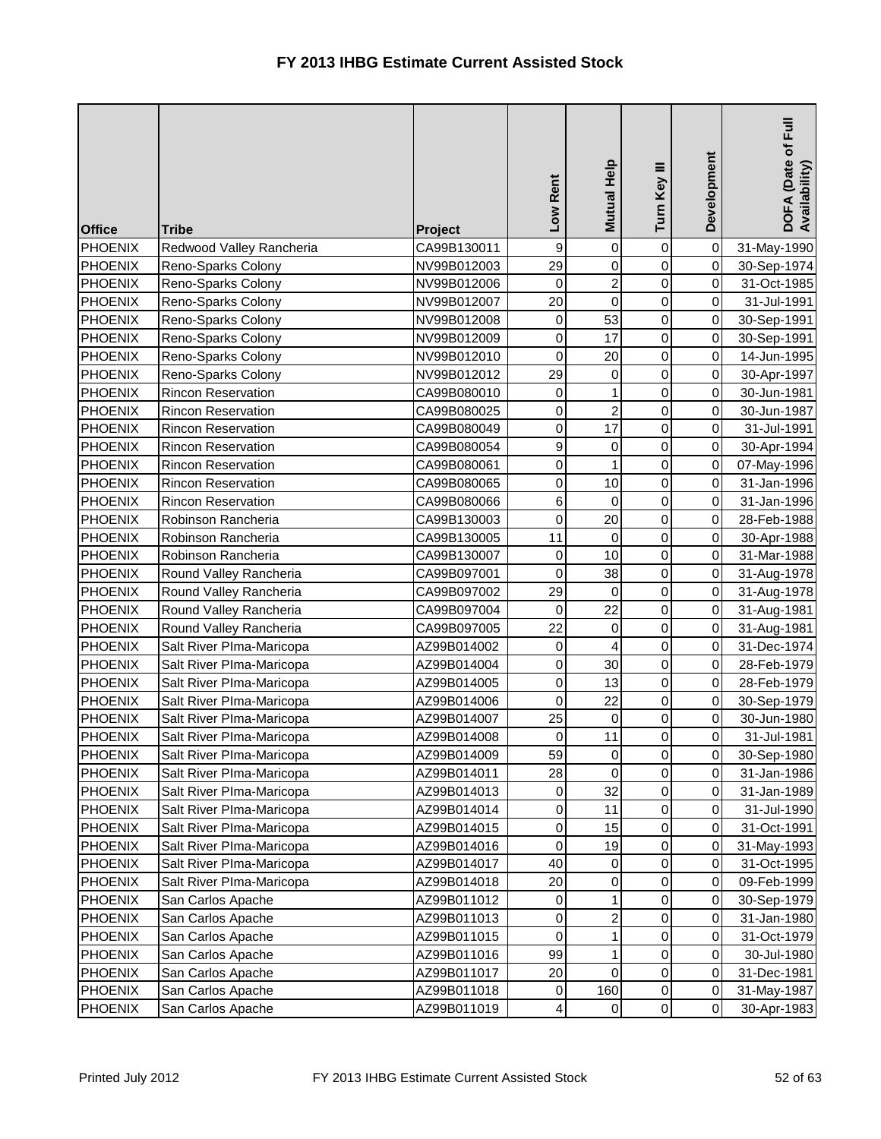| <b>Office</b>  | <b>Tribe</b>              | Project     | Low Rent         | Mutual Help         | Turn Key III        | Development | DOFA (Date of Full<br>Availability) |
|----------------|---------------------------|-------------|------------------|---------------------|---------------------|-------------|-------------------------------------|
| <b>PHOENIX</b> | Redwood Valley Rancheria  | CA99B130011 | $\boldsymbol{9}$ | $\mathsf{O}\xspace$ | 0                   | $\pmb{0}$   | 31-May-1990                         |
| <b>PHOENIX</b> | Reno-Sparks Colony        | NV99B012003 | 29               | $\overline{0}$      | 0                   | $\mathbf 0$ | 30-Sep-1974                         |
| <b>PHOENIX</b> | Reno-Sparks Colony        | NV99B012006 | $\mathbf 0$      | $\mathbf{2}$        | $\mathbf 0$         | $\mathbf 0$ | 31-Oct-1985                         |
| <b>PHOENIX</b> | Reno-Sparks Colony        | NV99B012007 | 20               | $\overline{0}$      | $\mathsf 0$         | $\mathbf 0$ | 31-Jul-1991                         |
| <b>PHOENIX</b> | Reno-Sparks Colony        | NV99B012008 | 0                | 53                  | 0                   | 0           | 30-Sep-1991                         |
| <b>PHOENIX</b> | Reno-Sparks Colony        | NV99B012009 | 0                | 17                  | 0                   | $\mathbf 0$ | 30-Sep-1991                         |
| <b>PHOENIX</b> | Reno-Sparks Colony        | NV99B012010 | $\pmb{0}$        | 20                  | 0                   | $\mathbf 0$ | 14-Jun-1995                         |
| <b>PHOENIX</b> | Reno-Sparks Colony        | NV99B012012 | 29               | 0                   | 0                   | $\mathbf 0$ | 30-Apr-1997                         |
| <b>PHOENIX</b> | Rincon Reservation        | CA99B080010 | $\mathbf 0$      | $\mathbf{1}$        | $\mathsf 0$         | 0           | 30-Jun-1981                         |
| <b>PHOENIX</b> | <b>Rincon Reservation</b> | CA99B080025 | 0                | $\overline{a}$      | $\mathsf 0$         | 0           | 30-Jun-1987                         |
| PHOENIX        | <b>Rincon Reservation</b> | CA99B080049 | 0                | 17                  | 0                   | $\mathbf 0$ | 31-Jul-1991                         |
| PHOENIX        | Rincon Reservation        | CA99B080054 | $\boldsymbol{9}$ | 0                   | 0                   | $\mathbf 0$ | 30-Apr-1994                         |
| <b>PHOENIX</b> | Rincon Reservation        | CA99B080061 | $\mathbf 0$      | $\mathbf{1}$        | $\mathsf 0$         | $\mathbf 0$ | 07-May-1996                         |
| <b>PHOENIX</b> | Rincon Reservation        | CA99B080065 | $\boldsymbol{0}$ | 10                  | 0                   | 0           | 31-Jan-1996                         |
| <b>PHOENIX</b> | <b>Rincon Reservation</b> | CA99B080066 | 6                | 0                   | $\mathsf 0$         | 0           | 31-Jan-1996                         |
| <b>PHOENIX</b> | Robinson Rancheria        | CA99B130003 | $\mathbf 0$      | 20                  | 0                   | $\mathbf 0$ | 28-Feb-1988                         |
| <b>PHOENIX</b> | Robinson Rancheria        | CA99B130005 | 11               | 0                   | 0                   | $\pmb{0}$   | 30-Apr-1988                         |
| <b>PHOENIX</b> | Robinson Rancheria        | CA99B130007 | $\mathbf 0$      | 10                  | 0                   | $\mathbf 0$ | 31-Mar-1988                         |
| <b>PHOENIX</b> | Round Valley Rancheria    | CA99B097001 | $\mathbf 0$      | 38                  | 0                   | $\,0\,$     | 31-Aug-1978                         |
| <b>PHOENIX</b> | Round Valley Rancheria    | CA99B097002 | 29               | 0                   | 0                   | $\,0\,$     | 31-Aug-1978                         |
| <b>PHOENIX</b> | Round Valley Rancheria    | CA99B097004 | $\mathbf 0$      | 22                  | 0                   | $\mathbf 0$ | 31-Aug-1981                         |
| PHOENIX        | Round Valley Rancheria    | CA99B097005 | 22               | $\overline{0}$      | 0                   | $\mathbf 0$ | 31-Aug-1981                         |
| <b>PHOENIX</b> | Salt River Plma-Maricopa  | AZ99B014002 | $\pmb{0}$        | $\overline{4}$      | $\mathsf 0$         | $\mathbf 0$ | 31-Dec-1974                         |
| <b>PHOENIX</b> | Salt River Plma-Maricopa  | AZ99B014004 | $\boldsymbol{0}$ | 30                  | 0                   | 0           | 28-Feb-1979                         |
| <b>PHOENIX</b> | Salt River Plma-Maricopa  | AZ99B014005 | 0                | 13                  | 0                   | $\mathbf 0$ | 28-Feb-1979                         |
| <b>PHOENIX</b> | Salt River PIma-Maricopa  | AZ99B014006 | 0                | 22                  | 0                   | $\mathbf 0$ | 30-Sep-1979                         |
| <b>PHOENIX</b> | Salt River Plma-Maricopa  | AZ99B014007 | 25               | $\overline{0}$      | 0                   | $\,0\,$     | 30-Jun-1980                         |
| <b>PHOENIX</b> | Salt River PIma-Maricopa  | AZ99B014008 | 0                | 11                  | 0                   | 0           | 31-Jul-1981                         |
| <b>PHOENIX</b> | Salt River PIma-Maricopa  | AZ99B014009 | 59               | $\overline{0}$      | $\overline{0}$      | $\mathbf 0$ | 30-Sep-1980                         |
| <b>PHOENIX</b> | Salt River Plma-Maricopa  | AZ99B014011 | 28               | $\mathbf 0$         | 0                   | 0           | 31-Jan-1986                         |
| <b>PHOENIX</b> | Salt River Plma-Maricopa  | AZ99B014013 | 0                | 32                  | $\mathsf{O}\xspace$ | $\,0\,$     | 31-Jan-1989                         |
| <b>PHOENIX</b> | Salt River Plma-Maricopa  | AZ99B014014 | 0                | 11                  | 0                   | $\,0\,$     | 31-Jul-1990                         |
| <b>PHOENIX</b> | Salt River Plma-Maricopa  | AZ99B014015 | 0                | 15                  | 0                   | $\pmb{0}$   | 31-Oct-1991                         |
| <b>PHOENIX</b> | Salt River Plma-Maricopa  | AZ99B014016 | 0                | 19                  | 0                   | 0           | 31-May-1993                         |
| <b>PHOENIX</b> | Salt River Plma-Maricopa  | AZ99B014017 | 40               | 0                   | 0                   | 0           | 31-Oct-1995                         |
| <b>PHOENIX</b> | Salt River Plma-Maricopa  | AZ99B014018 | 20               | $\overline{0}$      | 0                   | 0           | 09-Feb-1999                         |
| <b>PHOENIX</b> | San Carlos Apache         | AZ99B011012 | 0                | $\mathbf{1}$        | 0                   | 0           | 30-Sep-1979                         |
| <b>PHOENIX</b> | San Carlos Apache         | AZ99B011013 | 0                | $\mathbf{2}$        | 0                   | 0           | 31-Jan-1980                         |
| <b>PHOENIX</b> | San Carlos Apache         | AZ99B011015 | 0                | $\mathbf{1}$        | 0                   | 0           | 31-Oct-1979                         |
| <b>PHOENIX</b> | San Carlos Apache         | AZ99B011016 | 99               | 1                   | 0                   | 0           | 30-Jul-1980                         |
| <b>PHOENIX</b> | San Carlos Apache         | AZ99B011017 | 20               | $\overline{0}$      | 0                   | $\mbox{O}$  | 31-Dec-1981                         |
| <b>PHOENIX</b> | San Carlos Apache         | AZ99B011018 | 0                | 160                 | 0                   | 0           | 31-May-1987                         |
| <b>PHOENIX</b> | San Carlos Apache         | AZ99B011019 | 4                | $\overline{0}$      | 0                   | $\mathbf 0$ | 30-Apr-1983                         |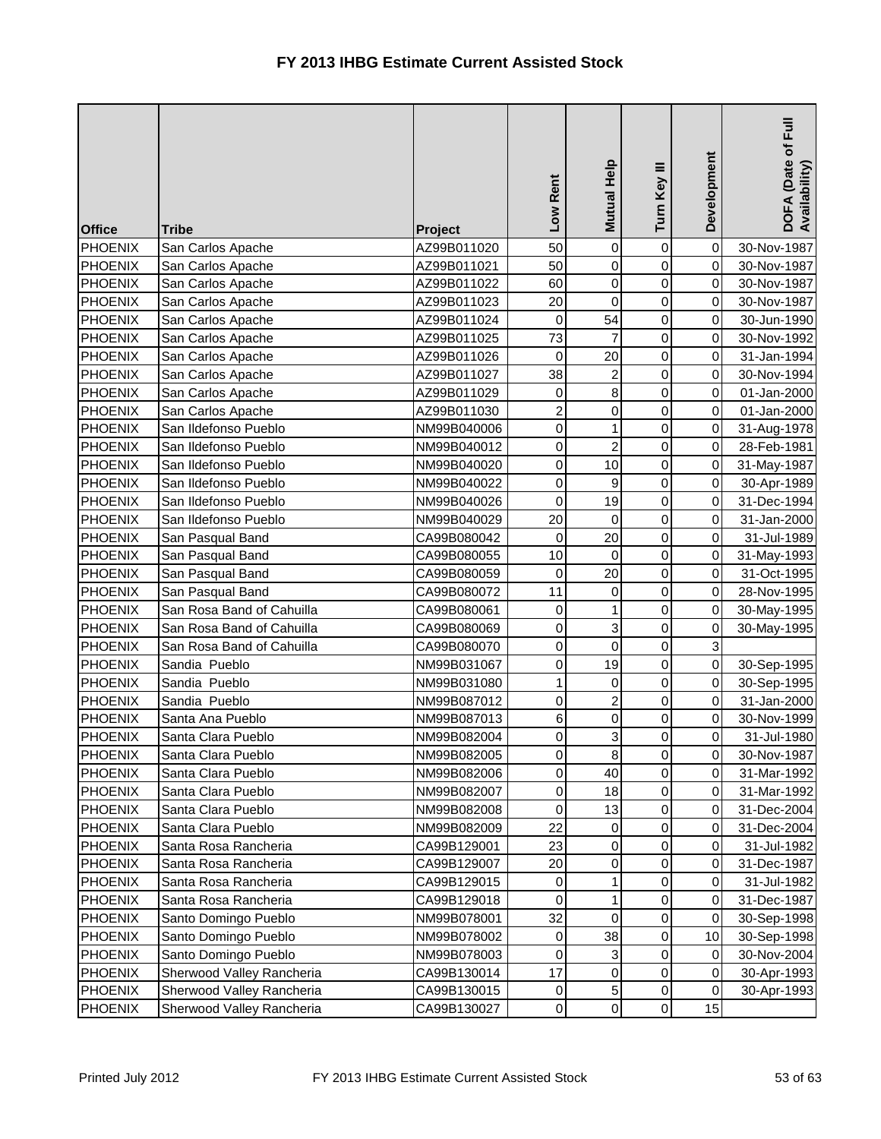| <b>Office</b>  | <b>Tribe</b>              | Project     | Low Rent         | Mutual Help             | Turn Key III        | Development               | DOFA (Date of Full<br>Availability) |
|----------------|---------------------------|-------------|------------------|-------------------------|---------------------|---------------------------|-------------------------------------|
| <b>PHOENIX</b> | San Carlos Apache         | AZ99B011020 | 50               | 0                       | 0                   | $\pmb{0}$                 | 30-Nov-1987                         |
| <b>PHOENIX</b> | San Carlos Apache         | AZ99B011021 | 50               | 0                       | 0                   | $\mathbf 0$               | 30-Nov-1987                         |
| <b>PHOENIX</b> | San Carlos Apache         | AZ99B011022 | 60               | 0                       | 0                   | $\mathbf 0$               | 30-Nov-1987                         |
| <b>PHOENIX</b> | San Carlos Apache         | AZ99B011023 | 20               | 0                       | 0                   | 0                         | 30-Nov-1987                         |
| <b>PHOENIX</b> | San Carlos Apache         | AZ99B011024 | 0                | 54                      | 0                   | 0                         | 30-Jun-1990                         |
| <b>PHOENIX</b> | San Carlos Apache         | AZ99B011025 | 73               | $\overline{7}$          | 0                   | $\mathbf 0$               | 30-Nov-1992                         |
| PHOENIX        | San Carlos Apache         | AZ99B011026 | 0                | 20                      | 0                   | 0                         | 31-Jan-1994                         |
| <b>PHOENIX</b> | San Carlos Apache         | AZ99B011027 | 38               | $\overline{a}$          | 0                   | 0                         | 30-Nov-1994                         |
| PHOENIX        | San Carlos Apache         | AZ99B011029 | 0                | $\bf 8$                 | 0                   | 0                         | 01-Jan-2000                         |
| PHOENIX        | San Carlos Apache         | AZ99B011030 | $\overline{c}$   | 0                       | $\mathsf 0$         | 0                         | 01-Jan-2000                         |
| <b>PHOENIX</b> | San Ildefonso Pueblo      | NM99B040006 | $\boldsymbol{0}$ | $\mathbf{1}$            | 0                   | $\mathbf 0$               | 31-Aug-1978                         |
| <b>PHOENIX</b> | San Ildefonso Pueblo      | NM99B040012 | 0                | $\overline{\mathbf{c}}$ | 0                   | $\mathbf 0$               | 28-Feb-1981                         |
| <b>PHOENIX</b> | San Ildefonso Pueblo      | NM99B040020 | $\mathbf 0$      | 10                      | 0                   | $\mbox{O}$                | 31-May-1987                         |
| <b>PHOENIX</b> | San Ildefonso Pueblo      | NM99B040022 | $\boldsymbol{0}$ | $\boldsymbol{9}$        | 0                   | 0                         | 30-Apr-1989                         |
| <b>PHOENIX</b> | San Ildefonso Pueblo      | NM99B040026 | 0                | 19                      | 0                   | 0                         | 31-Dec-1994                         |
| <b>PHOENIX</b> | San Ildefonso Pueblo      | NM99B040029 | 20               | $\mathsf 0$             | 0                   | $\mathbf 0$               | 31-Jan-2000                         |
| <b>PHOENIX</b> | San Pasqual Band          | CA99B080042 | $\mathsf 0$      | 20                      | 0                   | $\mathbf 0$               | 31-Jul-1989                         |
| <b>PHOENIX</b> | San Pasqual Band          | CA99B080055 | 10               | $\mathbf 0$             | $\mathsf 0$         | 0                         | 31-May-1993                         |
| <b>PHOENIX</b> | San Pasqual Band          | CA99B080059 | 0                | 20                      | 0                   | 0                         | 31-Oct-1995                         |
| <b>PHOENIX</b> | San Pasqual Band          | CA99B080072 | 11               | 0                       | 0                   | 0                         | 28-Nov-1995                         |
| <b>PHOENIX</b> | San Rosa Band of Cahuilla | CA99B080061 | 0                | $\mathbf 1$             | 0                   | $\mathbf 0$               | 30-May-1995                         |
| <b>PHOENIX</b> | San Rosa Band of Cahuilla | CA99B080069 | $\mathbf 0$      | 3                       | 0                   | $\mathbf 0$               | 30-May-1995                         |
| <b>PHOENIX</b> | San Rosa Band of Cahuilla | CA99B080070 | $\mathbf 0$      | $\mathsf{O}\xspace$     | 0                   | $\ensuremath{\mathsf{3}}$ |                                     |
| <b>PHOENIX</b> | Sandia Pueblo             | NM99B031067 | $\mathbf 0$      | 19                      | 0                   | $\mathbf 0$               | 30-Sep-1995                         |
| <b>PHOENIX</b> | Sandia Pueblo             | NM99B031080 | $\mathbf 1$      | 0                       | 0                   | 0                         | 30-Sep-1995                         |
| <b>PHOENIX</b> | Sandia Pueblo             | NM99B087012 | 0                | $\overline{c}$          | 0                   | $\mathbf 0$               | 31-Jan-2000                         |
| <b>PHOENIX</b> | Santa Ana Pueblo          | NM99B087013 | 6                | $\overline{0}$          | 0                   | 0                         | 30-Nov-1999                         |
| <b>PHOENIX</b> | Santa Clara Pueblo        | NM99B082004 | 0                | $\overline{3}$          | 0                   | 0                         | 31-Jul-1980                         |
| PHOENIX        | Santa Clara Pueblo        | NM99B082005 | 0                | $\bf{8}$                | $\overline{0}$      | $\mathbf 0$               | 30-Nov-1987                         |
| <b>PHOENIX</b> | Santa Clara Pueblo        | NM99B082006 | 0                | 40                      | 0                   | 0                         | 31-Mar-1992                         |
| <b>PHOENIX</b> | Santa Clara Pueblo        | NM99B082007 | 0                | 18                      | 0                   | $\,0\,$                   | 31-Mar-1992                         |
| <b>PHOENIX</b> | Santa Clara Pueblo        | NM99B082008 | 0                | 13                      | 0                   | 0                         | 31-Dec-2004                         |
| <b>PHOENIX</b> | Santa Clara Pueblo        | NM99B082009 | 22               | 0                       | 0                   | 0                         | 31-Dec-2004                         |
| <b>PHOENIX</b> | Santa Rosa Rancheria      | CA99B129001 | 23               | 0                       | 0                   | 0                         | 31-Jul-1982                         |
| PHOENIX        | Santa Rosa Rancheria      | CA99B129007 | 20               | 0                       | 0                   | 0                         | 31-Dec-1987                         |
| PHOENIX        | Santa Rosa Rancheria      | CA99B129015 | 0                | 1                       | 0                   | 0                         | 31-Jul-1982                         |
| <b>PHOENIX</b> | Santa Rosa Rancheria      | CA99B129018 | 0                | $\mathbf{1}$            | 0                   | 0                         | 31-Dec-1987                         |
| <b>PHOENIX</b> | Santo Domingo Pueblo      | NM99B078001 | 32               | 0                       | 0                   | 0                         | 30-Sep-1998                         |
| <b>PHOENIX</b> | Santo Domingo Pueblo      | NM99B078002 | 0                | 38                      | 0                   | 10                        | 30-Sep-1998                         |
| PHOENIX        | Santo Domingo Pueblo      | NM99B078003 | 0                | 3                       | 0                   | 0                         | 30-Nov-2004                         |
| PHOENIX        | Sherwood Valley Rancheria | CA99B130014 | 17               | $\pmb{0}$               | 0                   | $\,0\,$                   | 30-Apr-1993                         |
| <b>PHOENIX</b> | Sherwood Valley Rancheria | CA99B130015 | 0                | 5 <sup>1</sup>          | $\pmb{0}$           | 0                         | 30-Apr-1993                         |
| PHOENIX        | Sherwood Valley Rancheria | CA99B130027 | 0                | $\overline{0}$          | $\mathsf{O}\xspace$ | 15                        |                                     |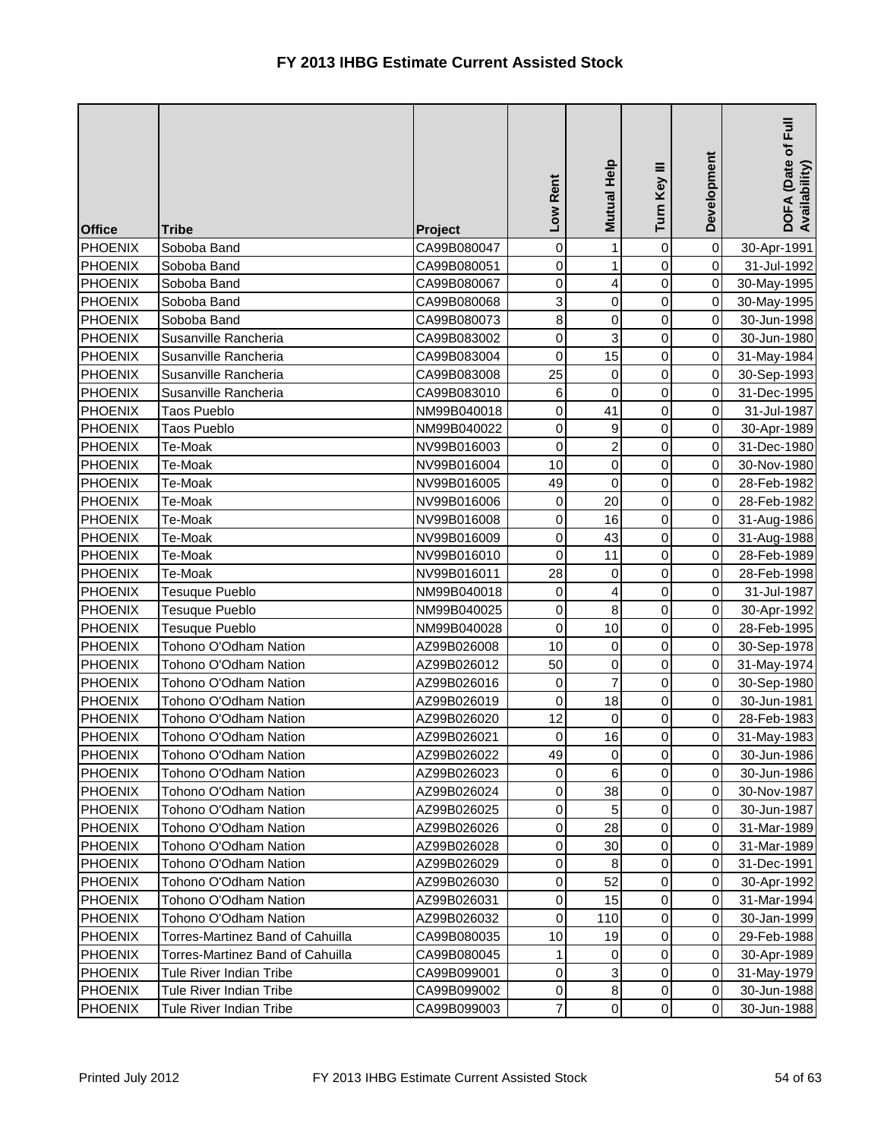| <b>Office</b>  | <b>Tribe</b>                     | Project     | Low Rent         | Mutual Help             | Turn Key III        | Development | $E_{\rm{H}}$<br>DOFA (Date of I<br>Availability) |
|----------------|----------------------------------|-------------|------------------|-------------------------|---------------------|-------------|--------------------------------------------------|
| <b>PHOENIX</b> | Soboba Band                      | CA99B080047 | 0                | $\mathbf{1}$            | 0                   | $\mathbf 0$ | 30-Apr-1991                                      |
| <b>PHOENIX</b> | Soboba Band                      | CA99B080051 | 0                | $\mathbf 1$             | 0                   | $\mathsf 0$ | 31-Jul-1992                                      |
| <b>PHOENIX</b> | Soboba Band                      | CA99B080067 | $\mathbf 0$      | $\overline{\mathbf{r}}$ | 0                   | $\mathbf 0$ | 30-May-1995                                      |
| <b>PHOENIX</b> | Soboba Band                      | CA99B080068 | 3                | 0                       | 0                   | 0           | 30-May-1995                                      |
| <b>PHOENIX</b> | Soboba Band                      | CA99B080073 | 8                | $\mathsf{O}$            | 0                   | 0           | 30-Jun-1998                                      |
| <b>PHOENIX</b> | Susanville Rancheria             | CA99B083002 | 0                | 3                       | 0                   | $\mathbf 0$ | 30-Jun-1980                                      |
| <b>PHOENIX</b> | Susanville Rancheria             | CA99B083004 | 0                | 15                      | 0                   | 0           | 31-May-1984                                      |
| <b>PHOENIX</b> | Susanville Rancheria             | CA99B083008 | 25               | $\pmb{0}$               | 0                   | 0           | 30-Sep-1993                                      |
| <b>PHOENIX</b> | Susanville Rancheria             | CA99B083010 | 6                | $\mathbf 0$             | 0                   | 0           | 31-Dec-1995                                      |
| PHOENIX        | Taos Pueblo                      | NM99B040018 | $\mathbf 0$      | 41                      | 0                   | 0           | 31-Jul-1987                                      |
| <b>PHOENIX</b> | Taos Pueblo                      | NM99B040022 | $\mathbf 0$      | 9                       | 0                   | $\mathbf 0$ | 30-Apr-1989                                      |
| <b>PHOENIX</b> | Te-Moak                          | NV99B016003 | 0                | $\overline{c}$          | 0                   | $\mathbf 0$ | 31-Dec-1980                                      |
| <b>PHOENIX</b> | Te-Moak                          | NV99B016004 | 10               | $\overline{0}$          | 0                   | $\,0\,$     | 30-Nov-1980                                      |
| <b>PHOENIX</b> | Te-Moak                          | NV99B016005 | 49               | $\mathsf{O}$            | $\mathsf 0$         | 0           | 28-Feb-1982                                      |
| <b>PHOENIX</b> | Te-Moak                          | NV99B016006 | 0                | 20                      | 0                   | 0           | 28-Feb-1982                                      |
| PHOENIX        | Te-Moak                          | NV99B016008 | $\mathbf 0$      | 16                      | 0                   | 0           | 31-Aug-1986                                      |
| <b>PHOENIX</b> | Te-Moak                          | NV99B016009 | $\boldsymbol{0}$ | 43                      | 0                   | $\mathbf 0$ | 31-Aug-1988                                      |
| <b>PHOENIX</b> | Te-Moak                          | NV99B016010 | $\mathbf 0$      | 11                      | 0                   | $\,0\,$     | 28-Feb-1989                                      |
| <b>PHOENIX</b> | Te-Moak                          | NV99B016011 | 28               | $\pmb{0}$               | 0                   | $\,0\,$     | 28-Feb-1998                                      |
| <b>PHOENIX</b> | Tesuque Pueblo                   | NM99B040018 | 0                | 4                       | 0                   | 0           | 31-Jul-1987                                      |
| <b>PHOENIX</b> | Tesuque Pueblo                   | NM99B040025 | 0                | 8                       | 0                   | $\mathbf 0$ | 30-Apr-1992                                      |
| <b>PHOENIX</b> | Tesuque Pueblo                   | NM99B040028 | 0                | 10                      | 0                   | $\mathbf 0$ | 28-Feb-1995                                      |
| <b>PHOENIX</b> | Tohono O'Odham Nation            | AZ99B026008 | 10               | 0                       | 0                   | $\mathbf 0$ | 30-Sep-1978                                      |
| <b>PHOENIX</b> | Tohono O'Odham Nation            | AZ99B026012 | 50               | 0                       | 0                   | 0           | 31-May-1974                                      |
| <b>PHOENIX</b> | Tohono O'Odham Nation            | AZ99B026016 | 0                | $\overline{7}$          | 0                   | 0           | 30-Sep-1980                                      |
| <b>PHOENIX</b> | Tohono O'Odham Nation            | AZ99B026019 | 0                | 18                      | 0                   | $\mathbf 0$ | 30-Jun-1981                                      |
| <b>PHOENIX</b> | Tohono O'Odham Nation            | AZ99B026020 | 12               | $\pmb{0}$               | 0                   | 0           | 28-Feb-1983                                      |
| <b>PHOENIX</b> | Tohono O'Odham Nation            | AZ99B026021 | 0                | 16                      | $\pmb{0}$           | $\pmb{0}$   | 31-May-1983                                      |
| <b>PHOENIX</b> | Tohono O'Odham Nation            | AZ99B026022 | 49               | $\overline{0}$          | $\overline{0}$      | $\mathbf 0$ | 30-Jun-1986                                      |
| <b>PHOENIX</b> | Tohono O'Odham Nation            | AZ99B026023 | 0                | 6                       | 0                   | 0           | 30-Jun-1986                                      |
| <b>PHOENIX</b> | Tohono O'Odham Nation            | AZ99B026024 | 0                | 38                      | 0                   | 0           | 30-Nov-1987                                      |
| <b>PHOENIX</b> | Tohono O'Odham Nation            | AZ99B026025 | 0                | $\overline{5}$          | 0                   | 0           | 30-Jun-1987                                      |
| <b>PHOENIX</b> | Tohono O'Odham Nation            | AZ99B026026 | 0                | 28                      | 0                   | $\pmb{0}$   | 31-Mar-1989                                      |
| <b>PHOENIX</b> | Tohono O'Odham Nation            | AZ99B026028 | 0                | 30                      | 0                   | 0           | 31-Mar-1989                                      |
| <b>PHOENIX</b> | Tohono O'Odham Nation            | AZ99B026029 | 0                | 8                       | 0                   | 0           | 31-Dec-1991                                      |
| <b>PHOENIX</b> | Tohono O'Odham Nation            | AZ99B026030 | 0                | 52                      | 0                   | 0           | 30-Apr-1992                                      |
| <b>PHOENIX</b> | Tohono O'Odham Nation            | AZ99B026031 | 0                | 15                      | 0                   | 0           | 31-Mar-1994                                      |
| <b>PHOENIX</b> | Tohono O'Odham Nation            | AZ99B026032 | 0                | 110                     | 0                   | $\mathbf 0$ | 30-Jan-1999                                      |
| <b>PHOENIX</b> | Torres-Martinez Band of Cahuilla | CA99B080035 | 10               | 19                      | 0                   | 0           | 29-Feb-1988                                      |
| PHOENIX        | Torres-Martinez Band of Cahuilla | CA99B080045 | 1                | 0                       | 0                   | $\mathbf 0$ | 30-Apr-1989                                      |
| PHOENIX        | Tule River Indian Tribe          | CA99B099001 | 0                | 3                       | 0                   | 0           | 31-May-1979                                      |
| <b>PHOENIX</b> | Tule River Indian Tribe          | CA99B099002 | 0                | 8 <sup>1</sup>          | 0                   | $\pmb{0}$   | 30-Jun-1988                                      |
| <b>PHOENIX</b> | Tule River Indian Tribe          | CA99B099003 | $\overline{7}$   | $\overline{0}$          | $\mathsf{O}\xspace$ | $\pmb{0}$   | 30-Jun-1988                                      |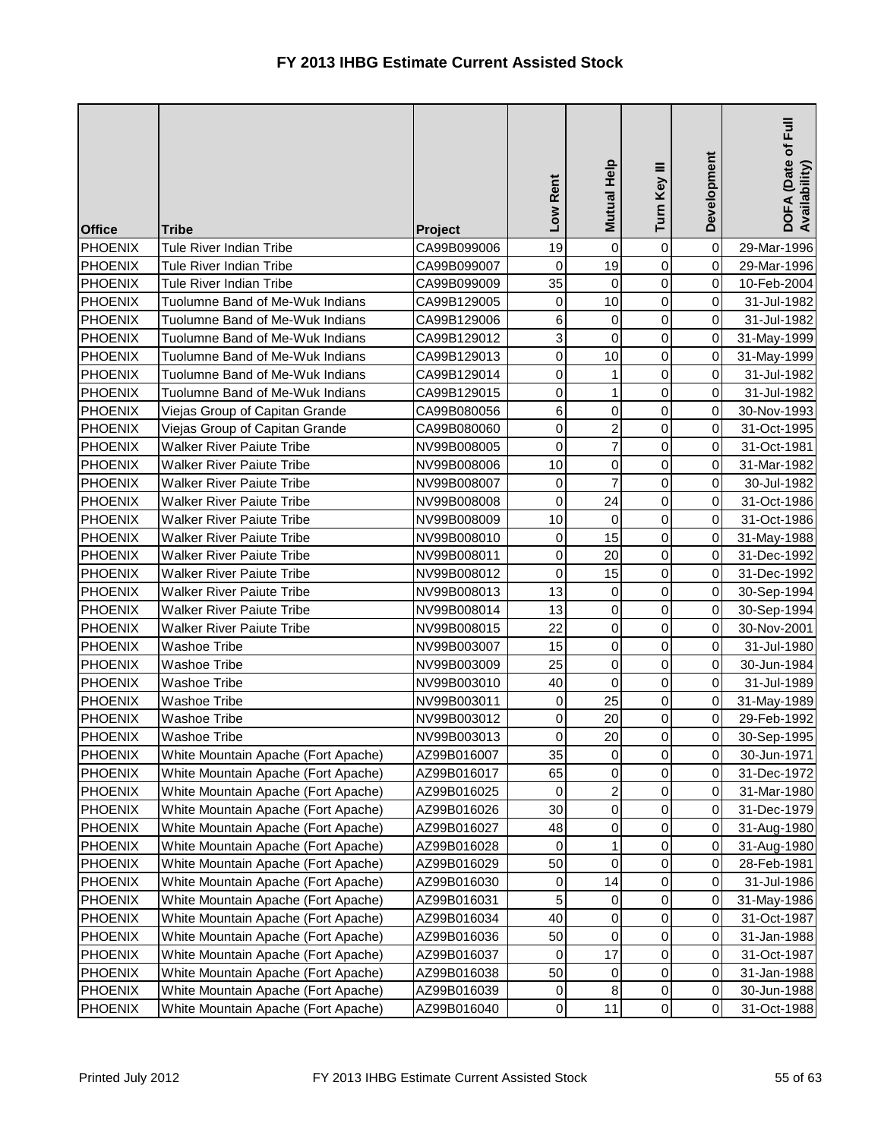| <b>Office</b>  | <b>Tribe</b>                        | Project     | Low Rent         | Mutual Help         | Turn Key III        | Development | DOFA (Date of Full<br>Availability) |
|----------------|-------------------------------------|-------------|------------------|---------------------|---------------------|-------------|-------------------------------------|
| <b>PHOENIX</b> | Tule River Indian Tribe             | CA99B099006 | 19               | $\mathsf{O}\xspace$ | 0                   | $\mathbf 0$ | 29-Mar-1996                         |
| <b>PHOENIX</b> | Tule River Indian Tribe             | CA99B099007 | 0                | 19                  | 0                   | $\mathbf 0$ | 29-Mar-1996                         |
| <b>PHOENIX</b> | Tule River Indian Tribe             | CA99B099009 | 35               | 0                   | 0                   | $\,0\,$     | 10-Feb-2004                         |
| <b>PHOENIX</b> | Tuolumne Band of Me-Wuk Indians     | CA99B129005 | $\mathbf 0$      | 10                  | $\mathsf 0$         | 0           | 31-Jul-1982                         |
| <b>PHOENIX</b> | Tuolumne Band of Me-Wuk Indians     | CA99B129006 | 6                | 0                   | 0                   | 0           | 31-Jul-1982                         |
| <b>PHOENIX</b> | Tuolumne Band of Me-Wuk Indians     | CA99B129012 | 3                | $\mathsf{O}\xspace$ | 0                   | $\mathbf 0$ | 31-May-1999                         |
| <b>PHOENIX</b> | Tuolumne Band of Me-Wuk Indians     | CA99B129013 | $\mathbf 0$      | 10                  | 0                   | $\mathbf 0$ | 31-May-1999                         |
| <b>PHOENIX</b> | Tuolumne Band of Me-Wuk Indians     | CA99B129014 | 0                | $\mathbf{1}$        | 0                   | 0           | 31-Jul-1982                         |
| <b>PHOENIX</b> | Tuolumne Band of Me-Wuk Indians     | CA99B129015 | $\boldsymbol{0}$ | $\mathbf{1}$        | 0                   | 0           | 31-Jul-1982                         |
| <b>PHOENIX</b> | Viejas Group of Capitan Grande      | CA99B080056 | 6                | $\mathbf 0$         | 0                   | 0           | 30-Nov-1993                         |
| <b>PHOENIX</b> | Viejas Group of Capitan Grande      | CA99B080060 | $\boldsymbol{0}$ | $\overline{a}$      | 0                   | $\mathbf 0$ | 31-Oct-1995                         |
| <b>PHOENIX</b> | <b>Walker River Paiute Tribe</b>    | NV99B008005 | $\mathbf 0$      | $\overline{7}$      | 0                   | $\mathbf 0$ | 31-Oct-1981                         |
| <b>PHOENIX</b> | <b>Walker River Paiute Tribe</b>    | NV99B008006 | 10               | $\overline{0}$      | $\mathsf 0$         | $\mathbf 0$ | 31-Mar-1982                         |
| <b>PHOENIX</b> | <b>Walker River Paiute Tribe</b>    | NV99B008007 | $\mathbf 0$      | $\overline{7}$      | 0                   | 0           | 30-Jul-1982                         |
| <b>PHOENIX</b> | <b>Walker River Paiute Tribe</b>    | NV99B008008 | $\mathbf 0$      | 24                  | 0                   | 0           | 31-Oct-1986                         |
| <b>PHOENIX</b> | <b>Walker River Paiute Tribe</b>    | NV99B008009 | 10               | $\mathbf 0$         | 0                   | $\mathbf 0$ | 31-Oct-1986                         |
| <b>PHOENIX</b> | <b>Walker River Paiute Tribe</b>    | NV99B008010 | $\pmb{0}$        | 15                  | 0                   | 0           | 31-May-1988                         |
| PHOENIX        | <b>Walker River Paiute Tribe</b>    | NV99B008011 | $\mathbf 0$      | 20                  | 0                   | 0           | 31-Dec-1992                         |
| <b>PHOENIX</b> | <b>Walker River Paiute Tribe</b>    | NV99B008012 | $\mathbf 0$      | 15                  | 0                   | 0           | 31-Dec-1992                         |
| <b>PHOENIX</b> | <b>Walker River Paiute Tribe</b>    | NV99B008013 | 13               | $\mathsf{O}\xspace$ | $\mathsf 0$         | 0           | 30-Sep-1994                         |
| <b>PHOENIX</b> | <b>Walker River Paiute Tribe</b>    | NV99B008014 | 13               | $\overline{0}$      | 0                   | $\mathbf 0$ | 30-Sep-1994                         |
| <b>PHOENIX</b> | <b>Walker River Paiute Tribe</b>    | NV99B008015 | 22               | $\overline{0}$      | 0                   | $\mathbf 0$ | 30-Nov-2001                         |
| <b>PHOENIX</b> | <b>Washoe Tribe</b>                 | NV99B003007 | 15               | $\overline{0}$      | 0                   | $\mathbf 0$ | 31-Jul-1980                         |
| <b>PHOENIX</b> | Washoe Tribe                        | NV99B003009 | 25               | $\mathbf 0$         | 0                   | 0           | 30-Jun-1984                         |
| <b>PHOENIX</b> | Washoe Tribe                        | NV99B003010 | 40               | 0                   | 0                   | $\mathbf 0$ | 31-Jul-1989                         |
| <b>PHOENIX</b> | Washoe Tribe                        | NV99B003011 | $\pmb{0}$        | 25                  | 0                   | $\mathbf 0$ | 31-May-1989                         |
| <b>PHOENIX</b> | <b>Washoe Tribe</b>                 | NV99B003012 | 0                | 20                  | 0                   | 0           | 29-Feb-1992                         |
| <b>PHOENIX</b> | <b>Washoe Tribe</b>                 | NV99B003013 | 0                | 20                  | 0                   | $\pmb{0}$   | 30-Sep-1995                         |
| <b>PHOENIX</b> | White Mountain Apache (Fort Apache) | AZ99B016007 | 35               | $\overline{0}$      | $\overline{0}$      | $\pmb{0}$   | 30-Jun-1971                         |
| <b>PHOENIX</b> | White Mountain Apache (Fort Apache) | AZ99B016017 | 65               | $\overline{0}$      | 0                   | 0           | 31-Dec-1972                         |
| <b>PHOENIX</b> | White Mountain Apache (Fort Apache) | AZ99B016025 | 0                | $\overline{a}$      | 0                   | $\mbox{O}$  | 31-Mar-1980                         |
| <b>PHOENIX</b> | White Mountain Apache (Fort Apache) | AZ99B016026 | 30               | $\overline{0}$      | 0                   | 0           | 31-Dec-1979                         |
| <b>PHOENIX</b> | White Mountain Apache (Fort Apache) | AZ99B016027 | 48               | $\overline{0}$      | 0                   | 0           | 31-Aug-1980                         |
| PHOENIX        | White Mountain Apache (Fort Apache) | AZ99B016028 | 0                | $\mathbf{1}$        | 0                   | 0           | 31-Aug-1980                         |
| <b>PHOENIX</b> | White Mountain Apache (Fort Apache) | AZ99B016029 | 50               | 0                   | 0                   | 0           | 28-Feb-1981                         |
| <b>PHOENIX</b> | White Mountain Apache (Fort Apache) | AZ99B016030 | 0                | 14                  | 0                   | 0           | 31-Jul-1986                         |
| <b>PHOENIX</b> | White Mountain Apache (Fort Apache) | AZ99B016031 | 5                | $\overline{0}$      | 0                   | 0           | 31-May-1986                         |
| <b>PHOENIX</b> | White Mountain Apache (Fort Apache) | AZ99B016034 | 40               | $\overline{0}$      | 0                   | 0           | 31-Oct-1987                         |
| <b>PHOENIX</b> | White Mountain Apache (Fort Apache) | AZ99B016036 | 50               | $\overline{0}$      | 0                   | 0           | 31-Jan-1988                         |
| <b>PHOENIX</b> | White Mountain Apache (Fort Apache) | AZ99B016037 | 0                | 17                  | 0                   | 0           | 31-Oct-1987                         |
| <b>PHOENIX</b> | White Mountain Apache (Fort Apache) | AZ99B016038 | 50               | 0                   | 0                   | $\mbox{O}$  | 31-Jan-1988                         |
| <b>PHOENIX</b> | White Mountain Apache (Fort Apache) | AZ99B016039 | 0                | 8                   | 0                   | 0           | 30-Jun-1988                         |
| <b>PHOENIX</b> | White Mountain Apache (Fort Apache) | AZ99B016040 | $\boldsymbol{0}$ | 11                  | $\mathsf{O}\xspace$ | $\pmb{0}$   | 31-Oct-1988                         |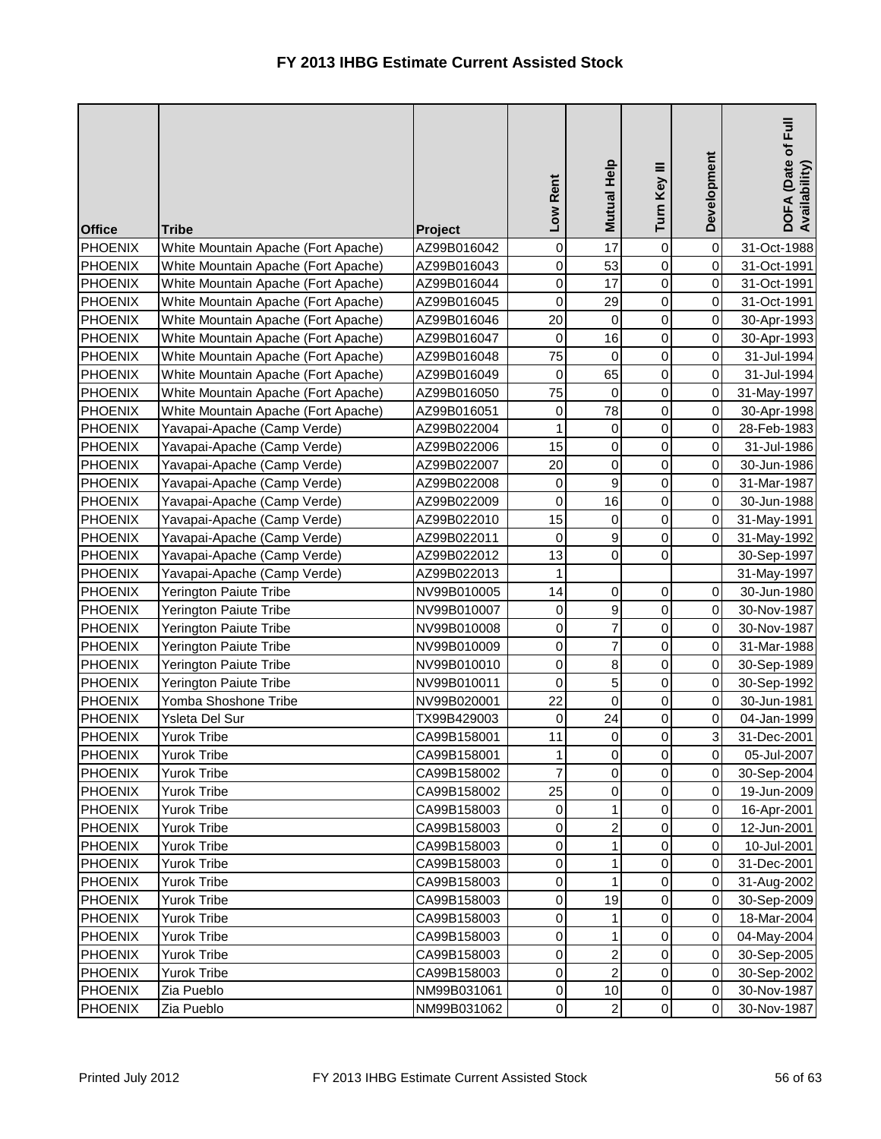| <b>Office</b>  | <b>Tribe</b>                        | Project     | Low Rent         | Mutual Help    | Turn Key III        | Development | $E_{\rm{H}}$<br>DOFA (Date of I<br>Availability) |
|----------------|-------------------------------------|-------------|------------------|----------------|---------------------|-------------|--------------------------------------------------|
| PHOENIX        | White Mountain Apache (Fort Apache) | AZ99B016042 | $\mathbf 0$      | 17             | 0                   | $\mathbf 0$ | 31-Oct-1988                                      |
| <b>PHOENIX</b> | White Mountain Apache (Fort Apache) | AZ99B016043 | 0                | 53             | 0                   | $\mathbf 0$ | 31-Oct-1991                                      |
| <b>PHOENIX</b> | White Mountain Apache (Fort Apache) | AZ99B016044 | $\boldsymbol{0}$ | 17             | 0                   | 0           | 31-Oct-1991                                      |
| <b>PHOENIX</b> | White Mountain Apache (Fort Apache) | AZ99B016045 | $\mathbf 0$      | 29             | $\mathsf 0$         | 0           | 31-Oct-1991                                      |
| <b>PHOENIX</b> | White Mountain Apache (Fort Apache) | AZ99B016046 | 20               | 0              | $\mathsf 0$         | 0           | 30-Apr-1993                                      |
| <b>PHOENIX</b> | White Mountain Apache (Fort Apache) | AZ99B016047 | 0                | 16             | 0                   | $\mathsf 0$ | 30-Apr-1993                                      |
| <b>PHOENIX</b> | White Mountain Apache (Fort Apache) | AZ99B016048 | 75               | $\overline{0}$ | 0                   | $\mathbf 0$ | 31-Jul-1994                                      |
| <b>PHOENIX</b> | White Mountain Apache (Fort Apache) | AZ99B016049 | $\boldsymbol{0}$ | 65             | $\mathsf 0$         | 0           | 31-Jul-1994                                      |
| <b>PHOENIX</b> | White Mountain Apache (Fort Apache) | AZ99B016050 | 75               | $\overline{0}$ | $\mathsf 0$         | 0           | 31-May-1997                                      |
| <b>PHOENIX</b> | White Mountain Apache (Fort Apache) | AZ99B016051 | 0                | 78             | $\mathsf 0$         | 0           | 30-Apr-1998                                      |
| <b>PHOENIX</b> | Yavapai-Apache (Camp Verde)         | AZ99B022004 | 1                | $\mathbf 0$    | 0                   | $\mathbf 0$ | 28-Feb-1983                                      |
| <b>PHOENIX</b> | Yavapai-Apache (Camp Verde)         | AZ99B022006 | 15               | $\overline{0}$ | $\mathsf 0$         | $\mathbf 0$ | 31-Jul-1986                                      |
| <b>PHOENIX</b> | Yavapai-Apache (Camp Verde)         | AZ99B022007 | 20               | $\overline{0}$ | $\mathsf 0$         | $\mathbf 0$ | 30-Jun-1986                                      |
| <b>PHOENIX</b> | Yavapai-Apache (Camp Verde)         | AZ99B022008 | $\mathbf 0$      | $\overline{9}$ | $\mathsf 0$         | 0           | 31-Mar-1987                                      |
| <b>PHOENIX</b> | Yavapai-Apache (Camp Verde)         | AZ99B022009 | 0                | 16             | $\mathsf 0$         | 0           | 30-Jun-1988                                      |
| <b>PHOENIX</b> | Yavapai-Apache (Camp Verde)         | AZ99B022010 | 15               | $\overline{0}$ | $\mathsf 0$         | $\mathbf 0$ | 31-May-1991                                      |
| <b>PHOENIX</b> | Yavapai-Apache (Camp Verde)         | AZ99B022011 | 0                | $\overline{9}$ | 0                   | $\mathbf 0$ | 31-May-1992                                      |
| <b>PHOENIX</b> | Yavapai-Apache (Camp Verde)         | AZ99B022012 | 13               | $\overline{0}$ | 0                   |             | 30-Sep-1997                                      |
| <b>PHOENIX</b> | Yavapai-Apache (Camp Verde)         | AZ99B022013 | $\mathbf{1}$     |                |                     |             | 31-May-1997                                      |
| <b>PHOENIX</b> | Yerington Paiute Tribe              | NV99B010005 | 14               | $\overline{0}$ | 0                   | 0           | 30-Jun-1980                                      |
| <b>PHOENIX</b> | Yerington Paiute Tribe              | NV99B010007 | 0                | 9              | 0                   | $\mathbf 0$ | 30-Nov-1987                                      |
| <b>PHOENIX</b> | Yerington Paiute Tribe              | NV99B010008 | 0                | $\overline{7}$ | 0                   | $\pmb{0}$   | 30-Nov-1987                                      |
| <b>PHOENIX</b> | Yerington Paiute Tribe              | NV99B010009 | 0                | $\overline{7}$ | $\mathsf 0$         | 0           | 31-Mar-1988                                      |
| <b>PHOENIX</b> | Yerington Paiute Tribe              | NV99B010010 | $\boldsymbol{0}$ | $\bf 8$        | $\mathsf 0$         | 0           | 30-Sep-1989                                      |
| <b>PHOENIX</b> | Yerington Paiute Tribe              | NV99B010011 | 0                | 5              | 0                   | $\mathbf 0$ | 30-Sep-1992                                      |
| <b>PHOENIX</b> | Yomba Shoshone Tribe                | NV99B020001 | 22               | $\mathbf 0$    | 0                   | $\mathbf 0$ | 30-Jun-1981                                      |
| <b>PHOENIX</b> | Ysleta Del Sur                      | TX99B429003 | 0                | 24             | 0                   | 0           | 04-Jan-1999                                      |
| <b>PHOENIX</b> | <b>Yurok Tribe</b>                  | CA99B158001 | 11               | $\overline{0}$ | 0                   | 3           | 31-Dec-2001                                      |
| <b>PHOENIX</b> | <b>Yurok Tribe</b>                  | CA99B158001 | 1                | $\overline{0}$ | $\overline{0}$      | $\mathbf 0$ | 05-Jul-2007                                      |
| <b>PHOENIX</b> | Yurok Tribe                         | CA99B158002 | $\overline{7}$   | 0              | 0                   | 0           | 30-Sep-2004                                      |
| <b>PHOENIX</b> | Yurok Tribe                         | CA99B158002 | 25               | $\overline{0}$ | 0                   | $\pmb{0}$   | 19-Jun-2009                                      |
| <b>PHOENIX</b> | Yurok Tribe                         | CA99B158003 | 0                | $\mathbf{1}$   | 0                   | $\pmb{0}$   | 16-Apr-2001                                      |
| <b>PHOENIX</b> | Yurok Tribe                         | CA99B158003 | 0                | $\mathbf{2}$   | 0                   | $\pmb{0}$   | 12-Jun-2001                                      |
| <b>PHOENIX</b> | Yurok Tribe                         | CA99B158003 | 0                | $\mathbf{1}$   | 0                   | $\mathbf 0$ | 10-Jul-2001                                      |
| <b>PHOENIX</b> | Yurok Tribe                         | CA99B158003 | 0                | 1              | 0                   | 0           | 31-Dec-2001                                      |
| <b>PHOENIX</b> | Yurok Tribe                         | CA99B158003 | 0                | 1              | 0                   | $\pmb{0}$   | 31-Aug-2002                                      |
| <b>PHOENIX</b> | Yurok Tribe                         | CA99B158003 | 0                | 19             | 0                   | 0           | 30-Sep-2009                                      |
| <b>PHOENIX</b> | Yurok Tribe                         | CA99B158003 | 0                | 1              | 0                   | $\mathbf 0$ | 18-Mar-2004                                      |
| <b>PHOENIX</b> | Yurok Tribe                         | CA99B158003 | 0                | 1              | 0                   | 0           | 04-May-2004                                      |
| <b>PHOENIX</b> | Yurok Tribe                         | CA99B158003 | 0                | $\overline{a}$ | 0                   | 0           | 30-Sep-2005                                      |
| <b>PHOENIX</b> | Yurok Tribe                         | CA99B158003 | 0                | $\overline{a}$ | 0                   | $\pmb{0}$   | 30-Sep-2002                                      |
| <b>PHOENIX</b> | Zia Pueblo                          | NM99B031061 | 0                | 10             | 0                   | $\pmb{0}$   | 30-Nov-1987                                      |
| <b>PHOENIX</b> | Zia Pueblo                          | NM99B031062 | $\boldsymbol{0}$ | $\overline{2}$ | $\mathsf{O}\xspace$ | $\mathbf 0$ | 30-Nov-1987                                      |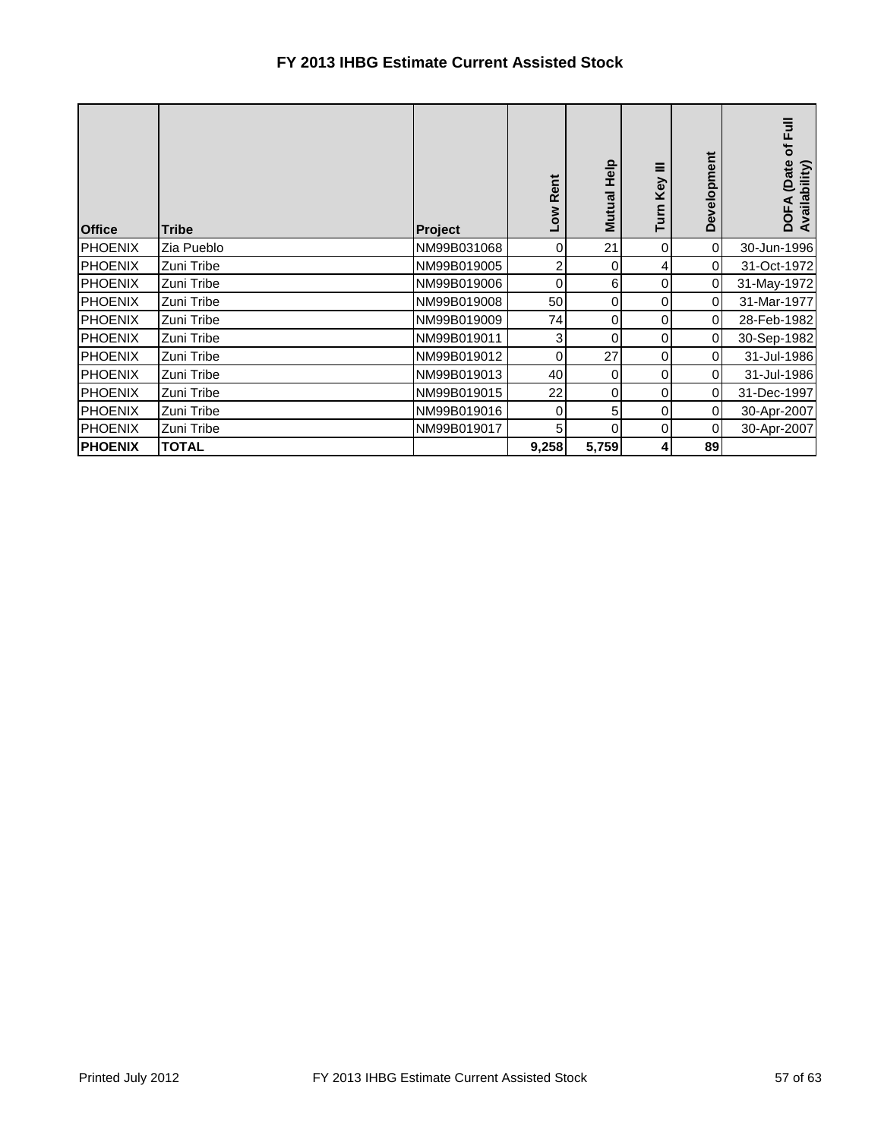| <b>Office</b>  | <b>Tribe</b> | <b>Project</b> | <b>Rent</b><br><b>NOT</b> | Help<br>Mutual | Key<br>Turn | Development    | of Full<br>(Date<br>Availability)<br><b>DOFA</b> |
|----------------|--------------|----------------|---------------------------|----------------|-------------|----------------|--------------------------------------------------|
| <b>PHOENIX</b> | Zia Pueblo   | NM99B031068    | 0                         | 21             | 0           | $\overline{0}$ | 30-Jun-1996                                      |
| <b>PHOENIX</b> | Zuni Tribe   | NM99B019005    | 2                         | 0              | 4           | $\overline{0}$ | 31-Oct-1972                                      |
| <b>PHOENIX</b> | Zuni Tribe   | NM99B019006    | 0                         | 6              | 0           | 0              | 31-May-1972                                      |
| <b>PHOENIX</b> | Zuni Tribe   | NM99B019008    | 50                        | 0              | 0           | $\Omega$       | 31-Mar-1977                                      |
| <b>PHOENIX</b> | Zuni Tribe   | NM99B019009    | 74                        | 0              | 0           | $\overline{0}$ | 28-Feb-1982                                      |
| <b>PHOENIX</b> | Zuni Tribe   | NM99B019011    | 3                         | 0              | 0           | $\overline{0}$ | 30-Sep-1982                                      |
| <b>PHOENIX</b> | Zuni Tribe   | NM99B019012    | 0                         | 27             | 0           | $\overline{0}$ | 31-Jul-1986                                      |
| <b>PHOENIX</b> | Zuni Tribe   | NM99B019013    | 40                        | 0              | 0           | $\overline{0}$ | 31-Jul-1986                                      |
| <b>PHOENIX</b> | Zuni Tribe   | NM99B019015    | 22                        | 0              | 0           | $\overline{0}$ | 31-Dec-1997                                      |
| <b>PHOENIX</b> | Zuni Tribe   | NM99B019016    | 0                         | 5              | 0           | $\overline{0}$ | 30-Apr-2007                                      |
| <b>PHOENIX</b> | Zuni Tribe   | NM99B019017    | 5                         | 0              | 0           | $\overline{0}$ | 30-Apr-2007                                      |
| <b>PHOENIX</b> | <b>TOTAL</b> |                | 9,258                     | 5,759          |             | 89             |                                                  |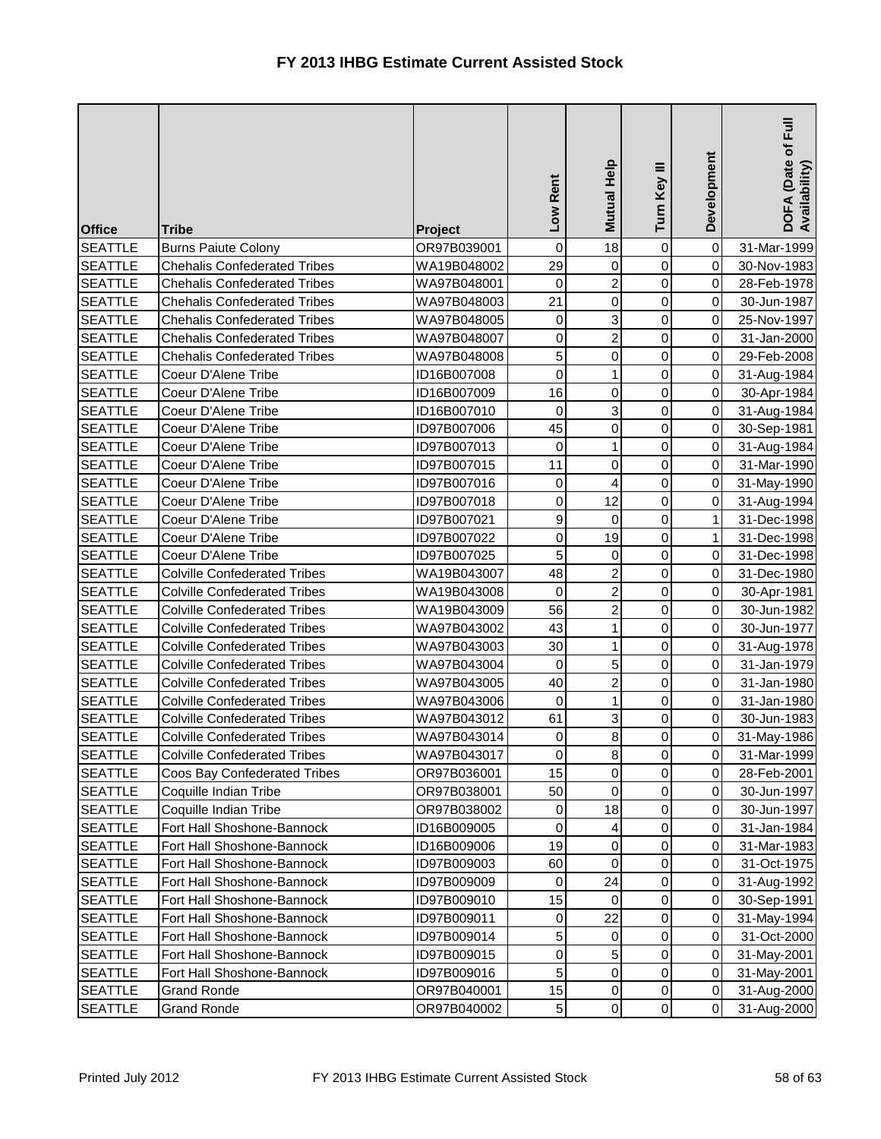| <b>Office</b>  | <b>Tribe</b>                        | Project     | Low Rent         | Mutual Help         | Turn Key III        | Development | Ē<br>DOFA (Date of I<br>Availability) |
|----------------|-------------------------------------|-------------|------------------|---------------------|---------------------|-------------|---------------------------------------|
| <b>SEATTLE</b> | <b>Burns Paiute Colony</b>          | OR97B039001 | $\pmb{0}$        | 18                  | $\mathsf{O}\xspace$ | $\mathbf 0$ | 31-Mar-1999                           |
| <b>SEATTLE</b> | <b>Chehalis Confederated Tribes</b> | WA19B048002 | 29               | 0                   | 0                   | 0           | 30-Nov-1983                           |
| <b>SEATTLE</b> | <b>Chehalis Confederated Tribes</b> | WA97B048001 | 0                | $\overline{c}$      | 0                   | 0           | 28-Feb-1978                           |
| <b>SEATTLE</b> | <b>Chehalis Confederated Tribes</b> | WA97B048003 | 21               | $\mathbf 0$         | 0                   | 0           | 30-Jun-1987                           |
| <b>SEATTLE</b> | <b>Chehalis Confederated Tribes</b> | WA97B048005 | 0                | دى                  | 0                   | 0           | 25-Nov-1997                           |
| <b>SEATTLE</b> | <b>Chehalis Confederated Tribes</b> | WA97B048007 | $\boldsymbol{0}$ | $\overline{c}$      | 0                   | 0           | 31-Jan-2000                           |
| <b>SEATTLE</b> | <b>Chehalis Confederated Tribes</b> | WA97B048008 | 5                | $\pmb{0}$           | 0                   | 0           | 29-Feb-2008                           |
| <b>SEATTLE</b> | Coeur D'Alene Tribe                 | ID16B007008 | 0                | $\mathbf{1}$        | 0                   | 0           | 31-Aug-1984                           |
| <b>SEATTLE</b> | Coeur D'Alene Tribe                 | ID16B007009 | 16               | 0                   | 0                   | 0           | 30-Apr-1984                           |
| <b>SEATTLE</b> | Coeur D'Alene Tribe                 | ID16B007010 | 0                | 3                   | 0                   | 0           | 31-Aug-1984                           |
| <b>SEATTLE</b> | Coeur D'Alene Tribe                 | ID97B007006 | 45               | $\mathsf{O}\xspace$ | 0                   | 0           | 30-Sep-1981                           |
| <b>SEATTLE</b> | Coeur D'Alene Tribe                 | ID97B007013 | 0                | 1                   | 0                   | 0           | 31-Aug-1984                           |
| <b>SEATTLE</b> | Coeur D'Alene Tribe                 | ID97B007015 | 11               | 0                   | 0                   | 0           | 31-Mar-1990                           |
| <b>SEATTLE</b> | Coeur D'Alene Tribe                 | ID97B007016 | $\mathbf 0$      | 4                   | 0                   | 0           | 31-May-1990                           |
| <b>SEATTLE</b> | Coeur D'Alene Tribe                 | ID97B007018 | $\boldsymbol{0}$ | 12                  | 0                   | 0           | 31-Aug-1994                           |
| <b>SEATTLE</b> | Coeur D'Alene Tribe                 | ID97B007021 | 9                | 0                   | 0                   | 1           | 31-Dec-1998                           |
| <b>SEATTLE</b> | Coeur D'Alene Tribe                 | ID97B007022 | $\pmb{0}$        | 19                  | $\mathsf{O}\xspace$ | 1           | 31-Dec-1998                           |
| <b>SEATTLE</b> | Coeur D'Alene Tribe                 | ID97B007025 | 5                | $\pmb{0}$           | 0                   | 0           | 31-Dec-1998                           |
| <b>SEATTLE</b> | <b>Colville Confederated Tribes</b> | WA19B043007 | 48               | $\overline{a}$      | 0                   | 0           | 31-Dec-1980                           |
| <b>SEATTLE</b> | <b>Colville Confederated Tribes</b> | WA19B043008 | 0                | $\overline{c}$      | 0                   | $\mathbf 0$ | 30-Apr-1981                           |
| <b>SEATTLE</b> | <b>Colville Confederated Tribes</b> | WA19B043009 | 56               | $\overline{2}$      | 0                   | 0           | 30-Jun-1982                           |
| <b>SEATTLE</b> | <b>Colville Confederated Tribes</b> | WA97B043002 | 43               | $\mathbf{1}$        | 0                   | $\mathsf 0$ | 30-Jun-1977                           |
| <b>SEATTLE</b> | <b>Colville Confederated Tribes</b> | WA97B043003 | 30               | 1                   | 0                   | 0           | 31-Aug-1978                           |
| <b>SEATTLE</b> | <b>Colville Confederated Tribes</b> | WA97B043004 | 0                | 5                   | 0                   | $\mathbf 0$ | 31-Jan-1979                           |
| <b>SEATTLE</b> | <b>Colville Confederated Tribes</b> | WA97B043005 | 40               | $\overline{c}$      | 0                   | $\mathbf 0$ | 31-Jan-1980                           |
| <b>SEATTLE</b> | <b>Colville Confederated Tribes</b> | WA97B043006 | $\boldsymbol{0}$ | 1                   | 0                   | $\pmb{0}$   | 31-Jan-1980                           |
| <b>SEATTLE</b> | <b>Colville Confederated Tribes</b> | WA97B043012 | 61               | 3                   | 0                   | 0           | 30-Jun-1983                           |
| <b>SEATTLE</b> | <b>Colville Confederated Tribes</b> | WA97B043014 | 0                | $\bf{8}$            | $\mathbf 0$         | $\pmb{0}$   | 31-May-1986                           |
| <b>SEATTLE</b> | <b>Colville Confederated Tribes</b> | WA97B043017 | 0                | 8 <sup>1</sup>      | $\overline{0}$      | 0           | 31-Mar-1999                           |
| <b>SEATTLE</b> | Coos Bay Confederated Tribes        | OR97B036001 | 15               | 0                   | 0                   | 0           | 28-Feb-2001                           |
| <b>SEATTLE</b> | Coquille Indian Tribe               | OR97B038001 | 50               | 0                   | 0                   | $\pmb{0}$   | 30-Jun-1997                           |
| <b>SEATTLE</b> | Coquille Indian Tribe               | OR97B038002 | 0                | 18                  | 0                   | $\pmb{0}$   | 30-Jun-1997                           |
| <b>SEATTLE</b> | Fort Hall Shoshone-Bannock          | ID16B009005 | 0                | 4                   | 0                   | 0           | 31-Jan-1984                           |
| <b>SEATTLE</b> | Fort Hall Shoshone-Bannock          | ID16B009006 | 19               | 0                   | 0                   | 0           | 31-Mar-1983                           |
| <b>SEATTLE</b> | Fort Hall Shoshone-Bannock          | ID97B009003 | 60               | 0                   | 0                   | 0           | 31-Oct-1975                           |
| <b>SEATTLE</b> | Fort Hall Shoshone-Bannock          | ID97B009009 | 0                | 24                  | 0                   | 0           | 31-Aug-1992                           |
| <b>SEATTLE</b> | Fort Hall Shoshone-Bannock          | ID97B009010 | 15               | $\mathbf 0$         | 0                   | 0           | 30-Sep-1991                           |
| <b>SEATTLE</b> | Fort Hall Shoshone-Bannock          | ID97B009011 | 0                | 22                  | 0                   | 0           | 31-May-1994                           |
| <b>SEATTLE</b> | Fort Hall Shoshone-Bannock          | ID97B009014 | 5                | 0                   | 0                   | 0           | 31-Oct-2000                           |
| <b>SEATTLE</b> | Fort Hall Shoshone-Bannock          | ID97B009015 | 0                | 5                   | 0                   | 0           | 31-May-2001                           |
| <b>SEATTLE</b> | Fort Hall Shoshone-Bannock          | ID97B009016 | 5                | $\mathbf 0$         | 0                   | 0           | 31-May-2001                           |
| <b>SEATTLE</b> | <b>Grand Ronde</b>                  | OR97B040001 | 15               | $\pmb{0}$           | 0                   | $\pmb{0}$   | 31-Aug-2000                           |
| <b>SEATTLE</b> | <b>Grand Ronde</b>                  | OR97B040002 | $\sqrt{5}$       | $\pmb{0}$           | $\mathsf{O}\xspace$ | $\mathbf 0$ | 31-Aug-2000                           |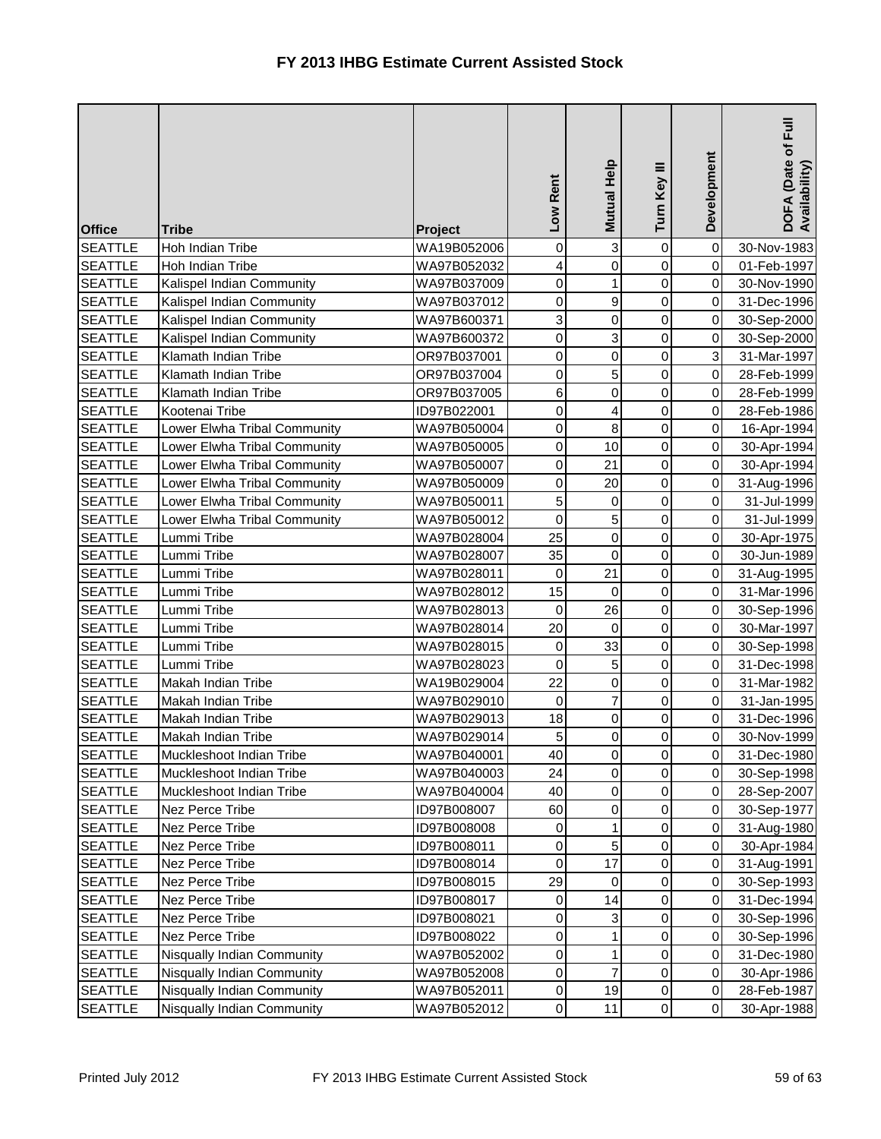| <b>Office</b>  | <b>Tribe</b>                 | Project     | Low Rent    | Mutual Help             | Turn Key III        | Development | DOFA (Date of Full<br>Availability) |
|----------------|------------------------------|-------------|-------------|-------------------------|---------------------|-------------|-------------------------------------|
| <b>SEATTLE</b> | Hoh Indian Tribe             | WA19B052006 | 0           | 3                       | 0                   | $\mathbf 0$ | 30-Nov-1983                         |
| <b>SEATTLE</b> | Hoh Indian Tribe             | WA97B052032 | 4           | $\mathsf{O}$            | 0                   | $\mathbf 0$ | 01-Feb-1997                         |
| <b>SEATTLE</b> | Kalispel Indian Community    | WA97B037009 | $\mathbf 0$ | $\mathbf{1}$            | 0                   | 0           | 30-Nov-1990                         |
| <b>SEATTLE</b> | Kalispel Indian Community    | WA97B037012 | 0           | 9                       | 0                   | 0           | 31-Dec-1996                         |
| <b>SEATTLE</b> | Kalispel Indian Community    | WA97B600371 | 3           | 0                       | $\mathsf 0$         | 0           | 30-Sep-2000                         |
| <b>SEATTLE</b> | Kalispel Indian Community    | WA97B600372 | 0           | 3                       | 0                   | $\mathbf 0$ | 30-Sep-2000                         |
| <b>SEATTLE</b> | Klamath Indian Tribe         | OR97B037001 | 0           | $\pmb{0}$               | 0                   | 3           | 31-Mar-1997                         |
| <b>SEATTLE</b> | Klamath Indian Tribe         | OR97B037004 | $\mathbf 0$ | 5                       | 0                   | 0           | 28-Feb-1999                         |
| <b>SEATTLE</b> | Klamath Indian Tribe         | OR97B037005 | 6           | $\mathsf{O}$            | 0                   | 0           | 28-Feb-1999                         |
| <b>SEATTLE</b> | Kootenai Tribe               | ID97B022001 | $\mathbf 0$ | $\overline{\mathbf{r}}$ | 0                   | 0           | 28-Feb-1986                         |
| <b>SEATTLE</b> | Lower Elwha Tribal Community | WA97B050004 | $\mathbf 0$ | 8                       | 0                   | 0           | 16-Apr-1994                         |
| <b>SEATTLE</b> | Lower Elwha Tribal Community | WA97B050005 | 0           | 10                      | 0                   | $\mathbf 0$ | 30-Apr-1994                         |
| <b>SEATTLE</b> | Lower Elwha Tribal Community | WA97B050007 | 0           | 21                      | 0                   | $\pmb{0}$   | 30-Apr-1994                         |
| <b>SEATTLE</b> | Lower Elwha Tribal Community | WA97B050009 | $\mathbf 0$ | 20                      | 0                   | 0           | 31-Aug-1996                         |
| <b>SEATTLE</b> | Lower Elwha Tribal Community | WA97B050011 | 5           | 0                       | 0                   | 0           | 31-Jul-1999                         |
| <b>SEATTLE</b> | Lower Elwha Tribal Community | WA97B050012 | $\mathbf 0$ | $\overline{5}$          | 0                   | 0           | 31-Jul-1999                         |
| <b>SEATTLE</b> | Lummi Tribe                  | WA97B028004 | 25          | $\pmb{0}$               | 0                   | $\mathbf 0$ | 30-Apr-1975                         |
| <b>SEATTLE</b> | Lummi Tribe                  | WA97B028007 | 35          | 0                       | 0                   | 0           | 30-Jun-1989                         |
| <b>SEATTLE</b> | Lummi Tribe                  | WA97B028011 | 0           | 21                      | 0                   | 0           | 31-Aug-1995                         |
| <b>SEATTLE</b> | Lummi Tribe                  | WA97B028012 | 15          | 0                       | 0                   | 0           | 31-Mar-1996                         |
| <b>SEATTLE</b> | Lummi Tribe                  | WA97B028013 | 0           | 26                      | 0                   | $\mathbf 0$ | 30-Sep-1996                         |
| <b>SEATTLE</b> | Lummi Tribe                  | WA97B028014 | 20          | 0                       | 0                   | $\,0\,$     | 30-Mar-1997                         |
| <b>SEATTLE</b> | Lummi Tribe                  | WA97B028015 | 0           | 33                      | 0                   | $\mathbf 0$ | 30-Sep-1998                         |
| <b>SEATTLE</b> | Lummi Tribe                  | WA97B028023 | 0           | 5                       | 0                   | 0           | 31-Dec-1998                         |
| <b>SEATTLE</b> | Makah Indian Tribe           | WA19B029004 | 22          | 0                       | 0                   | $\mathbf 0$ | 31-Mar-1982                         |
| <b>SEATTLE</b> | Makah Indian Tribe           | WA97B029010 | 0           | $\overline{7}$          | 0                   | $\pmb{0}$   | 31-Jan-1995                         |
| <b>SEATTLE</b> | Makah Indian Tribe           | WA97B029013 | 18          | $\overline{0}$          | 0                   | 0           | 31-Dec-1996                         |
| <b>SEATTLE</b> | Makah Indian Tribe           | WA97B029014 | 5           | $\overline{0}$          | 0                   | $\pmb{0}$   | 30-Nov-1999                         |
| <b>SEATTLE</b> | Muckleshoot Indian Tribe     | WA97B040001 | 40          | $\overline{0}$          | $\overline{0}$      | $\mathbf 0$ | 31-Dec-1980                         |
| <b>SEATTLE</b> | Muckleshoot Indian Tribe     | WA97B040003 | 24          | 0                       | 0                   | 0           | 30-Sep-1998                         |
| <b>SEATTLE</b> | Muckleshoot Indian Tribe     | WA97B040004 | 40          | $\pmb{0}$               | 0                   | 0           | 28-Sep-2007                         |
| <b>SEATTLE</b> | Nez Perce Tribe              | ID97B008007 | 60          | 0                       | 0                   | 0           | 30-Sep-1977                         |
| <b>SEATTLE</b> | Nez Perce Tribe              | ID97B008008 | 0           | 1                       | 0                   | $\mathbf 0$ | 31-Aug-1980                         |
| <b>SEATTLE</b> | Nez Perce Tribe              | ID97B008011 | 0           | 5                       | 0                   | $\mathbf 0$ | 30-Apr-1984                         |
| <b>SEATTLE</b> | Nez Perce Tribe              | ID97B008014 | 0           | 17                      | 0                   | 0           | 31-Aug-1991                         |
| <b>SEATTLE</b> | Nez Perce Tribe              | ID97B008015 | 29          | 0                       | 0                   | 0           | 30-Sep-1993                         |
| <b>SEATTLE</b> | Nez Perce Tribe              | ID97B008017 | 0           | 14                      | 0                   | $\pmb{0}$   | 31-Dec-1994                         |
| <b>SEATTLE</b> | Nez Perce Tribe              | ID97B008021 | 0           | 3                       | 0                   | 0           | 30-Sep-1996                         |
| <b>SEATTLE</b> | Nez Perce Tribe              | ID97B008022 | 0           | 1                       | 0                   | 0           | 30-Sep-1996                         |
| <b>SEATTLE</b> | Nisqually Indian Community   | WA97B052002 | 0           | 1                       | 0                   | 0           | 31-Dec-1980                         |
| <b>SEATTLE</b> | Nisqually Indian Community   | WA97B052008 | 0           | $\overline{7}$          | 0                   | 0           | 30-Apr-1986                         |
| <b>SEATTLE</b> | Nisqually Indian Community   | WA97B052011 | 0           | 19                      | $\pmb{0}$           | 0           | 28-Feb-1987                         |
| <b>SEATTLE</b> | Nisqually Indian Community   | WA97B052012 | 0           | 11                      | $\mathsf{O}\xspace$ | $\pmb{0}$   | 30-Apr-1988                         |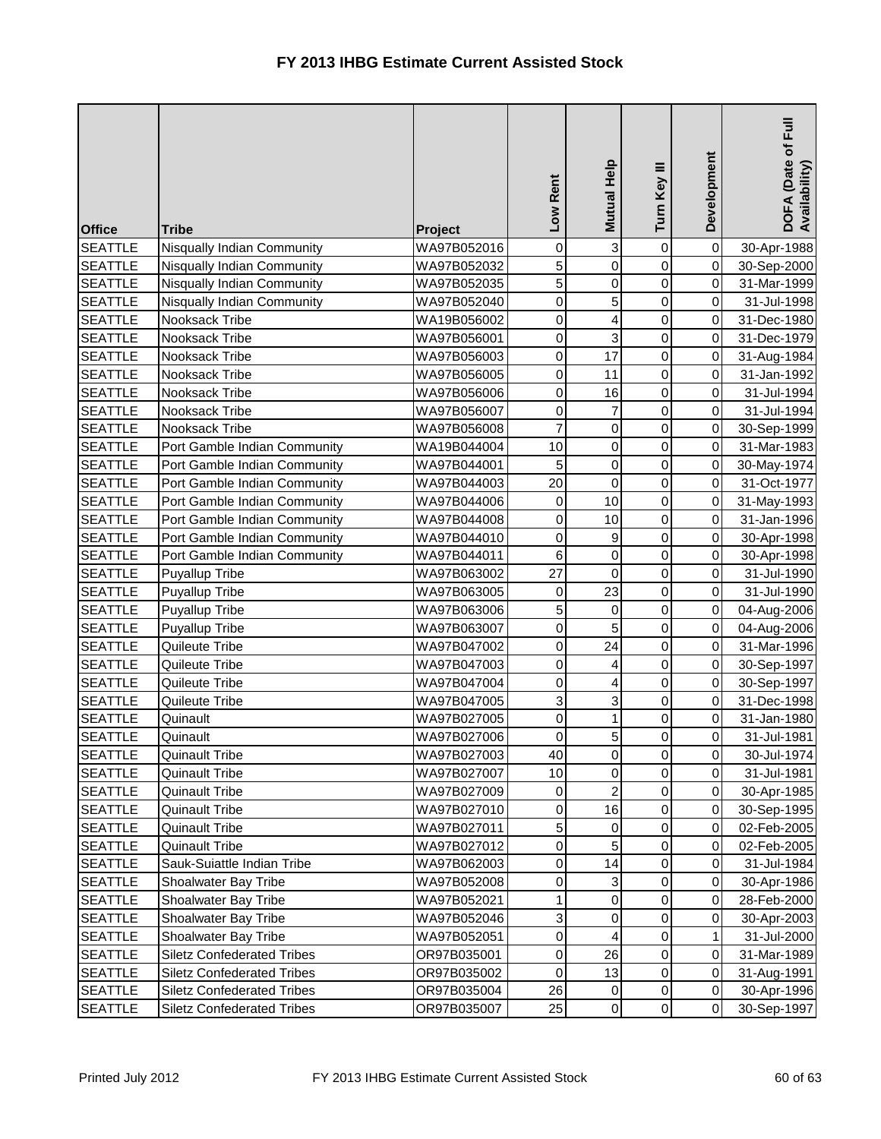| <b>Office</b>  | <b>Tribe</b>                      | Project     | Low Rent         | Mutual Help         | Turn Key III        | Development | DOFA (Date of Full<br>Availability) |
|----------------|-----------------------------------|-------------|------------------|---------------------|---------------------|-------------|-------------------------------------|
| <b>SEATTLE</b> | Nisqually Indian Community        | WA97B052016 | 0                | 3                   | $\mathsf 0$         | $\mathbf 0$ | 30-Apr-1988                         |
| <b>SEATTLE</b> | Nisqually Indian Community        | WA97B052032 | 5                | $\mathsf{O}\xspace$ | 0                   | $\mathbf 0$ | 30-Sep-2000                         |
| <b>SEATTLE</b> | Nisqually Indian Community        | WA97B052035 | 5                | $\pmb{0}$           | 0                   | $\mathbf 0$ | 31-Mar-1999                         |
| <b>SEATTLE</b> | Nisqually Indian Community        | WA97B052040 | 0                | $\overline{5}$      | 0                   | $\pmb{0}$   | 31-Jul-1998                         |
| <b>SEATTLE</b> | Nooksack Tribe                    | WA19B056002 | 0                | 4                   | 0                   | 0           | 31-Dec-1980                         |
| <b>SEATTLE</b> | Nooksack Tribe                    | WA97B056001 | 0                | ω                   | 0                   | $\mathbf 0$ | 31-Dec-1979                         |
| <b>SEATTLE</b> | Nooksack Tribe                    | WA97B056003 | 0                | 17                  | 0                   | 0           | 31-Aug-1984                         |
| <b>SEATTLE</b> | Nooksack Tribe                    | WA97B056005 | $\mathbf 0$      | 11                  | 0                   | 0           | 31-Jan-1992                         |
| <b>SEATTLE</b> | Nooksack Tribe                    | WA97B056006 | $\mathbf 0$      | 16                  | 0                   | 0           | 31-Jul-1994                         |
| <b>SEATTLE</b> | Nooksack Tribe                    | WA97B056007 | $\mathbf 0$      | $\overline{7}$      | 0                   | $\pmb{0}$   | 31-Jul-1994                         |
| <b>SEATTLE</b> | Nooksack Tribe                    | WA97B056008 | $\overline{7}$   | $\mathsf{O}\xspace$ | 0                   | $\mathbf 0$ | 30-Sep-1999                         |
| <b>SEATTLE</b> | Port Gamble Indian Community      | WA19B044004 | 10               | $\pmb{0}$           | 0                   | $\mathbf 0$ | 31-Mar-1983                         |
| <b>SEATTLE</b> | Port Gamble Indian Community      | WA97B044001 | 5                | 0                   | 0                   | 0           | 30-May-1974                         |
| <b>SEATTLE</b> | Port Gamble Indian Community      | WA97B044003 | 20               | $\mathsf{O}$        | 0                   | 0           | 31-Oct-1977                         |
| <b>SEATTLE</b> | Port Gamble Indian Community      | WA97B044006 | 0                | 10                  | 0                   | 0           | 31-May-1993                         |
| <b>SEATTLE</b> | Port Gamble Indian Community      | WA97B044008 | 0                | 10                  | 0                   | $\mathbf 0$ | 31-Jan-1996                         |
| <b>SEATTLE</b> | Port Gamble Indian Community      | WA97B044010 | $\boldsymbol{0}$ | $\boldsymbol{9}$    | 0                   | $\mathbf 0$ | 30-Apr-1998                         |
| <b>SEATTLE</b> | Port Gamble Indian Community      | WA97B044011 | 6                | $\pmb{0}$           | 0                   | 0           | 30-Apr-1998                         |
| <b>SEATTLE</b> | <b>Puyallup Tribe</b>             | WA97B063002 | 27               | $\mathbf 0$         | 0                   | $\pmb{0}$   | 31-Jul-1990                         |
| <b>SEATTLE</b> | <b>Puyallup Tribe</b>             | WA97B063005 | 0                | 23                  | 0                   | $\pmb{0}$   | 31-Jul-1990                         |
| <b>SEATTLE</b> | Puyallup Tribe                    | WA97B063006 | 5                | $\mathbf 0$         | 0                   | $\mathbf 0$ | 04-Aug-2006                         |
| <b>SEATTLE</b> | Puyallup Tribe                    | WA97B063007 | $\mathbf 0$      | 5                   | 0                   | $\mathbf 0$ | 04-Aug-2006                         |
| <b>SEATTLE</b> | Quileute Tribe                    | WA97B047002 | 0                | 24                  | 0                   | $\pmb{0}$   | 31-Mar-1996                         |
| <b>SEATTLE</b> | Quileute Tribe                    | WA97B047003 | $\mathbf 0$      | 4                   | 0                   | $\pmb{0}$   | 30-Sep-1997                         |
| <b>SEATTLE</b> | Quileute Tribe                    | WA97B047004 | 0                | 4                   | 0                   | $\mathbf 0$ | 30-Sep-1997                         |
| <b>SEATTLE</b> | Quileute Tribe                    | WA97B047005 | 3                | 3                   | 0                   | $\mathbf 0$ | 31-Dec-1998                         |
| <b>SEATTLE</b> | Quinault                          | WA97B027005 | 0                | $\mathbf{1}$        | 0                   | 0           | 31-Jan-1980                         |
| <b>SEATTLE</b> | Quinault                          | WA97B027006 | 0                | 5 <sub>l</sub>      | 0                   | 0           | 31-Jul-1981                         |
| <b>SEATTLE</b> | <b>Quinault Tribe</b>             | WA97B027003 | 40               | $\overline{0}$      | $\overline{0}$      | $\mathbf 0$ | 30-Jul-1974                         |
| <b>SEATTLE</b> | <b>Quinault Tribe</b>             | WA97B027007 | 10               | 0                   | 0                   | 0           | 31-Jul-1981                         |
| <b>SEATTLE</b> | <b>Quinault Tribe</b>             | WA97B027009 | 0                | $\overline{c}$      | 0                   | $\pmb{0}$   | 30-Apr-1985                         |
| <b>SEATTLE</b> | <b>Quinault Tribe</b>             | WA97B027010 | 0                | 16                  | 0                   | $\,0\,$     | 30-Sep-1995                         |
| <b>SEATTLE</b> | <b>Quinault Tribe</b>             | WA97B027011 | 5                | 0                   | 0                   | 0           | 02-Feb-2005                         |
| <b>SEATTLE</b> | <b>Quinault Tribe</b>             | WA97B027012 | 0                | 5                   | 0                   | 0           | 02-Feb-2005                         |
| <b>SEATTLE</b> | Sauk-Suiattle Indian Tribe        | WA97B062003 | 0                | 14                  | 0                   | $\mathbf 0$ | 31-Jul-1984                         |
| <b>SEATTLE</b> | Shoalwater Bay Tribe              | WA97B052008 | 0                | 3                   | 0                   | 0           | 30-Apr-1986                         |
| <b>SEATTLE</b> | Shoalwater Bay Tribe              | WA97B052021 | 1                | $\overline{0}$      | 0                   | 0           | 28-Feb-2000                         |
| <b>SEATTLE</b> | Shoalwater Bay Tribe              | WA97B052046 | 3                | 0                   | 0                   | 0           | 30-Apr-2003                         |
| <b>SEATTLE</b> | Shoalwater Bay Tribe              | WA97B052051 | 0                | 4                   | 0                   | 1           | 31-Jul-2000                         |
| <b>SEATTLE</b> | <b>Siletz Confederated Tribes</b> | OR97B035001 | 0                | 26                  | 0                   | $\pmb{0}$   | 31-Mar-1989                         |
| <b>SEATTLE</b> | <b>Siletz Confederated Tribes</b> | OR97B035002 | 0                | 13                  | 0                   | 0           | 31-Aug-1991                         |
| <b>SEATTLE</b> | <b>Siletz Confederated Tribes</b> | OR97B035004 | 26               | $\pmb{0}$           | $\pmb{0}$           | $\pmb{0}$   | 30-Apr-1996                         |
| <b>SEATTLE</b> | <b>Siletz Confederated Tribes</b> | OR97B035007 | 25               | $\overline{0}$      | $\mathsf{O}\xspace$ | $\pmb{0}$   | 30-Sep-1997                         |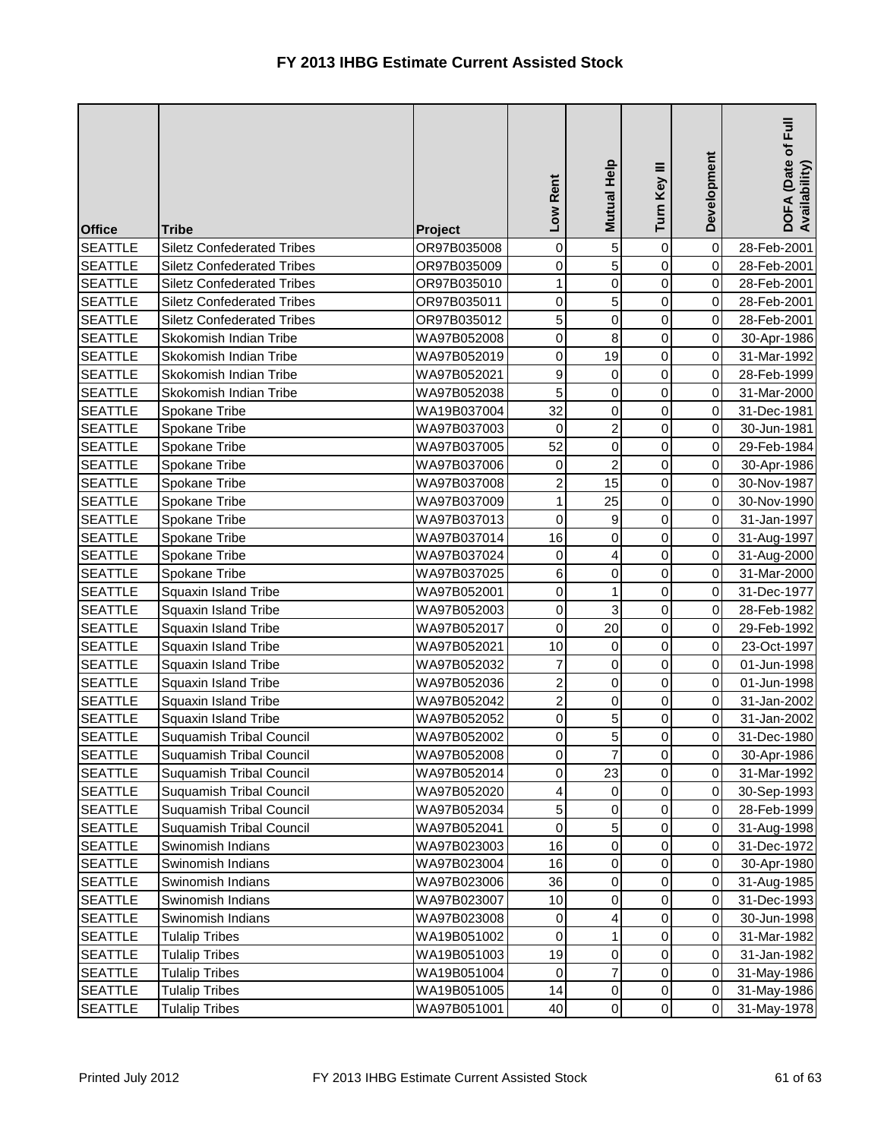| <b>Office</b>  | <b>Tribe</b>                      | Project     | Low Rent                | Mutual Help             | Turn Key III        | Development | DOFA (Date of Full<br>Availability) |
|----------------|-----------------------------------|-------------|-------------------------|-------------------------|---------------------|-------------|-------------------------------------|
| <b>SEATTLE</b> | <b>Siletz Confederated Tribes</b> | OR97B035008 | 0                       | 5                       | $\mathsf{O}\xspace$ | $\mathbf 0$ | 28-Feb-2001                         |
| <b>SEATTLE</b> | <b>Siletz Confederated Tribes</b> | OR97B035009 | 0                       | 5                       | 0                   | 0           | 28-Feb-2001                         |
| <b>SEATTLE</b> | <b>Siletz Confederated Tribes</b> | OR97B035010 | 1                       | $\mathsf{O}$            | 0                   | 0           | 28-Feb-2001                         |
| <b>SEATTLE</b> | <b>Siletz Confederated Tribes</b> | OR97B035011 | 0                       | 5                       | 0                   | 0           | 28-Feb-2001                         |
| <b>SEATTLE</b> | <b>Siletz Confederated Tribes</b> | OR97B035012 | 5                       | $\mathsf{O}$            | 0                   | 0           | 28-Feb-2001                         |
| <b>SEATTLE</b> | Skokomish Indian Tribe            | WA97B052008 | 0                       | 8                       | 0                   | $\mathbf 0$ | 30-Apr-1986                         |
| <b>SEATTLE</b> | Skokomish Indian Tribe            | WA97B052019 | 0                       | 19                      | 0                   | $\mathbf 0$ | 31-Mar-1992                         |
| <b>SEATTLE</b> | Skokomish Indian Tribe            | WA97B052021 | 9                       | $\pmb{0}$               | 0                   | 0           | 28-Feb-1999                         |
| <b>SEATTLE</b> | Skokomish Indian Tribe            | WA97B052038 | 5                       | $\pmb{0}$               | 0                   | 0           | 31-Mar-2000                         |
| <b>SEATTLE</b> | Spokane Tribe                     | WA19B037004 | 32                      | $\mathsf{O}$            | 0                   | 0           | 31-Dec-1981                         |
| <b>SEATTLE</b> | Spokane Tribe                     | WA97B037003 | 0                       | $\overline{a}$          | 0                   | $\pmb{0}$   | 30-Jun-1981                         |
| <b>SEATTLE</b> | Spokane Tribe                     | WA97B037005 | 52                      | $\overline{0}$          | 0                   | $\pmb{0}$   | 29-Feb-1984                         |
| <b>SEATTLE</b> | Spokane Tribe                     | WA97B037006 | $\pmb{0}$               | $\overline{c}$          | 0                   | $\pmb{0}$   | 30-Apr-1986                         |
| <b>SEATTLE</b> | Spokane Tribe                     | WA97B037008 | $\overline{2}$          | 15                      | 0                   | 0           | 30-Nov-1987                         |
| <b>SEATTLE</b> | Spokane Tribe                     | WA97B037009 | 1                       | 25                      | 0                   | 0           | 30-Nov-1990                         |
| <b>SEATTLE</b> | Spokane Tribe                     | WA97B037013 | 0                       | 9                       | 0                   | 0           | 31-Jan-1997                         |
| <b>SEATTLE</b> | Spokane Tribe                     | WA97B037014 | 16                      | $\overline{0}$          | 0                   | $\mathbf 0$ | 31-Aug-1997                         |
| <b>SEATTLE</b> | Spokane Tribe                     | WA97B037024 | 0                       | $\overline{\mathbf{r}}$ | 0                   | 0           | 31-Aug-2000                         |
| <b>SEATTLE</b> | Spokane Tribe                     | WA97B037025 | 6                       | $\mathsf{O}$            | 0                   | 0           | 31-Mar-2000                         |
| <b>SEATTLE</b> | Squaxin Island Tribe              | WA97B052001 | 0                       | $\mathbf{1}$            | 0                   | 0           | 31-Dec-1977                         |
| <b>SEATTLE</b> | Squaxin Island Tribe              | WA97B052003 | 0                       | 3                       | 0                   | $\pmb{0}$   | 28-Feb-1982                         |
| <b>SEATTLE</b> | Squaxin Island Tribe              | WA97B052017 | 0                       | 20                      | 0                   | $\pmb{0}$   | 29-Feb-1992                         |
| <b>SEATTLE</b> | Squaxin Island Tribe              | WA97B052021 | 10                      | 0                       | 0                   | $\pmb{0}$   | 23-Oct-1997                         |
| <b>SEATTLE</b> | Squaxin Island Tribe              | WA97B052032 | $\overline{7}$          | 0                       | 0                   | 0           | 01-Jun-1998                         |
| <b>SEATTLE</b> | Squaxin Island Tribe              | WA97B052036 | $\overline{\mathbf{c}}$ | $\mathsf{O}$            | 0                   | $\mathbf 0$ | 01-Jun-1998                         |
| <b>SEATTLE</b> | Squaxin Island Tribe              | WA97B052042 | $\overline{c}$          | $\mathsf{O}$            | 0                   | 0           | 31-Jan-2002                         |
| <b>SEATTLE</b> | Squaxin Island Tribe              | WA97B052052 | 0                       | 5 <sub>l</sub>          | 0                   | 0           | 31-Jan-2002                         |
| <b>SEATTLE</b> | <b>Suquamish Tribal Council</b>   | WA97B052002 | 0                       | 5 <sup>1</sup>          | $\mathbf 0$         | 0           | 31-Dec-1980                         |
| <b>SEATTLE</b> | Suquamish Tribal Council          | WA97B052008 | 0                       | $\overline{7}$          | $\overline{0}$      | $\mathbf 0$ | 30-Apr-1986                         |
| <b>SEATTLE</b> | <b>Suquamish Tribal Council</b>   | WA97B052014 | 0                       | 23                      | 0                   | $\mathbf 0$ | 31-Mar-1992                         |
| <b>SEATTLE</b> | <b>Suquamish Tribal Council</b>   | WA97B052020 | 4                       | 0                       | 0                   | $\pmb{0}$   | 30-Sep-1993                         |
| <b>SEATTLE</b> | Suquamish Tribal Council          | WA97B052034 | 5                       | 0                       | 0                   | 0           | 28-Feb-1999                         |
| <b>SEATTLE</b> | Suquamish Tribal Council          | WA97B052041 | 0                       | 5 <sup>1</sup>          | 0                   | 0           | 31-Aug-1998                         |
| <b>SEATTLE</b> | Swinomish Indians                 | WA97B023003 | 16                      | 0                       | 0                   | 0           | 31-Dec-1972                         |
| <b>SEATTLE</b> | Swinomish Indians                 | WA97B023004 | 16                      | 0                       | 0                   | 0           | 30-Apr-1980                         |
| <b>SEATTLE</b> | Swinomish Indians                 | WA97B023006 | 36                      | 0                       | 0                   | 0           | 31-Aug-1985                         |
| <b>SEATTLE</b> | Swinomish Indians                 | WA97B023007 | 10                      | 0                       | 0                   | 0           | 31-Dec-1993                         |
| <b>SEATTLE</b> | Swinomish Indians                 | WA97B023008 | 0                       | 4                       | 0                   | 0           | 30-Jun-1998                         |
| <b>SEATTLE</b> | <b>Tulalip Tribes</b>             | WA19B051002 | 0                       | $\mathbf{1}$            | 0                   | 0           | 31-Mar-1982                         |
| <b>SEATTLE</b> | <b>Tulalip Tribes</b>             | WA19B051003 | 19                      | 0                       | 0                   | $\mathbf 0$ | 31-Jan-1982                         |
| <b>SEATTLE</b> | <b>Tulalip Tribes</b>             | WA19B051004 | 0                       | $\overline{7}$          | 0                   | $\pmb{0}$   | 31-May-1986                         |
| <b>SEATTLE</b> | <b>Tulalip Tribes</b>             | WA19B051005 | 14                      | $\overline{0}$          | $\pmb{0}$           | $\pmb{0}$   | 31-May-1986                         |
| <b>SEATTLE</b> | <b>Tulalip Tribes</b>             | WA97B051001 | 40                      | $\overline{0}$          | $\mathsf{O}\xspace$ | $\pmb{0}$   | 31-May-1978                         |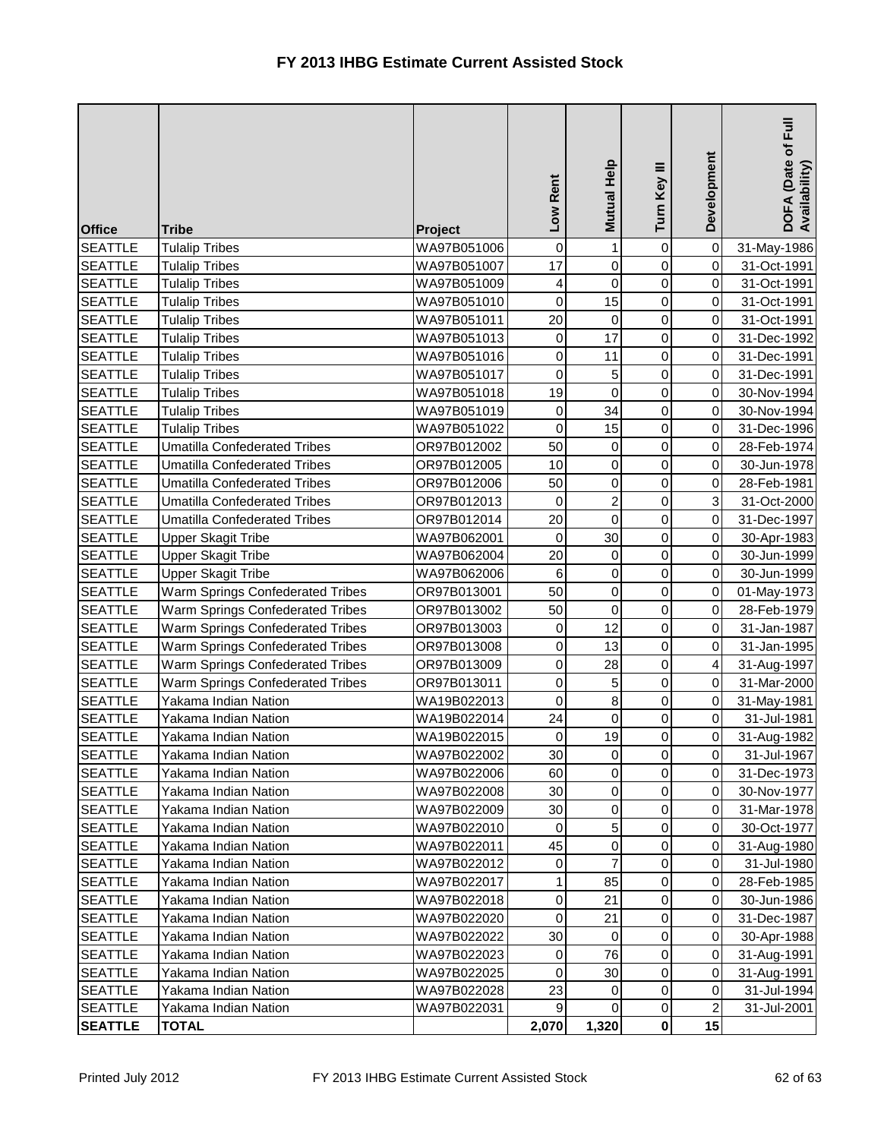| $\mathbf{1}$<br><b>SEATTLE</b><br><b>Tulalip Tribes</b><br>0<br>0<br>$\pmb{0}$<br>31-May-1986<br>WA97B051006<br>17<br>$\mathbf 0$<br>0<br>$\mathbf 0$<br><b>SEATTLE</b><br><b>Tulalip Tribes</b><br>WA97B051007<br>31-Oct-1991<br>$\mathbf 0$<br>0<br>$\mathbf 0$<br><b>SEATTLE</b><br><b>Tulalip Tribes</b><br>WA97B051009<br>4<br>31-Oct-1991<br>15<br>0<br>$\mathbf 0$<br>$\mathbf 0$<br><b>SEATTLE</b><br><b>Tulalip Tribes</b><br>WA97B051010<br>31-Oct-1991<br>0<br><b>SEATTLE</b><br>20<br>$\pmb{0}$<br><b>Tulalip Tribes</b><br>WA97B051011<br>0<br>31-Oct-1991<br><b>SEATTLE</b><br>17<br><b>Tulalip Tribes</b><br>WA97B051013<br>0<br>$\mathbf 0$<br>31-Dec-1992<br>0<br>0<br>$\boldsymbol{0}$<br>11<br><b>SEATTLE</b><br><b>Tulalip Tribes</b><br>WA97B051016<br>$\pmb{0}$<br>31-Dec-1991<br>5 <sub>l</sub><br>0<br><b>SEATTLE</b><br><b>Tulalip Tribes</b><br>WA97B051017<br>0<br>0<br>31-Dec-1991<br>$\mathsf{O}$<br>0<br>19<br>0<br><b>SEATTLE</b><br><b>Tulalip Tribes</b><br>WA97B051018<br>30-Nov-1994<br>34<br>0<br><b>SEATTLE</b><br>WA97B051019<br>0<br><b>Tulalip Tribes</b><br>0<br>30-Nov-1994<br>15<br><b>SEATTLE</b><br><b>Tulalip Tribes</b><br>WA97B051022<br>0<br>0<br>$\pmb{0}$<br>31-Dec-1996<br>0<br>50<br>$\pmb{0}$<br>$\mathbf 0$<br><b>SEATTLE</b><br><b>Umatilla Confederated Tribes</b><br>OR97B012002<br>28-Feb-1974<br>0<br><b>SEATTLE</b><br>10<br>0<br>0<br><b>Umatilla Confederated Tribes</b><br>OR97B012005<br>30-Jun-1978<br>$\mathsf{O}\xspace$<br>0<br><b>SEATTLE</b><br>50<br>0<br><b>Umatilla Confederated Tribes</b><br>28-Feb-1981<br>OR97B012006<br>$\overline{2}$<br>$\mathsf 3$<br>0<br><b>SEATTLE</b><br><b>Umatilla Confederated Tribes</b><br>0<br>OR97B012013<br>31-Oct-2000<br><b>SEATTLE</b><br>0<br><b>Umatilla Confederated Tribes</b><br>OR97B012014<br>20<br>0<br>$\pmb{0}$<br>31-Dec-1997<br>30<br>0<br><b>SEATTLE</b><br>$\mathbf 0$<br>$\mathbf 0$<br><b>Upper Skagit Tribe</b><br>WA97B062001<br>30-Apr-1983<br><b>SEATTLE</b><br>0<br>$\pmb{0}$<br><b>Upper Skagit Tribe</b><br>WA97B062004<br>20<br>0<br>30-Jun-1999<br>$\overline{0}$<br>0<br>$\pmb{0}$<br><b>SEATTLE</b><br><b>Upper Skagit Tribe</b><br>WA97B062006<br>$\,6$<br>30-Jun-1999<br>$\overline{0}$<br>0<br>50<br><b>SEATTLE</b><br>Warm Springs Confederated Tribes<br>0<br>OR97B013001<br>01-May-1973<br>$\pmb{0}$<br><b>SEATTLE</b><br>Warm Springs Confederated Tribes<br>0<br>0<br>OR97B013002<br>50<br>28-Feb-1979<br>12<br>0<br>$\mathbf 0$<br><b>SEATTLE</b><br>Warm Springs Confederated Tribes<br>OR97B013003<br>0<br>31-Jan-1987<br>0<br><b>SEATTLE</b><br>Warm Springs Confederated Tribes<br>0<br>13<br>0<br>OR97B013008<br>31-Jan-1995<br>28<br>0<br>$\overline{\mathbf{4}}$<br><b>SEATTLE</b><br>Warm Springs Confederated Tribes<br>0<br>OR97B013009<br>31-Aug-1997<br>$\overline{5}$<br>0<br><b>SEATTLE</b><br>$\mathbf 0$<br>0<br>Warm Springs Confederated Tribes<br>OR97B013011<br>31-Mar-2000<br>$\bf{8}$<br><b>SEATTLE</b><br>0<br>WA19B022013<br>$\mathbf 0$<br>$\pmb{0}$<br>Yakama Indian Nation<br>31-May-1981<br><b>SEATTLE</b><br>$\mathbf 0$<br>0<br>$\mathbf 0$<br>Yakama Indian Nation<br>WA19B022014<br>24<br>31-Jul-1981<br>0<br><b>SEATTLE</b><br>19<br>0<br>WA19B022015<br>0<br>31-Aug-1982<br>Yakama Indian Nation<br><b>SEATTLE</b><br>WA97B022002<br>30<br>$\overline{0}$<br>Yakama Indian Nation<br>$\overline{0}$<br>$\mathbf 0$<br>31-Jul-1967<br>0<br>0<br><b>SEATTLE</b><br>WA97B022006<br>$\mathbf 0$<br>Yakama Indian Nation<br>60<br>31-Dec-1973<br>0<br><b>SEATTLE</b><br>WA97B022008<br>$\mathbf 0$<br>$\pmb{0}$<br>Yakama Indian Nation<br>30<br>30-Nov-1977<br>0<br>$\mathbf 0$<br>$\pmb{0}$<br><b>SEATTLE</b><br>Yakama Indian Nation<br>WA97B022009<br>30<br>31-Mar-1978<br>5 <sup>1</sup><br>0<br>0<br><b>SEATTLE</b><br>Yakama Indian Nation<br>WA97B022010<br>0<br>30-Oct-1977<br>0<br>45<br>0<br>0<br><b>SEATTLE</b><br>Yakama Indian Nation<br>WA97B022011<br>31-Aug-1980<br>7<br><b>SEATTLE</b><br>Yakama Indian Nation<br>WA97B022012<br>0<br>$\mathbf 0$<br>0<br>31-Jul-1980<br>85<br><b>SEATTLE</b><br>WA97B022017<br>1<br>0<br>Yakama Indian Nation<br>0<br>28-Feb-1985<br>0<br><b>SEATTLE</b><br>Yakama Indian Nation<br>WA97B022018<br>0<br>21<br>$\mathbf 0$<br>30-Jun-1986<br>0<br>WA97B022020<br>0<br>21<br>0<br><b>SEATTLE</b><br>Yakama Indian Nation<br>31-Dec-1987 | <b>Office</b> | <b>Tribe</b> | Project | Low Rent | Mutual Help | Turn Key III | Development | Full<br>DOFA (Date of I<br>Availability) |
|----------------------------------------------------------------------------------------------------------------------------------------------------------------------------------------------------------------------------------------------------------------------------------------------------------------------------------------------------------------------------------------------------------------------------------------------------------------------------------------------------------------------------------------------------------------------------------------------------------------------------------------------------------------------------------------------------------------------------------------------------------------------------------------------------------------------------------------------------------------------------------------------------------------------------------------------------------------------------------------------------------------------------------------------------------------------------------------------------------------------------------------------------------------------------------------------------------------------------------------------------------------------------------------------------------------------------------------------------------------------------------------------------------------------------------------------------------------------------------------------------------------------------------------------------------------------------------------------------------------------------------------------------------------------------------------------------------------------------------------------------------------------------------------------------------------------------------------------------------------------------------------------------------------------------------------------------------------------------------------------------------------------------------------------------------------------------------------------------------------------------------------------------------------------------------------------------------------------------------------------------------------------------------------------------------------------------------------------------------------------------------------------------------------------------------------------------------------------------------------------------------------------------------------------------------------------------------------------------------------------------------------------------------------------------------------------------------------------------------------------------------------------------------------------------------------------------------------------------------------------------------------------------------------------------------------------------------------------------------------------------------------------------------------------------------------------------------------------------------------------------------------------------------------------------------------------------------------------------------------------------------------------------------------------------------------------------------------------------------------------------------------------------------------------------------------------------------------------------------------------------------------------------------------------------------------------------------------------------------------------------------------------------------------------------------------------------------------------------------------------------------------------------------------------------------------------------------------------------------------------------------------------------------------------------------------------------------------------------------------------------------------------------------------------------------------------------------------------------------------------------------------------------------------------------------------------------------------------------------------------------------------------------------------------------------------------------------------------------------------------------|---------------|--------------|---------|----------|-------------|--------------|-------------|------------------------------------------|
|                                                                                                                                                                                                                                                                                                                                                                                                                                                                                                                                                                                                                                                                                                                                                                                                                                                                                                                                                                                                                                                                                                                                                                                                                                                                                                                                                                                                                                                                                                                                                                                                                                                                                                                                                                                                                                                                                                                                                                                                                                                                                                                                                                                                                                                                                                                                                                                                                                                                                                                                                                                                                                                                                                                                                                                                                                                                                                                                                                                                                                                                                                                                                                                                                                                                                                                                                                                                                                                                                                                                                                                                                                                                                                                                                                                                                                                                                                                                                                                                                                                                                                                                                                                                                                                                                                                                                                            |               |              |         |          |             |              |             |                                          |
|                                                                                                                                                                                                                                                                                                                                                                                                                                                                                                                                                                                                                                                                                                                                                                                                                                                                                                                                                                                                                                                                                                                                                                                                                                                                                                                                                                                                                                                                                                                                                                                                                                                                                                                                                                                                                                                                                                                                                                                                                                                                                                                                                                                                                                                                                                                                                                                                                                                                                                                                                                                                                                                                                                                                                                                                                                                                                                                                                                                                                                                                                                                                                                                                                                                                                                                                                                                                                                                                                                                                                                                                                                                                                                                                                                                                                                                                                                                                                                                                                                                                                                                                                                                                                                                                                                                                                                            |               |              |         |          |             |              |             |                                          |
|                                                                                                                                                                                                                                                                                                                                                                                                                                                                                                                                                                                                                                                                                                                                                                                                                                                                                                                                                                                                                                                                                                                                                                                                                                                                                                                                                                                                                                                                                                                                                                                                                                                                                                                                                                                                                                                                                                                                                                                                                                                                                                                                                                                                                                                                                                                                                                                                                                                                                                                                                                                                                                                                                                                                                                                                                                                                                                                                                                                                                                                                                                                                                                                                                                                                                                                                                                                                                                                                                                                                                                                                                                                                                                                                                                                                                                                                                                                                                                                                                                                                                                                                                                                                                                                                                                                                                                            |               |              |         |          |             |              |             |                                          |
|                                                                                                                                                                                                                                                                                                                                                                                                                                                                                                                                                                                                                                                                                                                                                                                                                                                                                                                                                                                                                                                                                                                                                                                                                                                                                                                                                                                                                                                                                                                                                                                                                                                                                                                                                                                                                                                                                                                                                                                                                                                                                                                                                                                                                                                                                                                                                                                                                                                                                                                                                                                                                                                                                                                                                                                                                                                                                                                                                                                                                                                                                                                                                                                                                                                                                                                                                                                                                                                                                                                                                                                                                                                                                                                                                                                                                                                                                                                                                                                                                                                                                                                                                                                                                                                                                                                                                                            |               |              |         |          |             |              |             |                                          |
|                                                                                                                                                                                                                                                                                                                                                                                                                                                                                                                                                                                                                                                                                                                                                                                                                                                                                                                                                                                                                                                                                                                                                                                                                                                                                                                                                                                                                                                                                                                                                                                                                                                                                                                                                                                                                                                                                                                                                                                                                                                                                                                                                                                                                                                                                                                                                                                                                                                                                                                                                                                                                                                                                                                                                                                                                                                                                                                                                                                                                                                                                                                                                                                                                                                                                                                                                                                                                                                                                                                                                                                                                                                                                                                                                                                                                                                                                                                                                                                                                                                                                                                                                                                                                                                                                                                                                                            |               |              |         |          |             |              |             |                                          |
|                                                                                                                                                                                                                                                                                                                                                                                                                                                                                                                                                                                                                                                                                                                                                                                                                                                                                                                                                                                                                                                                                                                                                                                                                                                                                                                                                                                                                                                                                                                                                                                                                                                                                                                                                                                                                                                                                                                                                                                                                                                                                                                                                                                                                                                                                                                                                                                                                                                                                                                                                                                                                                                                                                                                                                                                                                                                                                                                                                                                                                                                                                                                                                                                                                                                                                                                                                                                                                                                                                                                                                                                                                                                                                                                                                                                                                                                                                                                                                                                                                                                                                                                                                                                                                                                                                                                                                            |               |              |         |          |             |              |             |                                          |
|                                                                                                                                                                                                                                                                                                                                                                                                                                                                                                                                                                                                                                                                                                                                                                                                                                                                                                                                                                                                                                                                                                                                                                                                                                                                                                                                                                                                                                                                                                                                                                                                                                                                                                                                                                                                                                                                                                                                                                                                                                                                                                                                                                                                                                                                                                                                                                                                                                                                                                                                                                                                                                                                                                                                                                                                                                                                                                                                                                                                                                                                                                                                                                                                                                                                                                                                                                                                                                                                                                                                                                                                                                                                                                                                                                                                                                                                                                                                                                                                                                                                                                                                                                                                                                                                                                                                                                            |               |              |         |          |             |              |             |                                          |
|                                                                                                                                                                                                                                                                                                                                                                                                                                                                                                                                                                                                                                                                                                                                                                                                                                                                                                                                                                                                                                                                                                                                                                                                                                                                                                                                                                                                                                                                                                                                                                                                                                                                                                                                                                                                                                                                                                                                                                                                                                                                                                                                                                                                                                                                                                                                                                                                                                                                                                                                                                                                                                                                                                                                                                                                                                                                                                                                                                                                                                                                                                                                                                                                                                                                                                                                                                                                                                                                                                                                                                                                                                                                                                                                                                                                                                                                                                                                                                                                                                                                                                                                                                                                                                                                                                                                                                            |               |              |         |          |             |              |             |                                          |
|                                                                                                                                                                                                                                                                                                                                                                                                                                                                                                                                                                                                                                                                                                                                                                                                                                                                                                                                                                                                                                                                                                                                                                                                                                                                                                                                                                                                                                                                                                                                                                                                                                                                                                                                                                                                                                                                                                                                                                                                                                                                                                                                                                                                                                                                                                                                                                                                                                                                                                                                                                                                                                                                                                                                                                                                                                                                                                                                                                                                                                                                                                                                                                                                                                                                                                                                                                                                                                                                                                                                                                                                                                                                                                                                                                                                                                                                                                                                                                                                                                                                                                                                                                                                                                                                                                                                                                            |               |              |         |          |             |              |             |                                          |
|                                                                                                                                                                                                                                                                                                                                                                                                                                                                                                                                                                                                                                                                                                                                                                                                                                                                                                                                                                                                                                                                                                                                                                                                                                                                                                                                                                                                                                                                                                                                                                                                                                                                                                                                                                                                                                                                                                                                                                                                                                                                                                                                                                                                                                                                                                                                                                                                                                                                                                                                                                                                                                                                                                                                                                                                                                                                                                                                                                                                                                                                                                                                                                                                                                                                                                                                                                                                                                                                                                                                                                                                                                                                                                                                                                                                                                                                                                                                                                                                                                                                                                                                                                                                                                                                                                                                                                            |               |              |         |          |             |              |             |                                          |
|                                                                                                                                                                                                                                                                                                                                                                                                                                                                                                                                                                                                                                                                                                                                                                                                                                                                                                                                                                                                                                                                                                                                                                                                                                                                                                                                                                                                                                                                                                                                                                                                                                                                                                                                                                                                                                                                                                                                                                                                                                                                                                                                                                                                                                                                                                                                                                                                                                                                                                                                                                                                                                                                                                                                                                                                                                                                                                                                                                                                                                                                                                                                                                                                                                                                                                                                                                                                                                                                                                                                                                                                                                                                                                                                                                                                                                                                                                                                                                                                                                                                                                                                                                                                                                                                                                                                                                            |               |              |         |          |             |              |             |                                          |
|                                                                                                                                                                                                                                                                                                                                                                                                                                                                                                                                                                                                                                                                                                                                                                                                                                                                                                                                                                                                                                                                                                                                                                                                                                                                                                                                                                                                                                                                                                                                                                                                                                                                                                                                                                                                                                                                                                                                                                                                                                                                                                                                                                                                                                                                                                                                                                                                                                                                                                                                                                                                                                                                                                                                                                                                                                                                                                                                                                                                                                                                                                                                                                                                                                                                                                                                                                                                                                                                                                                                                                                                                                                                                                                                                                                                                                                                                                                                                                                                                                                                                                                                                                                                                                                                                                                                                                            |               |              |         |          |             |              |             |                                          |
|                                                                                                                                                                                                                                                                                                                                                                                                                                                                                                                                                                                                                                                                                                                                                                                                                                                                                                                                                                                                                                                                                                                                                                                                                                                                                                                                                                                                                                                                                                                                                                                                                                                                                                                                                                                                                                                                                                                                                                                                                                                                                                                                                                                                                                                                                                                                                                                                                                                                                                                                                                                                                                                                                                                                                                                                                                                                                                                                                                                                                                                                                                                                                                                                                                                                                                                                                                                                                                                                                                                                                                                                                                                                                                                                                                                                                                                                                                                                                                                                                                                                                                                                                                                                                                                                                                                                                                            |               |              |         |          |             |              |             |                                          |
|                                                                                                                                                                                                                                                                                                                                                                                                                                                                                                                                                                                                                                                                                                                                                                                                                                                                                                                                                                                                                                                                                                                                                                                                                                                                                                                                                                                                                                                                                                                                                                                                                                                                                                                                                                                                                                                                                                                                                                                                                                                                                                                                                                                                                                                                                                                                                                                                                                                                                                                                                                                                                                                                                                                                                                                                                                                                                                                                                                                                                                                                                                                                                                                                                                                                                                                                                                                                                                                                                                                                                                                                                                                                                                                                                                                                                                                                                                                                                                                                                                                                                                                                                                                                                                                                                                                                                                            |               |              |         |          |             |              |             |                                          |
|                                                                                                                                                                                                                                                                                                                                                                                                                                                                                                                                                                                                                                                                                                                                                                                                                                                                                                                                                                                                                                                                                                                                                                                                                                                                                                                                                                                                                                                                                                                                                                                                                                                                                                                                                                                                                                                                                                                                                                                                                                                                                                                                                                                                                                                                                                                                                                                                                                                                                                                                                                                                                                                                                                                                                                                                                                                                                                                                                                                                                                                                                                                                                                                                                                                                                                                                                                                                                                                                                                                                                                                                                                                                                                                                                                                                                                                                                                                                                                                                                                                                                                                                                                                                                                                                                                                                                                            |               |              |         |          |             |              |             |                                          |
|                                                                                                                                                                                                                                                                                                                                                                                                                                                                                                                                                                                                                                                                                                                                                                                                                                                                                                                                                                                                                                                                                                                                                                                                                                                                                                                                                                                                                                                                                                                                                                                                                                                                                                                                                                                                                                                                                                                                                                                                                                                                                                                                                                                                                                                                                                                                                                                                                                                                                                                                                                                                                                                                                                                                                                                                                                                                                                                                                                                                                                                                                                                                                                                                                                                                                                                                                                                                                                                                                                                                                                                                                                                                                                                                                                                                                                                                                                                                                                                                                                                                                                                                                                                                                                                                                                                                                                            |               |              |         |          |             |              |             |                                          |
|                                                                                                                                                                                                                                                                                                                                                                                                                                                                                                                                                                                                                                                                                                                                                                                                                                                                                                                                                                                                                                                                                                                                                                                                                                                                                                                                                                                                                                                                                                                                                                                                                                                                                                                                                                                                                                                                                                                                                                                                                                                                                                                                                                                                                                                                                                                                                                                                                                                                                                                                                                                                                                                                                                                                                                                                                                                                                                                                                                                                                                                                                                                                                                                                                                                                                                                                                                                                                                                                                                                                                                                                                                                                                                                                                                                                                                                                                                                                                                                                                                                                                                                                                                                                                                                                                                                                                                            |               |              |         |          |             |              |             |                                          |
|                                                                                                                                                                                                                                                                                                                                                                                                                                                                                                                                                                                                                                                                                                                                                                                                                                                                                                                                                                                                                                                                                                                                                                                                                                                                                                                                                                                                                                                                                                                                                                                                                                                                                                                                                                                                                                                                                                                                                                                                                                                                                                                                                                                                                                                                                                                                                                                                                                                                                                                                                                                                                                                                                                                                                                                                                                                                                                                                                                                                                                                                                                                                                                                                                                                                                                                                                                                                                                                                                                                                                                                                                                                                                                                                                                                                                                                                                                                                                                                                                                                                                                                                                                                                                                                                                                                                                                            |               |              |         |          |             |              |             |                                          |
|                                                                                                                                                                                                                                                                                                                                                                                                                                                                                                                                                                                                                                                                                                                                                                                                                                                                                                                                                                                                                                                                                                                                                                                                                                                                                                                                                                                                                                                                                                                                                                                                                                                                                                                                                                                                                                                                                                                                                                                                                                                                                                                                                                                                                                                                                                                                                                                                                                                                                                                                                                                                                                                                                                                                                                                                                                                                                                                                                                                                                                                                                                                                                                                                                                                                                                                                                                                                                                                                                                                                                                                                                                                                                                                                                                                                                                                                                                                                                                                                                                                                                                                                                                                                                                                                                                                                                                            |               |              |         |          |             |              |             |                                          |
|                                                                                                                                                                                                                                                                                                                                                                                                                                                                                                                                                                                                                                                                                                                                                                                                                                                                                                                                                                                                                                                                                                                                                                                                                                                                                                                                                                                                                                                                                                                                                                                                                                                                                                                                                                                                                                                                                                                                                                                                                                                                                                                                                                                                                                                                                                                                                                                                                                                                                                                                                                                                                                                                                                                                                                                                                                                                                                                                                                                                                                                                                                                                                                                                                                                                                                                                                                                                                                                                                                                                                                                                                                                                                                                                                                                                                                                                                                                                                                                                                                                                                                                                                                                                                                                                                                                                                                            |               |              |         |          |             |              |             |                                          |
|                                                                                                                                                                                                                                                                                                                                                                                                                                                                                                                                                                                                                                                                                                                                                                                                                                                                                                                                                                                                                                                                                                                                                                                                                                                                                                                                                                                                                                                                                                                                                                                                                                                                                                                                                                                                                                                                                                                                                                                                                                                                                                                                                                                                                                                                                                                                                                                                                                                                                                                                                                                                                                                                                                                                                                                                                                                                                                                                                                                                                                                                                                                                                                                                                                                                                                                                                                                                                                                                                                                                                                                                                                                                                                                                                                                                                                                                                                                                                                                                                                                                                                                                                                                                                                                                                                                                                                            |               |              |         |          |             |              |             |                                          |
|                                                                                                                                                                                                                                                                                                                                                                                                                                                                                                                                                                                                                                                                                                                                                                                                                                                                                                                                                                                                                                                                                                                                                                                                                                                                                                                                                                                                                                                                                                                                                                                                                                                                                                                                                                                                                                                                                                                                                                                                                                                                                                                                                                                                                                                                                                                                                                                                                                                                                                                                                                                                                                                                                                                                                                                                                                                                                                                                                                                                                                                                                                                                                                                                                                                                                                                                                                                                                                                                                                                                                                                                                                                                                                                                                                                                                                                                                                                                                                                                                                                                                                                                                                                                                                                                                                                                                                            |               |              |         |          |             |              |             |                                          |
|                                                                                                                                                                                                                                                                                                                                                                                                                                                                                                                                                                                                                                                                                                                                                                                                                                                                                                                                                                                                                                                                                                                                                                                                                                                                                                                                                                                                                                                                                                                                                                                                                                                                                                                                                                                                                                                                                                                                                                                                                                                                                                                                                                                                                                                                                                                                                                                                                                                                                                                                                                                                                                                                                                                                                                                                                                                                                                                                                                                                                                                                                                                                                                                                                                                                                                                                                                                                                                                                                                                                                                                                                                                                                                                                                                                                                                                                                                                                                                                                                                                                                                                                                                                                                                                                                                                                                                            |               |              |         |          |             |              |             |                                          |
|                                                                                                                                                                                                                                                                                                                                                                                                                                                                                                                                                                                                                                                                                                                                                                                                                                                                                                                                                                                                                                                                                                                                                                                                                                                                                                                                                                                                                                                                                                                                                                                                                                                                                                                                                                                                                                                                                                                                                                                                                                                                                                                                                                                                                                                                                                                                                                                                                                                                                                                                                                                                                                                                                                                                                                                                                                                                                                                                                                                                                                                                                                                                                                                                                                                                                                                                                                                                                                                                                                                                                                                                                                                                                                                                                                                                                                                                                                                                                                                                                                                                                                                                                                                                                                                                                                                                                                            |               |              |         |          |             |              |             |                                          |
|                                                                                                                                                                                                                                                                                                                                                                                                                                                                                                                                                                                                                                                                                                                                                                                                                                                                                                                                                                                                                                                                                                                                                                                                                                                                                                                                                                                                                                                                                                                                                                                                                                                                                                                                                                                                                                                                                                                                                                                                                                                                                                                                                                                                                                                                                                                                                                                                                                                                                                                                                                                                                                                                                                                                                                                                                                                                                                                                                                                                                                                                                                                                                                                                                                                                                                                                                                                                                                                                                                                                                                                                                                                                                                                                                                                                                                                                                                                                                                                                                                                                                                                                                                                                                                                                                                                                                                            |               |              |         |          |             |              |             |                                          |
|                                                                                                                                                                                                                                                                                                                                                                                                                                                                                                                                                                                                                                                                                                                                                                                                                                                                                                                                                                                                                                                                                                                                                                                                                                                                                                                                                                                                                                                                                                                                                                                                                                                                                                                                                                                                                                                                                                                                                                                                                                                                                                                                                                                                                                                                                                                                                                                                                                                                                                                                                                                                                                                                                                                                                                                                                                                                                                                                                                                                                                                                                                                                                                                                                                                                                                                                                                                                                                                                                                                                                                                                                                                                                                                                                                                                                                                                                                                                                                                                                                                                                                                                                                                                                                                                                                                                                                            |               |              |         |          |             |              |             |                                          |
|                                                                                                                                                                                                                                                                                                                                                                                                                                                                                                                                                                                                                                                                                                                                                                                                                                                                                                                                                                                                                                                                                                                                                                                                                                                                                                                                                                                                                                                                                                                                                                                                                                                                                                                                                                                                                                                                                                                                                                                                                                                                                                                                                                                                                                                                                                                                                                                                                                                                                                                                                                                                                                                                                                                                                                                                                                                                                                                                                                                                                                                                                                                                                                                                                                                                                                                                                                                                                                                                                                                                                                                                                                                                                                                                                                                                                                                                                                                                                                                                                                                                                                                                                                                                                                                                                                                                                                            |               |              |         |          |             |              |             |                                          |
|                                                                                                                                                                                                                                                                                                                                                                                                                                                                                                                                                                                                                                                                                                                                                                                                                                                                                                                                                                                                                                                                                                                                                                                                                                                                                                                                                                                                                                                                                                                                                                                                                                                                                                                                                                                                                                                                                                                                                                                                                                                                                                                                                                                                                                                                                                                                                                                                                                                                                                                                                                                                                                                                                                                                                                                                                                                                                                                                                                                                                                                                                                                                                                                                                                                                                                                                                                                                                                                                                                                                                                                                                                                                                                                                                                                                                                                                                                                                                                                                                                                                                                                                                                                                                                                                                                                                                                            |               |              |         |          |             |              |             |                                          |
|                                                                                                                                                                                                                                                                                                                                                                                                                                                                                                                                                                                                                                                                                                                                                                                                                                                                                                                                                                                                                                                                                                                                                                                                                                                                                                                                                                                                                                                                                                                                                                                                                                                                                                                                                                                                                                                                                                                                                                                                                                                                                                                                                                                                                                                                                                                                                                                                                                                                                                                                                                                                                                                                                                                                                                                                                                                                                                                                                                                                                                                                                                                                                                                                                                                                                                                                                                                                                                                                                                                                                                                                                                                                                                                                                                                                                                                                                                                                                                                                                                                                                                                                                                                                                                                                                                                                                                            |               |              |         |          |             |              |             |                                          |
|                                                                                                                                                                                                                                                                                                                                                                                                                                                                                                                                                                                                                                                                                                                                                                                                                                                                                                                                                                                                                                                                                                                                                                                                                                                                                                                                                                                                                                                                                                                                                                                                                                                                                                                                                                                                                                                                                                                                                                                                                                                                                                                                                                                                                                                                                                                                                                                                                                                                                                                                                                                                                                                                                                                                                                                                                                                                                                                                                                                                                                                                                                                                                                                                                                                                                                                                                                                                                                                                                                                                                                                                                                                                                                                                                                                                                                                                                                                                                                                                                                                                                                                                                                                                                                                                                                                                                                            |               |              |         |          |             |              |             |                                          |
|                                                                                                                                                                                                                                                                                                                                                                                                                                                                                                                                                                                                                                                                                                                                                                                                                                                                                                                                                                                                                                                                                                                                                                                                                                                                                                                                                                                                                                                                                                                                                                                                                                                                                                                                                                                                                                                                                                                                                                                                                                                                                                                                                                                                                                                                                                                                                                                                                                                                                                                                                                                                                                                                                                                                                                                                                                                                                                                                                                                                                                                                                                                                                                                                                                                                                                                                                                                                                                                                                                                                                                                                                                                                                                                                                                                                                                                                                                                                                                                                                                                                                                                                                                                                                                                                                                                                                                            |               |              |         |          |             |              |             |                                          |
|                                                                                                                                                                                                                                                                                                                                                                                                                                                                                                                                                                                                                                                                                                                                                                                                                                                                                                                                                                                                                                                                                                                                                                                                                                                                                                                                                                                                                                                                                                                                                                                                                                                                                                                                                                                                                                                                                                                                                                                                                                                                                                                                                                                                                                                                                                                                                                                                                                                                                                                                                                                                                                                                                                                                                                                                                                                                                                                                                                                                                                                                                                                                                                                                                                                                                                                                                                                                                                                                                                                                                                                                                                                                                                                                                                                                                                                                                                                                                                                                                                                                                                                                                                                                                                                                                                                                                                            |               |              |         |          |             |              |             |                                          |
|                                                                                                                                                                                                                                                                                                                                                                                                                                                                                                                                                                                                                                                                                                                                                                                                                                                                                                                                                                                                                                                                                                                                                                                                                                                                                                                                                                                                                                                                                                                                                                                                                                                                                                                                                                                                                                                                                                                                                                                                                                                                                                                                                                                                                                                                                                                                                                                                                                                                                                                                                                                                                                                                                                                                                                                                                                                                                                                                                                                                                                                                                                                                                                                                                                                                                                                                                                                                                                                                                                                                                                                                                                                                                                                                                                                                                                                                                                                                                                                                                                                                                                                                                                                                                                                                                                                                                                            |               |              |         |          |             |              |             |                                          |
|                                                                                                                                                                                                                                                                                                                                                                                                                                                                                                                                                                                                                                                                                                                                                                                                                                                                                                                                                                                                                                                                                                                                                                                                                                                                                                                                                                                                                                                                                                                                                                                                                                                                                                                                                                                                                                                                                                                                                                                                                                                                                                                                                                                                                                                                                                                                                                                                                                                                                                                                                                                                                                                                                                                                                                                                                                                                                                                                                                                                                                                                                                                                                                                                                                                                                                                                                                                                                                                                                                                                                                                                                                                                                                                                                                                                                                                                                                                                                                                                                                                                                                                                                                                                                                                                                                                                                                            |               |              |         |          |             |              |             |                                          |
|                                                                                                                                                                                                                                                                                                                                                                                                                                                                                                                                                                                                                                                                                                                                                                                                                                                                                                                                                                                                                                                                                                                                                                                                                                                                                                                                                                                                                                                                                                                                                                                                                                                                                                                                                                                                                                                                                                                                                                                                                                                                                                                                                                                                                                                                                                                                                                                                                                                                                                                                                                                                                                                                                                                                                                                                                                                                                                                                                                                                                                                                                                                                                                                                                                                                                                                                                                                                                                                                                                                                                                                                                                                                                                                                                                                                                                                                                                                                                                                                                                                                                                                                                                                                                                                                                                                                                                            |               |              |         |          |             |              |             |                                          |
|                                                                                                                                                                                                                                                                                                                                                                                                                                                                                                                                                                                                                                                                                                                                                                                                                                                                                                                                                                                                                                                                                                                                                                                                                                                                                                                                                                                                                                                                                                                                                                                                                                                                                                                                                                                                                                                                                                                                                                                                                                                                                                                                                                                                                                                                                                                                                                                                                                                                                                                                                                                                                                                                                                                                                                                                                                                                                                                                                                                                                                                                                                                                                                                                                                                                                                                                                                                                                                                                                                                                                                                                                                                                                                                                                                                                                                                                                                                                                                                                                                                                                                                                                                                                                                                                                                                                                                            |               |              |         |          |             |              |             |                                          |
|                                                                                                                                                                                                                                                                                                                                                                                                                                                                                                                                                                                                                                                                                                                                                                                                                                                                                                                                                                                                                                                                                                                                                                                                                                                                                                                                                                                                                                                                                                                                                                                                                                                                                                                                                                                                                                                                                                                                                                                                                                                                                                                                                                                                                                                                                                                                                                                                                                                                                                                                                                                                                                                                                                                                                                                                                                                                                                                                                                                                                                                                                                                                                                                                                                                                                                                                                                                                                                                                                                                                                                                                                                                                                                                                                                                                                                                                                                                                                                                                                                                                                                                                                                                                                                                                                                                                                                            |               |              |         |          |             |              |             |                                          |
| 0<br>0                                                                                                                                                                                                                                                                                                                                                                                                                                                                                                                                                                                                                                                                                                                                                                                                                                                                                                                                                                                                                                                                                                                                                                                                                                                                                                                                                                                                                                                                                                                                                                                                                                                                                                                                                                                                                                                                                                                                                                                                                                                                                                                                                                                                                                                                                                                                                                                                                                                                                                                                                                                                                                                                                                                                                                                                                                                                                                                                                                                                                                                                                                                                                                                                                                                                                                                                                                                                                                                                                                                                                                                                                                                                                                                                                                                                                                                                                                                                                                                                                                                                                                                                                                                                                                                                                                                                                                     |               |              |         |          |             |              |             |                                          |
| $\mathbf 0$<br><b>SEATTLE</b><br>Yakama Indian Nation<br>WA97B022022<br>30<br>30-Apr-1988<br>76<br>0<br><b>SEATTLE</b><br>0                                                                                                                                                                                                                                                                                                                                                                                                                                                                                                                                                                                                                                                                                                                                                                                                                                                                                                                                                                                                                                                                                                                                                                                                                                                                                                                                                                                                                                                                                                                                                                                                                                                                                                                                                                                                                                                                                                                                                                                                                                                                                                                                                                                                                                                                                                                                                                                                                                                                                                                                                                                                                                                                                                                                                                                                                                                                                                                                                                                                                                                                                                                                                                                                                                                                                                                                                                                                                                                                                                                                                                                                                                                                                                                                                                                                                                                                                                                                                                                                                                                                                                                                                                                                                                                |               |              |         |          |             |              |             |                                          |
| Yakama Indian Nation<br>WA97B022023<br>31-Aug-1991<br>0<br><b>SEATTLE</b><br>WA97B022025<br>30<br>0<br>0<br>Yakama Indian Nation<br>0<br>31-Aug-1991                                                                                                                                                                                                                                                                                                                                                                                                                                                                                                                                                                                                                                                                                                                                                                                                                                                                                                                                                                                                                                                                                                                                                                                                                                                                                                                                                                                                                                                                                                                                                                                                                                                                                                                                                                                                                                                                                                                                                                                                                                                                                                                                                                                                                                                                                                                                                                                                                                                                                                                                                                                                                                                                                                                                                                                                                                                                                                                                                                                                                                                                                                                                                                                                                                                                                                                                                                                                                                                                                                                                                                                                                                                                                                                                                                                                                                                                                                                                                                                                                                                                                                                                                                                                                       |               |              |         |          |             |              |             |                                          |
| $\mathsf{O}\xspace$<br>0<br><b>SEATTLE</b><br>Yakama Indian Nation<br>23<br>0<br>WA97B022028<br>31-Jul-1994                                                                                                                                                                                                                                                                                                                                                                                                                                                                                                                                                                                                                                                                                                                                                                                                                                                                                                                                                                                                                                                                                                                                                                                                                                                                                                                                                                                                                                                                                                                                                                                                                                                                                                                                                                                                                                                                                                                                                                                                                                                                                                                                                                                                                                                                                                                                                                                                                                                                                                                                                                                                                                                                                                                                                                                                                                                                                                                                                                                                                                                                                                                                                                                                                                                                                                                                                                                                                                                                                                                                                                                                                                                                                                                                                                                                                                                                                                                                                                                                                                                                                                                                                                                                                                                                |               |              |         |          |             |              |             |                                          |
| 2<br>$\Omega$<br>$\mathbf 0$<br><b>SEATTLE</b><br>Yakama Indian Nation<br>WA97B022031<br>9<br>31-Jul-2001                                                                                                                                                                                                                                                                                                                                                                                                                                                                                                                                                                                                                                                                                                                                                                                                                                                                                                                                                                                                                                                                                                                                                                                                                                                                                                                                                                                                                                                                                                                                                                                                                                                                                                                                                                                                                                                                                                                                                                                                                                                                                                                                                                                                                                                                                                                                                                                                                                                                                                                                                                                                                                                                                                                                                                                                                                                                                                                                                                                                                                                                                                                                                                                                                                                                                                                                                                                                                                                                                                                                                                                                                                                                                                                                                                                                                                                                                                                                                                                                                                                                                                                                                                                                                                                                  |               |              |         |          |             |              |             |                                          |
| $\pmb{0}$<br>15<br><b>SEATTLE</b><br>2,070<br>1,320<br>TOTAL                                                                                                                                                                                                                                                                                                                                                                                                                                                                                                                                                                                                                                                                                                                                                                                                                                                                                                                                                                                                                                                                                                                                                                                                                                                                                                                                                                                                                                                                                                                                                                                                                                                                                                                                                                                                                                                                                                                                                                                                                                                                                                                                                                                                                                                                                                                                                                                                                                                                                                                                                                                                                                                                                                                                                                                                                                                                                                                                                                                                                                                                                                                                                                                                                                                                                                                                                                                                                                                                                                                                                                                                                                                                                                                                                                                                                                                                                                                                                                                                                                                                                                                                                                                                                                                                                                               |               |              |         |          |             |              |             |                                          |